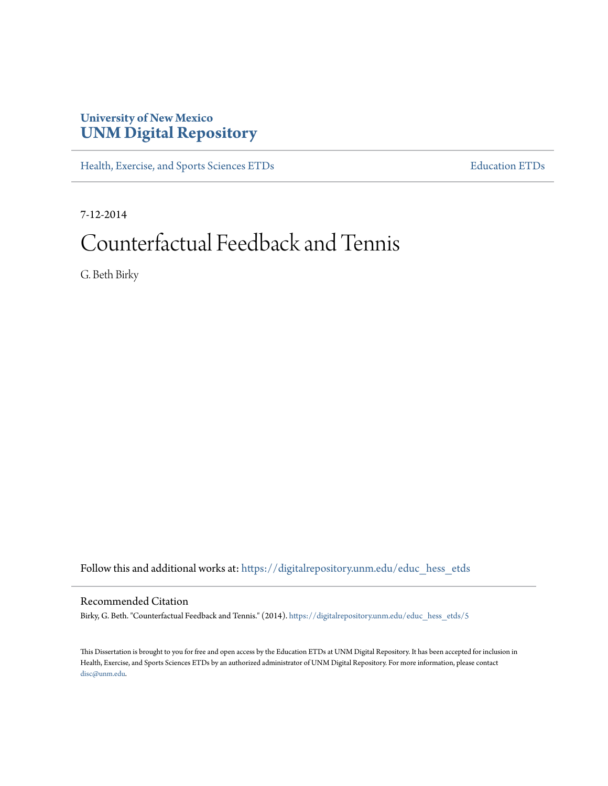# **University of New Mexico [UNM Digital Repository](https://digitalrepository.unm.edu?utm_source=digitalrepository.unm.edu%2Feduc_hess_etds%2F5&utm_medium=PDF&utm_campaign=PDFCoverPages)**

[Health, Exercise, and Sports Sciences ETDs](https://digitalrepository.unm.edu/educ_hess_etds?utm_source=digitalrepository.unm.edu%2Feduc_hess_etds%2F5&utm_medium=PDF&utm_campaign=PDFCoverPages) [Education ETDs](https://digitalrepository.unm.edu/educ_etds?utm_source=digitalrepository.unm.edu%2Feduc_hess_etds%2F5&utm_medium=PDF&utm_campaign=PDFCoverPages)

7-12-2014

# Counterfactual Feedback and Tennis

G. Beth Birky

Follow this and additional works at: [https://digitalrepository.unm.edu/educ\\_hess\\_etds](https://digitalrepository.unm.edu/educ_hess_etds?utm_source=digitalrepository.unm.edu%2Feduc_hess_etds%2F5&utm_medium=PDF&utm_campaign=PDFCoverPages)

Recommended Citation

Birky, G. Beth. "Counterfactual Feedback and Tennis." (2014). [https://digitalrepository.unm.edu/educ\\_hess\\_etds/5](https://digitalrepository.unm.edu/educ_hess_etds/5?utm_source=digitalrepository.unm.edu%2Feduc_hess_etds%2F5&utm_medium=PDF&utm_campaign=PDFCoverPages)

This Dissertation is brought to you for free and open access by the Education ETDs at UNM Digital Repository. It has been accepted for inclusion in Health, Exercise, and Sports Sciences ETDs by an authorized administrator of UNM Digital Repository. For more information, please contact [disc@unm.edu](mailto:disc@unm.edu).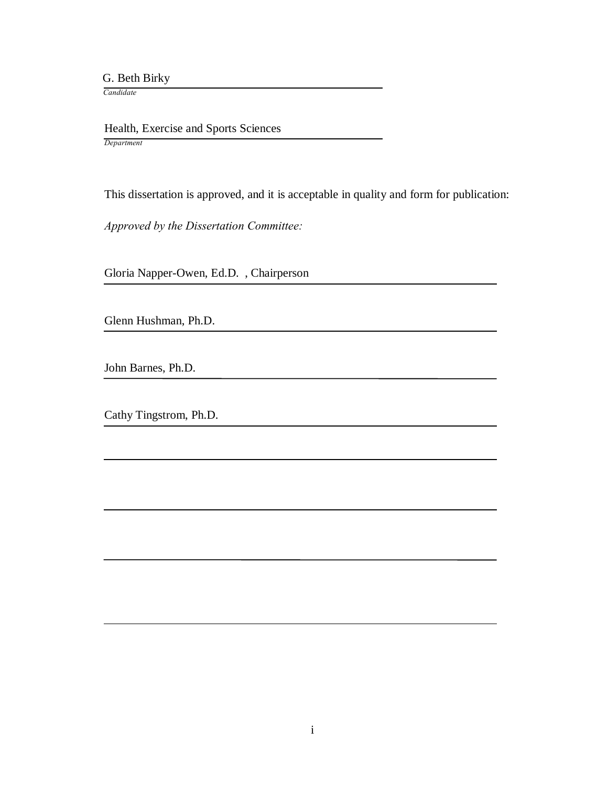G. Beth Birky

 *Candidate*

 Health, Exercise and Sports Sciences *Department*

This dissertation is approved, and it is acceptable in quality and form for publication:

*Approved by the Dissertation Committee:*

Gloria Napper-Owen, Ed.D. , Chairperson

Glenn Hushman, Ph.D.

John Barnes, Ph.D.

Cathy Tingstrom, Ph.D.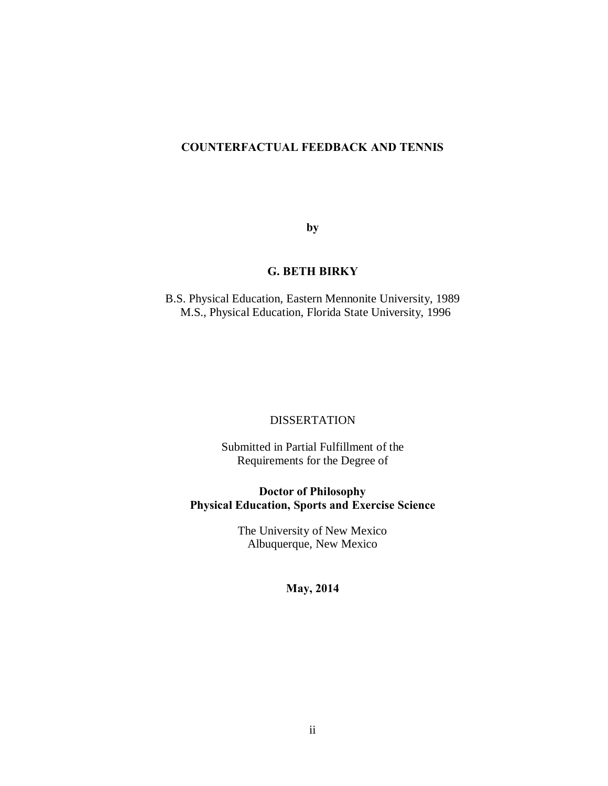# **COUNTERFACTUAL FEEDBACK AND TENNIS**

**by**

# **G. BETH BIRKY**

B.S. Physical Education, Eastern Mennonite University, 1989 M.S., Physical Education, Florida State University, 1996

## DISSERTATION

Submitted in Partial Fulfillment of the Requirements for the Degree of

**Doctor of Philosophy Physical Education, Sports and Exercise Science**

> The University of New Mexico Albuquerque, New Mexico

# **May, 2014**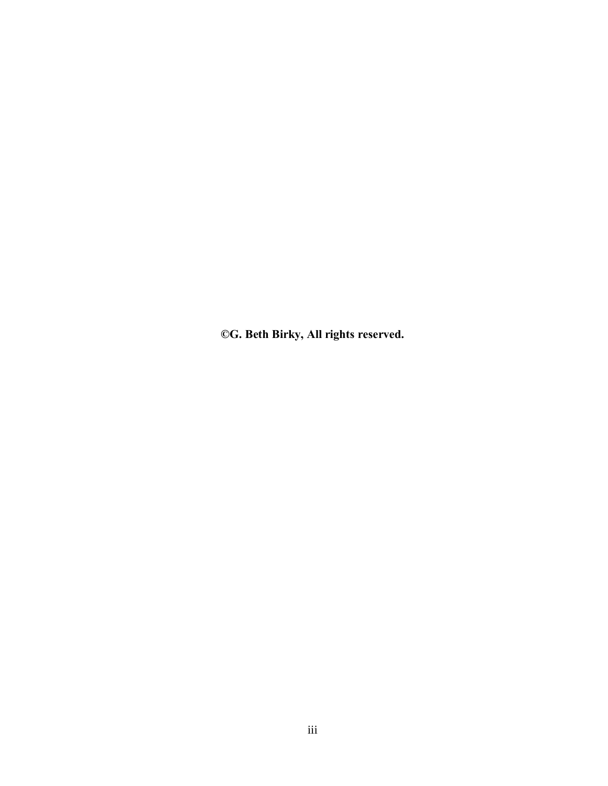**©G. Beth Birky, All rights reserved.**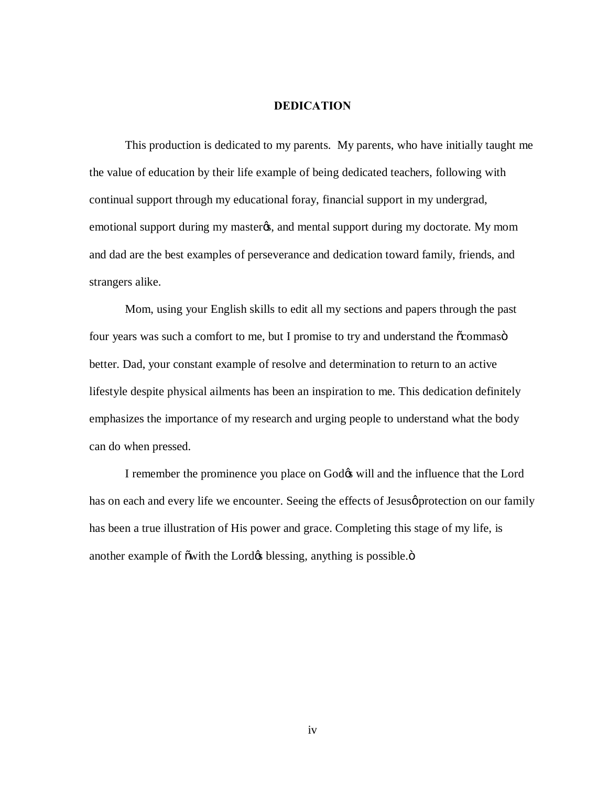#### **DEDICATION**

This production is dedicated to my parents. My parents, who have initially taught me the value of education by their life example of being dedicated teachers, following with continual support through my educational foray, financial support in my undergrad, emotional support during my master $\alpha$ , and mental support during my doctorate. My mom and dad are the best examples of perseverance and dedication toward family, friends, and strangers alike.

Mom, using your English skills to edit all my sections and papers through the past four years was such a comfort to me, but I promise to try and understand the  $\tilde{\text{c}}$ commaso better. Dad, your constant example of resolve and determination to return to an active lifestyle despite physical ailments has been an inspiration to me. This dedication definitely emphasizes the importance of my research and urging people to understand what the body can do when pressed.

I remember the prominence you place on God $\alpha$  will and the influence that the Lord has on each and every life we encounter. Seeing the effects of Jesus protection on our family has been a true illustration of His power and grace. Completing this stage of my life, is another example of õwith the Lord $\phi$  blessing, anything is possible. $\ddot{o}$ 

iv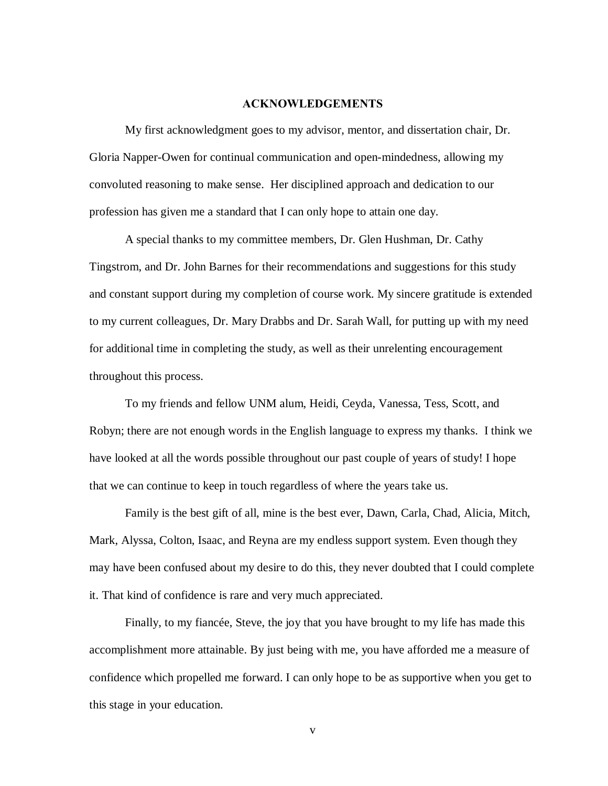## **ACKNOWLEDGEMENTS**

My first acknowledgment goes to my advisor, mentor, and dissertation chair, Dr. Gloria Napper-Owen for continual communication and open-mindedness, allowing my convoluted reasoning to make sense. Her disciplined approach and dedication to our profession has given me a standard that I can only hope to attain one day.

A special thanks to my committee members, Dr. Glen Hushman, Dr. Cathy Tingstrom, and Dr. John Barnes for their recommendations and suggestions for this study and constant support during my completion of course work. My sincere gratitude is extended to my current colleagues, Dr. Mary Drabbs and Dr. Sarah Wall, for putting up with my need for additional time in completing the study, as well as their unrelenting encouragement throughout this process.

To my friends and fellow UNM alum, Heidi, Ceyda, Vanessa, Tess, Scott, and Robyn; there are not enough words in the English language to express my thanks. I think we have looked at all the words possible throughout our past couple of years of study! I hope that we can continue to keep in touch regardless of where the years take us.

Family is the best gift of all, mine is the best ever, Dawn, Carla, Chad, Alicia, Mitch, Mark, Alyssa, Colton, Isaac, and Reyna are my endless support system. Even though they may have been confused about my desire to do this, they never doubted that I could complete it. That kind of confidence is rare and very much appreciated.

Finally, to my fiancée, Steve, the joy that you have brought to my life has made this accomplishment more attainable. By just being with me, you have afforded me a measure of confidence which propelled me forward. I can only hope to be as supportive when you get to this stage in your education.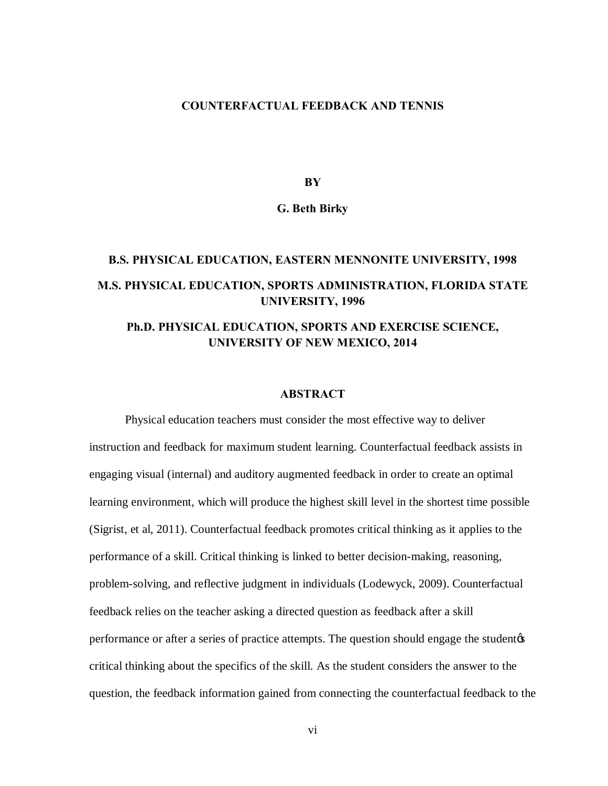# **COUNTERFACTUAL FEEDBACK AND TENNIS**

**BY**

#### **G. Beth Birky**

# **B.S. PHYSICAL EDUCATION, EASTERN MENNONITE UNIVERSITY, 1998 M.S. PHYSICAL EDUCATION, SPORTS ADMINISTRATION, FLORIDA STATE UNIVERSITY, 1996**

# **Ph.D. PHYSICAL EDUCATION, SPORTS AND EXERCISE SCIENCE, UNIVERSITY OF NEW MEXICO, 2014**

## **ABSTRACT**

Physical education teachers must consider the most effective way to deliver instruction and feedback for maximum student learning. Counterfactual feedback assists in engaging visual (internal) and auditory augmented feedback in order to create an optimal learning environment, which will produce the highest skill level in the shortest time possible (Sigrist, et al, 2011). Counterfactual feedback promotes critical thinking as it applies to the performance of a skill. Critical thinking is linked to better decision-making, reasoning, problem-solving, and reflective judgment in individuals (Lodewyck, 2009). Counterfactual feedback relies on the teacher asking a directed question as feedback after a skill performance or after a series of practice attempts. The question should engage the student  $\alpha$ critical thinking about the specifics of the skill. As the student considers the answer to the question, the feedback information gained from connecting the counterfactual feedback to the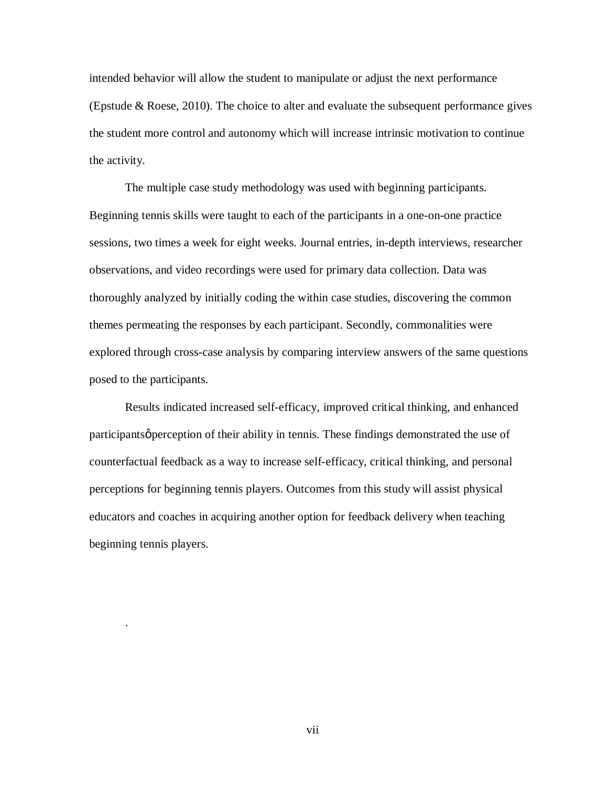intended behavior will allow the student to manipulate or adjust the next performance (Epstude  $&$  Roese, 2010). The choice to alter and evaluate the subsequent performance gives the student more control and autonomy which will increase intrinsic motivation to continue the activity.

The multiple case study methodology was used with beginning participants. Beginning tennis skills were taught to each of the participants in a one-on-one practice sessions, two times a week for eight weeks. Journal entries, in-depth interviews, researcher observations, and video recordings were used for primary data collection. Data was thoroughly analyzed by initially coding the within case studies, discovering the common themes permeating the responses by each participant. Secondly, commonalities were explored through cross-case analysis by comparing interview answers of the same questions posed to the participants.

Results indicated increased self-efficacy, improved critical thinking, and enhanced participants *perception* of their ability in tennis. These findings demonstrated the use of counterfactual feedback as a way to increase self-efficacy, critical thinking, and personal perceptions for beginning tennis players. Outcomes from this study will assist physical educators and coaches in acquiring another option for feedback delivery when teaching beginning tennis players.

.

vii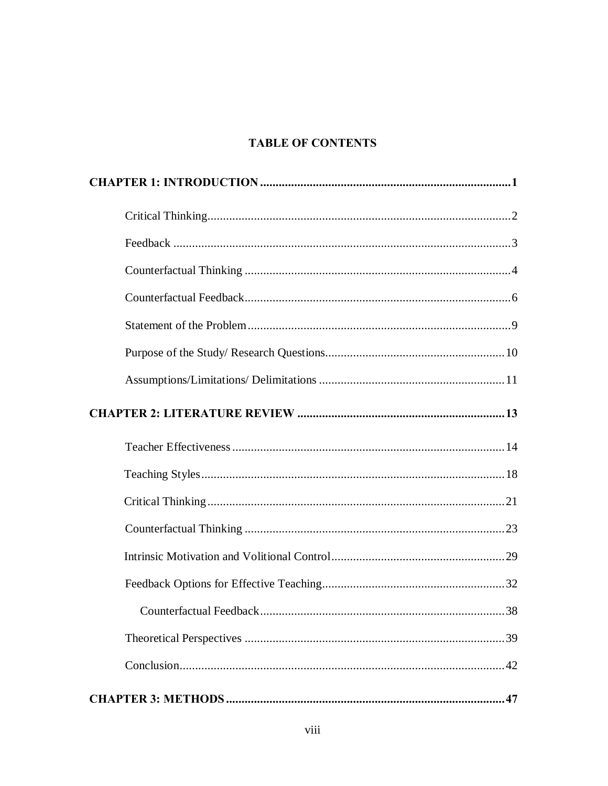# **TABLE OF CONTENTS**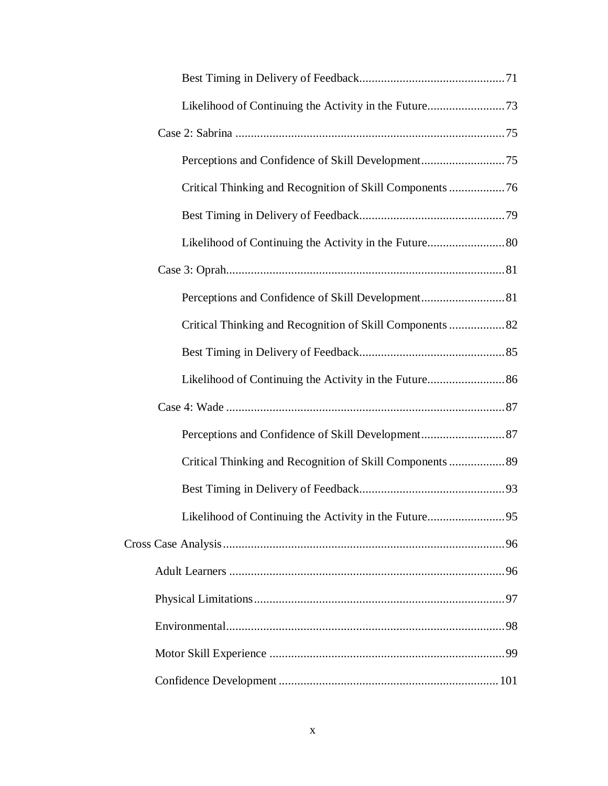| Likelihood of Continuing the Activity in the Future73     |  |
|-----------------------------------------------------------|--|
|                                                           |  |
|                                                           |  |
| Critical Thinking and Recognition of Skill Components  76 |  |
|                                                           |  |
| Likelihood of Continuing the Activity in the Future 80    |  |
|                                                           |  |
|                                                           |  |
|                                                           |  |
|                                                           |  |
|                                                           |  |
|                                                           |  |
|                                                           |  |
| Critical Thinking and Recognition of Skill Components  89 |  |
|                                                           |  |
|                                                           |  |
|                                                           |  |
|                                                           |  |
|                                                           |  |
|                                                           |  |
|                                                           |  |
|                                                           |  |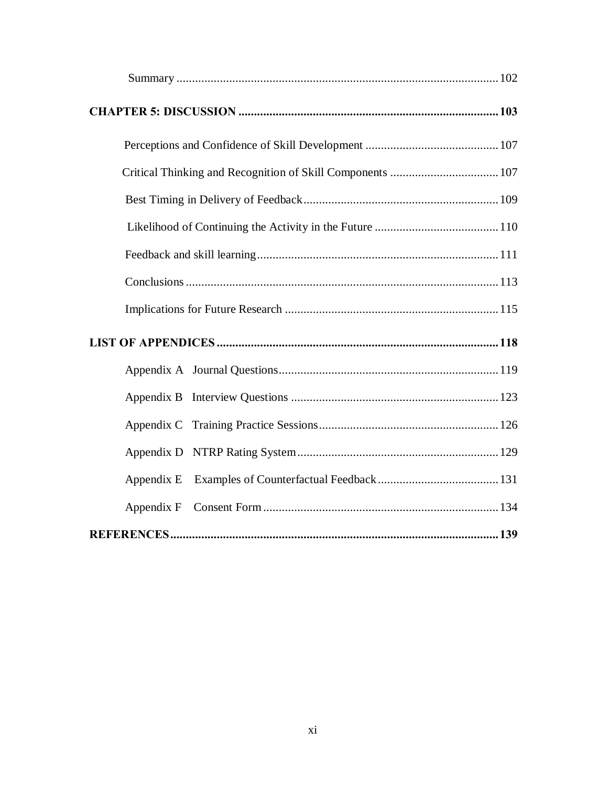| Appendix E |  |
|------------|--|
| Appendix F |  |
|            |  |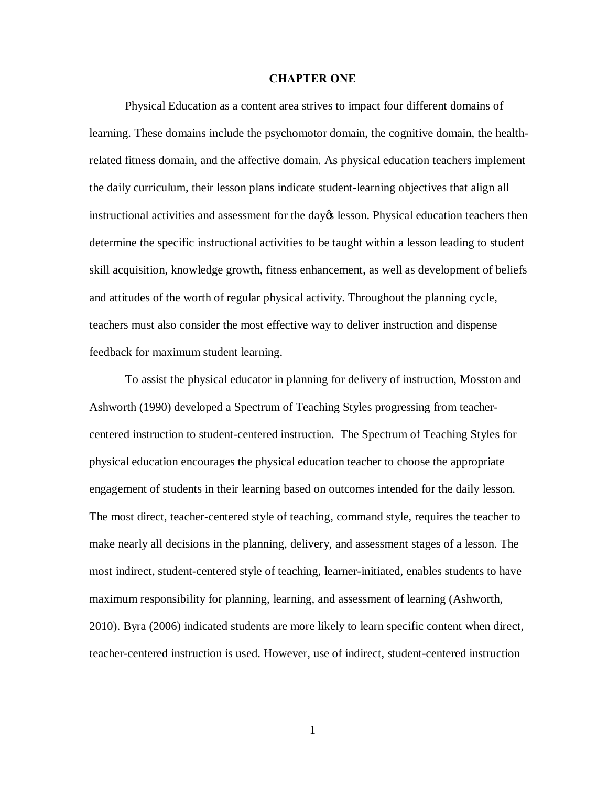#### **CHAPTER ONE**

Physical Education as a content area strives to impact four different domains of learning. These domains include the psychomotor domain, the cognitive domain, the healthrelated fitness domain, and the affective domain. As physical education teachers implement the daily curriculum, their lesson plans indicate student-learning objectives that align all instructional activities and assessment for the day operation. Physical education teachers then determine the specific instructional activities to be taught within a lesson leading to student skill acquisition, knowledge growth, fitness enhancement, as well as development of beliefs and attitudes of the worth of regular physical activity. Throughout the planning cycle, teachers must also consider the most effective way to deliver instruction and dispense feedback for maximum student learning.

To assist the physical educator in planning for delivery of instruction, Mosston and Ashworth (1990) developed a Spectrum of Teaching Styles progressing from teachercentered instruction to student-centered instruction. The Spectrum of Teaching Styles for physical education encourages the physical education teacher to choose the appropriate engagement of students in their learning based on outcomes intended for the daily lesson. The most direct, teacher-centered style of teaching, command style, requires the teacher to make nearly all decisions in the planning, delivery, and assessment stages of a lesson. The most indirect, student-centered style of teaching, learner-initiated, enables students to have maximum responsibility for planning, learning, and assessment of learning (Ashworth, 2010). Byra (2006) indicated students are more likely to learn specific content when direct, teacher-centered instruction is used. However, use of indirect, student-centered instruction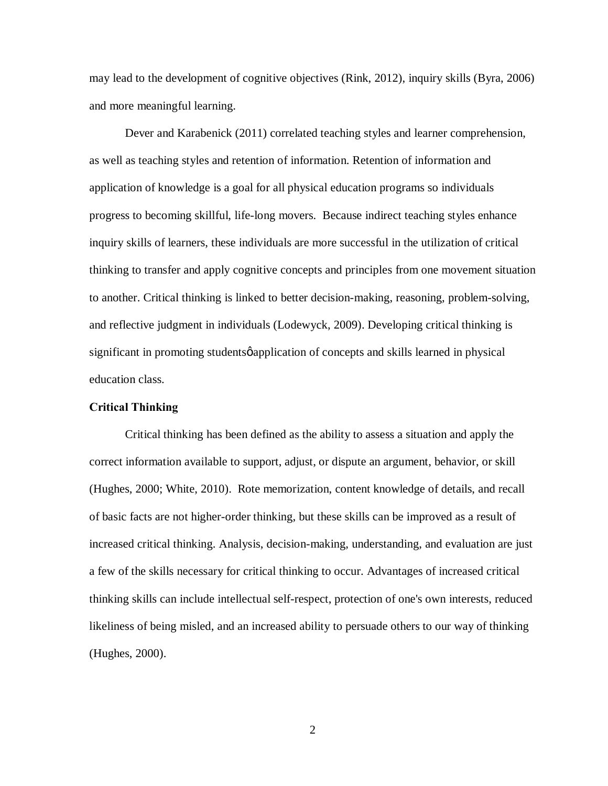may lead to the development of cognitive objectives (Rink, 2012), inquiry skills (Byra, 2006) and more meaningful learning.

Dever and Karabenick (2011) correlated teaching styles and learner comprehension, as well as teaching styles and retention of information. Retention of information and application of knowledge is a goal for all physical education programs so individuals progress to becoming skillful, life-long movers. Because indirect teaching styles enhance inquiry skills of learners, these individuals are more successful in the utilization of critical thinking to transfer and apply cognitive concepts and principles from one movement situation to another. Critical thinking is linked to better decision-making, reasoning, problem-solving, and reflective judgment in individuals (Lodewyck, 2009). Developing critical thinking is significant in promoting students papplication of concepts and skills learned in physical education class.

# **Critical Thinking**

Critical thinking has been defined as the ability to assess a situation and apply the correct information available to support, adjust, or dispute an argument, behavior, or skill (Hughes, 2000; White, 2010). Rote memorization, content knowledge of details, and recall of basic facts are not higher-order thinking, but these skills can be improved as a result of increased critical thinking. Analysis, decision-making, understanding, and evaluation are just a few of the skills necessary for critical thinking to occur. Advantages of increased critical thinking skills can include intellectual self-respect, protection of one's own interests, reduced likeliness of being misled, and an increased ability to persuade others to our way of thinking (Hughes, 2000).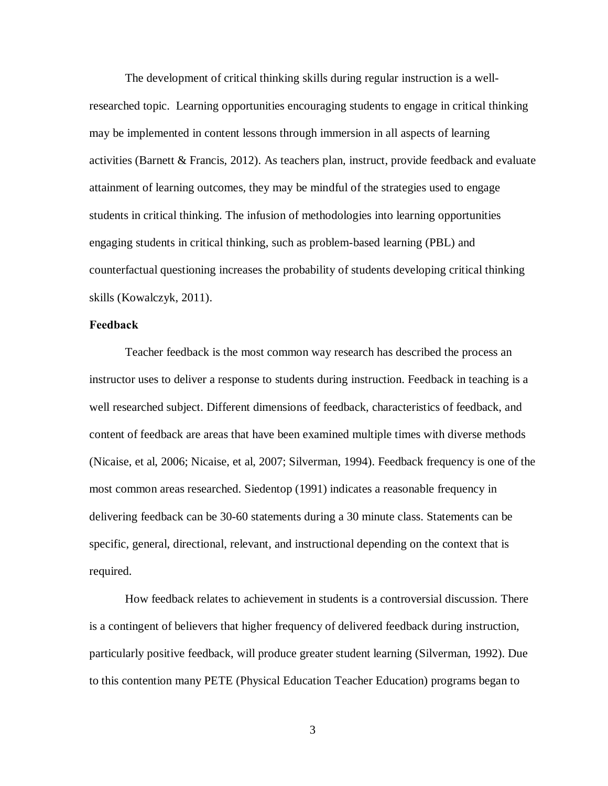The development of critical thinking skills during regular instruction is a wellresearched topic. Learning opportunities encouraging students to engage in critical thinking may be implemented in content lessons through immersion in all aspects of learning activities (Barnett & Francis, 2012). As teachers plan, instruct, provide feedback and evaluate attainment of learning outcomes, they may be mindful of the strategies used to engage students in critical thinking. The infusion of methodologies into learning opportunities engaging students in critical thinking, such as problem-based learning (PBL) and counterfactual questioning increases the probability of students developing critical thinking skills (Kowalczyk, 2011).

#### **Feedback**

Teacher feedback is the most common way research has described the process an instructor uses to deliver a response to students during instruction. Feedback in teaching is a well researched subject. Different dimensions of feedback, characteristics of feedback, and content of feedback are areas that have been examined multiple times with diverse methods (Nicaise, et al, 2006; Nicaise, et al, 2007; Silverman, 1994). Feedback frequency is one of the most common areas researched. Siedentop (1991) indicates a reasonable frequency in delivering feedback can be 30-60 statements during a 30 minute class. Statements can be specific, general, directional, relevant, and instructional depending on the context that is required.

How feedback relates to achievement in students is a controversial discussion. There is a contingent of believers that higher frequency of delivered feedback during instruction, particularly positive feedback, will produce greater student learning (Silverman, 1992). Due to this contention many PETE (Physical Education Teacher Education) programs began to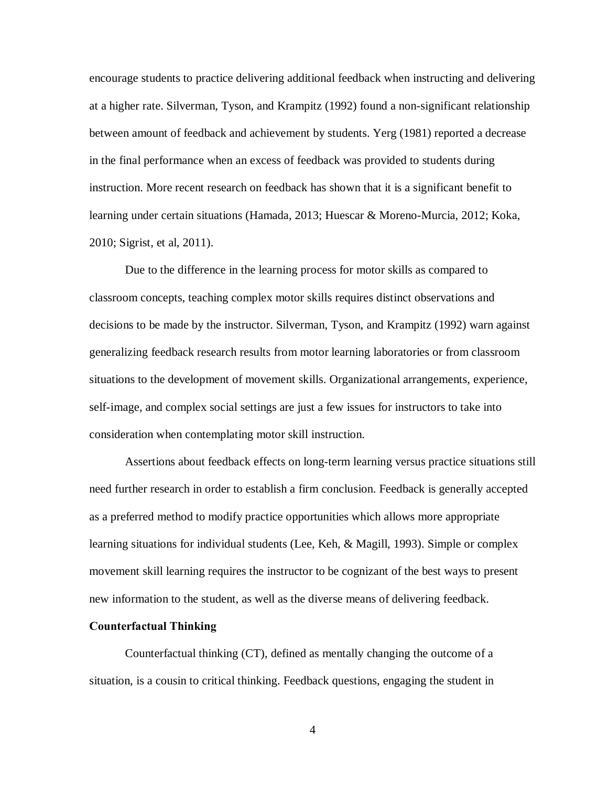encourage students to practice delivering additional feedback when instructing and delivering at a higher rate. Silverman, Tyson, and Krampitz (1992) found a non-significant relationship between amount of feedback and achievement by students. Yerg (1981) reported a decrease in the final performance when an excess of feedback was provided to students during instruction. More recent research on feedback has shown that it is a significant benefit to learning under certain situations (Hamada, 2013; Huescar & Moreno-Murcia, 2012; Koka, 2010; Sigrist, et al, 2011).

Due to the difference in the learning process for motor skills as compared to classroom concepts, teaching complex motor skills requires distinct observations and decisions to be made by the instructor. Silverman, Tyson, and Krampitz (1992) warn against generalizing feedback research results from motor learning laboratories or from classroom situations to the development of movement skills. Organizational arrangements, experience, self-image, and complex social settings are just a few issues for instructors to take into consideration when contemplating motor skill instruction.

Assertions about feedback effects on long-term learning versus practice situations still need further research in order to establish a firm conclusion. Feedback is generally accepted as a preferred method to modify practice opportunities which allows more appropriate learning situations for individual students (Lee, Keh, & Magill, 1993). Simple or complex movement skill learning requires the instructor to be cognizant of the best ways to present new information to the student, as well as the diverse means of delivering feedback.

#### **Counterfactual Thinking**

Counterfactual thinking (CT), defined as mentally changing the outcome of a situation, is a cousin to critical thinking. Feedback questions, engaging the student in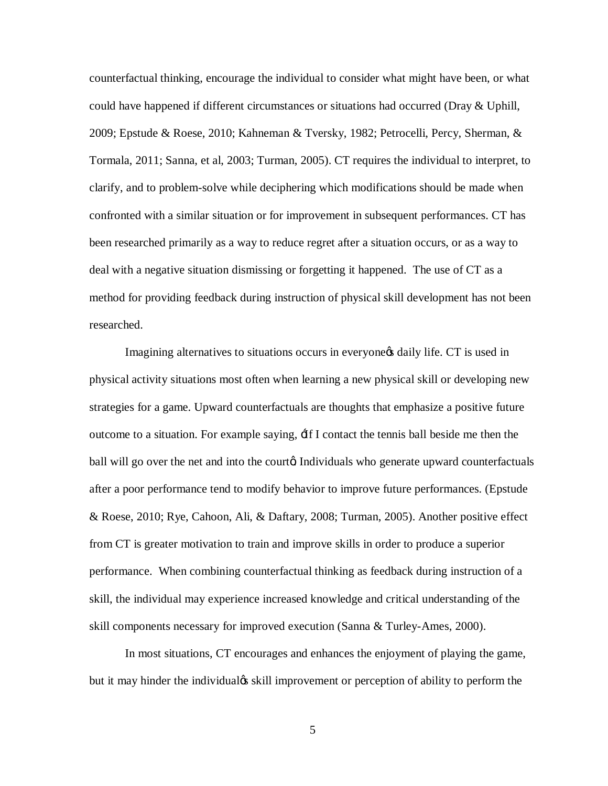counterfactual thinking, encourage the individual to consider what might have been, or what could have happened if different circumstances or situations had occurred (Dray & Uphill, 2009; Epstude & Roese, 2010; Kahneman & Tversky, 1982; Petrocelli, Percy, Sherman, & Tormala, 2011; Sanna, et al, 2003; Turman, 2005). CT requires the individual to interpret, to clarify, and to problem-solve while deciphering which modifications should be made when confronted with a similar situation or for improvement in subsequent performances. CT has been researched primarily as a way to reduce regret after a situation occurs, or as a way to deal with a negative situation dismissing or forgetting it happened. The use of CT as a method for providing feedback during instruction of physical skill development has not been researched.

Imagining alternatives to situations occurs in everyone of daily life. CT is used in physical activity situations most often when learning a new physical skill or developing new strategies for a game. Upward counterfactuals are thoughts that emphasize a positive future outcome to a situation. For example saying, 'If I contact the tennis ball beside me then the ball will go over the net and into the court a Individuals who generate upward counterfactuals after a poor performance tend to modify behavior to improve future performances. (Epstude & Roese, 2010; Rye, Cahoon, Ali, & Daftary, 2008; Turman, 2005). Another positive effect from CT is greater motivation to train and improve skills in order to produce a superior performance. When combining counterfactual thinking as feedback during instruction of a skill, the individual may experience increased knowledge and critical understanding of the skill components necessary for improved execution (Sanna & Turley-Ames, 2000).

In most situations, CT encourages and enhances the enjoyment of playing the game, but it may hinder the individual is skill improvement or perception of ability to perform the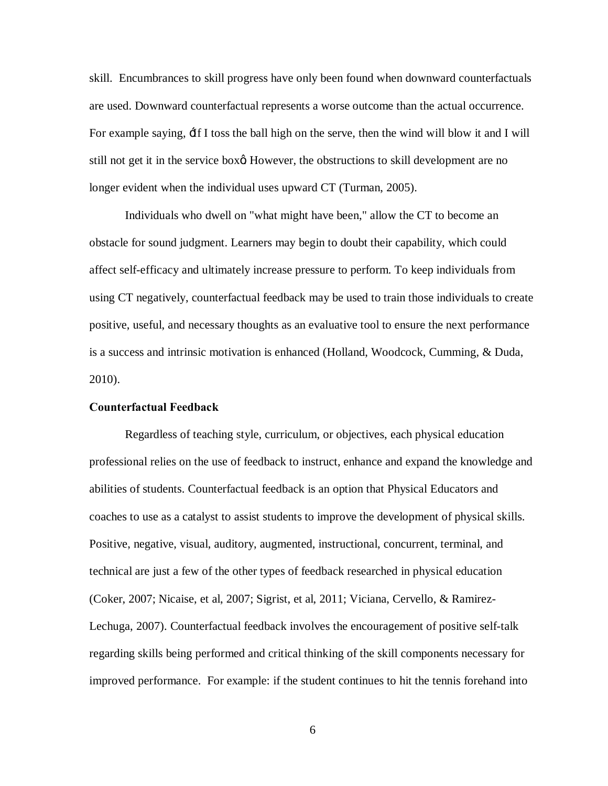skill. Encumbrances to skill progress have only been found when downward counterfactuals are used. Downward counterfactual represents a worse outcome than the actual occurrence. For example saying, 'If I toss the ball high on the serve, then the wind will blow it and I will still not get it in the service box<sup> $\alpha$ </sup>. However, the obstructions to skill development are no longer evident when the individual uses upward CT (Turman, 2005).

Individuals who dwell on "what might have been," allow the CT to become an obstacle for sound judgment. Learners may begin to doubt their capability, which could affect self-efficacy and ultimately increase pressure to perform. To keep individuals from using CT negatively, counterfactual feedback may be used to train those individuals to create positive, useful, and necessary thoughts as an evaluative tool to ensure the next performance is a success and intrinsic motivation is enhanced (Holland, Woodcock, Cumming, & Duda, 2010).

#### **Counterfactual Feedback**

Regardless of teaching style, curriculum, or objectives, each physical education professional relies on the use of feedback to instruct, enhance and expand the knowledge and abilities of students. Counterfactual feedback is an option that Physical Educators and coaches to use as a catalyst to assist students to improve the development of physical skills. Positive, negative, visual, auditory, augmented, instructional, concurrent, terminal, and technical are just a few of the other types of feedback researched in physical education (Coker, 2007; Nicaise, et al, 2007; Sigrist, et al, 2011; Viciana, Cervello, & Ramirez-Lechuga, 2007). Counterfactual feedback involves the encouragement of positive self-talk regarding skills being performed and critical thinking of the skill components necessary for improved performance. For example: if the student continues to hit the tennis forehand into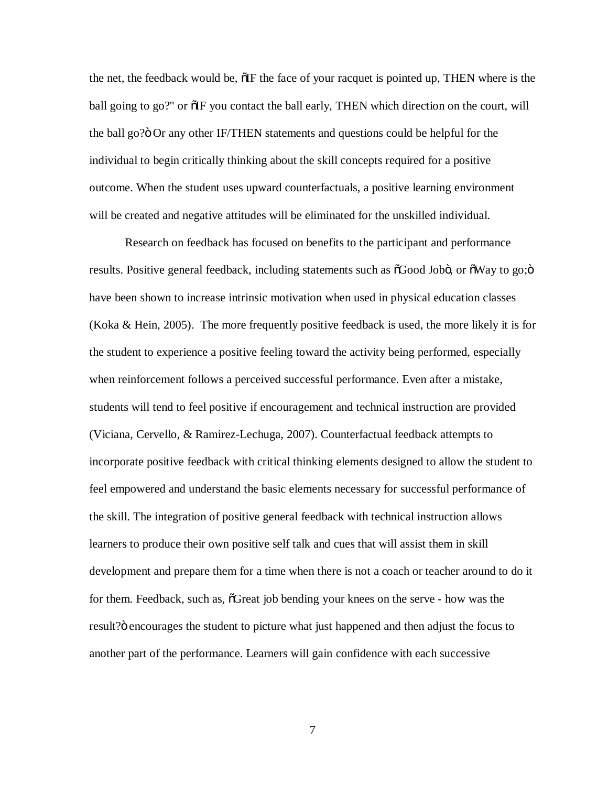the net, the feedback would be,  $\delta$ IF the face of your racquet is pointed up, THEN where is the ball going to go?" or  $\delta$ IF you contact the ball early, THEN which direction on the court, will the ball go? $\ddot{o}$  Or any other IF/THEN statements and questions could be helpful for the individual to begin critically thinking about the skill concepts required for a positive outcome. When the student uses upward counterfactuals, a positive learning environment will be created and negative attitudes will be eliminated for the unskilled individual.

Research on feedback has focused on benefits to the participant and performance results. Positive general feedback, including statements such as  $\delta$ Good Jobö, or  $\delta$ Way to go; $\delta$ have been shown to increase intrinsic motivation when used in physical education classes (Koka & Hein, 2005). The more frequently positive feedback is used, the more likely it is for the student to experience a positive feeling toward the activity being performed, especially when reinforcement follows a perceived successful performance. Even after a mistake, students will tend to feel positive if encouragement and technical instruction are provided (Viciana, Cervello, & Ramirez-Lechuga, 2007). Counterfactual feedback attempts to incorporate positive feedback with critical thinking elements designed to allow the student to feel empowered and understand the basic elements necessary for successful performance of the skill. The integration of positive general feedback with technical instruction allows learners to produce their own positive self talk and cues that will assist them in skill development and prepare them for a time when there is not a coach or teacher around to do it for them. Feedback, such as,  $\delta$ Great job bending your knees on the serve - how was the result?" encourages the student to picture what just happened and then adjust the focus to another part of the performance. Learners will gain confidence with each successive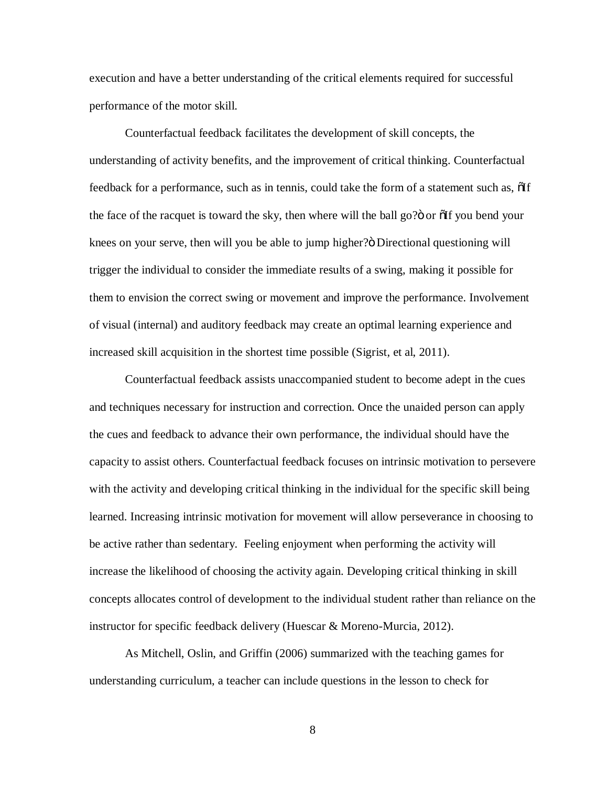execution and have a better understanding of the critical elements required for successful performance of the motor skill.

Counterfactual feedback facilitates the development of skill concepts, the understanding of activity benefits, and the improvement of critical thinking. Counterfactual feedback for a performance, such as in tennis, could take the form of a statement such as,  $\delta$ If the face of the racquet is toward the sky, then where will the ball go?" or  $\delta$  of you bend your knees on your serve, then will you be able to jump higher?" Directional questioning will trigger the individual to consider the immediate results of a swing, making it possible for them to envision the correct swing or movement and improve the performance. Involvement of visual (internal) and auditory feedback may create an optimal learning experience and increased skill acquisition in the shortest time possible (Sigrist, et al, 2011).

Counterfactual feedback assists unaccompanied student to become adept in the cues and techniques necessary for instruction and correction. Once the unaided person can apply the cues and feedback to advance their own performance, the individual should have the capacity to assist others. Counterfactual feedback focuses on intrinsic motivation to persevere with the activity and developing critical thinking in the individual for the specific skill being learned. Increasing intrinsic motivation for movement will allow perseverance in choosing to be active rather than sedentary. Feeling enjoyment when performing the activity will increase the likelihood of choosing the activity again. Developing critical thinking in skill concepts allocates control of development to the individual student rather than reliance on the instructor for specific feedback delivery (Huescar & Moreno-Murcia, 2012).

As Mitchell, Oslin, and Griffin (2006) summarized with the teaching games for understanding curriculum, a teacher can include questions in the lesson to check for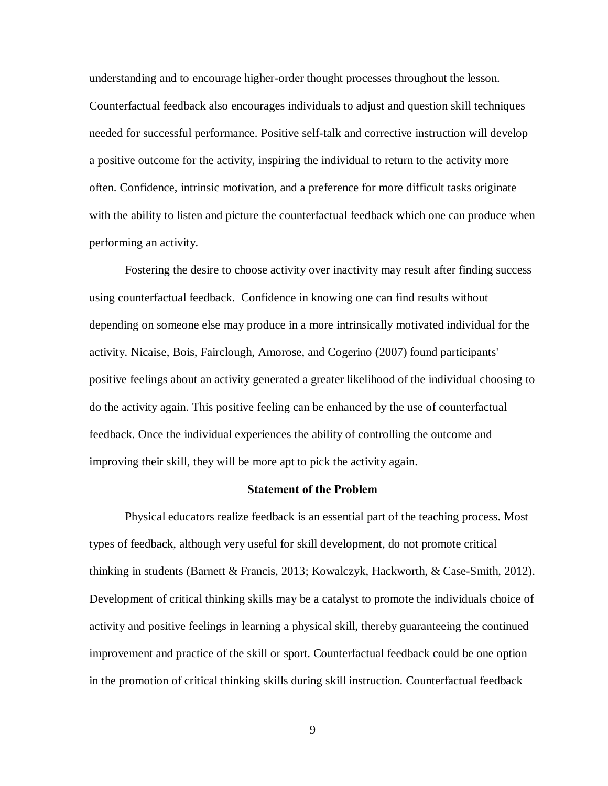understanding and to encourage higher-order thought processes throughout the lesson. Counterfactual feedback also encourages individuals to adjust and question skill techniques needed for successful performance. Positive self-talk and corrective instruction will develop a positive outcome for the activity, inspiring the individual to return to the activity more often. Confidence, intrinsic motivation, and a preference for more difficult tasks originate with the ability to listen and picture the counterfactual feedback which one can produce when performing an activity.

Fostering the desire to choose activity over inactivity may result after finding success using counterfactual feedback. Confidence in knowing one can find results without depending on someone else may produce in a more intrinsically motivated individual for the activity. Nicaise, Bois, Fairclough, Amorose, and Cogerino (2007) found participants' positive feelings about an activity generated a greater likelihood of the individual choosing to do the activity again. This positive feeling can be enhanced by the use of counterfactual feedback. Once the individual experiences the ability of controlling the outcome and improving their skill, they will be more apt to pick the activity again.

#### **Statement of the Problem**

Physical educators realize feedback is an essential part of the teaching process. Most types of feedback, although very useful for skill development, do not promote critical thinking in students (Barnett & Francis, 2013; Kowalczyk, Hackworth, & Case-Smith, 2012). Development of critical thinking skills may be a catalyst to promote the individuals choice of activity and positive feelings in learning a physical skill, thereby guaranteeing the continued improvement and practice of the skill or sport. Counterfactual feedback could be one option in the promotion of critical thinking skills during skill instruction. Counterfactual feedback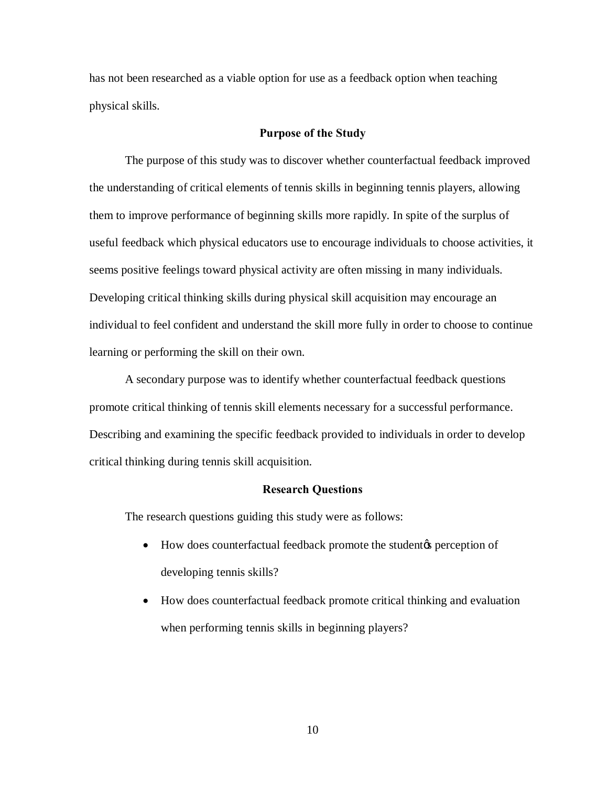has not been researched as a viable option for use as a feedback option when teaching physical skills.

#### **Purpose of the Study**

The purpose of this study was to discover whether counterfactual feedback improved the understanding of critical elements of tennis skills in beginning tennis players, allowing them to improve performance of beginning skills more rapidly. In spite of the surplus of useful feedback which physical educators use to encourage individuals to choose activities, it seems positive feelings toward physical activity are often missing in many individuals. Developing critical thinking skills during physical skill acquisition may encourage an individual to feel confident and understand the skill more fully in order to choose to continue learning or performing the skill on their own.

A secondary purpose was to identify whether counterfactual feedback questions promote critical thinking of tennis skill elements necessary for a successful performance. Describing and examining the specific feedback provided to individuals in order to develop critical thinking during tennis skill acquisition.

#### **Research Questions**

The research questions guiding this study were as follows:

- How does counterfactual feedback promote the student the perception of developing tennis skills?
- · How does counterfactual feedback promote critical thinking and evaluation when performing tennis skills in beginning players?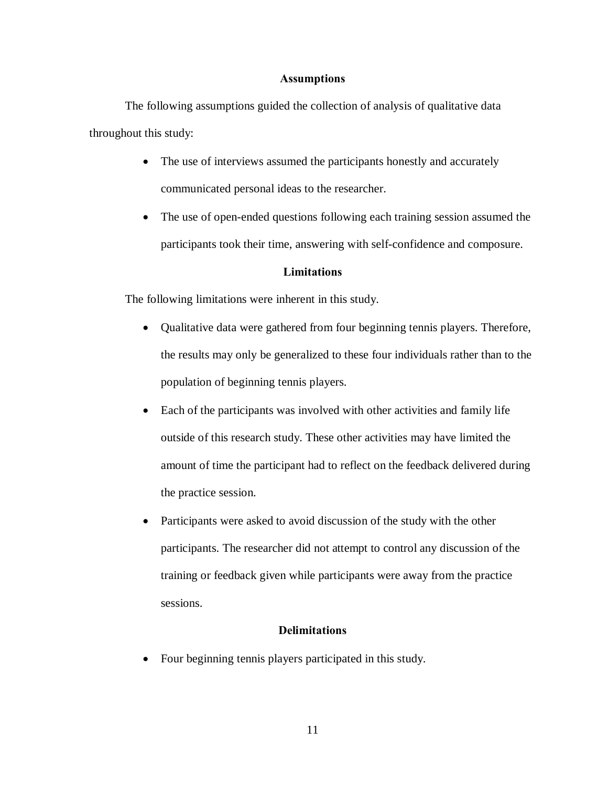## **Assumptions**

The following assumptions guided the collection of analysis of qualitative data throughout this study:

- The use of interviews assumed the participants honestly and accurately communicated personal ideas to the researcher.
- The use of open-ended questions following each training session assumed the participants took their time, answering with self-confidence and composure.

# **Limitations**

The following limitations were inherent in this study.

- · Qualitative data were gathered from four beginning tennis players. Therefore, the results may only be generalized to these four individuals rather than to the population of beginning tennis players.
- Each of the participants was involved with other activities and family life outside of this research study. These other activities may have limited the amount of time the participant had to reflect on the feedback delivered during the practice session.
- Participants were asked to avoid discussion of the study with the other participants. The researcher did not attempt to control any discussion of the training or feedback given while participants were away from the practice sessions.

# **Delimitations**

• Four beginning tennis players participated in this study.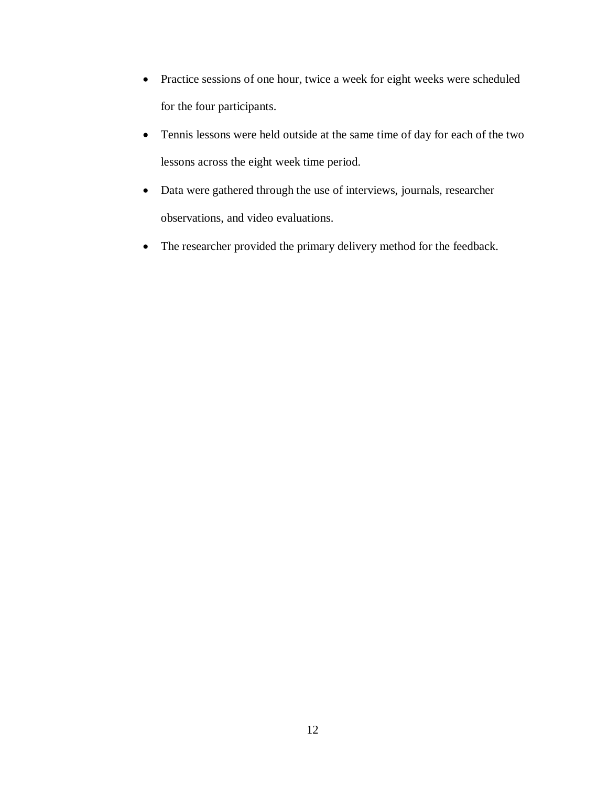- · Practice sessions of one hour, twice a week for eight weeks were scheduled for the four participants.
- · Tennis lessons were held outside at the same time of day for each of the two lessons across the eight week time period.
- · Data were gathered through the use of interviews, journals, researcher observations, and video evaluations.
- · The researcher provided the primary delivery method for the feedback.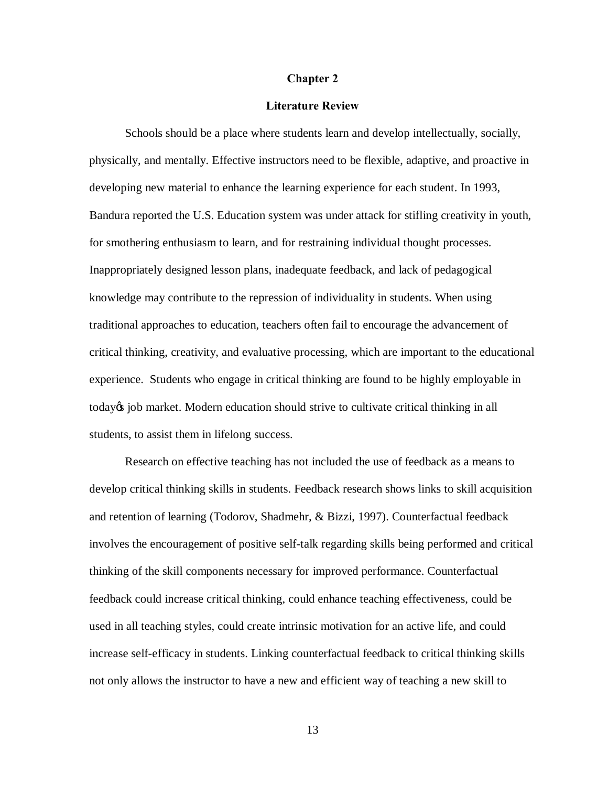#### **Chapter 2**

#### **Literature Review**

Schools should be a place where students learn and develop intellectually, socially, physically, and mentally. Effective instructors need to be flexible, adaptive, and proactive in developing new material to enhance the learning experience for each student. In 1993, Bandura reported the U.S. Education system was under attack for stifling creativity in youth, for smothering enthusiasm to learn, and for restraining individual thought processes. Inappropriately designed lesson plans, inadequate feedback, and lack of pedagogical knowledge may contribute to the repression of individuality in students. When using traditional approaches to education, teachers often fail to encourage the advancement of critical thinking, creativity, and evaluative processing, which are important to the educational experience. Students who engage in critical thinking are found to be highly employable in today<sub>®</sub> job market. Modern education should strive to cultivate critical thinking in all students, to assist them in lifelong success.

Research on effective teaching has not included the use of feedback as a means to develop critical thinking skills in students. Feedback research shows links to skill acquisition and retention of learning (Todorov, Shadmehr, & Bizzi, 1997). Counterfactual feedback involves the encouragement of positive self-talk regarding skills being performed and critical thinking of the skill components necessary for improved performance. Counterfactual feedback could increase critical thinking, could enhance teaching effectiveness, could be used in all teaching styles, could create intrinsic motivation for an active life, and could increase self-efficacy in students. Linking counterfactual feedback to critical thinking skills not only allows the instructor to have a new and efficient way of teaching a new skill to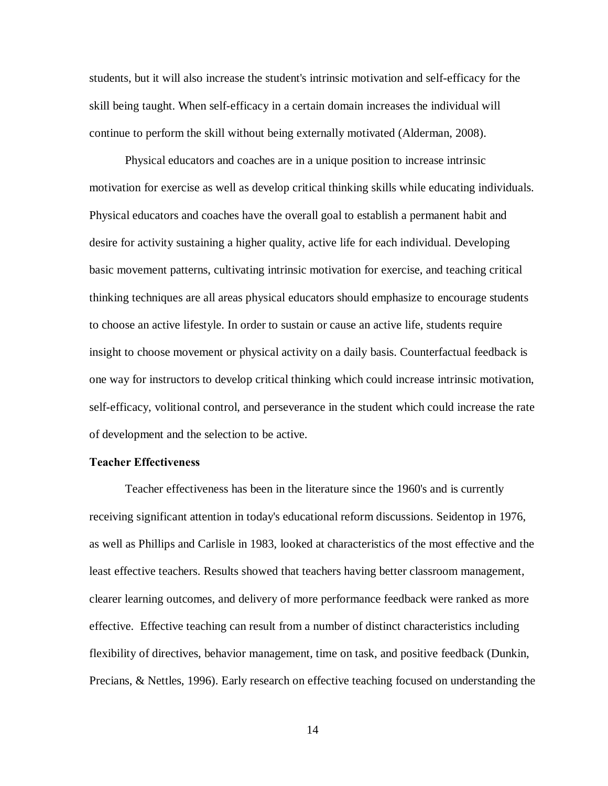students, but it will also increase the student's intrinsic motivation and self-efficacy for the skill being taught. When self-efficacy in a certain domain increases the individual will continue to perform the skill without being externally motivated (Alderman, 2008).

Physical educators and coaches are in a unique position to increase intrinsic motivation for exercise as well as develop critical thinking skills while educating individuals. Physical educators and coaches have the overall goal to establish a permanent habit and desire for activity sustaining a higher quality, active life for each individual. Developing basic movement patterns, cultivating intrinsic motivation for exercise, and teaching critical thinking techniques are all areas physical educators should emphasize to encourage students to choose an active lifestyle. In order to sustain or cause an active life, students require insight to choose movement or physical activity on a daily basis. Counterfactual feedback is one way for instructors to develop critical thinking which could increase intrinsic motivation, self-efficacy, volitional control, and perseverance in the student which could increase the rate of development and the selection to be active.

#### **Teacher Effectiveness**

Teacher effectiveness has been in the literature since the 1960's and is currently receiving significant attention in today's educational reform discussions. Seidentop in 1976, as well as Phillips and Carlisle in 1983, looked at characteristics of the most effective and the least effective teachers. Results showed that teachers having better classroom management, clearer learning outcomes, and delivery of more performance feedback were ranked as more effective. Effective teaching can result from a number of distinct characteristics including flexibility of directives, behavior management, time on task, and positive feedback (Dunkin, Precians, & Nettles, 1996). Early research on effective teaching focused on understanding the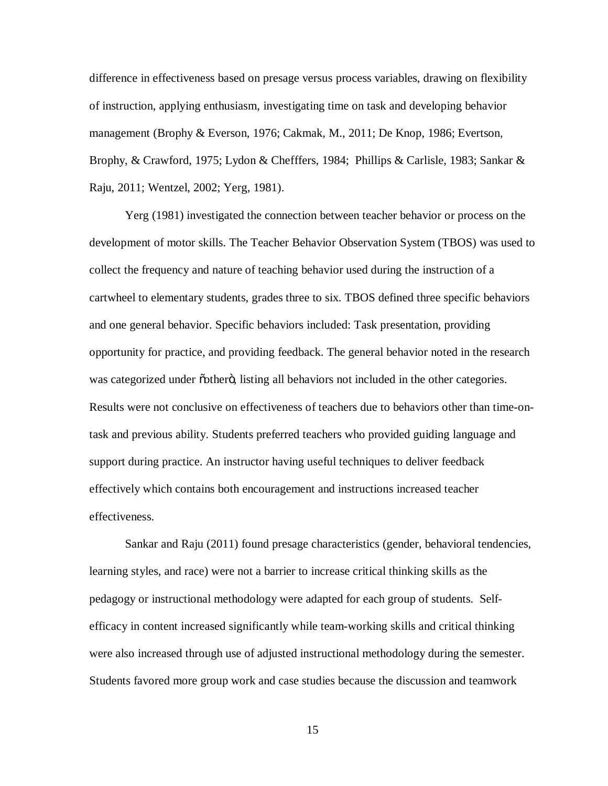difference in effectiveness based on presage versus process variables, drawing on flexibility of instruction, applying enthusiasm, investigating time on task and developing behavior management (Brophy & Everson, 1976; Cakmak, M., 2011; De Knop, 1986; Evertson, Brophy, & Crawford, 1975; Lydon & Chefffers, 1984; Phillips & Carlisle, 1983; Sankar & Raju, 2011; Wentzel, 2002; Yerg, 1981).

Yerg (1981) investigated the connection between teacher behavior or process on the development of motor skills. The Teacher Behavior Observation System (TBOS) was used to collect the frequency and nature of teaching behavior used during the instruction of a cartwheel to elementary students, grades three to six. TBOS defined three specific behaviors and one general behavior. Specific behaviors included: Task presentation, providing opportunity for practice, and providing feedback. The general behavior noted in the research was categorized under  $\ddot{\text{o}}$  other  $\ddot{\text{o}}$ , listing all behaviors not included in the other categories. Results were not conclusive on effectiveness of teachers due to behaviors other than time-ontask and previous ability. Students preferred teachers who provided guiding language and support during practice. An instructor having useful techniques to deliver feedback effectively which contains both encouragement and instructions increased teacher effectiveness.

Sankar and Raju (2011) found presage characteristics (gender, behavioral tendencies, learning styles, and race) were not a barrier to increase critical thinking skills as the pedagogy or instructional methodology were adapted for each group of students. Selfefficacy in content increased significantly while team-working skills and critical thinking were also increased through use of adjusted instructional methodology during the semester. Students favored more group work and case studies because the discussion and teamwork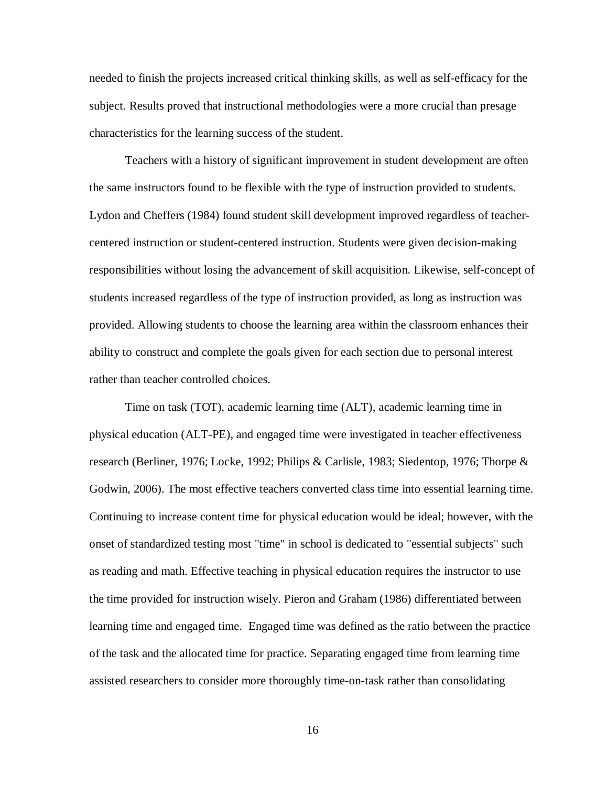needed to finish the projects increased critical thinking skills, as well as self-efficacy for the subject. Results proved that instructional methodologies were a more crucial than presage characteristics for the learning success of the student.

Teachers with a history of significant improvement in student development are often the same instructors found to be flexible with the type of instruction provided to students. Lydon and Cheffers (1984) found student skill development improved regardless of teachercentered instruction or student-centered instruction. Students were given decision-making responsibilities without losing the advancement of skill acquisition. Likewise, self-concept of students increased regardless of the type of instruction provided, as long as instruction was provided. Allowing students to choose the learning area within the classroom enhances their ability to construct and complete the goals given for each section due to personal interest rather than teacher controlled choices.

Time on task (TOT), academic learning time (ALT), academic learning time in physical education (ALT-PE), and engaged time were investigated in teacher effectiveness research (Berliner, 1976; Locke, 1992; Philips & Carlisle, 1983; Siedentop, 1976; Thorpe & Godwin, 2006). The most effective teachers converted class time into essential learning time. Continuing to increase content time for physical education would be ideal; however, with the onset of standardized testing most "time" in school is dedicated to "essential subjects" such as reading and math. Effective teaching in physical education requires the instructor to use the time provided for instruction wisely. Pieron and Graham (1986) differentiated between learning time and engaged time. Engaged time was defined as the ratio between the practice of the task and the allocated time for practice. Separating engaged time from learning time assisted researchers to consider more thoroughly time-on-task rather than consolidating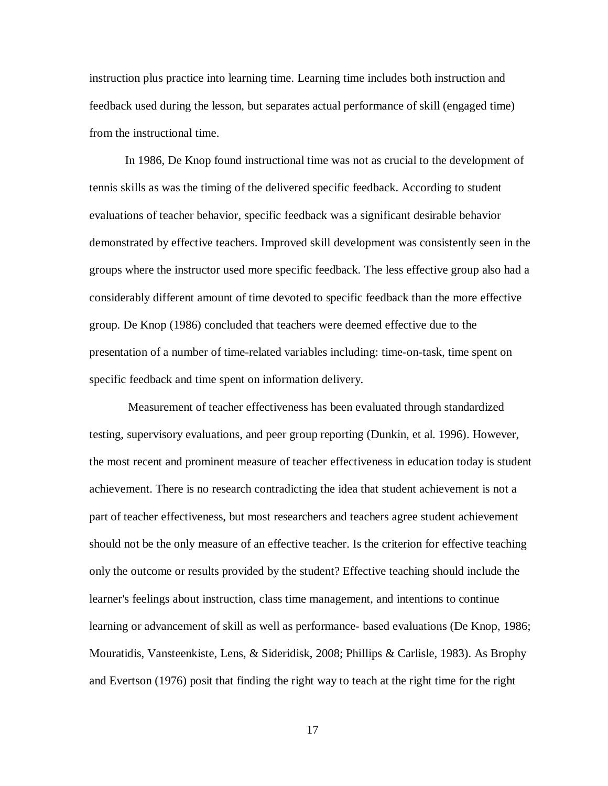instruction plus practice into learning time. Learning time includes both instruction and feedback used during the lesson, but separates actual performance of skill (engaged time) from the instructional time.

In 1986, De Knop found instructional time was not as crucial to the development of tennis skills as was the timing of the delivered specific feedback. According to student evaluations of teacher behavior, specific feedback was a significant desirable behavior demonstrated by effective teachers. Improved skill development was consistently seen in the groups where the instructor used more specific feedback. The less effective group also had a considerably different amount of time devoted to specific feedback than the more effective group. De Knop (1986) concluded that teachers were deemed effective due to the presentation of a number of time-related variables including: time-on-task, time spent on specific feedback and time spent on information delivery.

Measurement of teacher effectiveness has been evaluated through standardized testing, supervisory evaluations, and peer group reporting (Dunkin, et al. 1996). However, the most recent and prominent measure of teacher effectiveness in education today is student achievement. There is no research contradicting the idea that student achievement is not a part of teacher effectiveness, but most researchers and teachers agree student achievement should not be the only measure of an effective teacher. Is the criterion for effective teaching only the outcome or results provided by the student? Effective teaching should include the learner's feelings about instruction, class time management, and intentions to continue learning or advancement of skill as well as performance- based evaluations (De Knop, 1986; Mouratidis, Vansteenkiste, Lens, & Sideridisk, 2008; Phillips & Carlisle, 1983). As Brophy and Evertson (1976) posit that finding the right way to teach at the right time for the right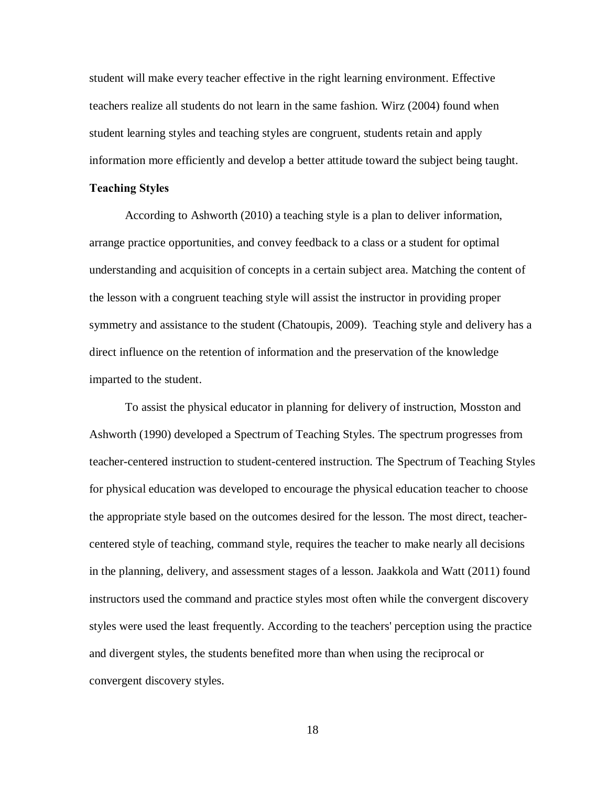student will make every teacher effective in the right learning environment. Effective teachers realize all students do not learn in the same fashion. Wirz (2004) found when student learning styles and teaching styles are congruent, students retain and apply information more efficiently and develop a better attitude toward the subject being taught.

#### **Teaching Styles**

According to Ashworth (2010) a teaching style is a plan to deliver information, arrange practice opportunities, and convey feedback to a class or a student for optimal understanding and acquisition of concepts in a certain subject area. Matching the content of the lesson with a congruent teaching style will assist the instructor in providing proper symmetry and assistance to the student (Chatoupis, 2009). Teaching style and delivery has a direct influence on the retention of information and the preservation of the knowledge imparted to the student.

To assist the physical educator in planning for delivery of instruction, Mosston and Ashworth (1990) developed a Spectrum of Teaching Styles. The spectrum progresses from teacher-centered instruction to student-centered instruction. The Spectrum of Teaching Styles for physical education was developed to encourage the physical education teacher to choose the appropriate style based on the outcomes desired for the lesson. The most direct, teachercentered style of teaching, command style, requires the teacher to make nearly all decisions in the planning, delivery, and assessment stages of a lesson. Jaakkola and Watt (2011) found instructors used the command and practice styles most often while the convergent discovery styles were used the least frequently. According to the teachers' perception using the practice and divergent styles, the students benefited more than when using the reciprocal or convergent discovery styles.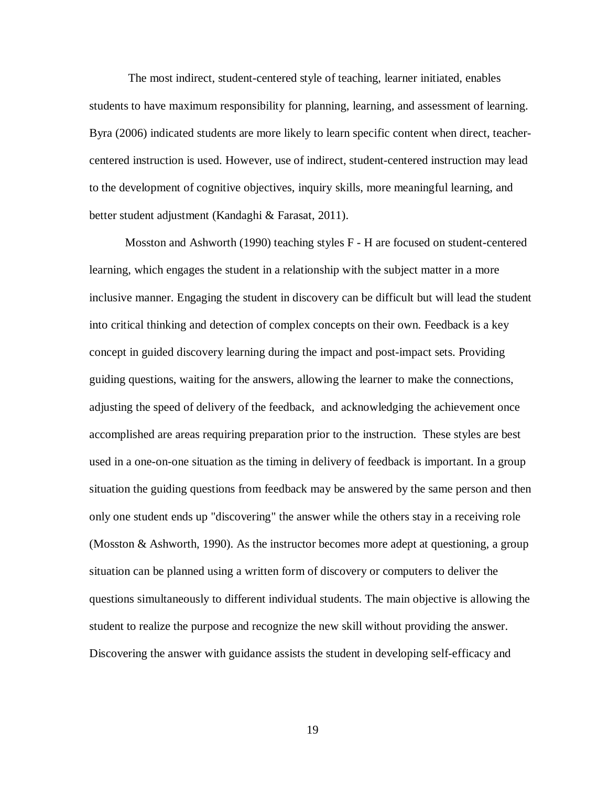The most indirect, student-centered style of teaching, learner initiated, enables students to have maximum responsibility for planning, learning, and assessment of learning. Byra (2006) indicated students are more likely to learn specific content when direct, teachercentered instruction is used. However, use of indirect, student-centered instruction may lead to the development of cognitive objectives, inquiry skills, more meaningful learning, and better student adjustment (Kandaghi & Farasat, 2011).

Mosston and Ashworth (1990) teaching styles F - H are focused on student-centered learning, which engages the student in a relationship with the subject matter in a more inclusive manner. Engaging the student in discovery can be difficult but will lead the student into critical thinking and detection of complex concepts on their own. Feedback is a key concept in guided discovery learning during the impact and post-impact sets. Providing guiding questions, waiting for the answers, allowing the learner to make the connections, adjusting the speed of delivery of the feedback, and acknowledging the achievement once accomplished are areas requiring preparation prior to the instruction. These styles are best used in a one-on-one situation as the timing in delivery of feedback is important. In a group situation the guiding questions from feedback may be answered by the same person and then only one student ends up "discovering" the answer while the others stay in a receiving role (Mosston & Ashworth, 1990). As the instructor becomes more adept at questioning, a group situation can be planned using a written form of discovery or computers to deliver the questions simultaneously to different individual students. The main objective is allowing the student to realize the purpose and recognize the new skill without providing the answer. Discovering the answer with guidance assists the student in developing self-efficacy and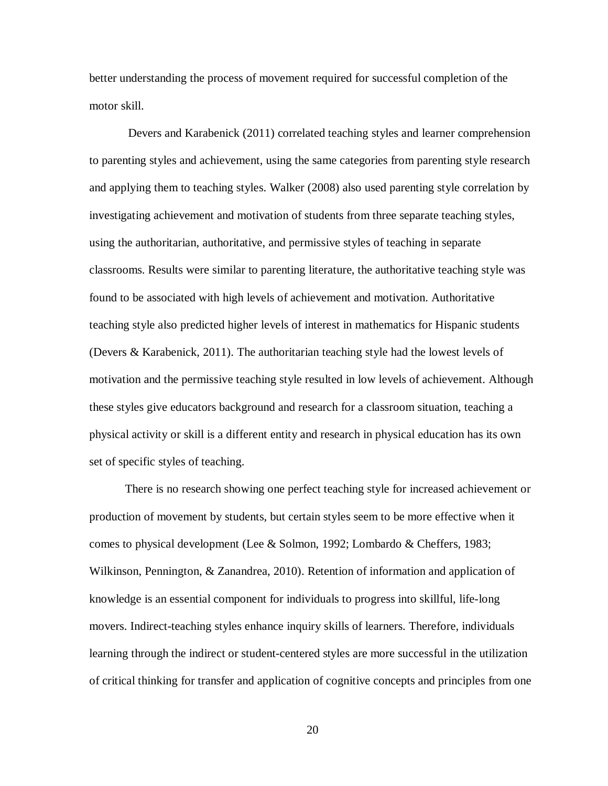better understanding the process of movement required for successful completion of the motor skill.

Devers and Karabenick (2011) correlated teaching styles and learner comprehension to parenting styles and achievement, using the same categories from parenting style research and applying them to teaching styles. Walker (2008) also used parenting style correlation by investigating achievement and motivation of students from three separate teaching styles, using the authoritarian, authoritative, and permissive styles of teaching in separate classrooms. Results were similar to parenting literature, the authoritative teaching style was found to be associated with high levels of achievement and motivation. Authoritative teaching style also predicted higher levels of interest in mathematics for Hispanic students (Devers & Karabenick, 2011). The authoritarian teaching style had the lowest levels of motivation and the permissive teaching style resulted in low levels of achievement. Although these styles give educators background and research for a classroom situation, teaching a physical activity or skill is a different entity and research in physical education has its own set of specific styles of teaching.

There is no research showing one perfect teaching style for increased achievement or production of movement by students, but certain styles seem to be more effective when it comes to physical development (Lee & Solmon, 1992; Lombardo & Cheffers, 1983; Wilkinson, Pennington, & Zanandrea, 2010). Retention of information and application of knowledge is an essential component for individuals to progress into skillful, life-long movers. Indirect-teaching styles enhance inquiry skills of learners. Therefore, individuals learning through the indirect or student-centered styles are more successful in the utilization of critical thinking for transfer and application of cognitive concepts and principles from one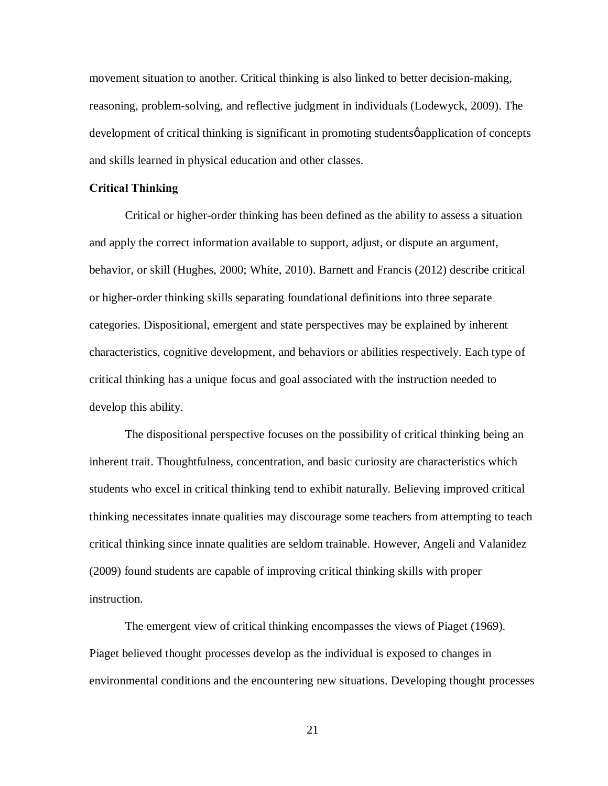movement situation to another. Critical thinking is also linked to better decision-making, reasoning, problem-solving, and reflective judgment in individuals (Lodewyck, 2009). The development of critical thinking is significant in promoting students  $\phi$  application of concepts and skills learned in physical education and other classes.

## **Critical Thinking**

Critical or higher-order thinking has been defined as the ability to assess a situation and apply the correct information available to support, adjust, or dispute an argument, behavior, or skill (Hughes, 2000; White, 2010). Barnett and Francis (2012) describe critical or higher-order thinking skills separating foundational definitions into three separate categories. Dispositional, emergent and state perspectives may be explained by inherent characteristics, cognitive development, and behaviors or abilities respectively. Each type of critical thinking has a unique focus and goal associated with the instruction needed to develop this ability.

The dispositional perspective focuses on the possibility of critical thinking being an inherent trait. Thoughtfulness, concentration, and basic curiosity are characteristics which students who excel in critical thinking tend to exhibit naturally. Believing improved critical thinking necessitates innate qualities may discourage some teachers from attempting to teach critical thinking since innate qualities are seldom trainable. However, Angeli and Valanidez (2009) found students are capable of improving critical thinking skills with proper instruction.

The emergent view of critical thinking encompasses the views of Piaget (1969). Piaget believed thought processes develop as the individual is exposed to changes in environmental conditions and the encountering new situations. Developing thought processes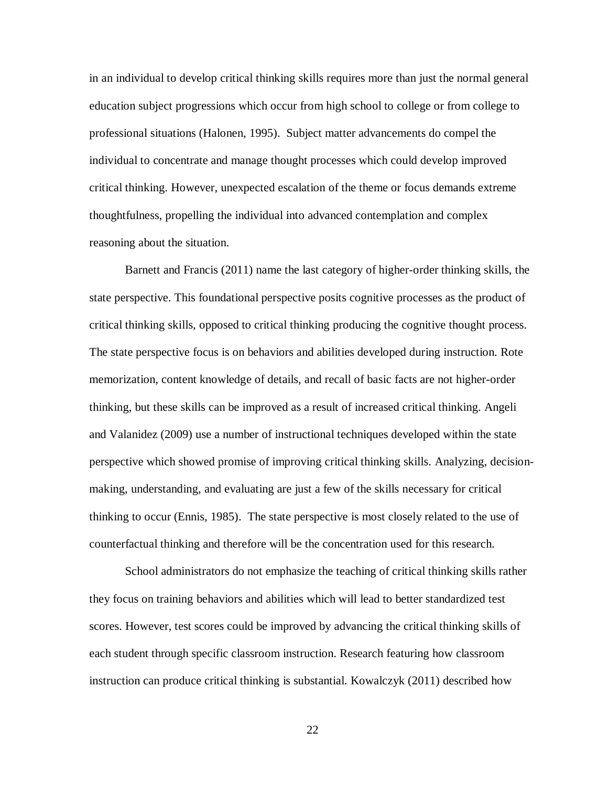in an individual to develop critical thinking skills requires more than just the normal general education subject progressions which occur from high school to college or from college to professional situations (Halonen, 1995). Subject matter advancements do compel the individual to concentrate and manage thought processes which could develop improved critical thinking. However, unexpected escalation of the theme or focus demands extreme thoughtfulness, propelling the individual into advanced contemplation and complex reasoning about the situation.

Barnett and Francis (2011) name the last category of higher-order thinking skills, the state perspective. This foundational perspective posits cognitive processes as the product of critical thinking skills, opposed to critical thinking producing the cognitive thought process. The state perspective focus is on behaviors and abilities developed during instruction. Rote memorization, content knowledge of details, and recall of basic facts are not higher-order thinking, but these skills can be improved as a result of increased critical thinking. Angeli and Valanidez (2009) use a number of instructional techniques developed within the state perspective which showed promise of improving critical thinking skills. Analyzing, decisionmaking, understanding, and evaluating are just a few of the skills necessary for critical thinking to occur (Ennis, 1985). The state perspective is most closely related to the use of counterfactual thinking and therefore will be the concentration used for this research.

School administrators do not emphasize the teaching of critical thinking skills rather they focus on training behaviors and abilities which will lead to better standardized test scores. However, test scores could be improved by advancing the critical thinking skills of each student through specific classroom instruction. Research featuring how classroom instruction can produce critical thinking is substantial. Kowalczyk (2011) described how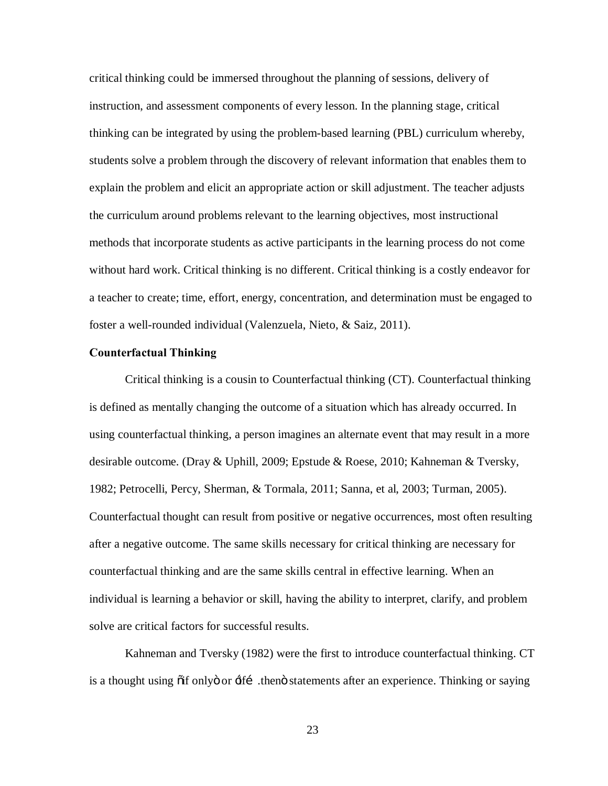critical thinking could be immersed throughout the planning of sessions, delivery of instruction, and assessment components of every lesson. In the planning stage, critical thinking can be integrated by using the problem-based learning (PBL) curriculum whereby, students solve a problem through the discovery of relevant information that enables them to explain the problem and elicit an appropriate action or skill adjustment. The teacher adjusts the curriculum around problems relevant to the learning objectives, most instructional methods that incorporate students as active participants in the learning process do not come without hard work. Critical thinking is no different. Critical thinking is a costly endeavor for a teacher to create; time, effort, energy, concentration, and determination must be engaged to foster a well-rounded individual (Valenzuela, Nieto, & Saiz, 2011).

#### **Counterfactual Thinking**

Critical thinking is a cousin to Counterfactual thinking (CT). Counterfactual thinking is defined as mentally changing the outcome of a situation which has already occurred. In using counterfactual thinking, a person imagines an alternate event that may result in a more desirable outcome. (Dray & Uphill, 2009; Epstude & Roese, 2010; Kahneman & Tversky, 1982; Petrocelli, Percy, Sherman, & Tormala, 2011; Sanna, et al, 2003; Turman, 2005). Counterfactual thought can result from positive or negative occurrences, most often resulting after a negative outcome. The same skills necessary for critical thinking are necessary for counterfactual thinking and are the same skills central in effective learning. When an individual is learning a behavior or skill, having the ability to interpret, clarify, and problem solve are critical factors for successful results.

Kahneman and Tversky (1982) were the first to introduce counterfactual thinking. CT is a thought using  $\ddot{\text{o}}$  if only  $\ddot{\text{o}}$  or  $\ddot{\text{a}}$  if  $\ddot{\text{b}}$  then  $\ddot{\text{o}}$  statements after an experience. Thinking or saying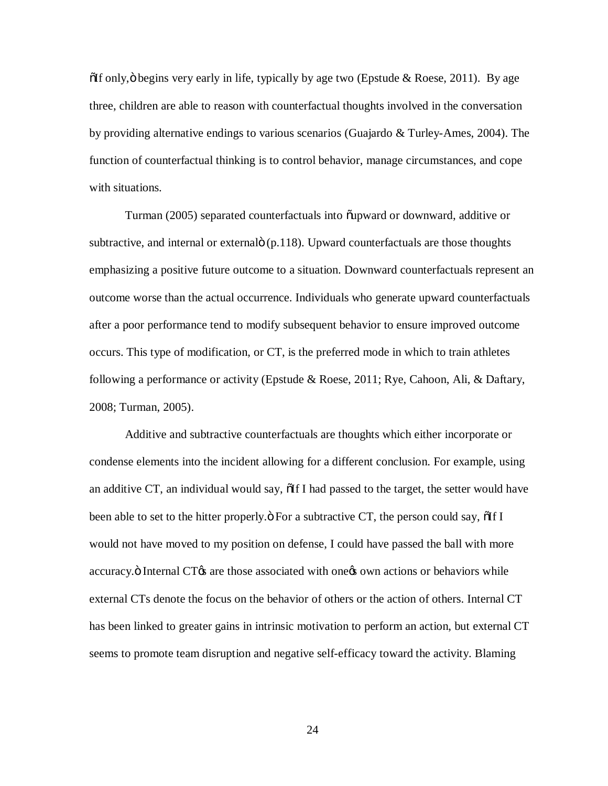$\delta$ If only,  $\ddot{\text{o}}$  begins very early in life, typically by age two (Epstude & Roese, 2011). By age three, children are able to reason with counterfactual thoughts involved in the conversation by providing alternative endings to various scenarios (Guajardo & Turley-Ames, 2004). The function of counterfactual thinking is to control behavior, manage circumstances, and cope with situations.

Turman (2005) separated counterfactuals into  $\tilde{\text{u}}$  and or downward, additive or subtractive, and internal or external  $(p.118)$ . Upward counterfactuals are those thoughts emphasizing a positive future outcome to a situation. Downward counterfactuals represent an outcome worse than the actual occurrence. Individuals who generate upward counterfactuals after a poor performance tend to modify subsequent behavior to ensure improved outcome occurs. This type of modification, or CT, is the preferred mode in which to train athletes following a performance or activity (Epstude & Roese, 2011; Rye, Cahoon, Ali, & Daftary, 2008; Turman, 2005).

Additive and subtractive counterfactuals are thoughts which either incorporate or condense elements into the incident allowing for a different conclusion. For example, using an additive CT, an individual would say,  $\delta$ If I had passed to the target, the setter would have been able to set to the hitter properly. $\ddot{o}$  For a subtractive CT, the person could say,  $\ddot{o}$  If I would not have moved to my position on defense, I could have passed the ball with more accuracy. $\ddot{o}$  Internal CT $\alpha$  are those associated with one  $\alpha$  own actions or behaviors while external CTs denote the focus on the behavior of others or the action of others. Internal CT has been linked to greater gains in intrinsic motivation to perform an action, but external CT seems to promote team disruption and negative self-efficacy toward the activity. Blaming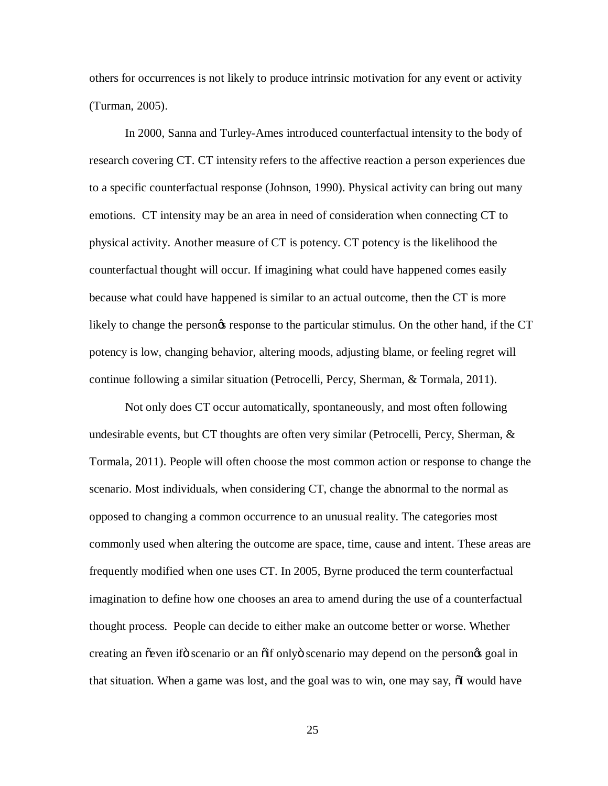others for occurrences is not likely to produce intrinsic motivation for any event or activity (Turman, 2005).

In 2000, Sanna and Turley-Ames introduced counterfactual intensity to the body of research covering CT. CT intensity refers to the affective reaction a person experiences due to a specific counterfactual response (Johnson, 1990). Physical activity can bring out many emotions. CT intensity may be an area in need of consideration when connecting CT to physical activity. Another measure of CT is potency. CT potency is the likelihood the counterfactual thought will occur. If imagining what could have happened comes easily because what could have happened is similar to an actual outcome, then the CT is more likely to change the persongs response to the particular stimulus. On the other hand, if the CT potency is low, changing behavior, altering moods, adjusting blame, or feeling regret will continue following a similar situation (Petrocelli, Percy, Sherman, & Tormala, 2011).

Not only does CT occur automatically, spontaneously, and most often following undesirable events, but CT thoughts are often very similar (Petrocelli, Percy, Sherman,  $\&$ Tormala, 2011). People will often choose the most common action or response to change the scenario. Most individuals, when considering CT, change the abnormal to the normal as opposed to changing a common occurrence to an unusual reality. The categories most commonly used when altering the outcome are space, time, cause and intent. These areas are frequently modified when one uses CT. In 2005, Byrne produced the term counterfactual imagination to define how one chooses an area to amend during the use of a counterfactual thought process. People can decide to either make an outcome better or worse. Whether creating an  $\tilde{\sigma}$  even if  $\tilde{\sigma}$  scenario or an  $\tilde{\sigma}$  only  $\tilde{\sigma}$  scenario may depend on the persongs goal in that situation. When a game was lost, and the goal was to win, one may say,  $\delta I$  would have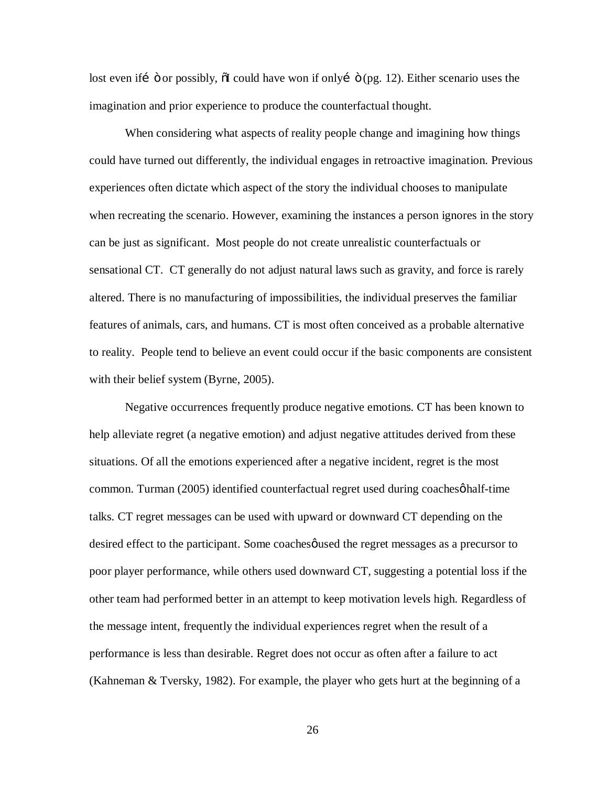lost even if  $\ddot{\text{o}}$  or possibly,  $\ddot{\text{o}}$  could have won if only  $\ddot{\text{o}}$  (pg. 12). Either scenario uses the imagination and prior experience to produce the counterfactual thought.

When considering what aspects of reality people change and imagining how things could have turned out differently, the individual engages in retroactive imagination. Previous experiences often dictate which aspect of the story the individual chooses to manipulate when recreating the scenario. However, examining the instances a person ignores in the story can be just as significant. Most people do not create unrealistic counterfactuals or sensational CT. CT generally do not adjust natural laws such as gravity, and force is rarely altered. There is no manufacturing of impossibilities, the individual preserves the familiar features of animals, cars, and humans. CT is most often conceived as a probable alternative to reality. People tend to believe an event could occur if the basic components are consistent with their belief system (Byrne, 2005).

Negative occurrences frequently produce negative emotions. CT has been known to help alleviate regret (a negative emotion) and adjust negative attitudes derived from these situations. Of all the emotions experienced after a negative incident, regret is the most common. Turman (2005) identified counterfactual regret used during coaches  $\phi$  half-time talks. CT regret messages can be used with upward or downward CT depending on the desired effect to the participant. Some coaches quied the regret messages as a precursor to poor player performance, while others used downward CT, suggesting a potential loss if the other team had performed better in an attempt to keep motivation levels high. Regardless of the message intent, frequently the individual experiences regret when the result of a performance is less than desirable. Regret does not occur as often after a failure to act (Kahneman & Tversky, 1982). For example, the player who gets hurt at the beginning of a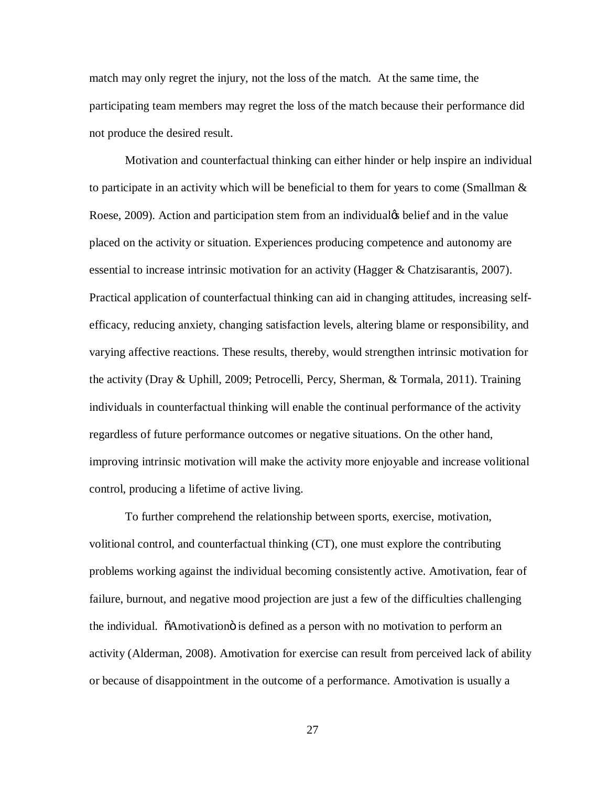match may only regret the injury, not the loss of the match. At the same time, the participating team members may regret the loss of the match because their performance did not produce the desired result.

Motivation and counterfactual thinking can either hinder or help inspire an individual to participate in an activity which will be beneficial to them for years to come (Smallman  $\&$ Roese, 2009). Action and participation stem from an individual<sub>g</sub> belief and in the value placed on the activity or situation. Experiences producing competence and autonomy are essential to increase intrinsic motivation for an activity (Hagger & Chatzisarantis, 2007). Practical application of counterfactual thinking can aid in changing attitudes, increasing selfefficacy, reducing anxiety, changing satisfaction levels, altering blame or responsibility, and varying affective reactions. These results, thereby, would strengthen intrinsic motivation for the activity (Dray & Uphill, 2009; Petrocelli, Percy, Sherman, & Tormala, 2011). Training individuals in counterfactual thinking will enable the continual performance of the activity regardless of future performance outcomes or negative situations. On the other hand, improving intrinsic motivation will make the activity more enjoyable and increase volitional control, producing a lifetime of active living.

To further comprehend the relationship between sports, exercise, motivation, volitional control, and counterfactual thinking (CT), one must explore the contributing problems working against the individual becoming consistently active. Amotivation, fear of failure, burnout, and negative mood projection are just a few of the difficulties challenging the individual.  $\ddot{\text{o}}$ Amotivation $\ddot{\text{o}}$  is defined as a person with no motivation to perform an activity (Alderman, 2008). Amotivation for exercise can result from perceived lack of ability or because of disappointment in the outcome of a performance. Amotivation is usually a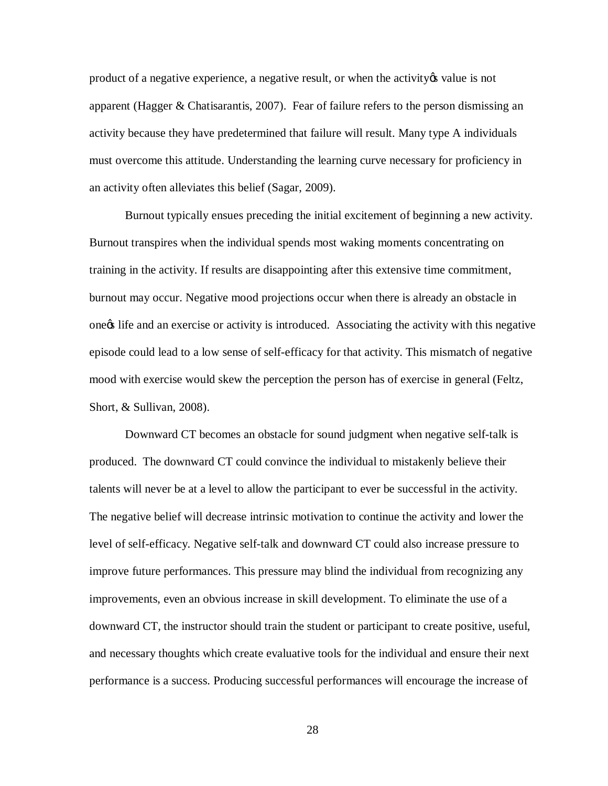product of a negative experience, a negative result, or when the activity to value is not apparent (Hagger & Chatisarantis, 2007). Fear of failure refers to the person dismissing an activity because they have predetermined that failure will result. Many type A individuals must overcome this attitude. Understanding the learning curve necessary for proficiency in an activity often alleviates this belief (Sagar, 2009).

Burnout typically ensues preceding the initial excitement of beginning a new activity. Burnout transpires when the individual spends most waking moments concentrating on training in the activity. If results are disappointing after this extensive time commitment, burnout may occur. Negative mood projections occur when there is already an obstacle in one tife and an exercise or activity is introduced. Associating the activity with this negative episode could lead to a low sense of self-efficacy for that activity. This mismatch of negative mood with exercise would skew the perception the person has of exercise in general (Feltz, Short, & Sullivan, 2008).

Downward CT becomes an obstacle for sound judgment when negative self-talk is produced. The downward CT could convince the individual to mistakenly believe their talents will never be at a level to allow the participant to ever be successful in the activity. The negative belief will decrease intrinsic motivation to continue the activity and lower the level of self-efficacy. Negative self-talk and downward CT could also increase pressure to improve future performances. This pressure may blind the individual from recognizing any improvements, even an obvious increase in skill development. To eliminate the use of a downward CT, the instructor should train the student or participant to create positive, useful, and necessary thoughts which create evaluative tools for the individual and ensure their next performance is a success. Producing successful performances will encourage the increase of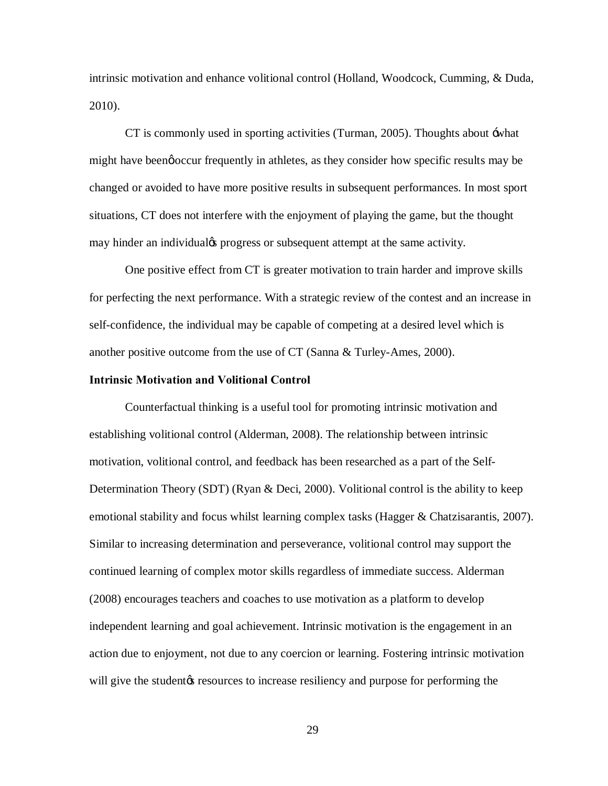intrinsic motivation and enhance volitional control (Holland, Woodcock, Cumming, & Duda, 2010).

CT is commonly used in sporting activities (Turman, 2005). Thoughts about 'what might have been go occur frequently in athletes, as they consider how specific results may be changed or avoided to have more positive results in subsequent performances. In most sport situations, CT does not interfere with the enjoyment of playing the game, but the thought may hinder an individualøs progress or subsequent attempt at the same activity.

One positive effect from CT is greater motivation to train harder and improve skills for perfecting the next performance. With a strategic review of the contest and an increase in self-confidence, the individual may be capable of competing at a desired level which is another positive outcome from the use of CT (Sanna & Turley-Ames, 2000).

# **Intrinsic Motivation and Volitional Control**

Counterfactual thinking is a useful tool for promoting intrinsic motivation and establishing volitional control (Alderman, 2008). The relationship between intrinsic motivation, volitional control, and feedback has been researched as a part of the Self-Determination Theory (SDT) (Ryan & Deci, 2000). Volitional control is the ability to keep emotional stability and focus whilst learning complex tasks (Hagger & Chatzisarantis, 2007). Similar to increasing determination and perseverance, volitional control may support the continued learning of complex motor skills regardless of immediate success. Alderman (2008) encourages teachers and coaches to use motivation as a platform to develop independent learning and goal achievement. Intrinsic motivation is the engagement in an action due to enjoyment, not due to any coercion or learning. Fostering intrinsic motivation will give the student the secure to increase resiliency and purpose for performing the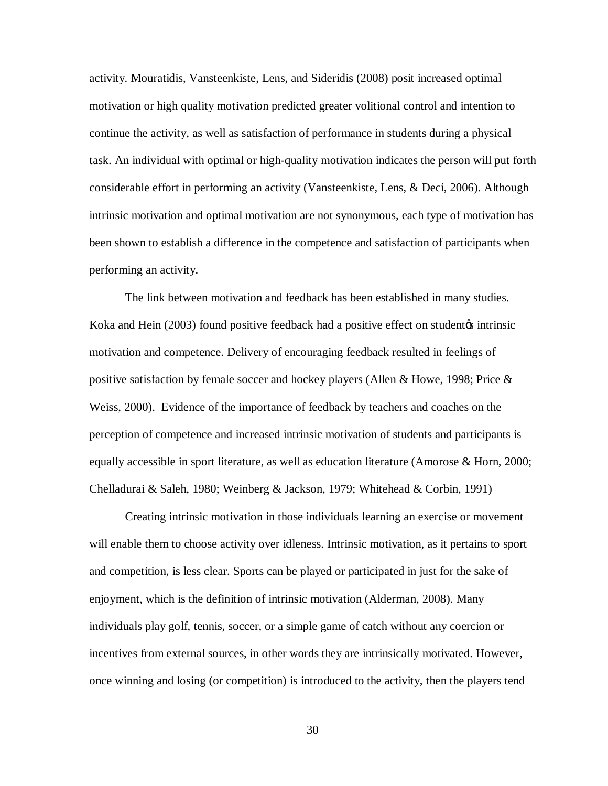activity. Mouratidis, Vansteenkiste, Lens, and Sideridis (2008) posit increased optimal motivation or high quality motivation predicted greater volitional control and intention to continue the activity, as well as satisfaction of performance in students during a physical task. An individual with optimal or high-quality motivation indicates the person will put forth considerable effort in performing an activity (Vansteenkiste, Lens, & Deci, 2006). Although intrinsic motivation and optimal motivation are not synonymous, each type of motivation has been shown to establish a difference in the competence and satisfaction of participants when performing an activity.

The link between motivation and feedback has been established in many studies. Koka and Hein (2003) found positive feedback had a positive effect on student intrinsic motivation and competence. Delivery of encouraging feedback resulted in feelings of positive satisfaction by female soccer and hockey players (Allen & Howe, 1998; Price  $\&$ Weiss, 2000). Evidence of the importance of feedback by teachers and coaches on the perception of competence and increased intrinsic motivation of students and participants is equally accessible in sport literature, as well as education literature (Amorose & Horn, 2000; Chelladurai & Saleh, 1980; Weinberg & Jackson, 1979; Whitehead & Corbin, 1991)

Creating intrinsic motivation in those individuals learning an exercise or movement will enable them to choose activity over idleness. Intrinsic motivation, as it pertains to sport and competition, is less clear. Sports can be played or participated in just for the sake of enjoyment, which is the definition of intrinsic motivation (Alderman, 2008). Many individuals play golf, tennis, soccer, or a simple game of catch without any coercion or incentives from external sources, in other words they are intrinsically motivated. However, once winning and losing (or competition) is introduced to the activity, then the players tend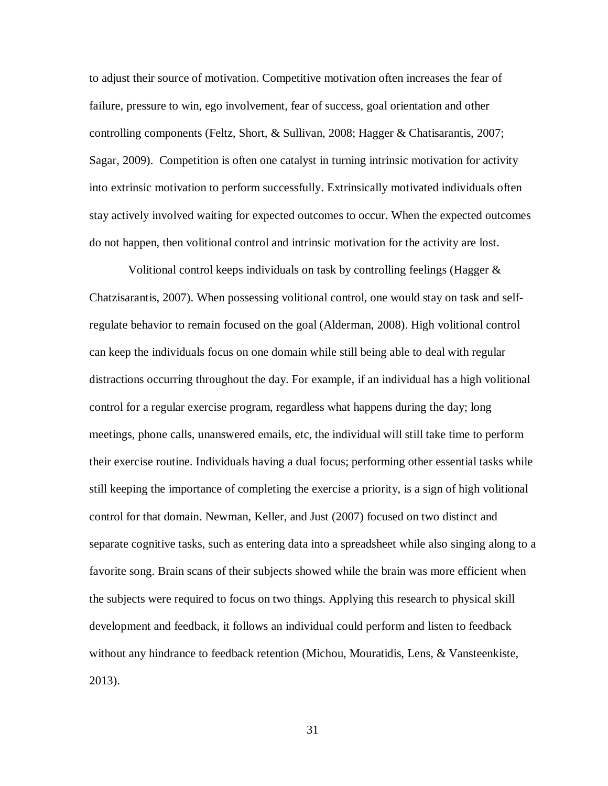to adjust their source of motivation. Competitive motivation often increases the fear of failure, pressure to win, ego involvement, fear of success, goal orientation and other controlling components (Feltz, Short, & Sullivan, 2008; Hagger & Chatisarantis, 2007; Sagar, 2009). Competition is often one catalyst in turning intrinsic motivation for activity into extrinsic motivation to perform successfully. Extrinsically motivated individuals often stay actively involved waiting for expected outcomes to occur. When the expected outcomes do not happen, then volitional control and intrinsic motivation for the activity are lost.

Volitional control keeps individuals on task by controlling feelings (Hagger  $\&$ Chatzisarantis, 2007). When possessing volitional control, one would stay on task and selfregulate behavior to remain focused on the goal (Alderman, 2008). High volitional control can keep the individuals focus on one domain while still being able to deal with regular distractions occurring throughout the day. For example, if an individual has a high volitional control for a regular exercise program, regardless what happens during the day; long meetings, phone calls, unanswered emails, etc, the individual will still take time to perform their exercise routine. Individuals having a dual focus; performing other essential tasks while still keeping the importance of completing the exercise a priority, is a sign of high volitional control for that domain. Newman, Keller, and Just (2007) focused on two distinct and separate cognitive tasks, such as entering data into a spreadsheet while also singing along to a favorite song. Brain scans of their subjects showed while the brain was more efficient when the subjects were required to focus on two things. Applying this research to physical skill development and feedback, it follows an individual could perform and listen to feedback without any hindrance to feedback retention (Michou, Mouratidis, Lens, & Vansteenkiste, 2013).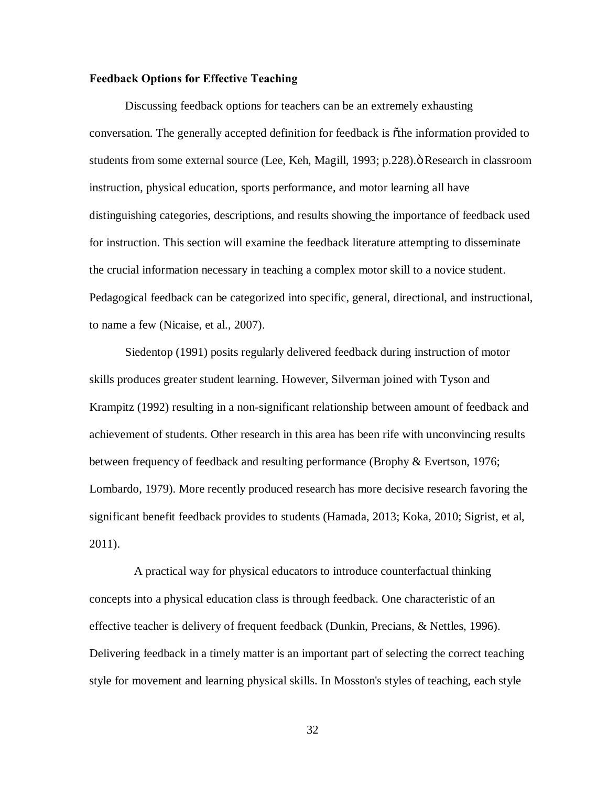# **Feedback Options for Effective Teaching**

Discussing feedback options for teachers can be an extremely exhausting conversation. The generally accepted definition for feedback is  $\tilde{o}$ the information provided to students from some external source (Lee, Keh, Magill, 1993; p.228).  $\ddot{o}$  Research in classroom instruction, physical education, sports performance, and motor learning all have distinguishing categories, descriptions, and results showing the importance of feedback used for instruction. This section will examine the feedback literature attempting to disseminate the crucial information necessary in teaching a complex motor skill to a novice student. Pedagogical feedback can be categorized into specific, general, directional, and instructional, to name a few (Nicaise, et al., 2007).

Siedentop (1991) posits regularly delivered feedback during instruction of motor skills produces greater student learning. However, Silverman joined with Tyson and Krampitz (1992) resulting in a non-significant relationship between amount of feedback and achievement of students. Other research in this area has been rife with unconvincing results between frequency of feedback and resulting performance (Brophy & Evertson, 1976; Lombardo, 1979). More recently produced research has more decisive research favoring the significant benefit feedback provides to students (Hamada, 2013; Koka, 2010; Sigrist, et al, 2011).

 A practical way for physical educators to introduce counterfactual thinking concepts into a physical education class is through feedback. One characteristic of an effective teacher is delivery of frequent feedback (Dunkin, Precians, & Nettles, 1996). Delivering feedback in a timely matter is an important part of selecting the correct teaching style for movement and learning physical skills. In Mosston's styles of teaching, each style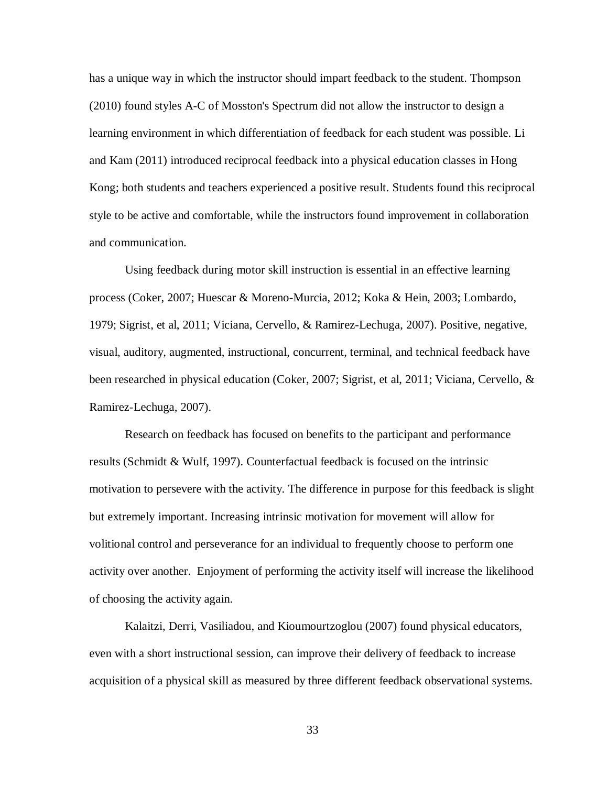has a unique way in which the instructor should impart feedback to the student. Thompson (2010) found styles A-C of Mosston's Spectrum did not allow the instructor to design a learning environment in which differentiation of feedback for each student was possible. Li and Kam (2011) introduced reciprocal feedback into a physical education classes in Hong Kong; both students and teachers experienced a positive result. Students found this reciprocal style to be active and comfortable, while the instructors found improvement in collaboration and communication.

Using feedback during motor skill instruction is essential in an effective learning process (Coker, 2007; Huescar & Moreno-Murcia, 2012; Koka & Hein, 2003; Lombardo, 1979; Sigrist, et al, 2011; Viciana, Cervello, & Ramirez-Lechuga, 2007). Positive, negative, visual, auditory, augmented, instructional, concurrent, terminal, and technical feedback have been researched in physical education (Coker, 2007; Sigrist, et al, 2011; Viciana, Cervello, & Ramirez-Lechuga, 2007).

Research on feedback has focused on benefits to the participant and performance results (Schmidt & Wulf, 1997). Counterfactual feedback is focused on the intrinsic motivation to persevere with the activity. The difference in purpose for this feedback is slight but extremely important. Increasing intrinsic motivation for movement will allow for volitional control and perseverance for an individual to frequently choose to perform one activity over another. Enjoyment of performing the activity itself will increase the likelihood of choosing the activity again.

Kalaitzi, Derri, Vasiliadou, and Kioumourtzoglou (2007) found physical educators, even with a short instructional session, can improve their delivery of feedback to increase acquisition of a physical skill as measured by three different feedback observational systems.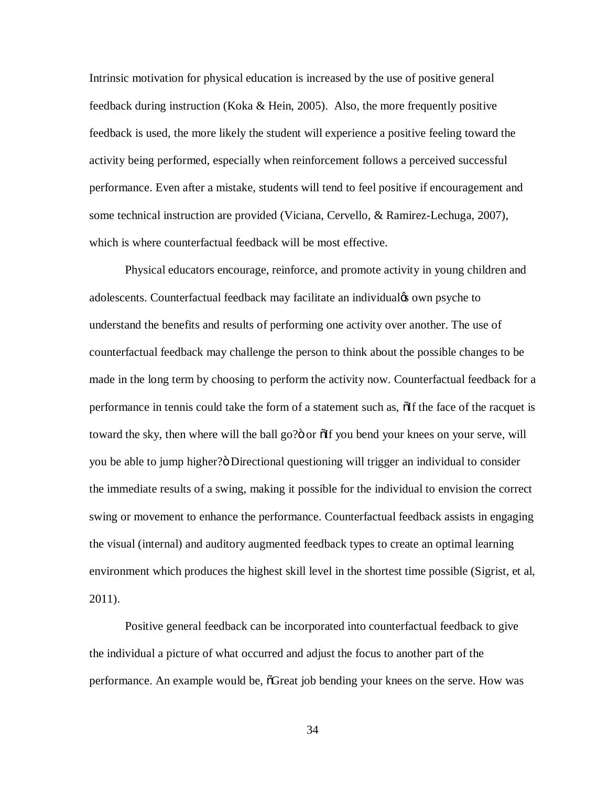Intrinsic motivation for physical education is increased by the use of positive general feedback during instruction (Koka & Hein, 2005). Also, the more frequently positive feedback is used, the more likely the student will experience a positive feeling toward the activity being performed, especially when reinforcement follows a perceived successful performance. Even after a mistake, students will tend to feel positive if encouragement and some technical instruction are provided (Viciana, Cervello, & Ramirez-Lechuga, 2007), which is where counterfactual feedback will be most effective.

Physical educators encourage, reinforce, and promote activity in young children and adolescents. Counterfactual feedback may facilitate an individual to own psyche to understand the benefits and results of performing one activity over another. The use of counterfactual feedback may challenge the person to think about the possible changes to be made in the long term by choosing to perform the activity now. Counterfactual feedback for a performance in tennis could take the form of a statement such as,  $\delta$ If the face of the racquet is toward the sky, then where will the ball go?" or  $\delta$  of you bend your knees on your serve, will you be able to jump higher? O Directional questioning will trigger an individual to consider the immediate results of a swing, making it possible for the individual to envision the correct swing or movement to enhance the performance. Counterfactual feedback assists in engaging the visual (internal) and auditory augmented feedback types to create an optimal learning environment which produces the highest skill level in the shortest time possible (Sigrist, et al, 2011).

Positive general feedback can be incorporated into counterfactual feedback to give the individual a picture of what occurred and adjust the focus to another part of the performance. An example would be,  $\tilde{C}$  Great job bending your knees on the serve. How was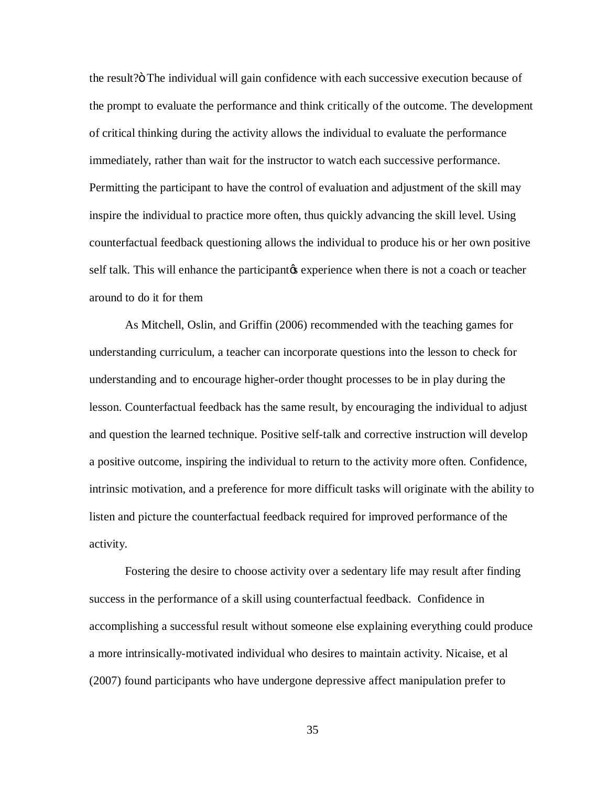the result?" The individual will gain confidence with each successive execution because of the prompt to evaluate the performance and think critically of the outcome. The development of critical thinking during the activity allows the individual to evaluate the performance immediately, rather than wait for the instructor to watch each successive performance. Permitting the participant to have the control of evaluation and adjustment of the skill may inspire the individual to practice more often, thus quickly advancing the skill level. Using counterfactual feedback questioning allows the individual to produce his or her own positive self talk. This will enhance the participant is experience when there is not a coach or teacher around to do it for them

As Mitchell, Oslin, and Griffin (2006) recommended with the teaching games for understanding curriculum, a teacher can incorporate questions into the lesson to check for understanding and to encourage higher-order thought processes to be in play during the lesson. Counterfactual feedback has the same result, by encouraging the individual to adjust and question the learned technique. Positive self-talk and corrective instruction will develop a positive outcome, inspiring the individual to return to the activity more often. Confidence, intrinsic motivation, and a preference for more difficult tasks will originate with the ability to listen and picture the counterfactual feedback required for improved performance of the activity.

Fostering the desire to choose activity over a sedentary life may result after finding success in the performance of a skill using counterfactual feedback. Confidence in accomplishing a successful result without someone else explaining everything could produce a more intrinsically-motivated individual who desires to maintain activity. Nicaise, et al (2007) found participants who have undergone depressive affect manipulation prefer to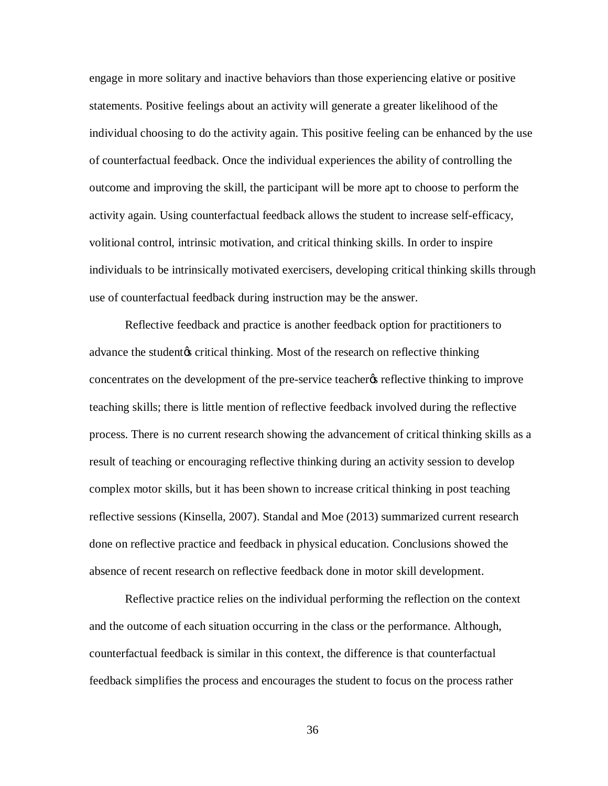engage in more solitary and inactive behaviors than those experiencing elative or positive statements. Positive feelings about an activity will generate a greater likelihood of the individual choosing to do the activity again. This positive feeling can be enhanced by the use of counterfactual feedback. Once the individual experiences the ability of controlling the outcome and improving the skill, the participant will be more apt to choose to perform the activity again. Using counterfactual feedback allows the student to increase self-efficacy, volitional control, intrinsic motivation, and critical thinking skills. In order to inspire individuals to be intrinsically motivated exercisers, developing critical thinking skills through use of counterfactual feedback during instruction may be the answer.

Reflective feedback and practice is another feedback option for practitioners to advance the student ts critical thinking. Most of the research on reflective thinking concentrates on the development of the pre-service teachery reflective thinking to improve teaching skills; there is little mention of reflective feedback involved during the reflective process. There is no current research showing the advancement of critical thinking skills as a result of teaching or encouraging reflective thinking during an activity session to develop complex motor skills, but it has been shown to increase critical thinking in post teaching reflective sessions (Kinsella, 2007). Standal and Moe (2013) summarized current research done on reflective practice and feedback in physical education. Conclusions showed the absence of recent research on reflective feedback done in motor skill development.

Reflective practice relies on the individual performing the reflection on the context and the outcome of each situation occurring in the class or the performance. Although, counterfactual feedback is similar in this context, the difference is that counterfactual feedback simplifies the process and encourages the student to focus on the process rather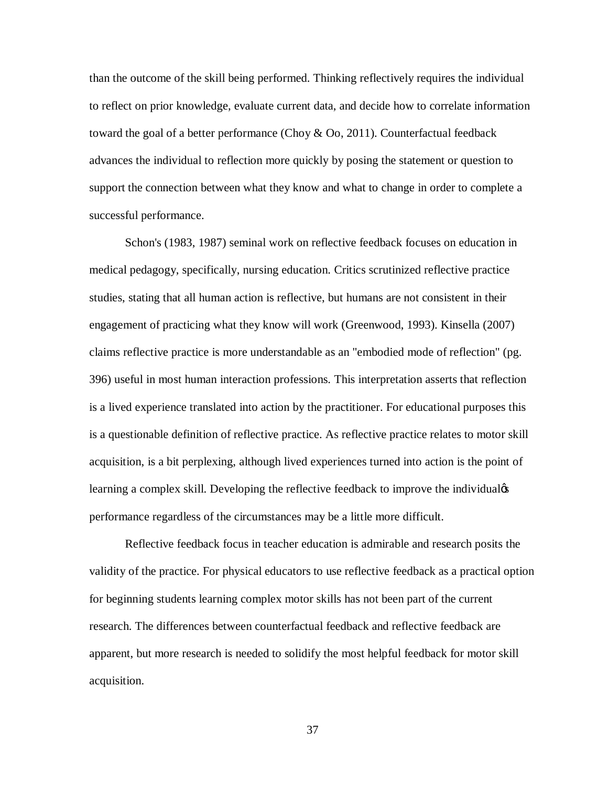than the outcome of the skill being performed. Thinking reflectively requires the individual to reflect on prior knowledge, evaluate current data, and decide how to correlate information toward the goal of a better performance (Choy & Oo, 2011). Counterfactual feedback advances the individual to reflection more quickly by posing the statement or question to support the connection between what they know and what to change in order to complete a successful performance.

Schon's (1983, 1987) seminal work on reflective feedback focuses on education in medical pedagogy, specifically, nursing education. Critics scrutinized reflective practice studies, stating that all human action is reflective, but humans are not consistent in their engagement of practicing what they know will work (Greenwood, 1993). Kinsella (2007) claims reflective practice is more understandable as an "embodied mode of reflection" (pg. 396) useful in most human interaction professions. This interpretation asserts that reflection is a lived experience translated into action by the practitioner. For educational purposes this is a questionable definition of reflective practice. As reflective practice relates to motor skill acquisition, is a bit perplexing, although lived experiences turned into action is the point of learning a complex skill. Developing the reflective feedback to improve the individual performance regardless of the circumstances may be a little more difficult.

Reflective feedback focus in teacher education is admirable and research posits the validity of the practice. For physical educators to use reflective feedback as a practical option for beginning students learning complex motor skills has not been part of the current research. The differences between counterfactual feedback and reflective feedback are apparent, but more research is needed to solidify the most helpful feedback for motor skill acquisition.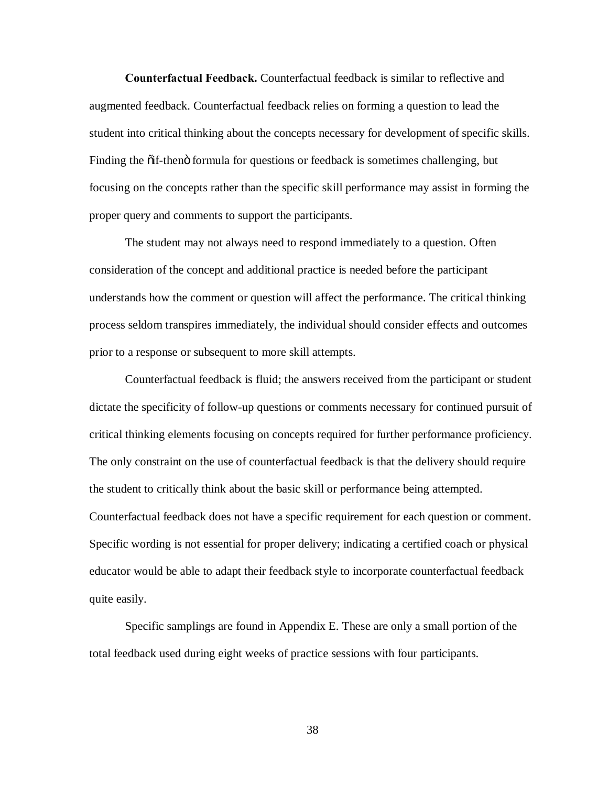**Counterfactual Feedback.** Counterfactual feedback is similar to reflective and augmented feedback. Counterfactual feedback relies on forming a question to lead the student into critical thinking about the concepts necessary for development of specific skills. Finding the  $\ddot{\text{o}}$  if-then  $\ddot{\text{o}}$  formula for questions or feedback is sometimes challenging, but focusing on the concepts rather than the specific skill performance may assist in forming the proper query and comments to support the participants.

The student may not always need to respond immediately to a question. Often consideration of the concept and additional practice is needed before the participant understands how the comment or question will affect the performance. The critical thinking process seldom transpires immediately, the individual should consider effects and outcomes prior to a response or subsequent to more skill attempts.

Counterfactual feedback is fluid; the answers received from the participant or student dictate the specificity of follow-up questions or comments necessary for continued pursuit of critical thinking elements focusing on concepts required for further performance proficiency. The only constraint on the use of counterfactual feedback is that the delivery should require the student to critically think about the basic skill or performance being attempted. Counterfactual feedback does not have a specific requirement for each question or comment. Specific wording is not essential for proper delivery; indicating a certified coach or physical educator would be able to adapt their feedback style to incorporate counterfactual feedback quite easily.

Specific samplings are found in Appendix E. These are only a small portion of the total feedback used during eight weeks of practice sessions with four participants.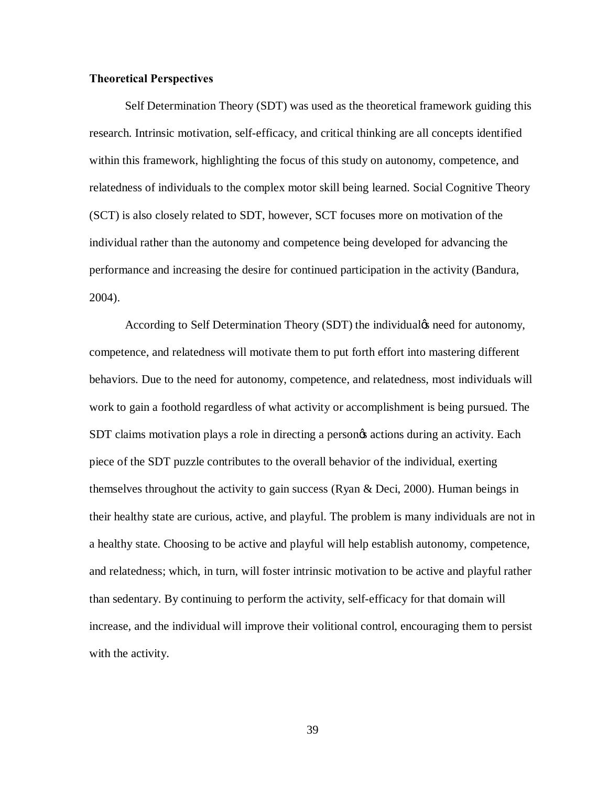### **Theoretical Perspectives**

Self Determination Theory (SDT) was used as the theoretical framework guiding this research. Intrinsic motivation, self-efficacy, and critical thinking are all concepts identified within this framework, highlighting the focus of this study on autonomy, competence, and relatedness of individuals to the complex motor skill being learned. Social Cognitive Theory (SCT) is also closely related to SDT, however, SCT focuses more on motivation of the individual rather than the autonomy and competence being developed for advancing the performance and increasing the desire for continued participation in the activity (Bandura, 2004).

According to Self Determination Theory (SDT) the individual<sub>gs</sub> need for autonomy, competence, and relatedness will motivate them to put forth effort into mastering different behaviors. Due to the need for autonomy, competence, and relatedness, most individuals will work to gain a foothold regardless of what activity or accomplishment is being pursued. The SDT claims motivation plays a role in directing a personos actions during an activity. Each piece of the SDT puzzle contributes to the overall behavior of the individual, exerting themselves throughout the activity to gain success (Ryan & Deci, 2000). Human beings in their healthy state are curious, active, and playful. The problem is many individuals are not in a healthy state. Choosing to be active and playful will help establish autonomy, competence, and relatedness; which, in turn, will foster intrinsic motivation to be active and playful rather than sedentary. By continuing to perform the activity, self-efficacy for that domain will increase, and the individual will improve their volitional control, encouraging them to persist with the activity.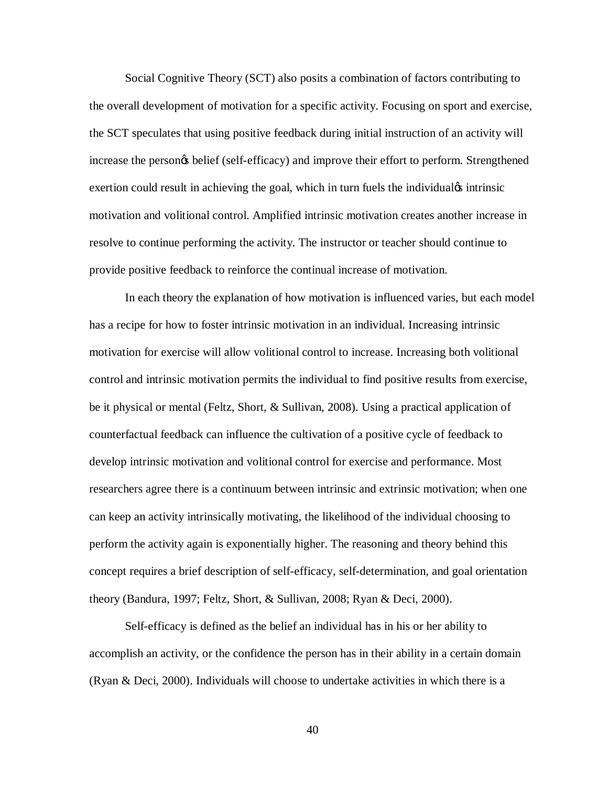Social Cognitive Theory (SCT) also posits a combination of factors contributing to the overall development of motivation for a specific activity. Focusing on sport and exercise, the SCT speculates that using positive feedback during initial instruction of an activity will increase the persongs belief (self-efficacy) and improve their effort to perform. Strengthened exertion could result in achieving the goal, which in turn fuels the individual test intrinsic motivation and volitional control. Amplified intrinsic motivation creates another increase in resolve to continue performing the activity. The instructor or teacher should continue to provide positive feedback to reinforce the continual increase of motivation.

In each theory the explanation of how motivation is influenced varies, but each model has a recipe for how to foster intrinsic motivation in an individual. Increasing intrinsic motivation for exercise will allow volitional control to increase. Increasing both volitional control and intrinsic motivation permits the individual to find positive results from exercise, be it physical or mental (Feltz, Short, & Sullivan, 2008). Using a practical application of counterfactual feedback can influence the cultivation of a positive cycle of feedback to develop intrinsic motivation and volitional control for exercise and performance. Most researchers agree there is a continuum between intrinsic and extrinsic motivation; when one can keep an activity intrinsically motivating, the likelihood of the individual choosing to perform the activity again is exponentially higher. The reasoning and theory behind this concept requires a brief description of self-efficacy, self-determination, and goal orientation theory (Bandura, 1997; Feltz, Short, & Sullivan, 2008; Ryan & Deci, 2000).

Self-efficacy is defined as the belief an individual has in his or her ability to accomplish an activity, or the confidence the person has in their ability in a certain domain (Ryan & Deci, 2000). Individuals will choose to undertake activities in which there is a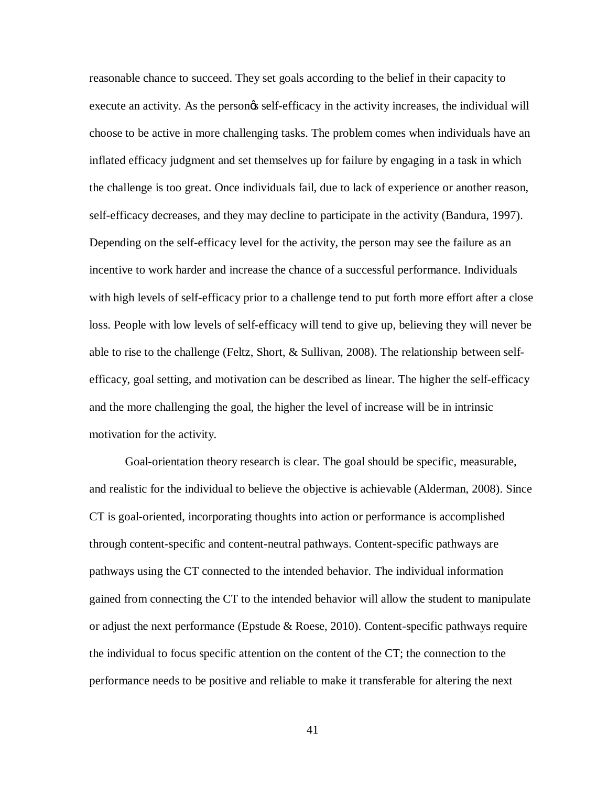reasonable chance to succeed. They set goals according to the belief in their capacity to execute an activity. As the persongs self-efficacy in the activity increases, the individual will choose to be active in more challenging tasks. The problem comes when individuals have an inflated efficacy judgment and set themselves up for failure by engaging in a task in which the challenge is too great. Once individuals fail, due to lack of experience or another reason, self-efficacy decreases, and they may decline to participate in the activity (Bandura, 1997). Depending on the self-efficacy level for the activity, the person may see the failure as an incentive to work harder and increase the chance of a successful performance. Individuals with high levels of self-efficacy prior to a challenge tend to put forth more effort after a close loss. People with low levels of self-efficacy will tend to give up, believing they will never be able to rise to the challenge (Feltz, Short, & Sullivan, 2008). The relationship between selfefficacy, goal setting, and motivation can be described as linear. The higher the self-efficacy and the more challenging the goal, the higher the level of increase will be in intrinsic motivation for the activity.

Goal-orientation theory research is clear. The goal should be specific, measurable, and realistic for the individual to believe the objective is achievable (Alderman, 2008). Since CT is goal-oriented, incorporating thoughts into action or performance is accomplished through content-specific and content-neutral pathways. Content-specific pathways are pathways using the CT connected to the intended behavior. The individual information gained from connecting the CT to the intended behavior will allow the student to manipulate or adjust the next performance (Epstude & Roese, 2010). Content-specific pathways require the individual to focus specific attention on the content of the CT; the connection to the performance needs to be positive and reliable to make it transferable for altering the next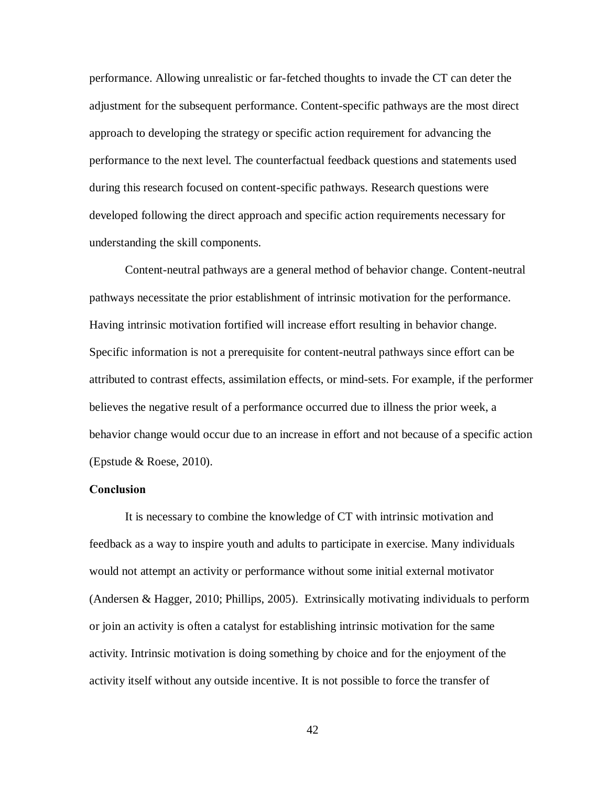performance. Allowing unrealistic or far-fetched thoughts to invade the CT can deter the adjustment for the subsequent performance. Content-specific pathways are the most direct approach to developing the strategy or specific action requirement for advancing the performance to the next level. The counterfactual feedback questions and statements used during this research focused on content-specific pathways. Research questions were developed following the direct approach and specific action requirements necessary for understanding the skill components.

Content-neutral pathways are a general method of behavior change. Content-neutral pathways necessitate the prior establishment of intrinsic motivation for the performance. Having intrinsic motivation fortified will increase effort resulting in behavior change. Specific information is not a prerequisite for content-neutral pathways since effort can be attributed to contrast effects, assimilation effects, or mind-sets. For example, if the performer believes the negative result of a performance occurred due to illness the prior week, a behavior change would occur due to an increase in effort and not because of a specific action (Epstude & Roese, 2010).

# **Conclusion**

It is necessary to combine the knowledge of CT with intrinsic motivation and feedback as a way to inspire youth and adults to participate in exercise. Many individuals would not attempt an activity or performance without some initial external motivator (Andersen & Hagger, 2010; Phillips, 2005). Extrinsically motivating individuals to perform or join an activity is often a catalyst for establishing intrinsic motivation for the same activity. Intrinsic motivation is doing something by choice and for the enjoyment of the activity itself without any outside incentive. It is not possible to force the transfer of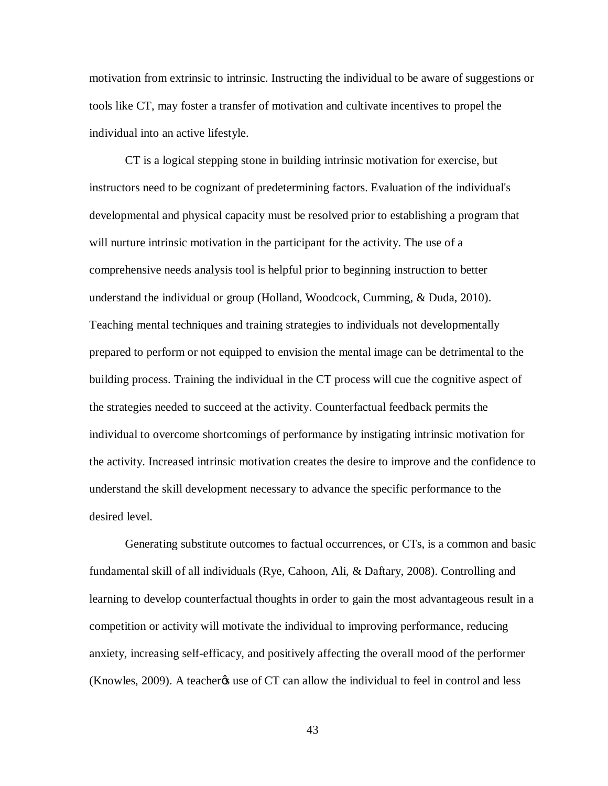motivation from extrinsic to intrinsic. Instructing the individual to be aware of suggestions or tools like CT, may foster a transfer of motivation and cultivate incentives to propel the individual into an active lifestyle.

CT is a logical stepping stone in building intrinsic motivation for exercise, but instructors need to be cognizant of predetermining factors. Evaluation of the individual's developmental and physical capacity must be resolved prior to establishing a program that will nurture intrinsic motivation in the participant for the activity. The use of a comprehensive needs analysis tool is helpful prior to beginning instruction to better understand the individual or group (Holland, Woodcock, Cumming, & Duda, 2010). Teaching mental techniques and training strategies to individuals not developmentally prepared to perform or not equipped to envision the mental image can be detrimental to the building process. Training the individual in the CT process will cue the cognitive aspect of the strategies needed to succeed at the activity. Counterfactual feedback permits the individual to overcome shortcomings of performance by instigating intrinsic motivation for the activity. Increased intrinsic motivation creates the desire to improve and the confidence to understand the skill development necessary to advance the specific performance to the desired level.

Generating substitute outcomes to factual occurrences, or CTs, is a common and basic fundamental skill of all individuals (Rye, Cahoon, Ali, & Daftary, 2008). Controlling and learning to develop counterfactual thoughts in order to gain the most advantageous result in a competition or activity will motivate the individual to improving performance, reducing anxiety, increasing self-efficacy, and positively affecting the overall mood of the performer (Knowles, 2009). A teacher<sub>C</sub>'s use of CT can allow the individual to feel in control and less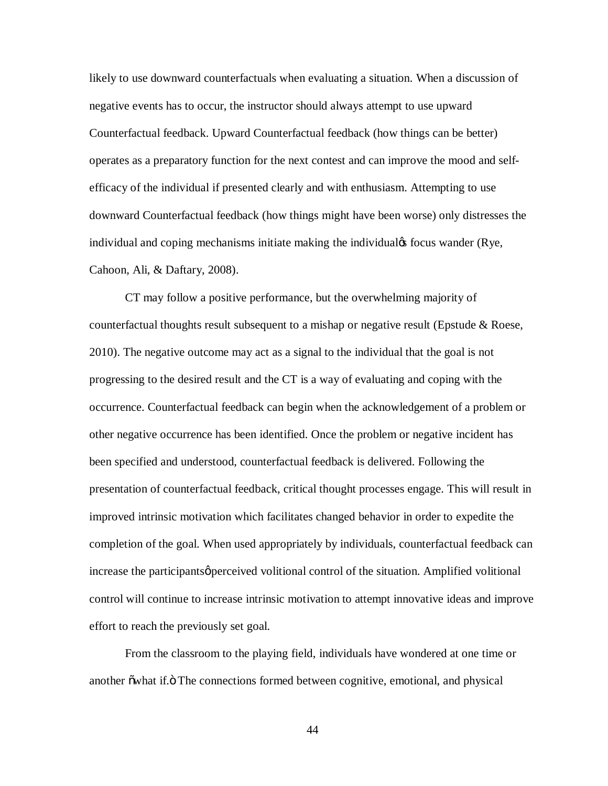likely to use downward counterfactuals when evaluating a situation. When a discussion of negative events has to occur, the instructor should always attempt to use upward Counterfactual feedback. Upward Counterfactual feedback (how things can be better) operates as a preparatory function for the next contest and can improve the mood and selfefficacy of the individual if presented clearly and with enthusiasm. Attempting to use downward Counterfactual feedback (how things might have been worse) only distresses the individual and coping mechanisms initiate making the individual<sub>f</sub> focus wander (Rye, Cahoon, Ali, & Daftary, 2008).

CT may follow a positive performance, but the overwhelming majority of counterfactual thoughts result subsequent to a mishap or negative result (Epstude & Roese, 2010). The negative outcome may act as a signal to the individual that the goal is not progressing to the desired result and the CT is a way of evaluating and coping with the occurrence. Counterfactual feedback can begin when the acknowledgement of a problem or other negative occurrence has been identified. Once the problem or negative incident has been specified and understood, counterfactual feedback is delivered. Following the presentation of counterfactual feedback, critical thought processes engage. This will result in improved intrinsic motivation which facilitates changed behavior in order to expedite the completion of the goal. When used appropriately by individuals, counterfactual feedback can increase the participants *perceived* volitional control of the situation. Amplified volitional control will continue to increase intrinsic motivation to attempt innovative ideas and improve effort to reach the previously set goal.

From the classroom to the playing field, individuals have wondered at one time or another  $\ddot{\text{ow}}$  and  $\ddot{\text{f}}$ . The connections formed between cognitive, emotional, and physical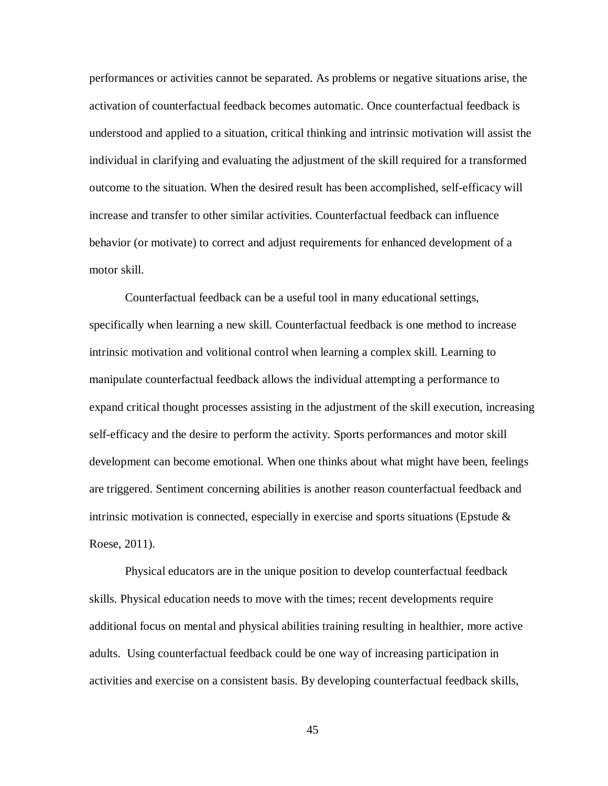performances or activities cannot be separated. As problems or negative situations arise, the activation of counterfactual feedback becomes automatic. Once counterfactual feedback is understood and applied to a situation, critical thinking and intrinsic motivation will assist the individual in clarifying and evaluating the adjustment of the skill required for a transformed outcome to the situation. When the desired result has been accomplished, self-efficacy will increase and transfer to other similar activities. Counterfactual feedback can influence behavior (or motivate) to correct and adjust requirements for enhanced development of a motor skill.

Counterfactual feedback can be a useful tool in many educational settings, specifically when learning a new skill. Counterfactual feedback is one method to increase intrinsic motivation and volitional control when learning a complex skill. Learning to manipulate counterfactual feedback allows the individual attempting a performance to expand critical thought processes assisting in the adjustment of the skill execution, increasing self-efficacy and the desire to perform the activity. Sports performances and motor skill development can become emotional. When one thinks about what might have been, feelings are triggered. Sentiment concerning abilities is another reason counterfactual feedback and intrinsic motivation is connected, especially in exercise and sports situations (Epstude  $\&$ Roese, 2011).

Physical educators are in the unique position to develop counterfactual feedback skills. Physical education needs to move with the times; recent developments require additional focus on mental and physical abilities training resulting in healthier, more active adults. Using counterfactual feedback could be one way of increasing participation in activities and exercise on a consistent basis. By developing counterfactual feedback skills,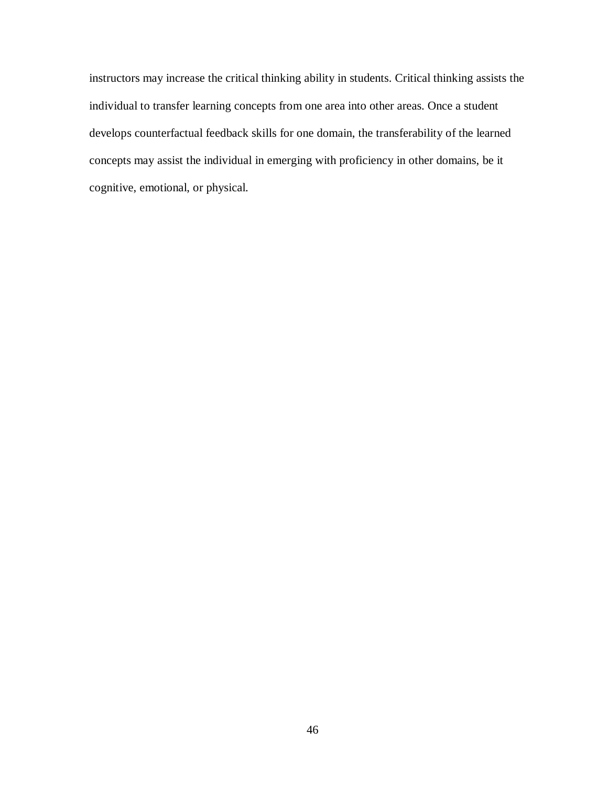instructors may increase the critical thinking ability in students. Critical thinking assists the individual to transfer learning concepts from one area into other areas. Once a student develops counterfactual feedback skills for one domain, the transferability of the learned concepts may assist the individual in emerging with proficiency in other domains, be it cognitive, emotional, or physical.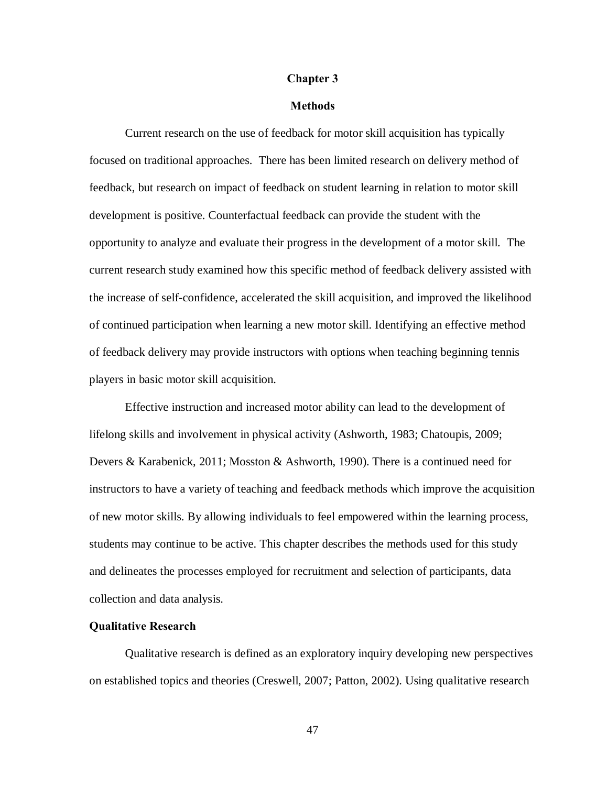## **Chapter 3**

## **Methods**

Current research on the use of feedback for motor skill acquisition has typically focused on traditional approaches. There has been limited research on delivery method of feedback, but research on impact of feedback on student learning in relation to motor skill development is positive. Counterfactual feedback can provide the student with the opportunity to analyze and evaluate their progress in the development of a motor skill. The current research study examined how this specific method of feedback delivery assisted with the increase of self-confidence, accelerated the skill acquisition, and improved the likelihood of continued participation when learning a new motor skill. Identifying an effective method of feedback delivery may provide instructors with options when teaching beginning tennis players in basic motor skill acquisition.

Effective instruction and increased motor ability can lead to the development of lifelong skills and involvement in physical activity (Ashworth, 1983; Chatoupis, 2009; Devers & Karabenick, 2011; Mosston & Ashworth, 1990). There is a continued need for instructors to have a variety of teaching and feedback methods which improve the acquisition of new motor skills. By allowing individuals to feel empowered within the learning process, students may continue to be active. This chapter describes the methods used for this study and delineates the processes employed for recruitment and selection of participants, data collection and data analysis.

# **Qualitative Research**

Qualitative research is defined as an exploratory inquiry developing new perspectives on established topics and theories (Creswell, 2007; Patton, 2002). Using qualitative research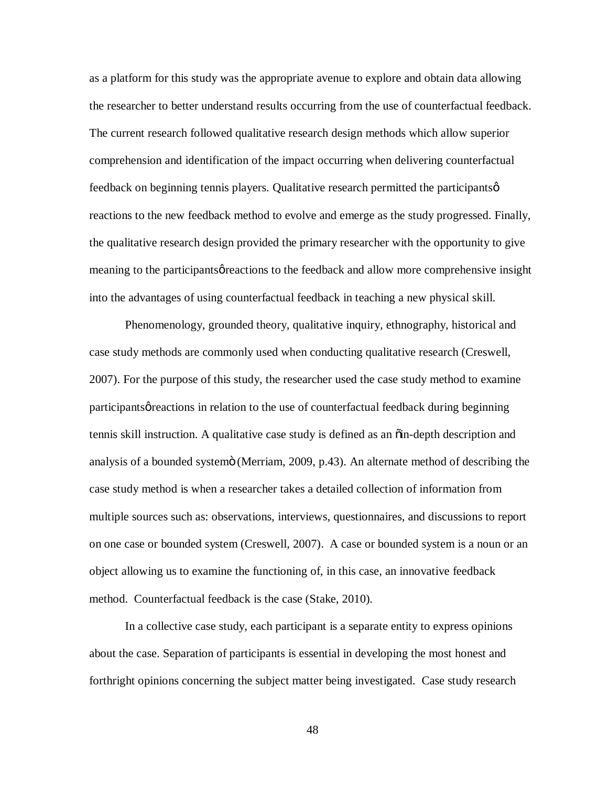as a platform for this study was the appropriate avenue to explore and obtain data allowing the researcher to better understand results occurring from the use of counterfactual feedback. The current research followed qualitative research design methods which allow superior comprehension and identification of the impact occurring when delivering counterfactual feedback on beginning tennis players. Qualitative research permitted the participants  $\varphi$ reactions to the new feedback method to evolve and emerge as the study progressed. Finally, the qualitative research design provided the primary researcher with the opportunity to give meaning to the participants of reactions to the feedback and allow more comprehensive insight into the advantages of using counterfactual feedback in teaching a new physical skill.

Phenomenology, grounded theory, qualitative inquiry, ethnography, historical and case study methods are commonly used when conducting qualitative research (Creswell, 2007). For the purpose of this study, the researcher used the case study method to examine participants *g* reactions in relation to the use of counterfactual feedback during beginning tennis skill instruction. A qualitative case study is defined as an "in-depth description and analysis of a bounded systemö (Merriam, 2009, p.43). An alternate method of describing the case study method is when a researcher takes a detailed collection of information from multiple sources such as: observations, interviews, questionnaires, and discussions to report on one case or bounded system (Creswell, 2007). A case or bounded system is a noun or an object allowing us to examine the functioning of, in this case, an innovative feedback method. Counterfactual feedback is the case (Stake, 2010).

In a collective case study, each participant is a separate entity to express opinions about the case. Separation of participants is essential in developing the most honest and forthright opinions concerning the subject matter being investigated. Case study research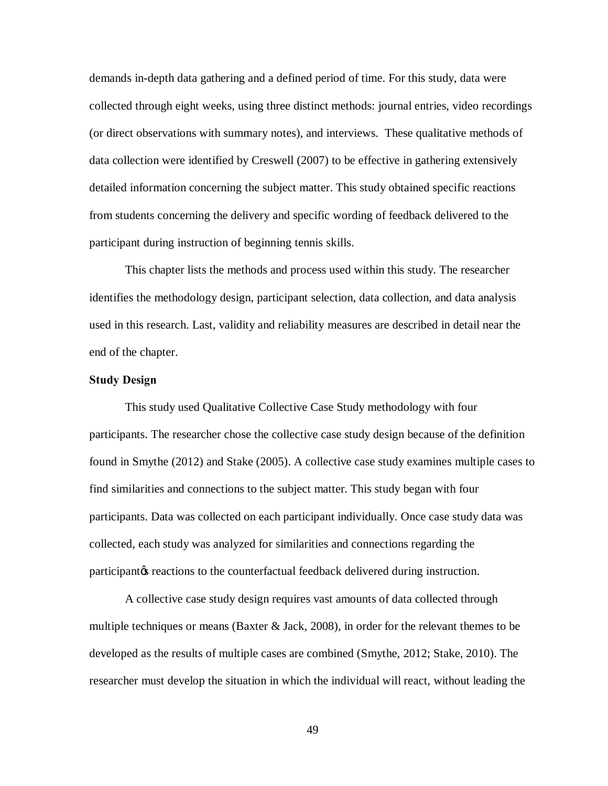demands in-depth data gathering and a defined period of time. For this study, data were collected through eight weeks, using three distinct methods: journal entries, video recordings (or direct observations with summary notes), and interviews. These qualitative methods of data collection were identified by Creswell (2007) to be effective in gathering extensively detailed information concerning the subject matter. This study obtained specific reactions from students concerning the delivery and specific wording of feedback delivered to the participant during instruction of beginning tennis skills.

This chapter lists the methods and process used within this study. The researcher identifies the methodology design, participant selection, data collection, and data analysis used in this research. Last, validity and reliability measures are described in detail near the end of the chapter.

### **Study Design**

This study used Qualitative Collective Case Study methodology with four participants. The researcher chose the collective case study design because of the definition found in Smythe (2012) and Stake (2005). A collective case study examines multiple cases to find similarities and connections to the subject matter. This study began with four participants. Data was collected on each participant individually. Once case study data was collected, each study was analyzed for similarities and connections regarding the participant to reactions to the counterfactual feedback delivered during instruction.

A collective case study design requires vast amounts of data collected through multiple techniques or means (Baxter & Jack, 2008), in order for the relevant themes to be developed as the results of multiple cases are combined (Smythe, 2012; Stake, 2010). The researcher must develop the situation in which the individual will react, without leading the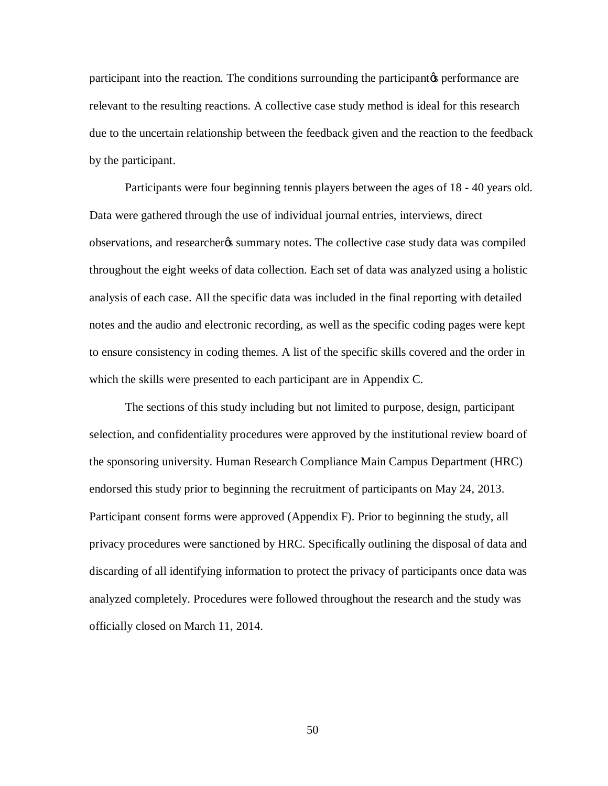participant into the reaction. The conditions surrounding the participant to performance are relevant to the resulting reactions. A collective case study method is ideal for this research due to the uncertain relationship between the feedback given and the reaction to the feedback by the participant.

Participants were four beginning tennis players between the ages of 18 - 40 years old. Data were gathered through the use of individual journal entries, interviews, direct observations, and researcheros summary notes. The collective case study data was compiled throughout the eight weeks of data collection. Each set of data was analyzed using a holistic analysis of each case. All the specific data was included in the final reporting with detailed notes and the audio and electronic recording, as well as the specific coding pages were kept to ensure consistency in coding themes. A list of the specific skills covered and the order in which the skills were presented to each participant are in Appendix C.

The sections of this study including but not limited to purpose, design, participant selection, and confidentiality procedures were approved by the institutional review board of the sponsoring university. Human Research Compliance Main Campus Department (HRC) endorsed this study prior to beginning the recruitment of participants on May 24, 2013. Participant consent forms were approved (Appendix F). Prior to beginning the study, all privacy procedures were sanctioned by HRC. Specifically outlining the disposal of data and discarding of all identifying information to protect the privacy of participants once data was analyzed completely. Procedures were followed throughout the research and the study was officially closed on March 11, 2014.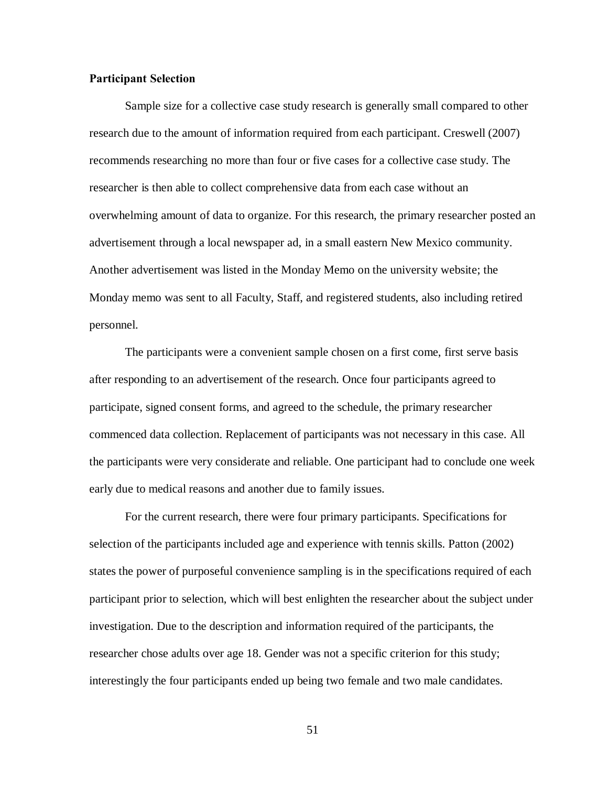# **Participant Selection**

Sample size for a collective case study research is generally small compared to other research due to the amount of information required from each participant. Creswell (2007) recommends researching no more than four or five cases for a collective case study. The researcher is then able to collect comprehensive data from each case without an overwhelming amount of data to organize. For this research, the primary researcher posted an advertisement through a local newspaper ad, in a small eastern New Mexico community. Another advertisement was listed in the Monday Memo on the university website; the Monday memo was sent to all Faculty, Staff, and registered students, also including retired personnel.

The participants were a convenient sample chosen on a first come, first serve basis after responding to an advertisement of the research. Once four participants agreed to participate, signed consent forms, and agreed to the schedule, the primary researcher commenced data collection. Replacement of participants was not necessary in this case. All the participants were very considerate and reliable. One participant had to conclude one week early due to medical reasons and another due to family issues.

For the current research, there were four primary participants. Specifications for selection of the participants included age and experience with tennis skills. Patton (2002) states the power of purposeful convenience sampling is in the specifications required of each participant prior to selection, which will best enlighten the researcher about the subject under investigation. Due to the description and information required of the participants, the researcher chose adults over age 18. Gender was not a specific criterion for this study; interestingly the four participants ended up being two female and two male candidates.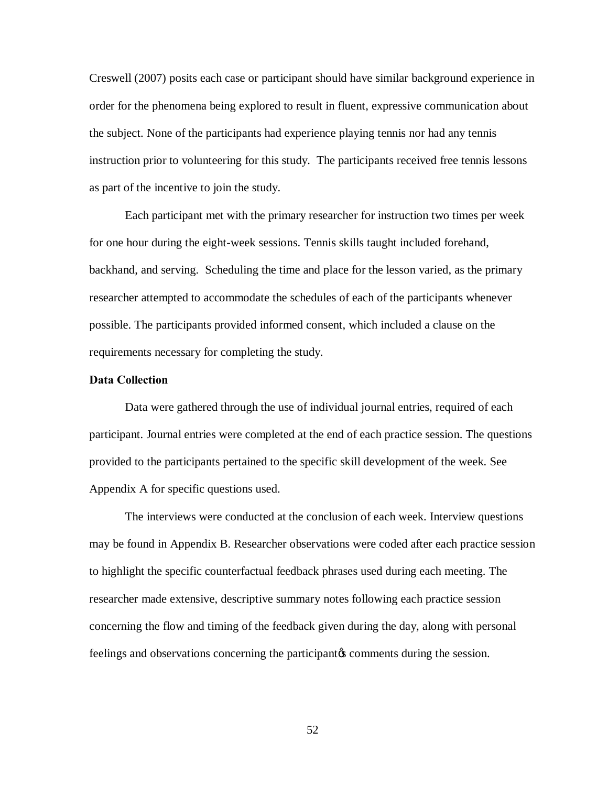Creswell (2007) posits each case or participant should have similar background experience in order for the phenomena being explored to result in fluent, expressive communication about the subject. None of the participants had experience playing tennis nor had any tennis instruction prior to volunteering for this study. The participants received free tennis lessons as part of the incentive to join the study.

Each participant met with the primary researcher for instruction two times per week for one hour during the eight-week sessions. Tennis skills taught included forehand, backhand, and serving. Scheduling the time and place for the lesson varied, as the primary researcher attempted to accommodate the schedules of each of the participants whenever possible. The participants provided informed consent, which included a clause on the requirements necessary for completing the study.

## **Data Collection**

Data were gathered through the use of individual journal entries, required of each participant. Journal entries were completed at the end of each practice session. The questions provided to the participants pertained to the specific skill development of the week. See Appendix A for specific questions used.

The interviews were conducted at the conclusion of each week. Interview questions may be found in Appendix B. Researcher observations were coded after each practice session to highlight the specific counterfactual feedback phrases used during each meeting. The researcher made extensive, descriptive summary notes following each practice session concerning the flow and timing of the feedback given during the day, along with personal feelings and observations concerning the participant to comments during the session.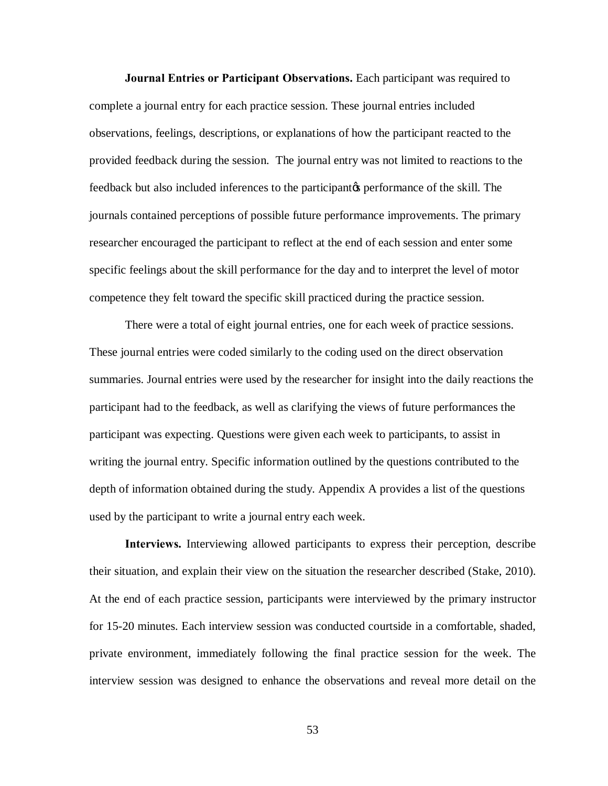**Journal Entries or Participant Observations.** Each participant was required to complete a journal entry for each practice session. These journal entries included observations, feelings, descriptions, or explanations of how the participant reacted to the provided feedback during the session. The journal entry was not limited to reactions to the feedback but also included inferences to the participant<sub>*(sight)* performance of the skill. The</sub> journals contained perceptions of possible future performance improvements. The primary researcher encouraged the participant to reflect at the end of each session and enter some specific feelings about the skill performance for the day and to interpret the level of motor competence they felt toward the specific skill practiced during the practice session.

There were a total of eight journal entries, one for each week of practice sessions. These journal entries were coded similarly to the coding used on the direct observation summaries. Journal entries were used by the researcher for insight into the daily reactions the participant had to the feedback, as well as clarifying the views of future performances the participant was expecting. Questions were given each week to participants, to assist in writing the journal entry. Specific information outlined by the questions contributed to the depth of information obtained during the study. Appendix A provides a list of the questions used by the participant to write a journal entry each week.

**Interviews.** Interviewing allowed participants to express their perception, describe their situation, and explain their view on the situation the researcher described (Stake, 2010). At the end of each practice session, participants were interviewed by the primary instructor for 15-20 minutes. Each interview session was conducted courtside in a comfortable, shaded, private environment, immediately following the final practice session for the week. The interview session was designed to enhance the observations and reveal more detail on the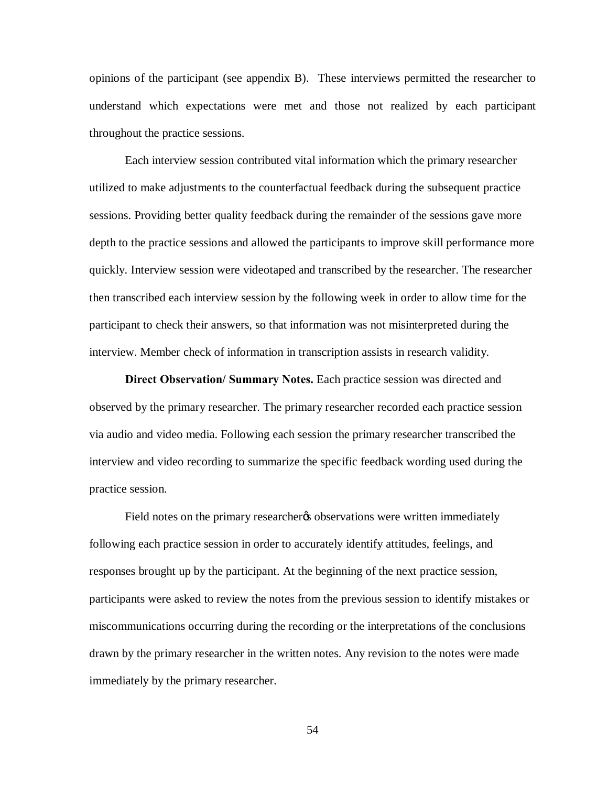opinions of the participant (see appendix B). These interviews permitted the researcher to understand which expectations were met and those not realized by each participant throughout the practice sessions.

Each interview session contributed vital information which the primary researcher utilized to make adjustments to the counterfactual feedback during the subsequent practice sessions. Providing better quality feedback during the remainder of the sessions gave more depth to the practice sessions and allowed the participants to improve skill performance more quickly. Interview session were videotaped and transcribed by the researcher. The researcher then transcribed each interview session by the following week in order to allow time for the participant to check their answers, so that information was not misinterpreted during the interview. Member check of information in transcription assists in research validity.

**Direct Observation/ Summary Notes.** Each practice session was directed and observed by the primary researcher. The primary researcher recorded each practice session via audio and video media. Following each session the primary researcher transcribed the interview and video recording to summarize the specific feedback wording used during the practice session.

Field notes on the primary researchery observations were written immediately following each practice session in order to accurately identify attitudes, feelings, and responses brought up by the participant. At the beginning of the next practice session, participants were asked to review the notes from the previous session to identify mistakes or miscommunications occurring during the recording or the interpretations of the conclusions drawn by the primary researcher in the written notes. Any revision to the notes were made immediately by the primary researcher.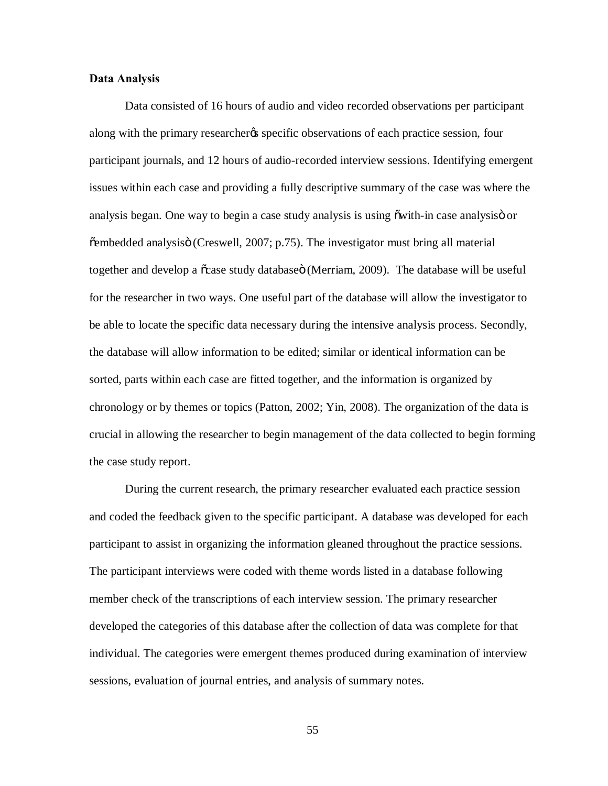# **Data Analysis**

Data consisted of 16 hours of audio and video recorded observations per participant along with the primary researcher<sub>ts</sub> specific observations of each practice session, four participant journals, and 12 hours of audio-recorded interview sessions. Identifying emergent issues within each case and providing a fully descriptive summary of the case was where the analysis began. One way to begin a case study analysis is using  $\ddot{\text{ow}}$  in case analysis or  $\tilde{\text{e}}$  embedded analysis (Creswell, 2007; p.75). The investigator must bring all material together and develop a  $\tilde{\text{c}}$  case study database (Merriam, 2009). The database will be useful for the researcher in two ways. One useful part of the database will allow the investigator to be able to locate the specific data necessary during the intensive analysis process. Secondly, the database will allow information to be edited; similar or identical information can be sorted, parts within each case are fitted together, and the information is organized by chronology or by themes or topics (Patton, 2002; Yin, 2008). The organization of the data is crucial in allowing the researcher to begin management of the data collected to begin forming the case study report.

During the current research, the primary researcher evaluated each practice session and coded the feedback given to the specific participant. A database was developed for each participant to assist in organizing the information gleaned throughout the practice sessions. The participant interviews were coded with theme words listed in a database following member check of the transcriptions of each interview session. The primary researcher developed the categories of this database after the collection of data was complete for that individual. The categories were emergent themes produced during examination of interview sessions, evaluation of journal entries, and analysis of summary notes.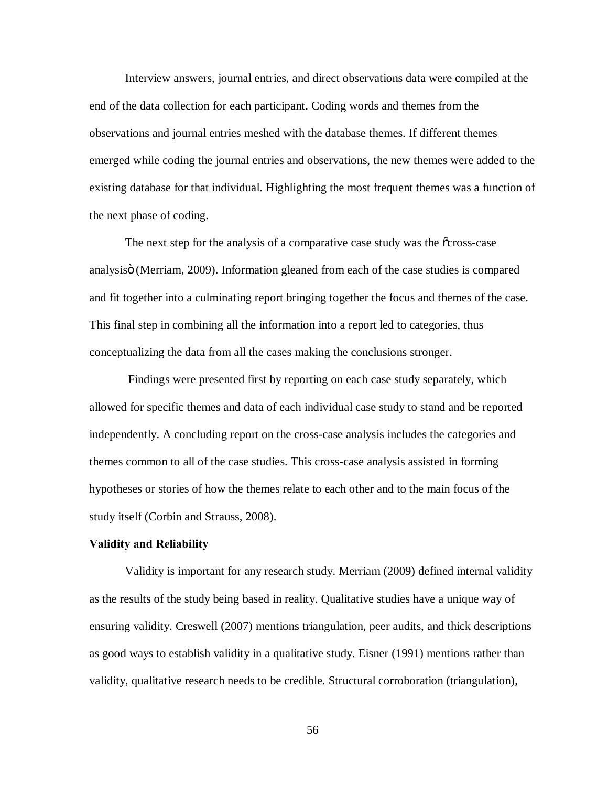Interview answers, journal entries, and direct observations data were compiled at the end of the data collection for each participant. Coding words and themes from the observations and journal entries meshed with the database themes. If different themes emerged while coding the journal entries and observations, the new themes were added to the existing database for that individual. Highlighting the most frequent themes was a function of the next phase of coding.

The next step for the analysis of a comparative case study was the  $\tilde{\text{c}}$ cross-case analysis (Merriam, 2009). Information gleaned from each of the case studies is compared and fit together into a culminating report bringing together the focus and themes of the case. This final step in combining all the information into a report led to categories, thus conceptualizing the data from all the cases making the conclusions stronger.

Findings were presented first by reporting on each case study separately, which allowed for specific themes and data of each individual case study to stand and be reported independently. A concluding report on the cross-case analysis includes the categories and themes common to all of the case studies. This cross-case analysis assisted in forming hypotheses or stories of how the themes relate to each other and to the main focus of the study itself (Corbin and Strauss, 2008).

# **Validity and Reliability**

Validity is important for any research study. Merriam (2009) defined internal validity as the results of the study being based in reality. Qualitative studies have a unique way of ensuring validity. Creswell (2007) mentions triangulation, peer audits, and thick descriptions as good ways to establish validity in a qualitative study. Eisner (1991) mentions rather than validity, qualitative research needs to be credible. Structural corroboration (triangulation),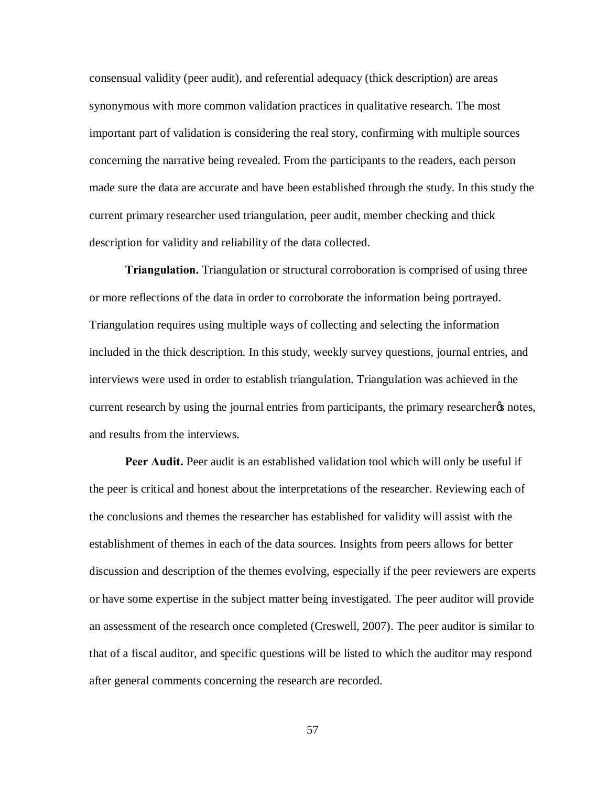consensual validity (peer audit), and referential adequacy (thick description) are areas synonymous with more common validation practices in qualitative research. The most important part of validation is considering the real story, confirming with multiple sources concerning the narrative being revealed. From the participants to the readers, each person made sure the data are accurate and have been established through the study. In this study the current primary researcher used triangulation, peer audit, member checking and thick description for validity and reliability of the data collected.

**Triangulation.** Triangulation or structural corroboration is comprised of using three or more reflections of the data in order to corroborate the information being portrayed. Triangulation requires using multiple ways of collecting and selecting the information included in the thick description. In this study, weekly survey questions, journal entries, and interviews were used in order to establish triangulation. Triangulation was achieved in the current research by using the journal entries from participants, the primary researcher to notes, and results from the interviews.

**Peer Audit.** Peer audit is an established validation tool which will only be useful if the peer is critical and honest about the interpretations of the researcher. Reviewing each of the conclusions and themes the researcher has established for validity will assist with the establishment of themes in each of the data sources. Insights from peers allows for better discussion and description of the themes evolving, especially if the peer reviewers are experts or have some expertise in the subject matter being investigated. The peer auditor will provide an assessment of the research once completed (Creswell, 2007). The peer auditor is similar to that of a fiscal auditor, and specific questions will be listed to which the auditor may respond after general comments concerning the research are recorded.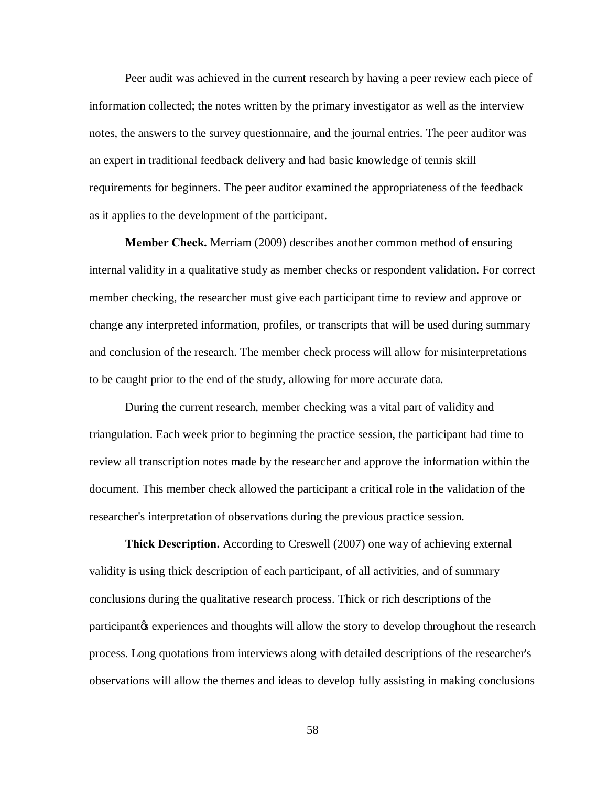Peer audit was achieved in the current research by having a peer review each piece of information collected; the notes written by the primary investigator as well as the interview notes, the answers to the survey questionnaire, and the journal entries. The peer auditor was an expert in traditional feedback delivery and had basic knowledge of tennis skill requirements for beginners. The peer auditor examined the appropriateness of the feedback as it applies to the development of the participant.

**Member Check.** Merriam (2009) describes another common method of ensuring internal validity in a qualitative study as member checks or respondent validation. For correct member checking, the researcher must give each participant time to review and approve or change any interpreted information, profiles, or transcripts that will be used during summary and conclusion of the research. The member check process will allow for misinterpretations to be caught prior to the end of the study, allowing for more accurate data.

During the current research, member checking was a vital part of validity and triangulation. Each week prior to beginning the practice session, the participant had time to review all transcription notes made by the researcher and approve the information within the document. This member check allowed the participant a critical role in the validation of the researcher's interpretation of observations during the previous practice session.

**Thick Description.** According to Creswell (2007) one way of achieving external validity is using thick description of each participant, of all activities, and of summary conclusions during the qualitative research process. Thick or rich descriptions of the participant the experiences and thoughts will allow the story to develop throughout the research process. Long quotations from interviews along with detailed descriptions of the researcher's observations will allow the themes and ideas to develop fully assisting in making conclusions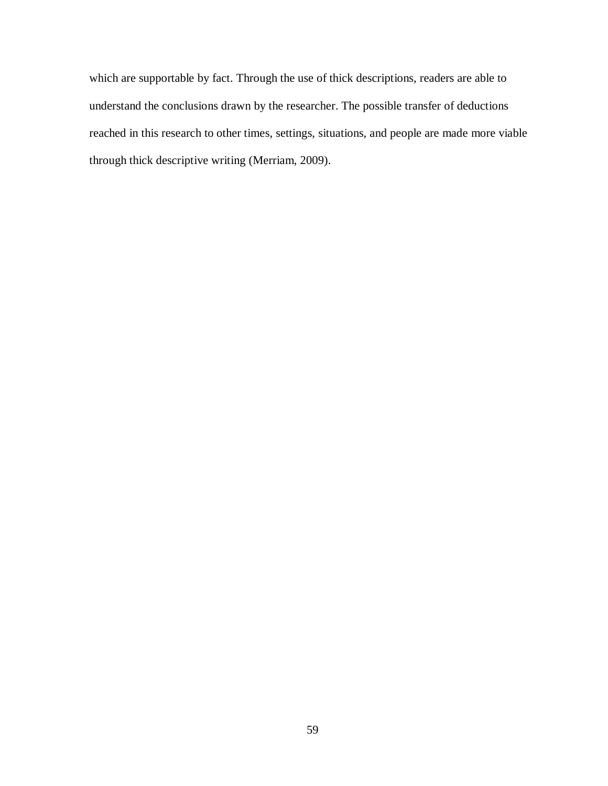which are supportable by fact. Through the use of thick descriptions, readers are able to understand the conclusions drawn by the researcher. The possible transfer of deductions reached in this research to other times, settings, situations, and people are made more viable through thick descriptive writing (Merriam, 2009).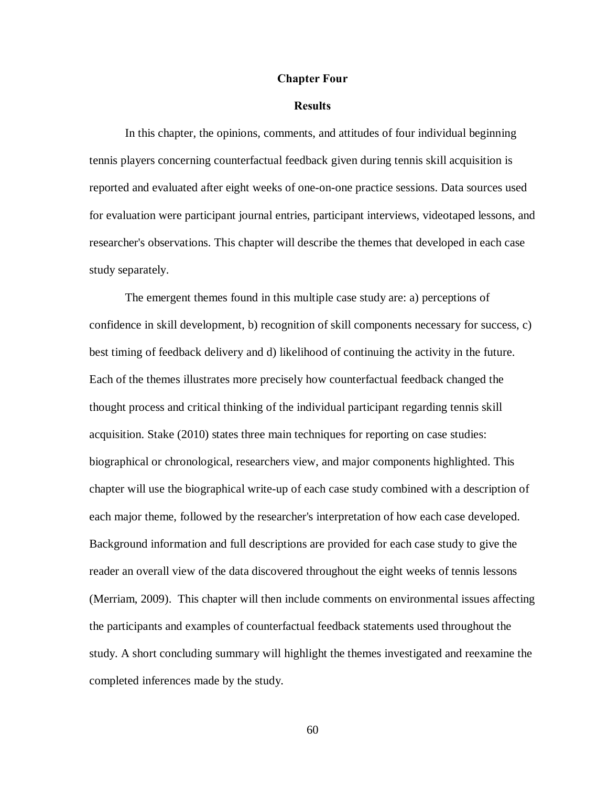#### **Chapter Four**

### **Results**

In this chapter, the opinions, comments, and attitudes of four individual beginning tennis players concerning counterfactual feedback given during tennis skill acquisition is reported and evaluated after eight weeks of one-on-one practice sessions. Data sources used for evaluation were participant journal entries, participant interviews, videotaped lessons, and researcher's observations. This chapter will describe the themes that developed in each case study separately.

The emergent themes found in this multiple case study are: a) perceptions of confidence in skill development, b) recognition of skill components necessary for success, c) best timing of feedback delivery and d) likelihood of continuing the activity in the future. Each of the themes illustrates more precisely how counterfactual feedback changed the thought process and critical thinking of the individual participant regarding tennis skill acquisition. Stake (2010) states three main techniques for reporting on case studies: biographical or chronological, researchers view, and major components highlighted. This chapter will use the biographical write-up of each case study combined with a description of each major theme, followed by the researcher's interpretation of how each case developed. Background information and full descriptions are provided for each case study to give the reader an overall view of the data discovered throughout the eight weeks of tennis lessons (Merriam, 2009). This chapter will then include comments on environmental issues affecting the participants and examples of counterfactual feedback statements used throughout the study. A short concluding summary will highlight the themes investigated and reexamine the completed inferences made by the study.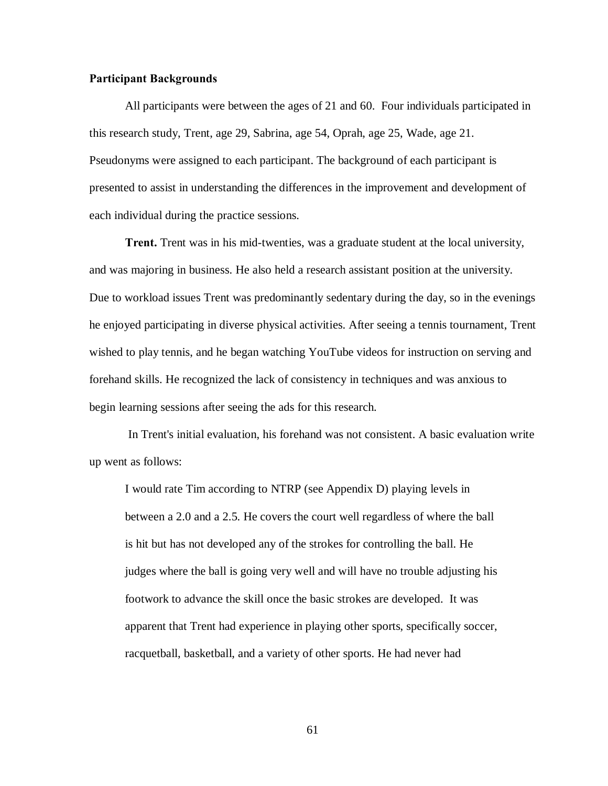# **Participant Backgrounds**

All participants were between the ages of 21 and 60. Four individuals participated in this research study, Trent, age 29, Sabrina, age 54, Oprah, age 25, Wade, age 21. Pseudonyms were assigned to each participant. The background of each participant is presented to assist in understanding the differences in the improvement and development of each individual during the practice sessions.

**Trent.** Trent was in his mid-twenties, was a graduate student at the local university, and was majoring in business. He also held a research assistant position at the university. Due to workload issues Trent was predominantly sedentary during the day, so in the evenings he enjoyed participating in diverse physical activities. After seeing a tennis tournament, Trent wished to play tennis, and he began watching YouTube videos for instruction on serving and forehand skills. He recognized the lack of consistency in techniques and was anxious to begin learning sessions after seeing the ads for this research.

In Trent's initial evaluation, his forehand was not consistent. A basic evaluation write up went as follows:

I would rate Tim according to NTRP (see Appendix D) playing levels in between a 2.0 and a 2.5. He covers the court well regardless of where the ball is hit but has not developed any of the strokes for controlling the ball. He judges where the ball is going very well and will have no trouble adjusting his footwork to advance the skill once the basic strokes are developed. It was apparent that Trent had experience in playing other sports, specifically soccer, racquetball, basketball, and a variety of other sports. He had never had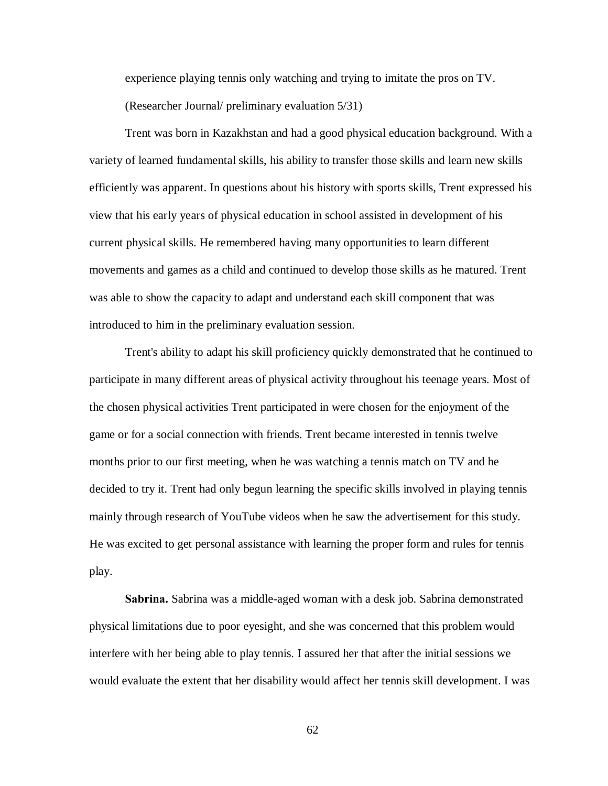experience playing tennis only watching and trying to imitate the pros on TV. (Researcher Journal/ preliminary evaluation 5/31)

Trent was born in Kazakhstan and had a good physical education background. With a variety of learned fundamental skills, his ability to transfer those skills and learn new skills efficiently was apparent. In questions about his history with sports skills, Trent expressed his view that his early years of physical education in school assisted in development of his current physical skills. He remembered having many opportunities to learn different movements and games as a child and continued to develop those skills as he matured. Trent was able to show the capacity to adapt and understand each skill component that was introduced to him in the preliminary evaluation session.

Trent's ability to adapt his skill proficiency quickly demonstrated that he continued to participate in many different areas of physical activity throughout his teenage years. Most of the chosen physical activities Trent participated in were chosen for the enjoyment of the game or for a social connection with friends. Trent became interested in tennis twelve months prior to our first meeting, when he was watching a tennis match on TV and he decided to try it. Trent had only begun learning the specific skills involved in playing tennis mainly through research of YouTube videos when he saw the advertisement for this study. He was excited to get personal assistance with learning the proper form and rules for tennis play.

**Sabrina.** Sabrina was a middle-aged woman with a desk job. Sabrina demonstrated physical limitations due to poor eyesight, and she was concerned that this problem would interfere with her being able to play tennis. I assured her that after the initial sessions we would evaluate the extent that her disability would affect her tennis skill development. I was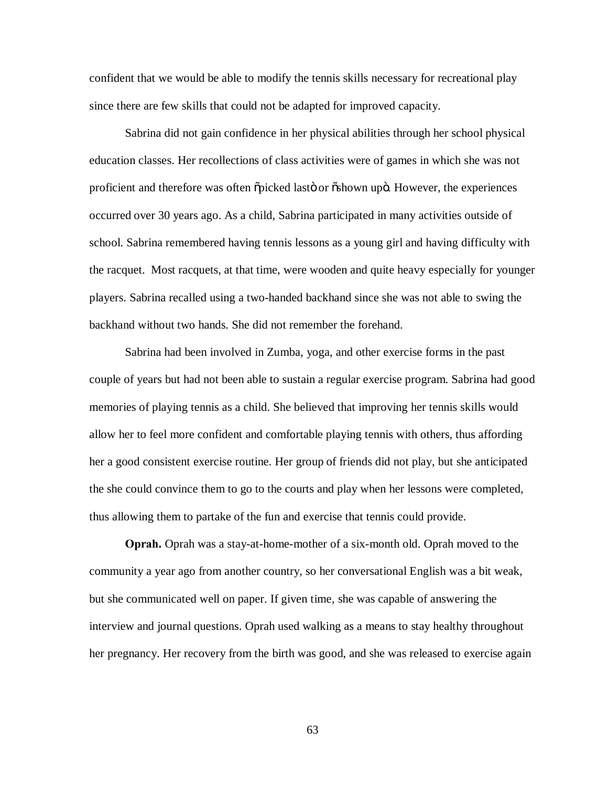confident that we would be able to modify the tennis skills necessary for recreational play since there are few skills that could not be adapted for improved capacity.

Sabrina did not gain confidence in her physical abilities through her school physical education classes. Her recollections of class activities were of games in which she was not proficient and therefore was often  $\tilde{p}$  picked lasto or  $\tilde{p}$  oshown upo. However, the experiences occurred over 30 years ago. As a child, Sabrina participated in many activities outside of school. Sabrina remembered having tennis lessons as a young girl and having difficulty with the racquet. Most racquets, at that time, were wooden and quite heavy especially for younger players. Sabrina recalled using a two-handed backhand since she was not able to swing the backhand without two hands. She did not remember the forehand.

Sabrina had been involved in Zumba, yoga, and other exercise forms in the past couple of years but had not been able to sustain a regular exercise program. Sabrina had good memories of playing tennis as a child. She believed that improving her tennis skills would allow her to feel more confident and comfortable playing tennis with others, thus affording her a good consistent exercise routine. Her group of friends did not play, but she anticipated the she could convince them to go to the courts and play when her lessons were completed, thus allowing them to partake of the fun and exercise that tennis could provide.

**Oprah.** Oprah was a stay-at-home-mother of a six-month old. Oprah moved to the community a year ago from another country, so her conversational English was a bit weak, but she communicated well on paper. If given time, she was capable of answering the interview and journal questions. Oprah used walking as a means to stay healthy throughout her pregnancy. Her recovery from the birth was good, and she was released to exercise again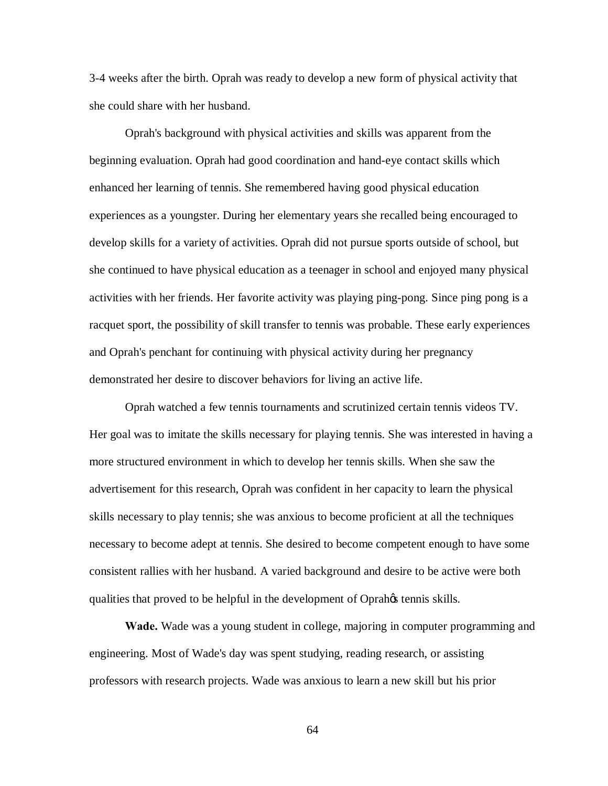3-4 weeks after the birth. Oprah was ready to develop a new form of physical activity that she could share with her husband.

Oprah's background with physical activities and skills was apparent from the beginning evaluation. Oprah had good coordination and hand-eye contact skills which enhanced her learning of tennis. She remembered having good physical education experiences as a youngster. During her elementary years she recalled being encouraged to develop skills for a variety of activities. Oprah did not pursue sports outside of school, but she continued to have physical education as a teenager in school and enjoyed many physical activities with her friends. Her favorite activity was playing ping-pong. Since ping pong is a racquet sport, the possibility of skill transfer to tennis was probable. These early experiences and Oprah's penchant for continuing with physical activity during her pregnancy demonstrated her desire to discover behaviors for living an active life.

Oprah watched a few tennis tournaments and scrutinized certain tennis videos TV. Her goal was to imitate the skills necessary for playing tennis. She was interested in having a more structured environment in which to develop her tennis skills. When she saw the advertisement for this research, Oprah was confident in her capacity to learn the physical skills necessary to play tennis; she was anxious to become proficient at all the techniques necessary to become adept at tennis. She desired to become competent enough to have some consistent rallies with her husband. A varied background and desire to be active were both qualities that proved to be helpful in the development of Oprah $\alpha$  tennis skills.

**Wade.** Wade was a young student in college, majoring in computer programming and engineering. Most of Wade's day was spent studying, reading research, or assisting professors with research projects. Wade was anxious to learn a new skill but his prior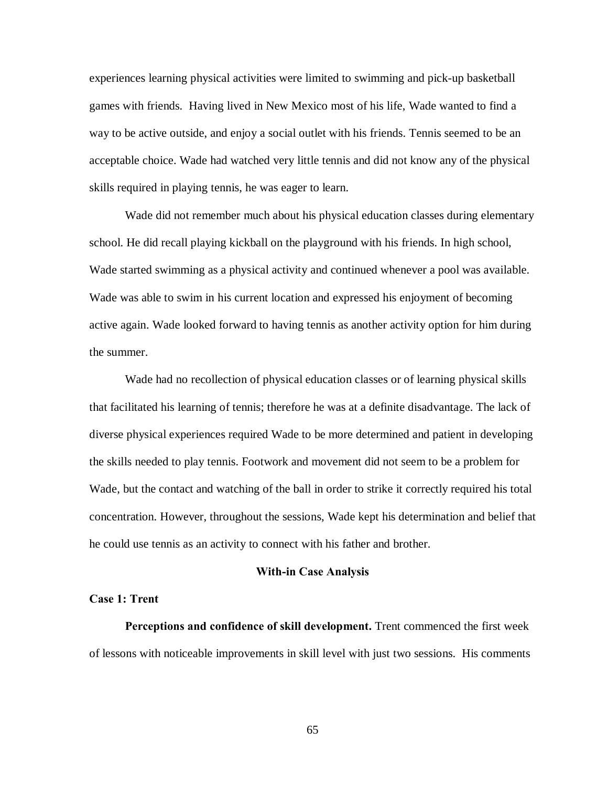experiences learning physical activities were limited to swimming and pick-up basketball games with friends. Having lived in New Mexico most of his life, Wade wanted to find a way to be active outside, and enjoy a social outlet with his friends. Tennis seemed to be an acceptable choice. Wade had watched very little tennis and did not know any of the physical skills required in playing tennis, he was eager to learn.

Wade did not remember much about his physical education classes during elementary school. He did recall playing kickball on the playground with his friends. In high school, Wade started swimming as a physical activity and continued whenever a pool was available. Wade was able to swim in his current location and expressed his enjoyment of becoming active again. Wade looked forward to having tennis as another activity option for him during the summer.

Wade had no recollection of physical education classes or of learning physical skills that facilitated his learning of tennis; therefore he was at a definite disadvantage. The lack of diverse physical experiences required Wade to be more determined and patient in developing the skills needed to play tennis. Footwork and movement did not seem to be a problem for Wade, but the contact and watching of the ball in order to strike it correctly required his total concentration. However, throughout the sessions, Wade kept his determination and belief that he could use tennis as an activity to connect with his father and brother.

#### **With-in Case Analysis**

# **Case 1: Trent**

**Perceptions and confidence of skill development.** Trent commenced the first week of lessons with noticeable improvements in skill level with just two sessions. His comments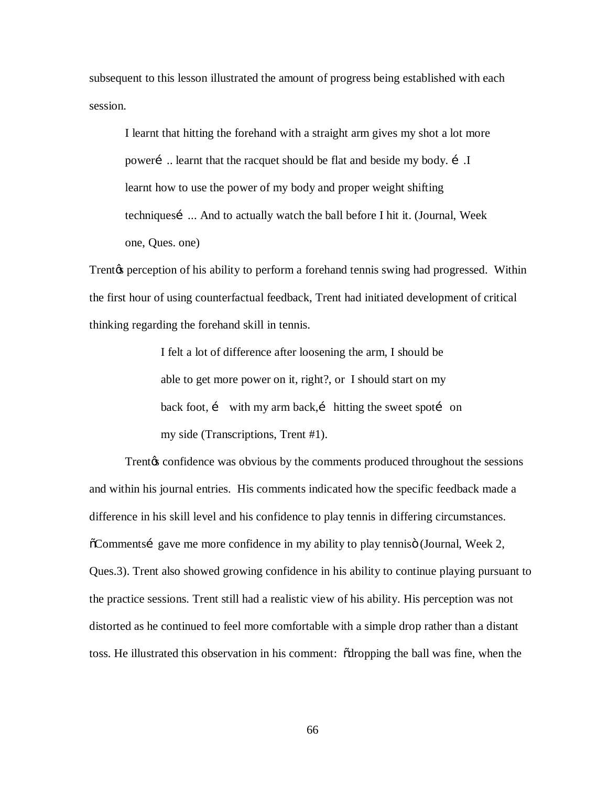subsequent to this lesson illustrated the amount of progress being established with each session.

I learnt that hitting the forehand with a straight arm gives my shot a lot more poweri ... learnt that the racquet should be flat and beside my body. i. I learnt how to use the power of my body and proper weight shifting techniques…... And to actually watch the ball before I hit it. (Journal, Week one, Ques. one)

Trent<sub>h</sub> perception of his ability to perform a forehand tennis swing had progressed. Within the first hour of using counterfactual feedback, Trent had initiated development of critical thinking regarding the forehand skill in tennis.

> I felt a lot of difference after loosening the arm, I should be able to get more power on it, right?, or I should start on my back foot,  $i$  with my arm back, $i$  hitting the sweet spoti on my side (Transcriptions, Trent #1).

Trent<sub>h</sub> confidence was obvious by the comments produced throughout the sessions and within his journal entries. His comments indicated how the specific feedback made a difference in his skill level and his confidence to play tennis in differing circumstances.  $\delta$ Comments gave me more confidence in my ability to play tennis (Journal, Week 2, Ques.3). Trent also showed growing confidence in his ability to continue playing pursuant to the practice sessions. Trent still had a realistic view of his ability. His perception was not distorted as he continued to feel more comfortable with a simple drop rather than a distant toss. He illustrated this observation in his comment: "dropping the ball was fine, when the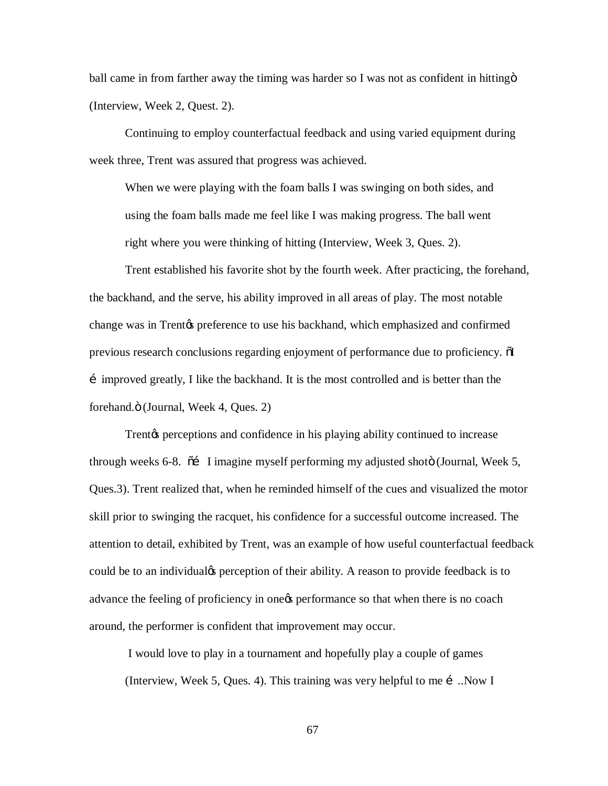ball came in from farther away the timing was harder so I was not as confident in hitting  $\ddot{\rm o}$ (Interview, Week 2, Quest. 2).

Continuing to employ counterfactual feedback and using varied equipment during week three, Trent was assured that progress was achieved.

When we were playing with the foam balls I was swinging on both sides, and using the foam balls made me feel like I was making progress. The ball went right where you were thinking of hitting (Interview, Week 3, Ques. 2).

Trent established his favorite shot by the fourth week. After practicing, the forehand, the backhand, and the serve, his ability improved in all areas of play. The most notable change was in Trent<sub>/8</sub> preference to use his backhand, which emphasized and confirmed previous research conclusions regarding enjoyment of performance due to proficiency.  $\delta I$ …improved greatly, I like the backhand. It is the most controlled and is better than the forehand. $\ddot{\text{o}}$  (Journal, Week 4, Ques. 2)

Trent<sub>h</sub> perceptions and confidence in his playing ability continued to increase through weeks 6-8.  $\tilde{\sigma}$  I imagine myself performing my adjusted shoto (Journal, Week 5, Ques.3). Trent realized that, when he reminded himself of the cues and visualized the motor skill prior to swinging the racquet, his confidence for a successful outcome increased. The attention to detail, exhibited by Trent, was an example of how useful counterfactual feedback could be to an individualy perception of their ability. A reason to provide feedback is to advance the feeling of proficiency in onegs performance so that when there is no coach around, the performer is confident that improvement may occur.

I would love to play in a tournament and hopefully play a couple of games (Interview, Week 5, Ques. 4). This training was very helpful to me  $\mathbf i$ . Now I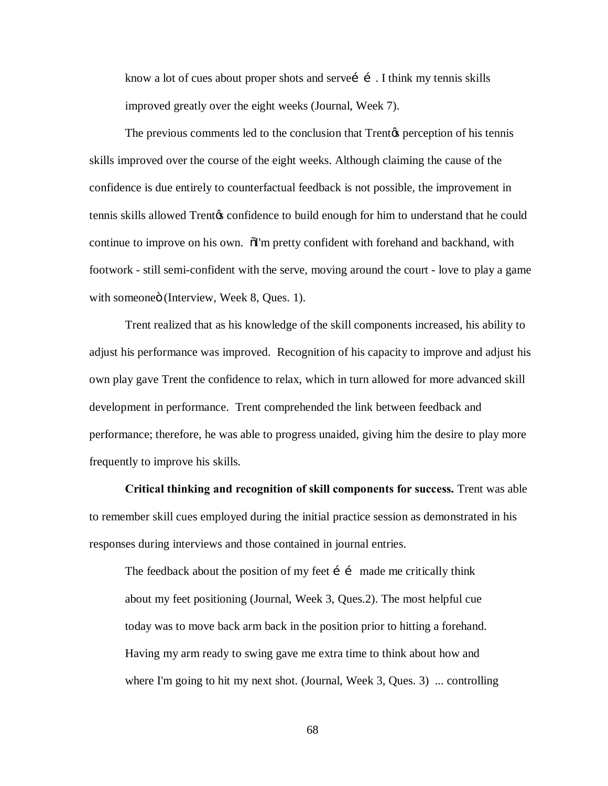know a lot of cues about proper shots and servei  $\tilde{i}$ . I think my tennis skills improved greatly over the eight weeks (Journal, Week 7).

The previous comments led to the conclusion that Trent<sub>®</sub> perception of his tennis skills improved over the course of the eight weeks. Although claiming the cause of the confidence is due entirely to counterfactual feedback is not possible, the improvement in tennis skills allowed Trentos confidence to build enough for him to understand that he could continue to improve on his own.  $\delta$ I'm pretty confident with forehand and backhand, with footwork - still semi-confident with the serve, moving around the court - love to play a game with someoneö (Interview, Week 8, Ques. 1).

Trent realized that as his knowledge of the skill components increased, his ability to adjust his performance was improved. Recognition of his capacity to improve and adjust his own play gave Trent the confidence to relax, which in turn allowed for more advanced skill development in performance. Trent comprehended the link between feedback and performance; therefore, he was able to progress unaided, giving him the desire to play more frequently to improve his skills.

**Critical thinking and recognition of skill components for success.** Trent was able to remember skill cues employed during the initial practice session as demonstrated in his responses during interviews and those contained in journal entries.

The feedback about the position of my feet  $\mathbf{i}$  inde me critically think about my feet positioning (Journal, Week 3, Ques.2). The most helpful cue today was to move back arm back in the position prior to hitting a forehand. Having my arm ready to swing gave me extra time to think about how and where I'm going to hit my next shot. (Journal, Week 3, Ques. 3) ... controlling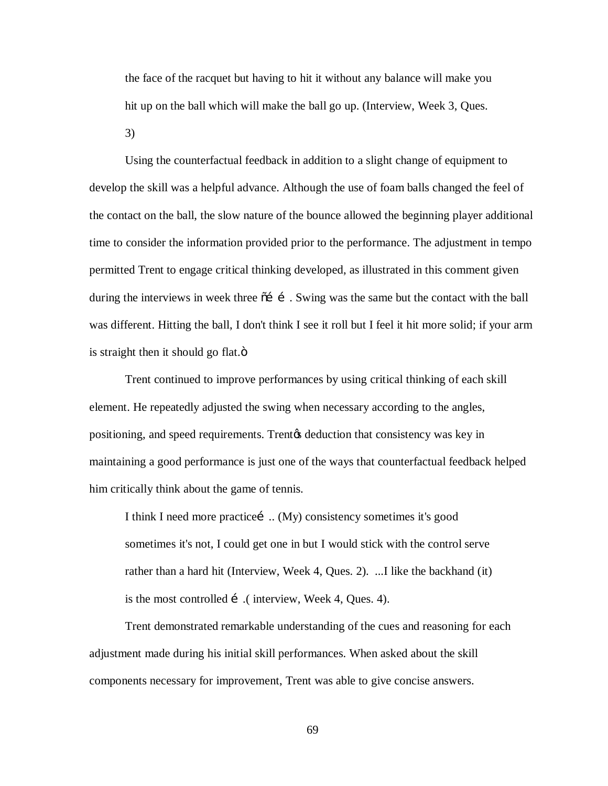the face of the racquet but having to hit it without any balance will make you hit up on the ball which will make the ball go up. (Interview, Week 3, Ques.

3)

Using the counterfactual feedback in addition to a slight change of equipment to develop the skill was a helpful advance. Although the use of foam balls changed the feel of the contact on the ball, the slow nature of the bounce allowed the beginning player additional time to consider the information provided prior to the performance. The adjustment in tempo permitted Trent to engage critical thinking developed, as illustrated in this comment given during the interviews in week three  $\tilde{0}$  i . Swing was the same but the contact with the ball was different. Hitting the ball, I don't think I see it roll but I feel it hit more solid; if your arm is straight then it should go flat. $\ddot{\text{o}}$ 

Trent continued to improve performances by using critical thinking of each skill element. He repeatedly adjusted the swing when necessary according to the angles, positioning, and speed requirements. Trent<sub>of</sub> deduction that consistency was key in maintaining a good performance is just one of the ways that counterfactual feedback helped him critically think about the game of tennis.

I think I need more practice ... (My) consistency sometimes it's good sometimes it's not, I could get one in but I would stick with the control serve rather than a hard hit (Interview, Week 4, Ques. 2). ...I like the backhand (it) is the most controlled  $\mathbf{i}$  (interview, Week 4, Ques. 4).

Trent demonstrated remarkable understanding of the cues and reasoning for each adjustment made during his initial skill performances. When asked about the skill components necessary for improvement, Trent was able to give concise answers.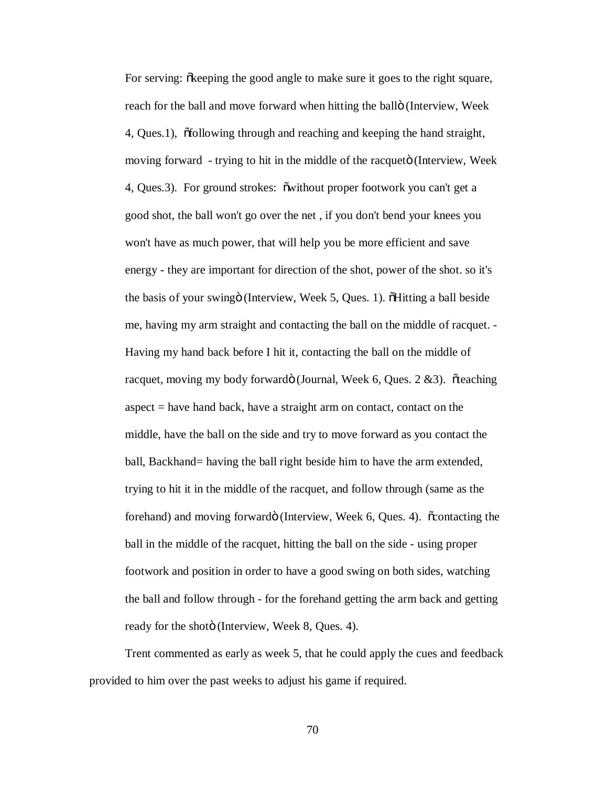For serving:  $\delta$  keeping the good angle to make sure it goes to the right square, reach for the ball and move forward when hitting the ballö (Interview, Week 4, Ques.1), "following through and reaching and keeping the hand straight, moving forward - trying to hit in the middle of the racqueto (Interview, Week 4, Ques. 3). For ground strokes:  $\tilde{\text{ow}}$  ithout proper footwork you can't get a good shot, the ball won't go over the net , if you don't bend your knees you won't have as much power, that will help you be more efficient and save energy - they are important for direction of the shot, power of the shot. so it's the basis of your swing i (Interview, Week 5, Ques. 1). This a ball beside me, having my arm straight and contacting the ball on the middle of racquet. - Having my hand back before I hit it, contacting the ball on the middle of racquet, moving my body forwardö (Journal, Week 6, Ques. 2 &3). õteaching aspect = have hand back, have a straight arm on contact, contact on the middle, have the ball on the side and try to move forward as you contact the ball, Backhand= having the ball right beside him to have the arm extended, trying to hit it in the middle of the racquet, and follow through (same as the forehand) and moving forwardo (Interview, Week 6, Ques. 4).  $\ddot{\text{contacting}}$  the ball in the middle of the racquet, hitting the ball on the side - using proper footwork and position in order to have a good swing on both sides, watching the ball and follow through - for the forehand getting the arm back and getting ready for the shotö (Interview, Week 8, Ques. 4).

Trent commented as early as week 5, that he could apply the cues and feedback provided to him over the past weeks to adjust his game if required.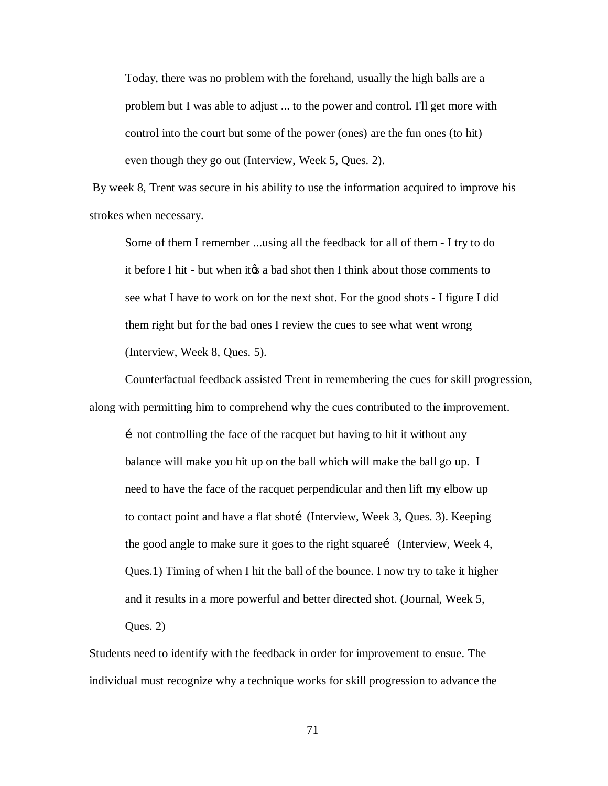Today, there was no problem with the forehand, usually the high balls are a problem but I was able to adjust ... to the power and control. I'll get more with control into the court but some of the power (ones) are the fun ones (to hit) even though they go out (Interview, Week 5, Ques. 2).

By week 8, Trent was secure in his ability to use the information acquired to improve his strokes when necessary.

Some of them I remember ...using all the feedback for all of them - I try to do it before I hit - but when it is a bad shot then I think about those comments to see what I have to work on for the next shot. For the good shots - I figure I did them right but for the bad ones I review the cues to see what went wrong (Interview, Week 8, Ques. 5).

Counterfactual feedback assisted Trent in remembering the cues for skill progression, along with permitting him to comprehend why the cues contributed to the improvement.

i not controlling the face of the racquet but having to hit it without any balance will make you hit up on the ball which will make the ball go up. I need to have the face of the racquet perpendicular and then lift my elbow up to contact point and have a flat shotí (Interview, Week 3, Ques. 3). Keeping the good angle to make sure it goes to the right square… (Interview, Week 4, Ques.1) Timing of when I hit the ball of the bounce. I now try to take it higher and it results in a more powerful and better directed shot. (Journal, Week 5, Ques. 2)

Students need to identify with the feedback in order for improvement to ensue. The individual must recognize why a technique works for skill progression to advance the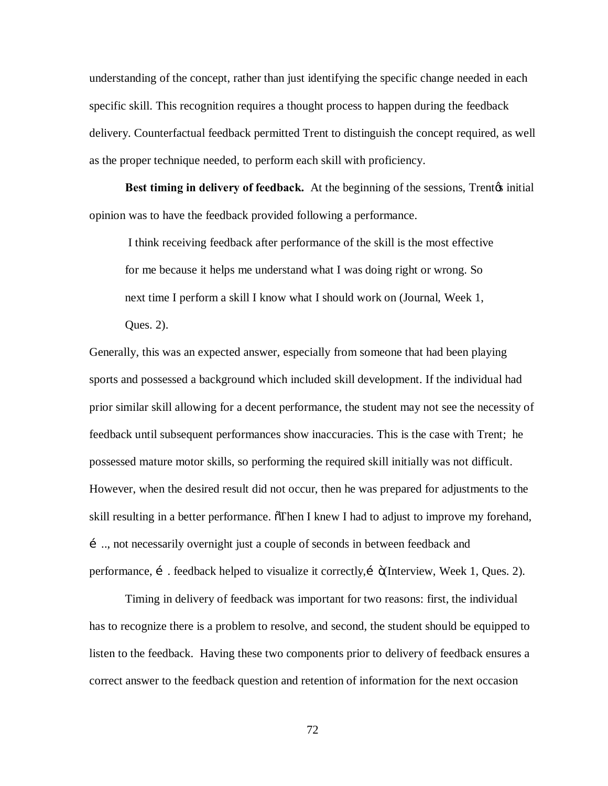understanding of the concept, rather than just identifying the specific change needed in each specific skill. This recognition requires a thought process to happen during the feedback delivery. Counterfactual feedback permitted Trent to distinguish the concept required, as well as the proper technique needed, to perform each skill with proficiency.

**Best timing in delivery of feedback.** At the beginning of the sessions, Trent<sub>*i*s</sub> initial opinion was to have the feedback provided following a performance.

I think receiving feedback after performance of the skill is the most effective for me because it helps me understand what I was doing right or wrong. So next time I perform a skill I know what I should work on (Journal, Week 1,

Ques. 2).

Generally, this was an expected answer, especially from someone that had been playing sports and possessed a background which included skill development. If the individual had prior similar skill allowing for a decent performance, the student may not see the necessity of feedback until subsequent performances show inaccuracies. This is the case with Trent; he possessed mature motor skills, so performing the required skill initially was not difficult. However, when the desired result did not occur, then he was prepared for adjustments to the skill resulting in a better performance. Then I knew I had to adjust to improve my forehand, ….., not necessarily overnight just a couple of seconds in between feedback and performance,  $\mathbf{i}$ . feedback helped to visualize it correctly,  $\mathbf{i}$  (Interview, Week 1, Ques. 2).

Timing in delivery of feedback was important for two reasons: first, the individual has to recognize there is a problem to resolve, and second, the student should be equipped to listen to the feedback. Having these two components prior to delivery of feedback ensures a correct answer to the feedback question and retention of information for the next occasion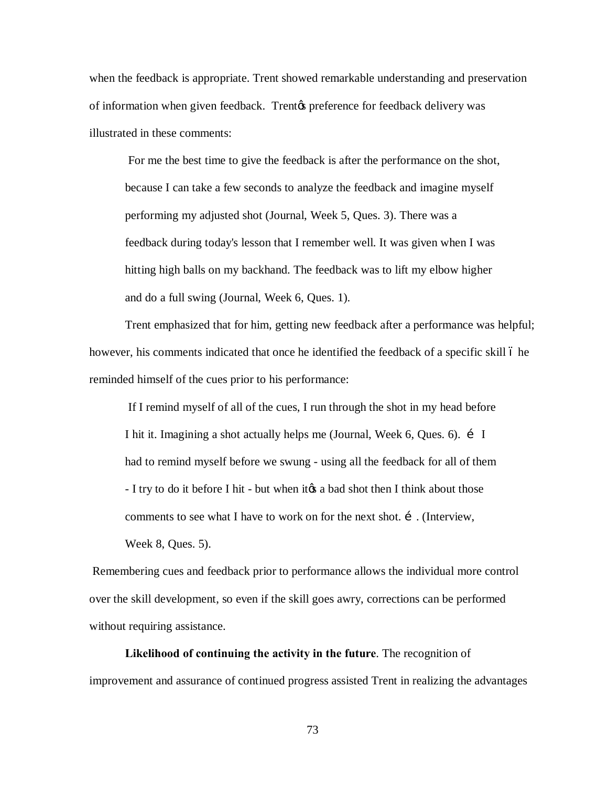when the feedback is appropriate. Trent showed remarkable understanding and preservation of information when given feedback. Trentøs preference for feedback delivery was illustrated in these comments:

For me the best time to give the feedback is after the performance on the shot, because I can take a few seconds to analyze the feedback and imagine myself performing my adjusted shot (Journal, Week 5, Ques. 3). There was a feedback during today's lesson that I remember well. It was given when I was hitting high balls on my backhand. The feedback was to lift my elbow higher and do a full swing (Journal, Week 6, Ques. 1).

Trent emphasized that for him, getting new feedback after a performance was helpful; however, his comments indicated that once he identified the feedback of a specific skill 6 he reminded himself of the cues prior to his performance:

If I remind myself of all of the cues, I run through the shot in my head before I hit it. Imagining a shot actually helps me (Journal, Week 6, Ques. 6). i I had to remind myself before we swung - using all the feedback for all of them - I try to do it before I hit - but when it a bad shot then I think about those comments to see what I have to work on for the next shot.  $\mathbf{i}$ . (Interview, Week 8, Ques. 5).

Remembering cues and feedback prior to performance allows the individual more control over the skill development, so even if the skill goes awry, corrections can be performed without requiring assistance.

**Likelihood of continuing the activity in the future**. The recognition of improvement and assurance of continued progress assisted Trent in realizing the advantages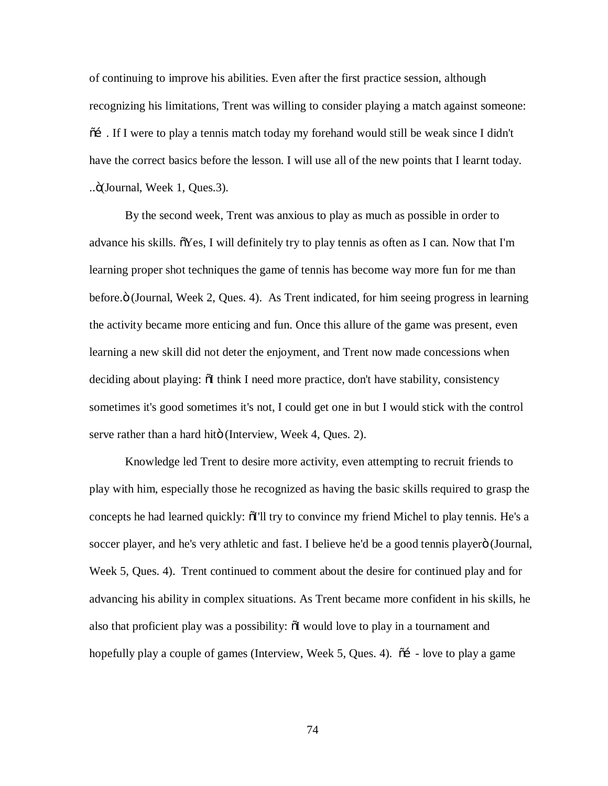of continuing to improve his abilities. Even after the first practice session, although recognizing his limitations, Trent was willing to consider playing a match against someone:  $\tilde{\alpha}$ . If I were to play a tennis match today my forehand would still be weak since I didn't have the correct basics before the lesson. I will use all of the new points that I learnt today. ..."(Journal, Week 1, Ques.3).

By the second week, Trent was anxious to play as much as possible in order to advance his skills.  $\tilde{\sigma}$ Yes, I will definitely try to play tennis as often as I can. Now that I'm learning proper shot techniques the game of tennis has become way more fun for me than before." (Journal, Week 2, Ques. 4). As Trent indicated, for him seeing progress in learning the activity became more enticing and fun. Once this allure of the game was present, even learning a new skill did not deter the enjoyment, and Trent now made concessions when deciding about playing:  $\delta I$  think I need more practice, don't have stability, consistency sometimes it's good sometimes it's not, I could get one in but I would stick with the control serve rather than a hard hitö (Interview, Week 4, Ques. 2).

Knowledge led Trent to desire more activity, even attempting to recruit friends to play with him, especially those he recognized as having the basic skills required to grasp the concepts he had learned quickly:  $\delta I'll$  try to convince my friend Michel to play tennis. He's a soccer player, and he's very athletic and fast. I believe he'd be a good tennis playero (Journal, Week 5, Ques. 4). Trent continued to comment about the desire for continued play and for advancing his ability in complex situations. As Trent became more confident in his skills, he also that proficient play was a possibility:  $\delta I$  would love to play in a tournament and hopefully play a couple of games (Interview, Week 5, Ques. 4).  $\tilde{\text{o}}$  - love to play a game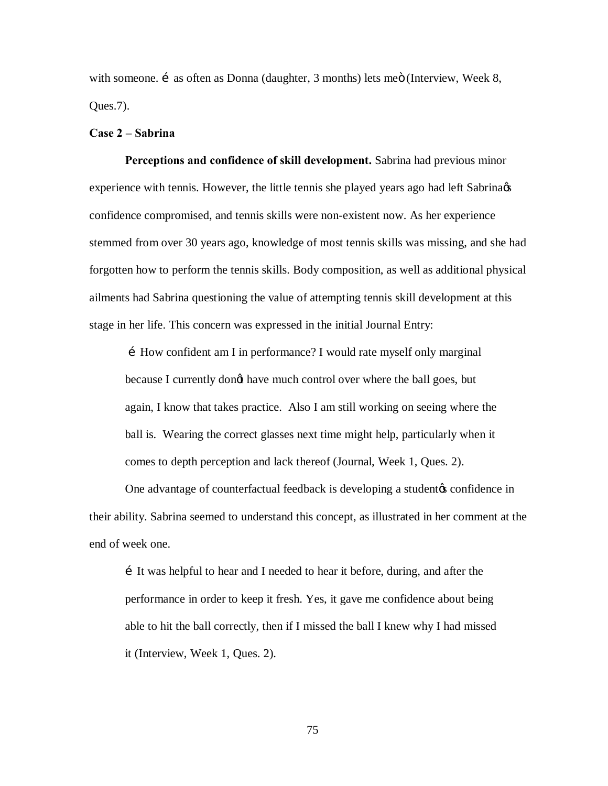with someone.  $\acute{i}$  as often as Donna (daughter, 3 months) lets meö (Interview, Week 8, Ques.7).

### **Case 2 – Sabrina**

**Perceptions and confidence of skill development.** Sabrina had previous minor experience with tennis. However, the little tennis she played years ago had left Sabrina  $\alpha$ confidence compromised, and tennis skills were non-existent now. As her experience stemmed from over 30 years ago, knowledge of most tennis skills was missing, and she had forgotten how to perform the tennis skills. Body composition, as well as additional physical ailments had Sabrina questioning the value of attempting tennis skill development at this stage in her life. This concern was expressed in the initial Journal Entry:

…How confident am I in performance? I would rate myself only marginal because I currently dongt have much control over where the ball goes, but again, I know that takes practice. Also I am still working on seeing where the ball is. Wearing the correct glasses next time might help, particularly when it comes to depth perception and lack thereof (Journal, Week 1, Ques. 2).

One advantage of counterfactual feedback is developing a student to confidence in their ability. Sabrina seemed to understand this concept, as illustrated in her comment at the end of week one.

…It was helpful to hear and I needed to hear it before, during, and after the performance in order to keep it fresh. Yes, it gave me confidence about being able to hit the ball correctly, then if I missed the ball I knew why I had missed it (Interview, Week 1, Ques. 2).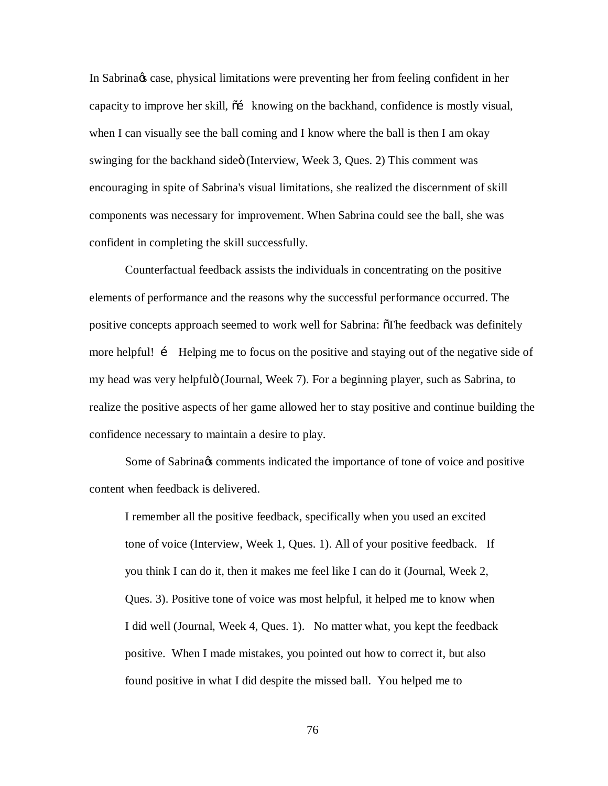In Sabrina & case, physical limitations were preventing her from feeling confident in her capacity to improve her skill,  $\tilde{\sigma}$  knowing on the backhand, confidence is mostly visual, when I can visually see the ball coming and I know where the ball is then I am okay swinging for the backhand sideo (Interview, Week 3, Ques. 2) This comment was encouraging in spite of Sabrina's visual limitations, she realized the discernment of skill components was necessary for improvement. When Sabrina could see the ball, she was confident in completing the skill successfully.

Counterfactual feedback assists the individuals in concentrating on the positive elements of performance and the reasons why the successful performance occurred. The positive concepts approach seemed to work well for Sabrina:  $\delta$ The feedback was definitely more helpful! i Helping me to focus on the positive and staying out of the negative side of my head was very helpfulö (Journal, Week 7). For a beginning player, such as Sabrina, to realize the positive aspects of her game allowed her to stay positive and continue building the confidence necessary to maintain a desire to play.

Some of Sabrina $\alpha$  comments indicated the importance of tone of voice and positive content when feedback is delivered.

I remember all the positive feedback, specifically when you used an excited tone of voice (Interview, Week 1, Ques. 1). All of your positive feedback. If you think I can do it, then it makes me feel like I can do it (Journal, Week 2, Ques. 3). Positive tone of voice was most helpful, it helped me to know when I did well (Journal, Week 4, Ques. 1). No matter what, you kept the feedback positive. When I made mistakes, you pointed out how to correct it, but also found positive in what I did despite the missed ball. You helped me to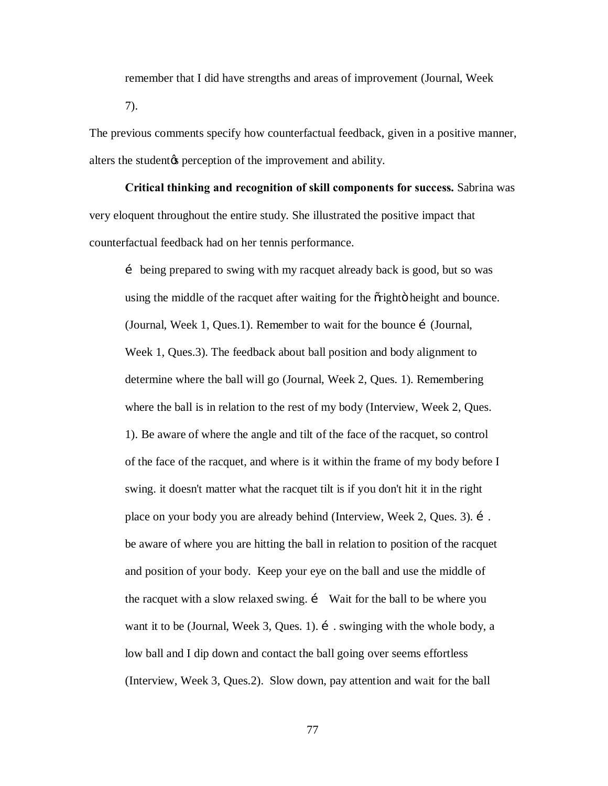remember that I did have strengths and areas of improvement (Journal, Week 7).

The previous comments specify how counterfactual feedback, given in a positive manner, alters the student the perception of the improvement and ability.

**Critical thinking and recognition of skill components for success.** Sabrina was very eloquent throughout the entire study. She illustrated the positive impact that counterfactual feedback had on her tennis performance.

… being prepared to swing with my racquet already back is good, but so was using the middle of the racquet after waiting for the oright of height and bounce. (Journal, Week 1, Ques.1). Remember to wait for the bounce i (Journal, Week 1, Ques.3). The feedback about ball position and body alignment to determine where the ball will go (Journal, Week 2, Ques. 1). Remembering where the ball is in relation to the rest of my body (Interview, Week 2, Ques. 1). Be aware of where the angle and tilt of the face of the racquet, so control of the face of the racquet, and where is it within the frame of my body before I swing. it doesn't matter what the racquet tilt is if you don't hit it in the right place on your body you are already behind (Interview, Week 2, Ques. 3). i. be aware of where you are hitting the ball in relation to position of the racquet and position of your body. Keep your eye on the ball and use the middle of the racquet with a slow relaxed swing. i Wait for the ball to be where you want it to be (Journal, Week 3, Ques. 1).  $\mathbf{i}$  swinging with the whole body, a low ball and I dip down and contact the ball going over seems effortless (Interview, Week 3, Ques.2). Slow down, pay attention and wait for the ball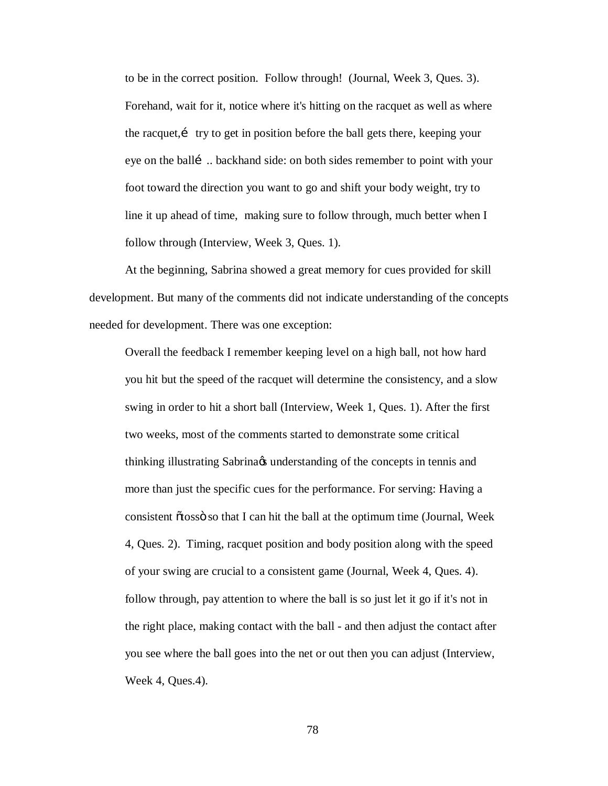to be in the correct position. Follow through! (Journal, Week 3, Ques. 3). Forehand, wait for it, notice where it's hitting on the racquet as well as where the racquet,… try to get in position before the ball gets there, keeping your eye on the balli ... backhand side: on both sides remember to point with your foot toward the direction you want to go and shift your body weight, try to line it up ahead of time, making sure to follow through, much better when I follow through (Interview, Week 3, Ques. 1).

At the beginning, Sabrina showed a great memory for cues provided for skill development. But many of the comments did not indicate understanding of the concepts needed for development. There was one exception:

Overall the feedback I remember keeping level on a high ball, not how hard you hit but the speed of the racquet will determine the consistency, and a slow swing in order to hit a short ball (Interview, Week 1, Ques. 1). After the first two weeks, most of the comments started to demonstrate some critical thinking illustrating Sabrina $\alpha$  understanding of the concepts in tennis and more than just the specific cues for the performance. For serving: Having a consistent õtossö so that I can hit the ball at the optimum time (Journal, Week 4, Ques. 2). Timing, racquet position and body position along with the speed of your swing are crucial to a consistent game (Journal, Week 4, Ques. 4). follow through, pay attention to where the ball is so just let it go if it's not in the right place, making contact with the ball - and then adjust the contact after you see where the ball goes into the net or out then you can adjust (Interview, Week 4, Ques.4).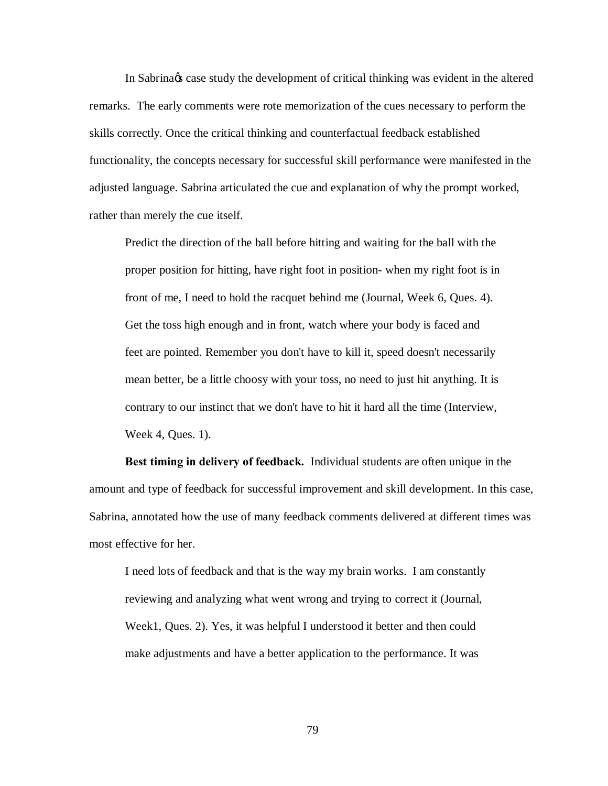In Sabrina & case study the development of critical thinking was evident in the altered remarks. The early comments were rote memorization of the cues necessary to perform the skills correctly. Once the critical thinking and counterfactual feedback established functionality, the concepts necessary for successful skill performance were manifested in the adjusted language. Sabrina articulated the cue and explanation of why the prompt worked, rather than merely the cue itself.

Predict the direction of the ball before hitting and waiting for the ball with the proper position for hitting, have right foot in position- when my right foot is in front of me, I need to hold the racquet behind me (Journal, Week 6, Ques. 4). Get the toss high enough and in front, watch where your body is faced and feet are pointed. Remember you don't have to kill it, speed doesn't necessarily mean better, be a little choosy with your toss, no need to just hit anything. It is contrary to our instinct that we don't have to hit it hard all the time (Interview, Week 4, Ques. 1).

**Best timing in delivery of feedback.** Individual students are often unique in the amount and type of feedback for successful improvement and skill development. In this case, Sabrina, annotated how the use of many feedback comments delivered at different times was most effective for her.

I need lots of feedback and that is the way my brain works. I am constantly reviewing and analyzing what went wrong and trying to correct it (Journal, Week1, Ques. 2). Yes, it was helpful I understood it better and then could make adjustments and have a better application to the performance. It was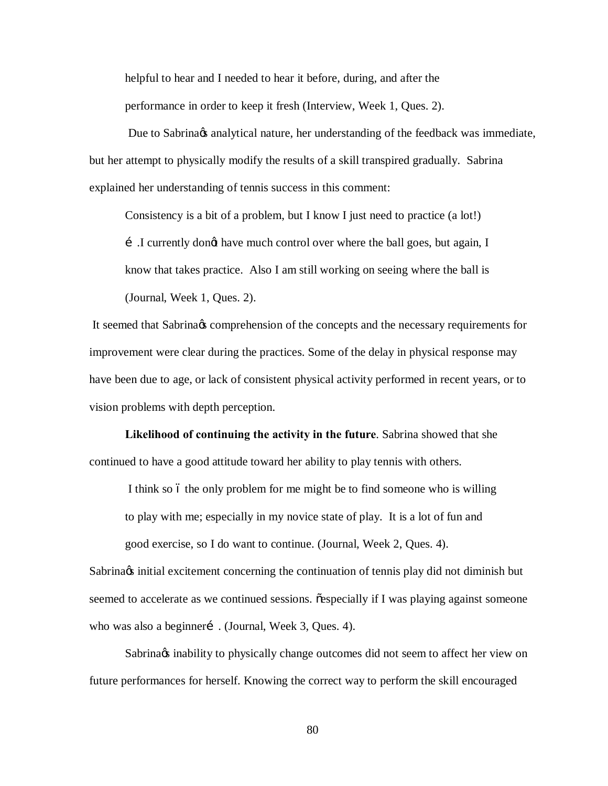helpful to hear and I needed to hear it before, during, and after the performance in order to keep it fresh (Interview, Week 1, Ques. 2).

Due to Sabrina $\alpha$  analytical nature, her understanding of the feedback was immediate, but her attempt to physically modify the results of a skill transpired gradually. Sabrina explained her understanding of tennis success in this comment:

Consistency is a bit of a problem, but I know I just need to practice (a lot!)

i I currently dongt have much control over where the ball goes, but again, I know that takes practice. Also I am still working on seeing where the ball is (Journal, Week 1, Ques. 2).

It seemed that Sabrina  $\alpha$  comprehension of the concepts and the necessary requirements for improvement were clear during the practices. Some of the delay in physical response may have been due to age, or lack of consistent physical activity performed in recent years, or to vision problems with depth perception.

**Likelihood of continuing the activity in the future**. Sabrina showed that she continued to have a good attitude toward her ability to play tennis with others.

I think so 6 the only problem for me might be to find someone who is willing

to play with me; especially in my novice state of play. It is a lot of fun and

good exercise, so I do want to continue. (Journal, Week 2, Ques. 4).

Sabrina excitement concerning the continuation of tennis play did not diminish but seemed to accelerate as we continued sessions.  $\tilde{\text{e}}$  especially if I was playing against someone who was also a beginnerí . (Journal, Week 3, Ques. 4).

Sabrina inability to physically change outcomes did not seem to affect her view on future performances for herself. Knowing the correct way to perform the skill encouraged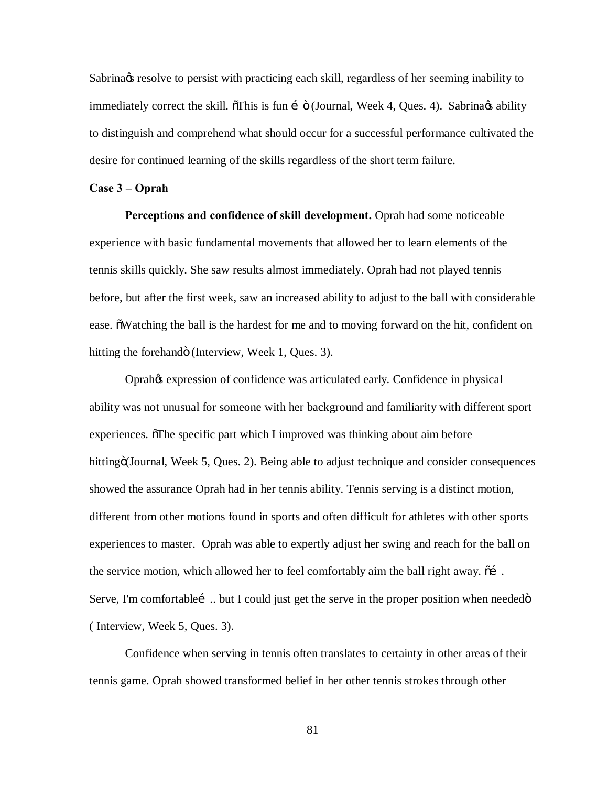Sabrina is resolve to persist with practicing each skill, regardless of her seeming inability to immediately correct the skill.  $\delta$ This is fun í  $\delta$  (Journal, Week 4, Ques. 4). Sabrina $\alpha$  ability to distinguish and comprehend what should occur for a successful performance cultivated the desire for continued learning of the skills regardless of the short term failure.

#### **Case 3 – Oprah**

**Perceptions and confidence of skill development.** Oprah had some noticeable experience with basic fundamental movements that allowed her to learn elements of the tennis skills quickly. She saw results almost immediately. Oprah had not played tennis before, but after the first week, saw an increased ability to adjust to the ball with considerable ease.  $\delta$ Watching the ball is the hardest for me and to moving forward on the hit, confident on hitting the forehandö (Interview, Week 1, Ques. 3).

Oprah's expression of confidence was articulated early. Confidence in physical ability was not unusual for someone with her background and familiarity with different sport experiences. The specific part which I improved was thinking about aim before hitting (Journal, Week 5, Ques. 2). Being able to adjust technique and consider consequences showed the assurance Oprah had in her tennis ability. Tennis serving is a distinct motion, different from other motions found in sports and often difficult for athletes with other sports experiences to master. Oprah was able to expertly adjust her swing and reach for the ball on the service motion, which allowed her to feel comfortably aim the ball right away.  $\delta$  i. Serve, I'm comfortablei... but I could just get the serve in the proper position when needed o ( Interview, Week 5, Ques. 3).

Confidence when serving in tennis often translates to certainty in other areas of their tennis game. Oprah showed transformed belief in her other tennis strokes through other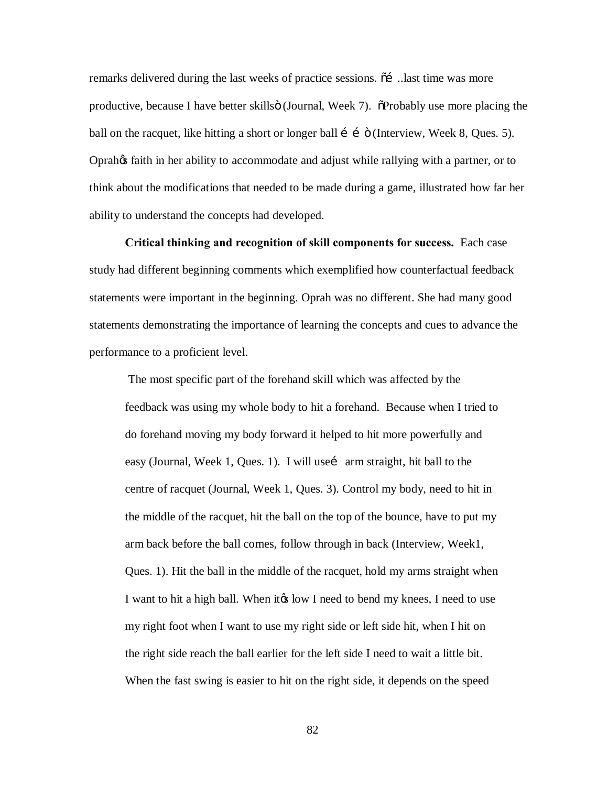remarks delivered during the last weeks of practice sessions.  $\tilde{\alpha}$  ….last time was more productive, because I have better skillsö (Journal, Week 7).  $\tilde{\sigma}$ Probably use more placing the ball on the racquet, like hitting a short or longer ball  $\mathbf{i}$  is (Interview, Week 8, Ques. 5). Oprah's faith in her ability to accommodate and adjust while rallying with a partner, or to think about the modifications that needed to be made during a game, illustrated how far her ability to understand the concepts had developed.

**Critical thinking and recognition of skill components for success.** Each case study had different beginning comments which exemplified how counterfactual feedback statements were important in the beginning. Oprah was no different. She had many good statements demonstrating the importance of learning the concepts and cues to advance the performance to a proficient level.

The most specific part of the forehand skill which was affected by the feedback was using my whole body to hit a forehand. Because when I tried to do forehand moving my body forward it helped to hit more powerfully and easy (Journal, Week 1, Ques. 1). I will use i arm straight, hit ball to the centre of racquet (Journal, Week 1, Ques. 3). Control my body, need to hit in the middle of the racquet, hit the ball on the top of the bounce, have to put my arm back before the ball comes, follow through in back (Interview, Week1, Ques. 1). Hit the ball in the middle of the racquet, hold my arms straight when I want to hit a high ball. When it to low I need to bend my knees, I need to use my right foot when I want to use my right side or left side hit, when I hit on the right side reach the ball earlier for the left side I need to wait a little bit. When the fast swing is easier to hit on the right side, it depends on the speed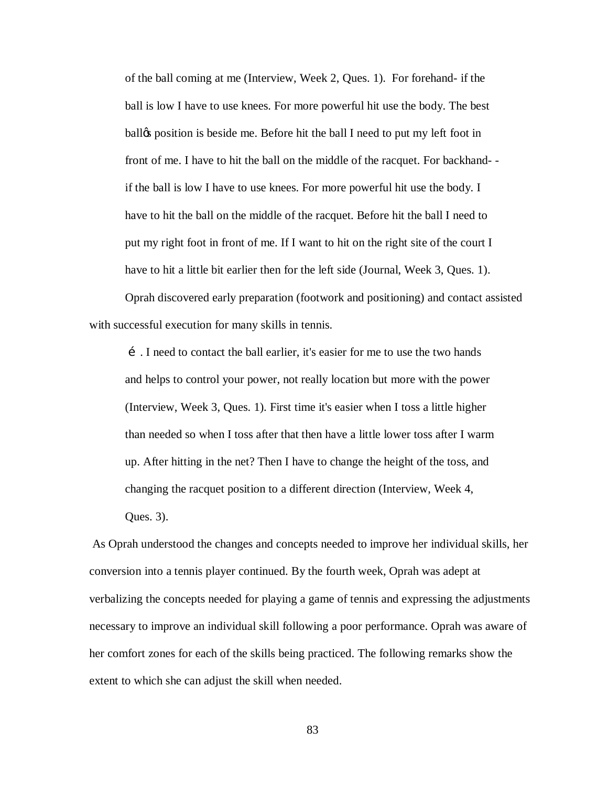of the ball coming at me (Interview, Week 2, Ques. 1). For forehand- if the ball is low I have to use knees. For more powerful hit use the body. The best ball the position is beside me. Before hit the ball I need to put my left foot in front of me. I have to hit the ball on the middle of the racquet. For backhand- if the ball is low I have to use knees. For more powerful hit use the body. I have to hit the ball on the middle of the racquet. Before hit the ball I need to put my right foot in front of me. If I want to hit on the right site of the court I have to hit a little bit earlier then for the left side (Journal, Week 3, Ques. 1).

Oprah discovered early preparation (footwork and positioning) and contact assisted with successful execution for many skills in tennis.

…. I need to contact the ball earlier, it's easier for me to use the two hands and helps to control your power, not really location but more with the power (Interview, Week 3, Ques. 1). First time it's easier when I toss a little higher than needed so when I toss after that then have a little lower toss after I warm up. After hitting in the net? Then I have to change the height of the toss, and changing the racquet position to a different direction (Interview, Week 4, Ques. 3).

As Oprah understood the changes and concepts needed to improve her individual skills, her conversion into a tennis player continued. By the fourth week, Oprah was adept at verbalizing the concepts needed for playing a game of tennis and expressing the adjustments necessary to improve an individual skill following a poor performance. Oprah was aware of her comfort zones for each of the skills being practiced. The following remarks show the extent to which she can adjust the skill when needed.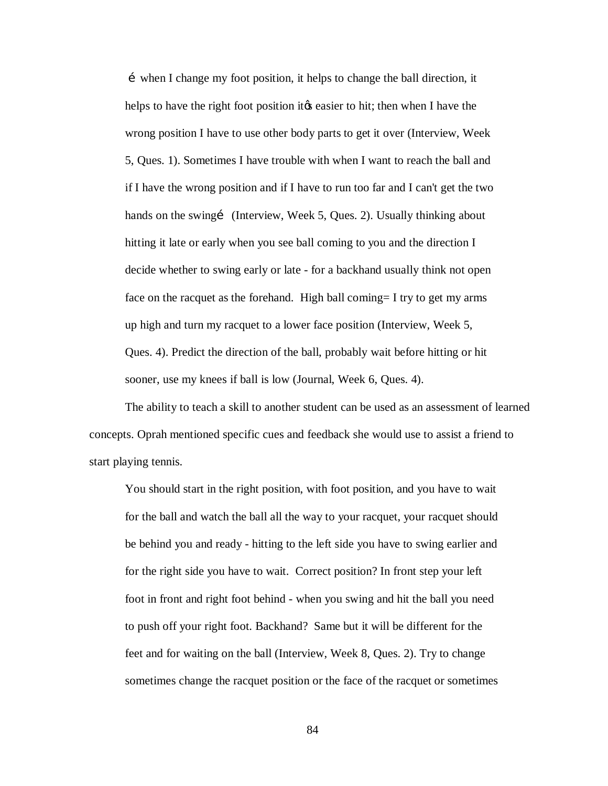…when I change my foot position, it helps to change the ball direction, it helps to have the right foot position it the easier to hit; then when I have the wrong position I have to use other body parts to get it over (Interview, Week 5, Ques. 1). Sometimes I have trouble with when I want to reach the ball and if I have the wrong position and if I have to run too far and I can't get the two hands on the swingi (Interview, Week 5, Ques. 2). Usually thinking about hitting it late or early when you see ball coming to you and the direction I decide whether to swing early or late - for a backhand usually think not open face on the racquet as the forehand. High ball coming= I try to get my arms up high and turn my racquet to a lower face position (Interview, Week 5, Ques. 4). Predict the direction of the ball, probably wait before hitting or hit sooner, use my knees if ball is low (Journal, Week 6, Ques. 4).

The ability to teach a skill to another student can be used as an assessment of learned concepts. Oprah mentioned specific cues and feedback she would use to assist a friend to start playing tennis.

You should start in the right position, with foot position, and you have to wait for the ball and watch the ball all the way to your racquet, your racquet should be behind you and ready - hitting to the left side you have to swing earlier and for the right side you have to wait. Correct position? In front step your left foot in front and right foot behind - when you swing and hit the ball you need to push off your right foot. Backhand? Same but it will be different for the feet and for waiting on the ball (Interview, Week 8, Ques. 2). Try to change sometimes change the racquet position or the face of the racquet or sometimes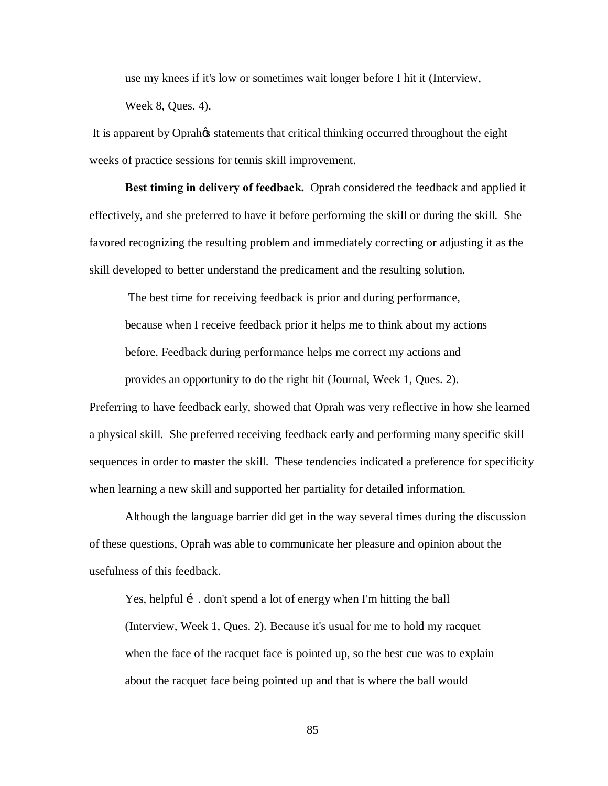use my knees if it's low or sometimes wait longer before I hit it (Interview, Week 8, Ques. 4).

It is apparent by Oprah $\alpha$  statements that critical thinking occurred throughout the eight weeks of practice sessions for tennis skill improvement.

**Best timing in delivery of feedback.** Oprah considered the feedback and applied it effectively, and she preferred to have it before performing the skill or during the skill. She favored recognizing the resulting problem and immediately correcting or adjusting it as the skill developed to better understand the predicament and the resulting solution.

The best time for receiving feedback is prior and during performance,

because when I receive feedback prior it helps me to think about my actions

before. Feedback during performance helps me correct my actions and

provides an opportunity to do the right hit (Journal, Week 1, Ques. 2).

Preferring to have feedback early, showed that Oprah was very reflective in how she learned a physical skill. She preferred receiving feedback early and performing many specific skill sequences in order to master the skill. These tendencies indicated a preference for specificity when learning a new skill and supported her partiality for detailed information.

Although the language barrier did get in the way several times during the discussion of these questions, Oprah was able to communicate her pleasure and opinion about the usefulness of this feedback.

Yes, helpful i . don't spend a lot of energy when I'm hitting the ball (Interview, Week 1, Ques. 2). Because it's usual for me to hold my racquet when the face of the racquet face is pointed up, so the best cue was to explain about the racquet face being pointed up and that is where the ball would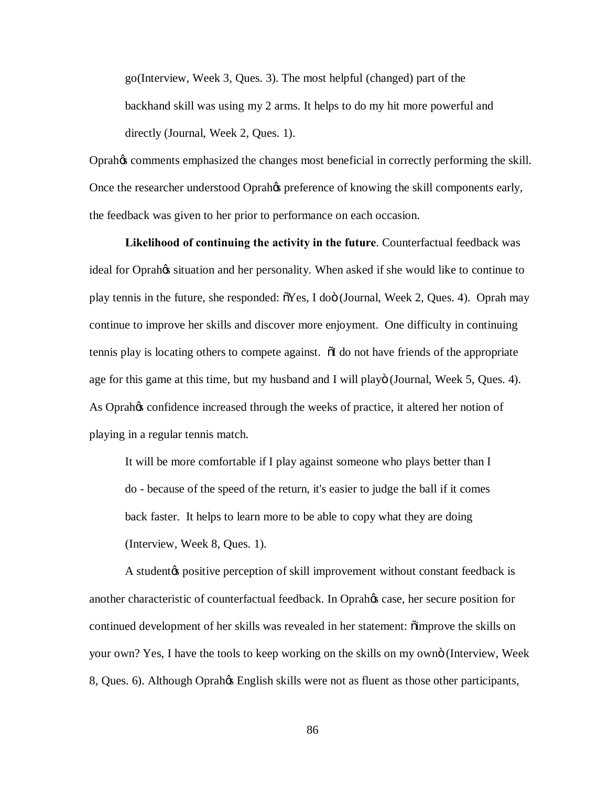go(Interview, Week 3, Ques. 3). The most helpful (changed) part of the backhand skill was using my 2 arms. It helps to do my hit more powerful and directly (Journal, Week 2, Ques. 1).

Oprah's comments emphasized the changes most beneficial in correctly performing the skill. Once the researcher understood Oprahos preference of knowing the skill components early, the feedback was given to her prior to performance on each occasion.

**Likelihood of continuing the activity in the future**. Counterfactual feedback was ideal for Oprahos situation and her personality. When asked if she would like to continue to play tennis in the future, she responded:  $\delta$ Yes, I doö (Journal, Week 2, Ques. 4). Oprah may continue to improve her skills and discover more enjoyment. One difficulty in continuing tennis play is locating others to compete against. "I do not have friends of the appropriate age for this game at this time, but my husband and I will playo (Journal, Week 5, Ques. 4). As Oprahos confidence increased through the weeks of practice, it altered her notion of playing in a regular tennis match.

It will be more comfortable if I play against someone who plays better than I do - because of the speed of the return, it's easier to judge the ball if it comes back faster. It helps to learn more to be able to copy what they are doing (Interview, Week 8, Ques. 1).

A student the positive perception of skill improvement without constant feedback is another characteristic of counterfactual feedback. In Oprahos case, her secure position for continued development of her skills was revealed in her statement:  $\ddot{\text{o}}$  improve the skills on your own? Yes, I have the tools to keep working on the skills on my ownö (Interview, Week 8, Ques. 6). Although Oprahos English skills were not as fluent as those other participants,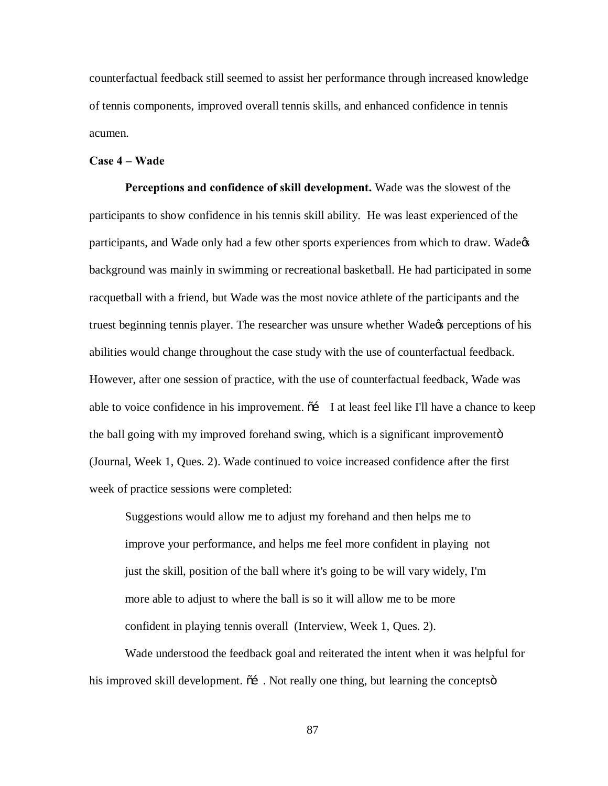counterfactual feedback still seemed to assist her performance through increased knowledge of tennis components, improved overall tennis skills, and enhanced confidence in tennis acumen.

## **Case 4 – Wade**

**Perceptions and confidence of skill development.** Wade was the slowest of the participants to show confidence in his tennis skill ability. He was least experienced of the participants, and Wade only had a few other sports experiences from which to draw. Wade& background was mainly in swimming or recreational basketball. He had participated in some racquetball with a friend, but Wade was the most novice athlete of the participants and the truest beginning tennis player. The researcher was unsure whether Wade<sub>K</sub> perceptions of his abilities would change throughout the case study with the use of counterfactual feedback. However, after one session of practice, with the use of counterfactual feedback, Wade was able to voice confidence in his improvement.  $\tilde{o}$  I at least feel like I'll have a chance to keep the ball going with my improved forehand swing, which is a significant improvementor-(Journal, Week 1, Ques. 2). Wade continued to voice increased confidence after the first week of practice sessions were completed:

Suggestions would allow me to adjust my forehand and then helps me to improve your performance, and helps me feel more confident in playing not just the skill, position of the ball where it's going to be will vary widely, I'm more able to adjust to where the ball is so it will allow me to be more confident in playing tennis overall (Interview, Week 1, Ques. 2).

Wade understood the feedback goal and reiterated the intent when it was helpful for his improved skill development.  $\tilde{\sigma}$ . Not really one thing, but learning the concepts  $\tilde{\sigma}$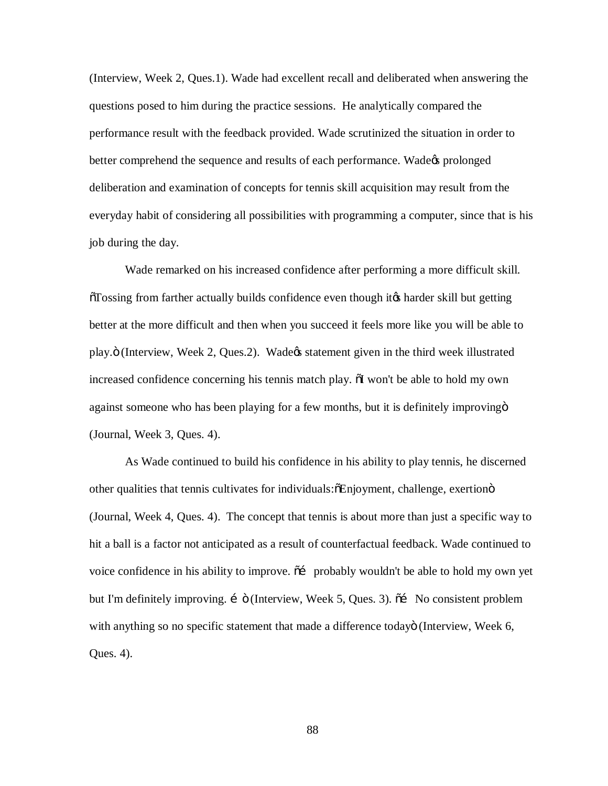(Interview, Week 2, Ques.1). Wade had excellent recall and deliberated when answering the questions posed to him during the practice sessions. He analytically compared the performance result with the feedback provided. Wade scrutinized the situation in order to better comprehend the sequence and results of each performance. Wade  $\alpha$  prolonged deliberation and examination of concepts for tennis skill acquisition may result from the everyday habit of considering all possibilities with programming a computer, since that is his job during the day.

Wade remarked on his increased confidence after performing a more difficult skill.  $\overline{0}T$ ossing from farther actually builds confidence even though it the harder skill but getting better at the more difficult and then when you succeed it feels more like you will be able to play. $\ddot{o}$  (Interview, Week 2, Ques.2). Wadegs statement given in the third week illustrated increased confidence concerning his tennis match play.  $\delta I$  won't be able to hold my own against someone who has been playing for a few months, but it is definitely improving  $\ddot{o}$ (Journal, Week 3, Ques. 4).

As Wade continued to build his confidence in his ability to play tennis, he discerned other qualities that tennis cultivates for individuals: $\delta$ Enjoyment, challenge, exertion $\ddot{o}$ (Journal, Week 4, Ques. 4). The concept that tennis is about more than just a specific way to hit a ball is a factor not anticipated as a result of counterfactual feedback. Wade continued to voice confidence in his ability to improve.  $\tilde{a}$  probably wouldn't be able to hold my own yet but I'm definitely improving. i ö (Interview, Week 5, Ques. 3).  $\tilde{o}$  No consistent problem with anything so no specific statement that made a difference todayo (Interview, Week 6, Ques. 4).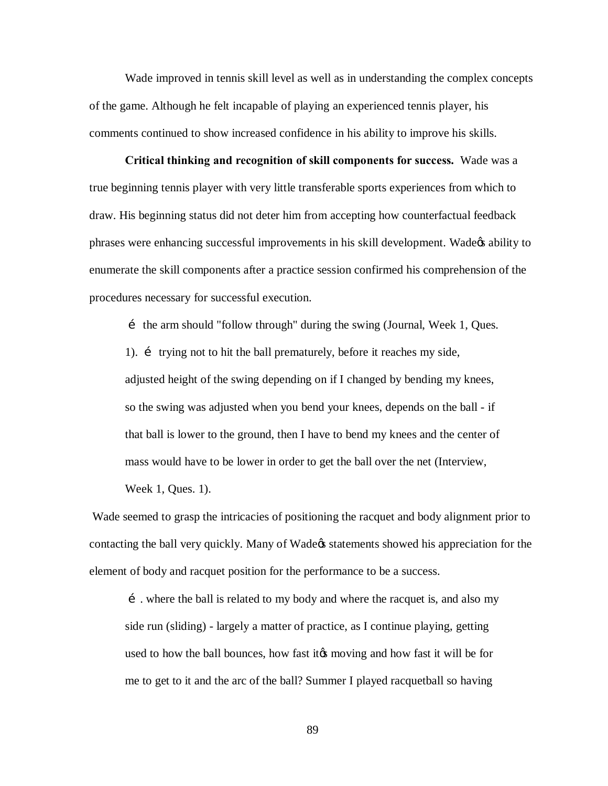Wade improved in tennis skill level as well as in understanding the complex concepts of the game. Although he felt incapable of playing an experienced tennis player, his comments continued to show increased confidence in his ability to improve his skills.

**Critical thinking and recognition of skill components for success.** Wade was a true beginning tennis player with very little transferable sports experiences from which to draw. His beginning status did not deter him from accepting how counterfactual feedback phrases were enhancing successful improvements in his skill development. Wade<sub>n</sub> ability to enumerate the skill components after a practice session confirmed his comprehension of the procedures necessary for successful execution.

… the arm should "follow through" during the swing (Journal, Week 1, Ques.

1). *i* trying not to hit the ball prematurely, before it reaches my side, adjusted height of the swing depending on if I changed by bending my knees, so the swing was adjusted when you bend your knees, depends on the ball - if that ball is lower to the ground, then I have to bend my knees and the center of mass would have to be lower in order to get the ball over the net (Interview,

Week 1, Ques. 1).

Wade seemed to grasp the intricacies of positioning the racquet and body alignment prior to contacting the ball very quickly. Many of Wade<sub>n</sub> statements showed his appreciation for the element of body and racquet position for the performance to be a success.

…. where the ball is related to my body and where the racquet is, and also my side run (sliding) - largely a matter of practice, as I continue playing, getting used to how the ball bounces, how fast it to moving and how fast it will be for me to get to it and the arc of the ball? Summer I played racquetball so having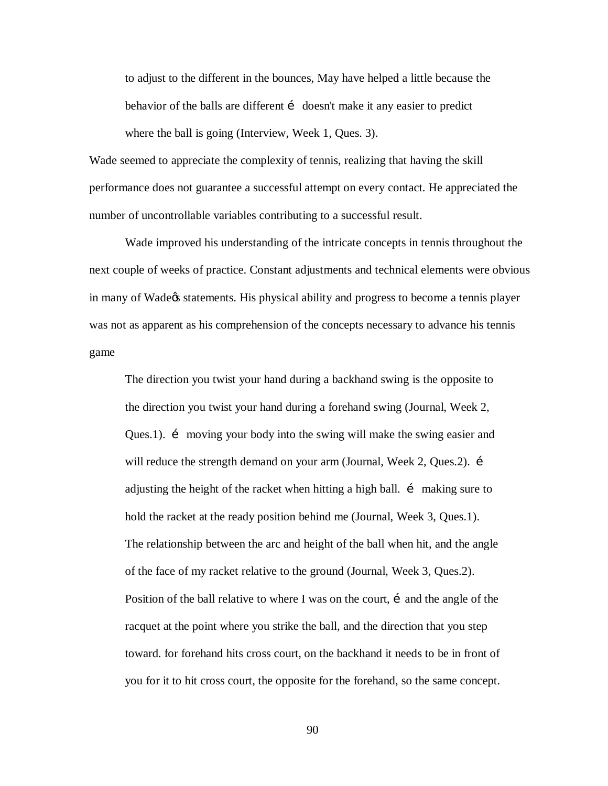to adjust to the different in the bounces, May have helped a little because the behavior of the balls are different i doesn't make it any easier to predict where the ball is going (Interview, Week 1, Ques. 3).

Wade seemed to appreciate the complexity of tennis, realizing that having the skill performance does not guarantee a successful attempt on every contact. He appreciated the number of uncontrollable variables contributing to a successful result.

Wade improved his understanding of the intricate concepts in tennis throughout the next couple of weeks of practice. Constant adjustments and technical elements were obvious in many of Wade<sub>n</sub> statements. His physical ability and progress to become a tennis player was not as apparent as his comprehension of the concepts necessary to advance his tennis game

The direction you twist your hand during a backhand swing is the opposite to the direction you twist your hand during a forehand swing (Journal, Week 2, Ques.1). i moving your body into the swing will make the swing easier and will reduce the strength demand on your arm (Journal, Week 2, Ques.2). i adjusting the height of the racket when hitting a high ball. i making sure to hold the racket at the ready position behind me (Journal, Week 3, Ques.1). The relationship between the arc and height of the ball when hit, and the angle of the face of my racket relative to the ground (Journal, Week 3, Ques.2). Position of the ball relative to where I was on the court,  $\mathbf{i}$  and the angle of the racquet at the point where you strike the ball, and the direction that you step toward. for forehand hits cross court, on the backhand it needs to be in front of you for it to hit cross court, the opposite for the forehand, so the same concept.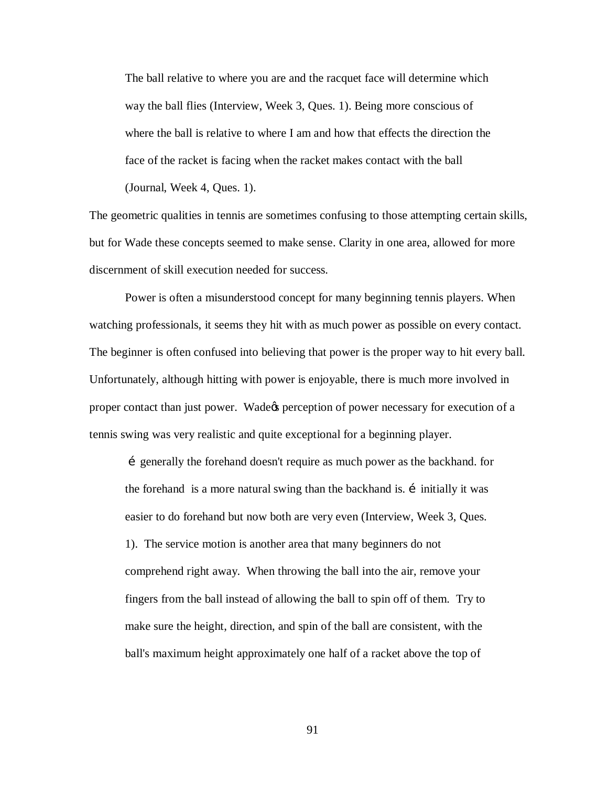The ball relative to where you are and the racquet face will determine which way the ball flies (Interview, Week 3, Ques. 1). Being more conscious of where the ball is relative to where I am and how that effects the direction the face of the racket is facing when the racket makes contact with the ball (Journal, Week 4, Ques. 1).

The geometric qualities in tennis are sometimes confusing to those attempting certain skills, but for Wade these concepts seemed to make sense. Clarity in one area, allowed for more discernment of skill execution needed for success.

Power is often a misunderstood concept for many beginning tennis players. When watching professionals, it seems they hit with as much power as possible on every contact. The beginner is often confused into believing that power is the proper way to hit every ball. Unfortunately, although hitting with power is enjoyable, there is much more involved in proper contact than just power. Wade t perception of power necessary for execution of a tennis swing was very realistic and quite exceptional for a beginning player.

…generally the forehand doesn't require as much power as the backhand. for the forehand is a more natural swing than the backhand is. i initially it was easier to do forehand but now both are very even (Interview, Week 3, Ques. 1). The service motion is another area that many beginners do not comprehend right away. When throwing the ball into the air, remove your fingers from the ball instead of allowing the ball to spin off of them. Try to make sure the height, direction, and spin of the ball are consistent, with the ball's maximum height approximately one half of a racket above the top of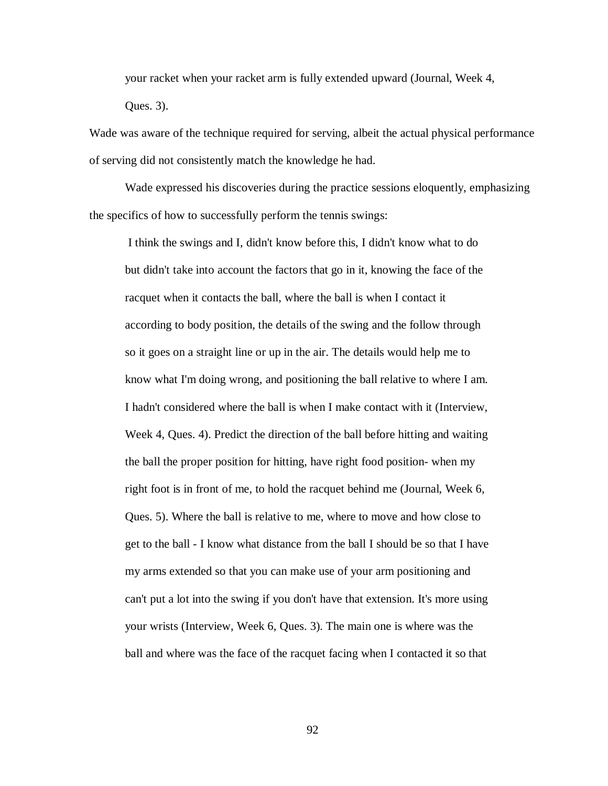your racket when your racket arm is fully extended upward (Journal, Week 4, Ques. 3).

Wade was aware of the technique required for serving, albeit the actual physical performance of serving did not consistently match the knowledge he had.

Wade expressed his discoveries during the practice sessions eloquently, emphasizing the specifics of how to successfully perform the tennis swings:

I think the swings and I, didn't know before this, I didn't know what to do but didn't take into account the factors that go in it, knowing the face of the racquet when it contacts the ball, where the ball is when I contact it according to body position, the details of the swing and the follow through so it goes on a straight line or up in the air. The details would help me to know what I'm doing wrong, and positioning the ball relative to where I am. I hadn't considered where the ball is when I make contact with it (Interview, Week 4, Ques. 4). Predict the direction of the ball before hitting and waiting the ball the proper position for hitting, have right food position- when my right foot is in front of me, to hold the racquet behind me (Journal, Week 6, Ques. 5). Where the ball is relative to me, where to move and how close to get to the ball - I know what distance from the ball I should be so that I have my arms extended so that you can make use of your arm positioning and can't put a lot into the swing if you don't have that extension. It's more using your wrists (Interview, Week 6, Ques. 3). The main one is where was the ball and where was the face of the racquet facing when I contacted it so that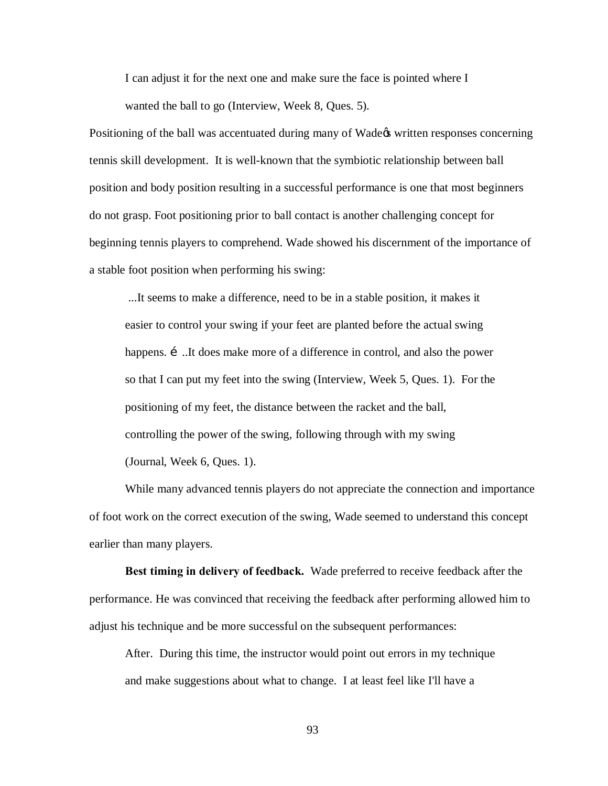I can adjust it for the next one and make sure the face is pointed where I wanted the ball to go (Interview, Week 8, Ques. 5).

Positioning of the ball was accentuated during many of Wade ts written responses concerning tennis skill development. It is well-known that the symbiotic relationship between ball position and body position resulting in a successful performance is one that most beginners do not grasp. Foot positioning prior to ball contact is another challenging concept for beginning tennis players to comprehend. Wade showed his discernment of the importance of a stable foot position when performing his swing:

...It seems to make a difference, need to be in a stable position, it makes it easier to control your swing if your feet are planted before the actual swing happens. i ...It does make more of a difference in control, and also the power so that I can put my feet into the swing (Interview, Week 5, Ques. 1). For the positioning of my feet, the distance between the racket and the ball, controlling the power of the swing, following through with my swing (Journal, Week 6, Ques. 1).

While many advanced tennis players do not appreciate the connection and importance of foot work on the correct execution of the swing, Wade seemed to understand this concept earlier than many players.

**Best timing in delivery of feedback.** Wade preferred to receive feedback after the performance. He was convinced that receiving the feedback after performing allowed him to adjust his technique and be more successful on the subsequent performances:

After. During this time, the instructor would point out errors in my technique and make suggestions about what to change. I at least feel like I'll have a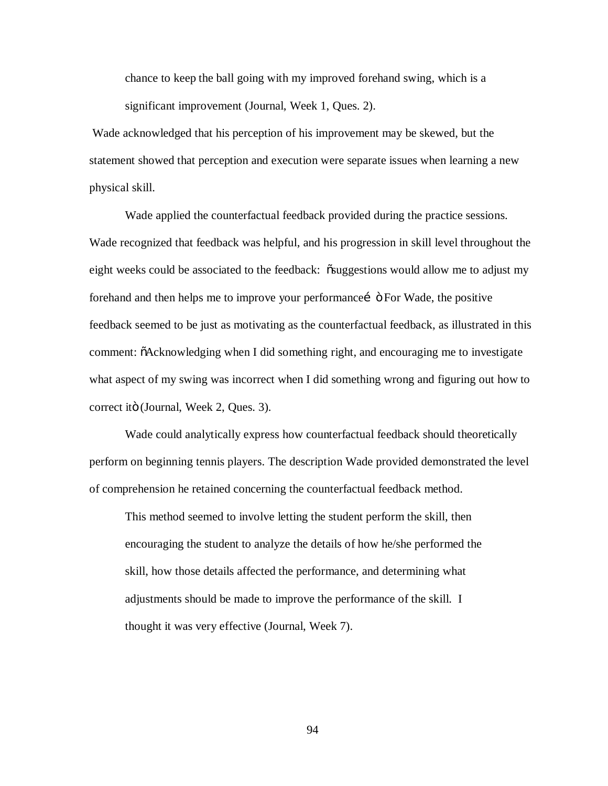chance to keep the ball going with my improved forehand swing, which is a significant improvement (Journal, Week 1, Ques. 2).

Wade acknowledged that his perception of his improvement may be skewed, but the statement showed that perception and execution were separate issues when learning a new physical skill.

Wade applied the counterfactual feedback provided during the practice sessions. Wade recognized that feedback was helpful, and his progression in skill level throughout the eight weeks could be associated to the feedback: "suggestions would allow me to adjust my forehand and then helps me to improve your performance i  $\ddot{\text{o}}$  For Wade, the positive feedback seemed to be just as motivating as the counterfactual feedback, as illustrated in this comment:  $\delta$ Acknowledging when I did something right, and encouraging me to investigate what aspect of my swing was incorrect when I did something wrong and figuring out how to correct itö (Journal, Week 2, Ques. 3).

Wade could analytically express how counterfactual feedback should theoretically perform on beginning tennis players. The description Wade provided demonstrated the level of comprehension he retained concerning the counterfactual feedback method.

This method seemed to involve letting the student perform the skill, then encouraging the student to analyze the details of how he/she performed the skill, how those details affected the performance, and determining what adjustments should be made to improve the performance of the skill. I thought it was very effective (Journal, Week 7).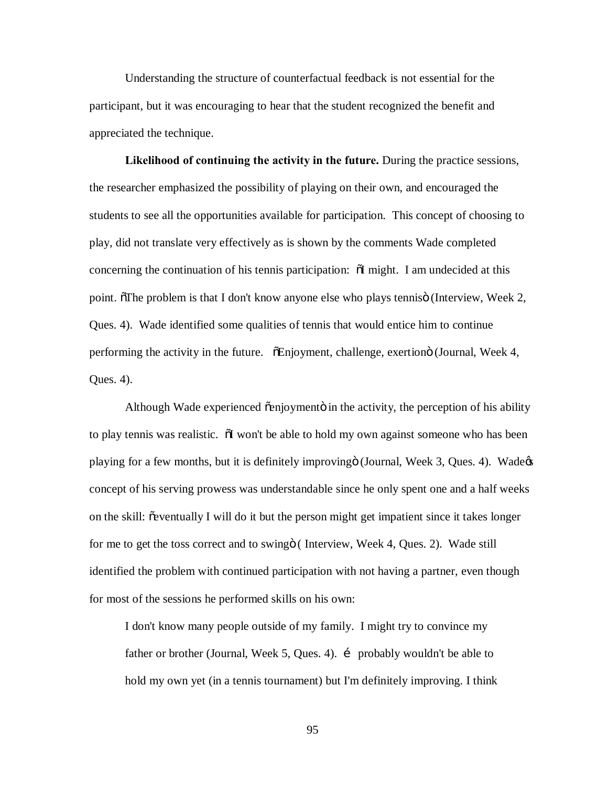Understanding the structure of counterfactual feedback is not essential for the participant, but it was encouraging to hear that the student recognized the benefit and appreciated the technique.

**Likelihood of continuing the activity in the future.** During the practice sessions, the researcher emphasized the possibility of playing on their own, and encouraged the students to see all the opportunities available for participation. This concept of choosing to play, did not translate very effectively as is shown by the comments Wade completed concerning the continuation of his tennis participation:  $\tilde{\text{o}}I$  might. I am undecided at this point. The problem is that I don't know anyone else who plays tennis (Interview, Week 2, Ques. 4). Wade identified some qualities of tennis that would entice him to continue performing the activity in the future.  $\tilde{\phi}$ Enjoyment, challenge, exertiono (Journal, Week 4, Ques. 4).

Although Wade experienced  $\tilde{o}$ enjoymentö in the activity, the perception of his ability to play tennis was realistic.  $\tilde{\text{o}}$  won't be able to hold my own against someone who has been playing for a few months, but it is definitely improvingö (Journal, Week 3, Ques. 4). Wade $\alpha$ concept of his serving prowess was understandable since he only spent one and a half weeks on the skill:  $\tilde{\text{e}}$  eventually I will do it but the person might get impatient since it takes longer for me to get the toss correct and to swing i (Interview, Week 4, Ques. 2). Wade still identified the problem with continued participation with not having a partner, even though for most of the sessions he performed skills on his own:

I don't know many people outside of my family. I might try to convince my father or brother (Journal, Week 5, Ques. 4). i probably wouldn't be able to hold my own yet (in a tennis tournament) but I'm definitely improving. I think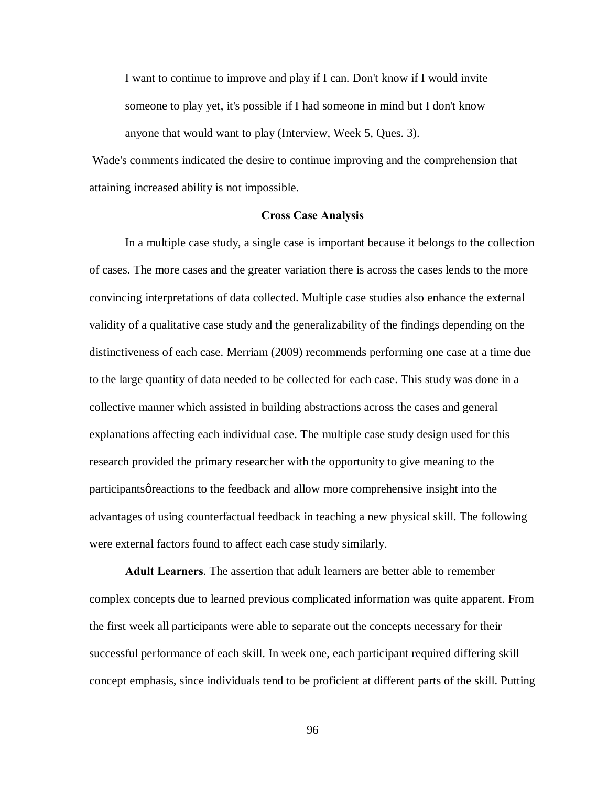I want to continue to improve and play if I can. Don't know if I would invite someone to play yet, it's possible if I had someone in mind but I don't know anyone that would want to play (Interview, Week 5, Ques. 3).

Wade's comments indicated the desire to continue improving and the comprehension that attaining increased ability is not impossible.

## **Cross Case Analysis**

In a multiple case study, a single case is important because it belongs to the collection of cases. The more cases and the greater variation there is across the cases lends to the more convincing interpretations of data collected. Multiple case studies also enhance the external validity of a qualitative case study and the generalizability of the findings depending on the distinctiveness of each case. Merriam (2009) recommends performing one case at a time due to the large quantity of data needed to be collected for each case. This study was done in a collective manner which assisted in building abstractions across the cases and general explanations affecting each individual case. The multiple case study design used for this research provided the primary researcher with the opportunity to give meaning to the participants greactions to the feedback and allow more comprehensive insight into the advantages of using counterfactual feedback in teaching a new physical skill. The following were external factors found to affect each case study similarly.

**Adult Learners**. The assertion that adult learners are better able to remember complex concepts due to learned previous complicated information was quite apparent. From the first week all participants were able to separate out the concepts necessary for their successful performance of each skill. In week one, each participant required differing skill concept emphasis, since individuals tend to be proficient at different parts of the skill. Putting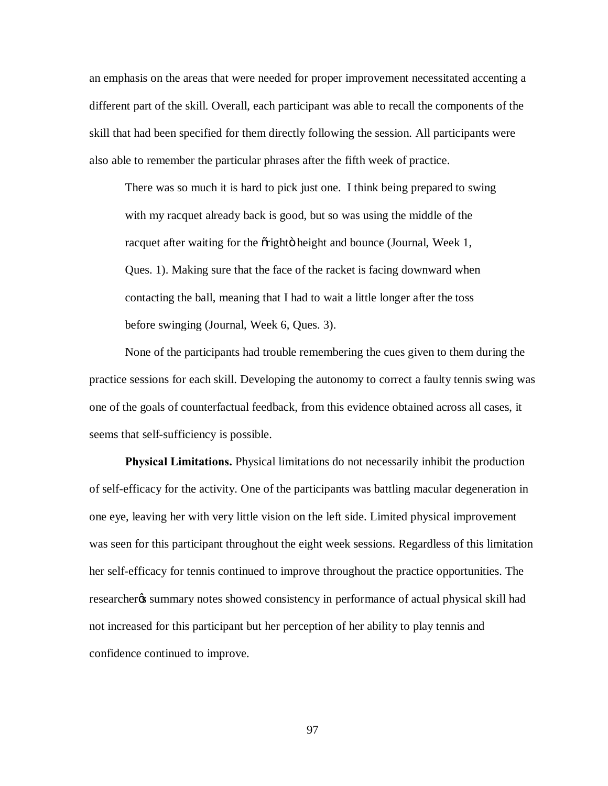an emphasis on the areas that were needed for proper improvement necessitated accenting a different part of the skill. Overall, each participant was able to recall the components of the skill that had been specified for them directly following the session. All participants were also able to remember the particular phrases after the fifth week of practice.

There was so much it is hard to pick just one. I think being prepared to swing with my racquet already back is good, but so was using the middle of the racquet after waiting for the oright beight and bounce (Journal, Week 1, Ques. 1). Making sure that the face of the racket is facing downward when contacting the ball, meaning that I had to wait a little longer after the toss before swinging (Journal, Week 6, Ques. 3).

None of the participants had trouble remembering the cues given to them during the practice sessions for each skill. Developing the autonomy to correct a faulty tennis swing was one of the goals of counterfactual feedback, from this evidence obtained across all cases, it seems that self-sufficiency is possible.

**Physical Limitations.** Physical limitations do not necessarily inhibit the production of self-efficacy for the activity. One of the participants was battling macular degeneration in one eye, leaving her with very little vision on the left side. Limited physical improvement was seen for this participant throughout the eight week sessions. Regardless of this limitation her self-efficacy for tennis continued to improve throughout the practice opportunities. The researcher<sub>%</sub> summary notes showed consistency in performance of actual physical skill had not increased for this participant but her perception of her ability to play tennis and confidence continued to improve.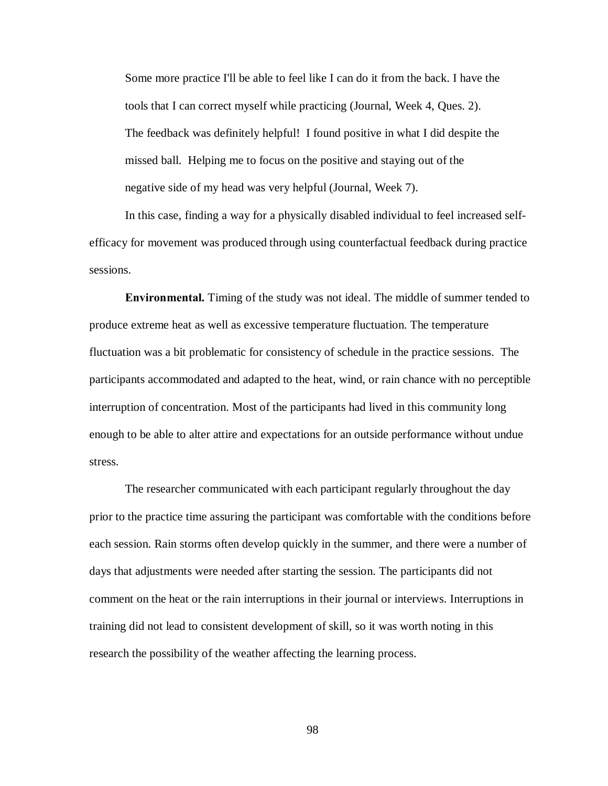Some more practice I'll be able to feel like I can do it from the back. I have the tools that I can correct myself while practicing (Journal, Week 4, Ques. 2). The feedback was definitely helpful! I found positive in what I did despite the missed ball. Helping me to focus on the positive and staying out of the negative side of my head was very helpful (Journal, Week 7).

In this case, finding a way for a physically disabled individual to feel increased selfefficacy for movement was produced through using counterfactual feedback during practice sessions.

**Environmental.** Timing of the study was not ideal. The middle of summer tended to produce extreme heat as well as excessive temperature fluctuation. The temperature fluctuation was a bit problematic for consistency of schedule in the practice sessions. The participants accommodated and adapted to the heat, wind, or rain chance with no perceptible interruption of concentration. Most of the participants had lived in this community long enough to be able to alter attire and expectations for an outside performance without undue stress.

The researcher communicated with each participant regularly throughout the day prior to the practice time assuring the participant was comfortable with the conditions before each session. Rain storms often develop quickly in the summer, and there were a number of days that adjustments were needed after starting the session. The participants did not comment on the heat or the rain interruptions in their journal or interviews. Interruptions in training did not lead to consistent development of skill, so it was worth noting in this research the possibility of the weather affecting the learning process.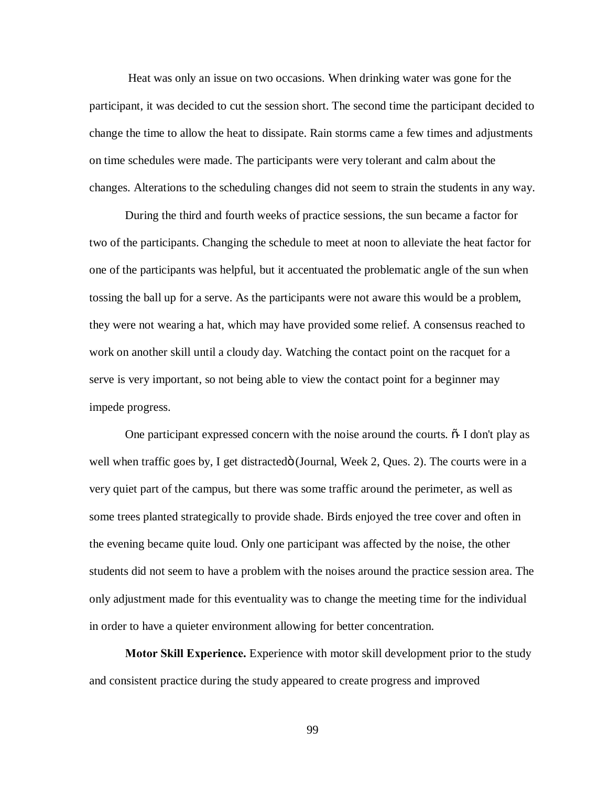Heat was only an issue on two occasions. When drinking water was gone for the participant, it was decided to cut the session short. The second time the participant decided to change the time to allow the heat to dissipate. Rain storms came a few times and adjustments on time schedules were made. The participants were very tolerant and calm about the changes. Alterations to the scheduling changes did not seem to strain the students in any way.

During the third and fourth weeks of practice sessions, the sun became a factor for two of the participants. Changing the schedule to meet at noon to alleviate the heat factor for one of the participants was helpful, but it accentuated the problematic angle of the sun when tossing the ball up for a serve. As the participants were not aware this would be a problem, they were not wearing a hat, which may have provided some relief. A consensus reached to work on another skill until a cloudy day. Watching the contact point on the racquet for a serve is very important, so not being able to view the contact point for a beginner may impede progress.

One participant expressed concern with the noise around the courts.  $\tilde{\sigma}$ - I don't play as well when traffic goes by, I get distractedö (Journal, Week 2, Ques. 2). The courts were in a very quiet part of the campus, but there was some traffic around the perimeter, as well as some trees planted strategically to provide shade. Birds enjoyed the tree cover and often in the evening became quite loud. Only one participant was affected by the noise, the other students did not seem to have a problem with the noises around the practice session area. The only adjustment made for this eventuality was to change the meeting time for the individual in order to have a quieter environment allowing for better concentration.

**Motor Skill Experience.** Experience with motor skill development prior to the study and consistent practice during the study appeared to create progress and improved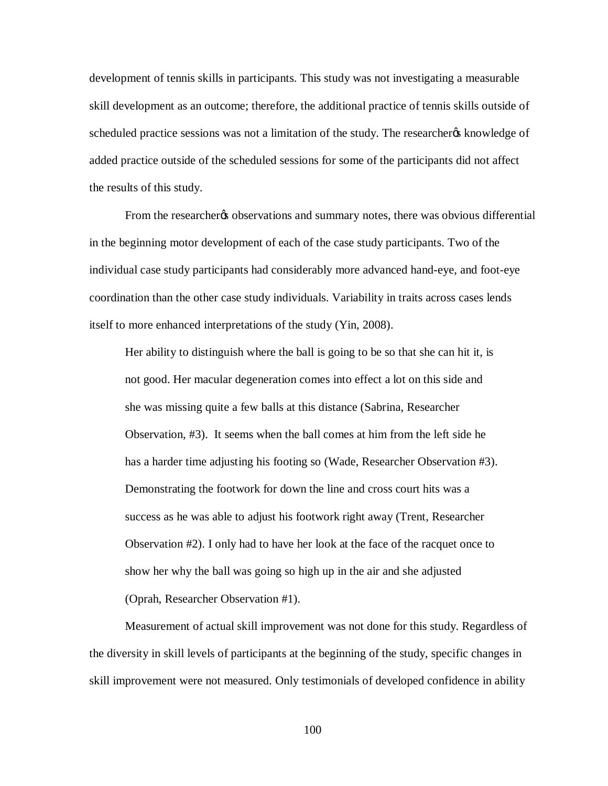development of tennis skills in participants. This study was not investigating a measurable skill development as an outcome; therefore, the additional practice of tennis skills outside of scheduled practice sessions was not a limitation of the study. The researchergs knowledge of added practice outside of the scheduled sessions for some of the participants did not affect the results of this study.

From the researchergs observations and summary notes, there was obvious differential in the beginning motor development of each of the case study participants. Two of the individual case study participants had considerably more advanced hand-eye, and foot-eye coordination than the other case study individuals. Variability in traits across cases lends itself to more enhanced interpretations of the study (Yin, 2008).

Her ability to distinguish where the ball is going to be so that she can hit it, is not good. Her macular degeneration comes into effect a lot on this side and she was missing quite a few balls at this distance (Sabrina, Researcher Observation, #3). It seems when the ball comes at him from the left side he has a harder time adjusting his footing so (Wade, Researcher Observation #3). Demonstrating the footwork for down the line and cross court hits was a success as he was able to adjust his footwork right away (Trent, Researcher Observation #2). I only had to have her look at the face of the racquet once to show her why the ball was going so high up in the air and she adjusted (Oprah, Researcher Observation #1).

Measurement of actual skill improvement was not done for this study. Regardless of the diversity in skill levels of participants at the beginning of the study, specific changes in skill improvement were not measured. Only testimonials of developed confidence in ability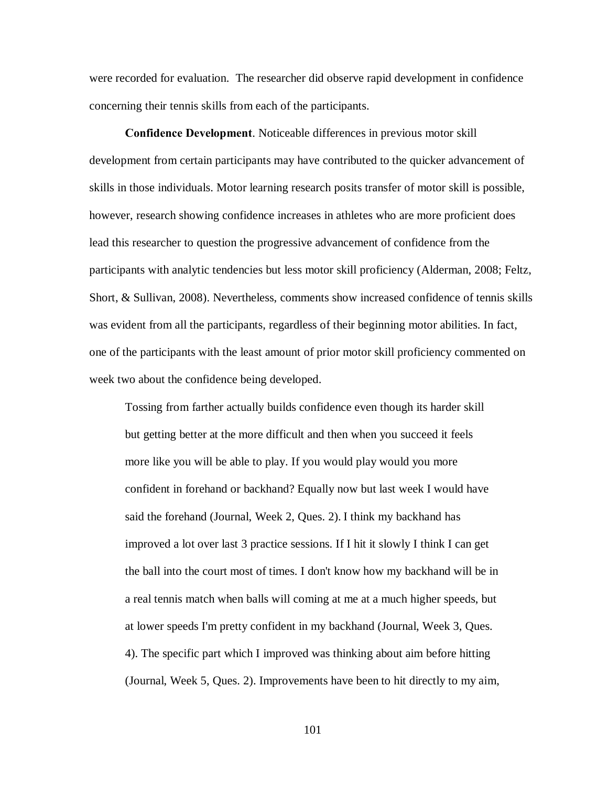were recorded for evaluation. The researcher did observe rapid development in confidence concerning their tennis skills from each of the participants.

**Confidence Development**. Noticeable differences in previous motor skill development from certain participants may have contributed to the quicker advancement of skills in those individuals. Motor learning research posits transfer of motor skill is possible, however, research showing confidence increases in athletes who are more proficient does lead this researcher to question the progressive advancement of confidence from the participants with analytic tendencies but less motor skill proficiency (Alderman, 2008; Feltz, Short, & Sullivan, 2008). Nevertheless, comments show increased confidence of tennis skills was evident from all the participants, regardless of their beginning motor abilities. In fact, one of the participants with the least amount of prior motor skill proficiency commented on week two about the confidence being developed.

Tossing from farther actually builds confidence even though its harder skill but getting better at the more difficult and then when you succeed it feels more like you will be able to play. If you would play would you more confident in forehand or backhand? Equally now but last week I would have said the forehand (Journal, Week 2, Ques. 2). I think my backhand has improved a lot over last 3 practice sessions. If I hit it slowly I think I can get the ball into the court most of times. I don't know how my backhand will be in a real tennis match when balls will coming at me at a much higher speeds, but at lower speeds I'm pretty confident in my backhand (Journal, Week 3, Ques. 4). The specific part which I improved was thinking about aim before hitting (Journal, Week 5, Ques. 2). Improvements have been to hit directly to my aim,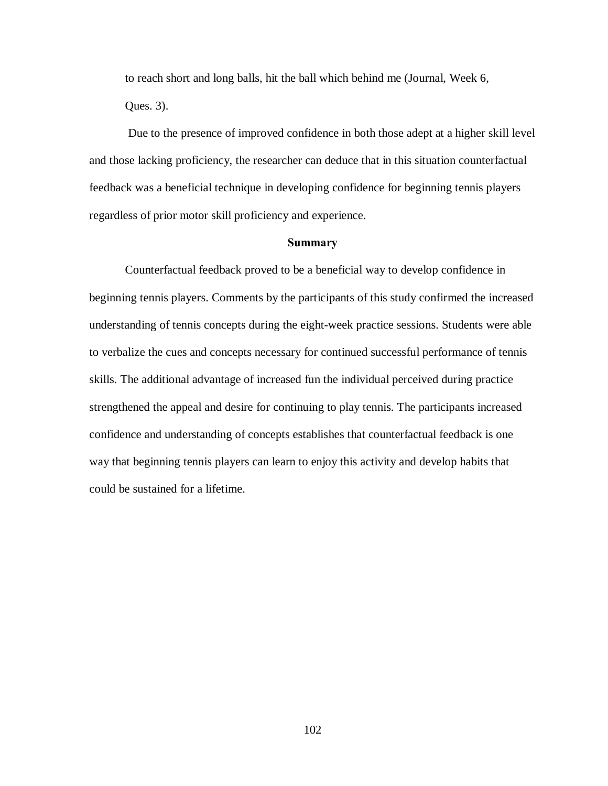to reach short and long balls, hit the ball which behind me (Journal, Week 6, Ques. 3).

Due to the presence of improved confidence in both those adept at a higher skill level and those lacking proficiency, the researcher can deduce that in this situation counterfactual feedback was a beneficial technique in developing confidence for beginning tennis players regardless of prior motor skill proficiency and experience.

## **Summary**

Counterfactual feedback proved to be a beneficial way to develop confidence in beginning tennis players. Comments by the participants of this study confirmed the increased understanding of tennis concepts during the eight-week practice sessions. Students were able to verbalize the cues and concepts necessary for continued successful performance of tennis skills. The additional advantage of increased fun the individual perceived during practice strengthened the appeal and desire for continuing to play tennis. The participants increased confidence and understanding of concepts establishes that counterfactual feedback is one way that beginning tennis players can learn to enjoy this activity and develop habits that could be sustained for a lifetime.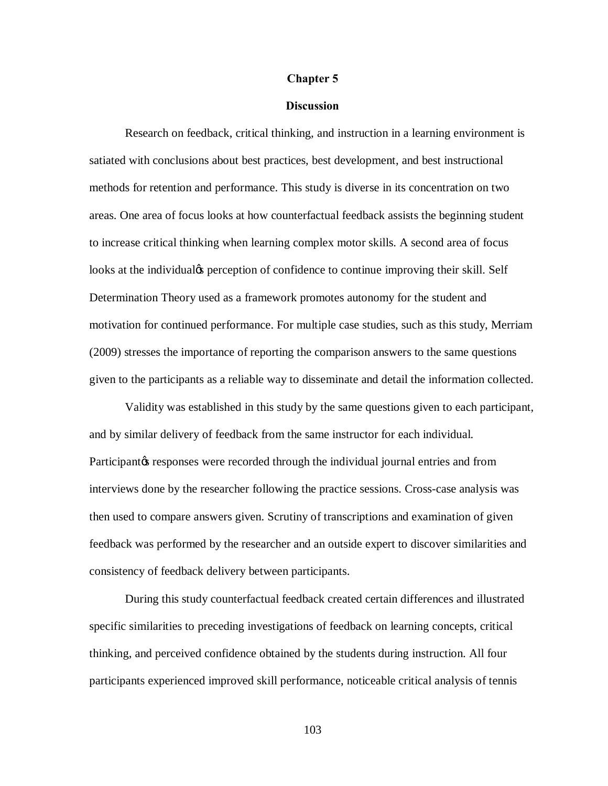## **Chapter 5**

## **Discussion**

Research on feedback, critical thinking, and instruction in a learning environment is satiated with conclusions about best practices, best development, and best instructional methods for retention and performance. This study is diverse in its concentration on two areas. One area of focus looks at how counterfactual feedback assists the beginning student to increase critical thinking when learning complex motor skills. A second area of focus looks at the individual<sub>g</sub> perception of confidence to continue improving their skill. Self Determination Theory used as a framework promotes autonomy for the student and motivation for continued performance. For multiple case studies, such as this study, Merriam (2009) stresses the importance of reporting the comparison answers to the same questions given to the participants as a reliable way to disseminate and detail the information collected.

Validity was established in this study by the same questions given to each participant, and by similar delivery of feedback from the same instructor for each individual. Participant ts responses were recorded through the individual journal entries and from interviews done by the researcher following the practice sessions. Cross-case analysis was then used to compare answers given. Scrutiny of transcriptions and examination of given feedback was performed by the researcher and an outside expert to discover similarities and consistency of feedback delivery between participants.

During this study counterfactual feedback created certain differences and illustrated specific similarities to preceding investigations of feedback on learning concepts, critical thinking, and perceived confidence obtained by the students during instruction. All four participants experienced improved skill performance, noticeable critical analysis of tennis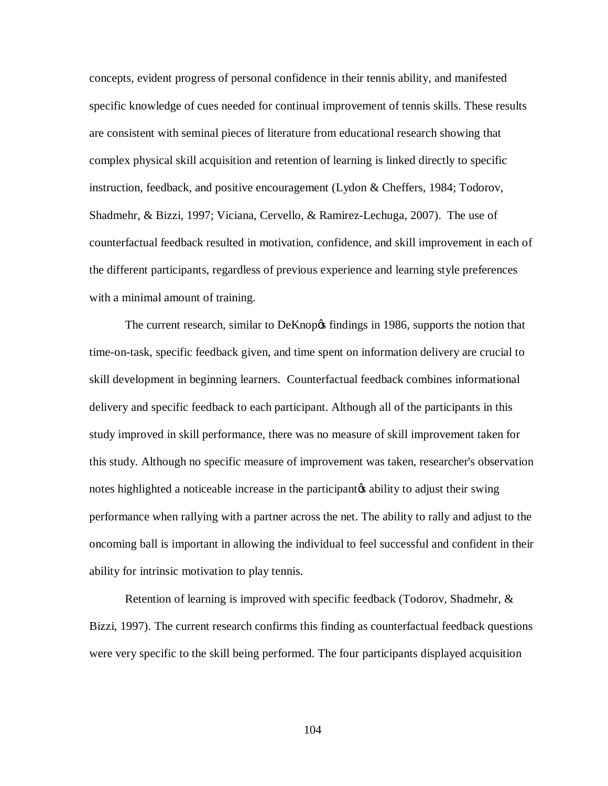concepts, evident progress of personal confidence in their tennis ability, and manifested specific knowledge of cues needed for continual improvement of tennis skills. These results are consistent with seminal pieces of literature from educational research showing that complex physical skill acquisition and retention of learning is linked directly to specific instruction, feedback, and positive encouragement (Lydon & Cheffers, 1984; Todorov, Shadmehr, & Bizzi, 1997; Viciana, Cervello, & Ramirez-Lechuga, 2007). The use of counterfactual feedback resulted in motivation, confidence, and skill improvement in each of the different participants, regardless of previous experience and learning style preferences with a minimal amount of training.

The current research, similar to DeKnop $\alpha$  findings in 1986, supports the notion that time-on-task, specific feedback given, and time spent on information delivery are crucial to skill development in beginning learners. Counterfactual feedback combines informational delivery and specific feedback to each participant. Although all of the participants in this study improved in skill performance, there was no measure of skill improvement taken for this study. Although no specific measure of improvement was taken, researcher's observation notes highlighted a noticeable increase in the participant to adjust their swing performance when rallying with a partner across the net. The ability to rally and adjust to the oncoming ball is important in allowing the individual to feel successful and confident in their ability for intrinsic motivation to play tennis.

Retention of learning is improved with specific feedback (Todorov, Shadmehr, & Bizzi, 1997). The current research confirms this finding as counterfactual feedback questions were very specific to the skill being performed. The four participants displayed acquisition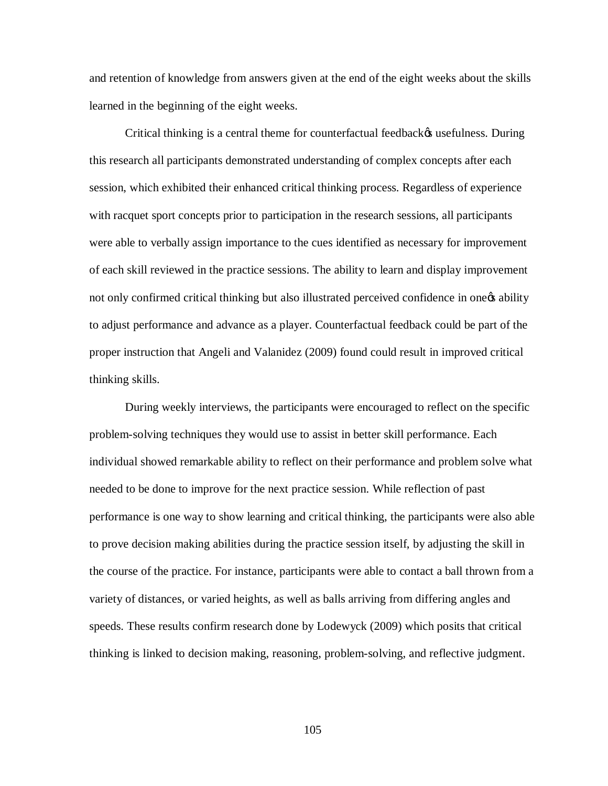and retention of knowledge from answers given at the end of the eight weeks about the skills learned in the beginning of the eight weeks.

Critical thinking is a central theme for counterfactual feedback  $\alpha$  usefulness. During this research all participants demonstrated understanding of complex concepts after each session, which exhibited their enhanced critical thinking process. Regardless of experience with racquet sport concepts prior to participation in the research sessions, all participants were able to verbally assign importance to the cues identified as necessary for improvement of each skill reviewed in the practice sessions. The ability to learn and display improvement not only confirmed critical thinking but also illustrated perceived confidence in one<sub>g</sub> ability to adjust performance and advance as a player. Counterfactual feedback could be part of the proper instruction that Angeli and Valanidez (2009) found could result in improved critical thinking skills.

During weekly interviews, the participants were encouraged to reflect on the specific problem-solving techniques they would use to assist in better skill performance. Each individual showed remarkable ability to reflect on their performance and problem solve what needed to be done to improve for the next practice session. While reflection of past performance is one way to show learning and critical thinking, the participants were also able to prove decision making abilities during the practice session itself, by adjusting the skill in the course of the practice. For instance, participants were able to contact a ball thrown from a variety of distances, or varied heights, as well as balls arriving from differing angles and speeds. These results confirm research done by Lodewyck (2009) which posits that critical thinking is linked to decision making, reasoning, problem-solving, and reflective judgment.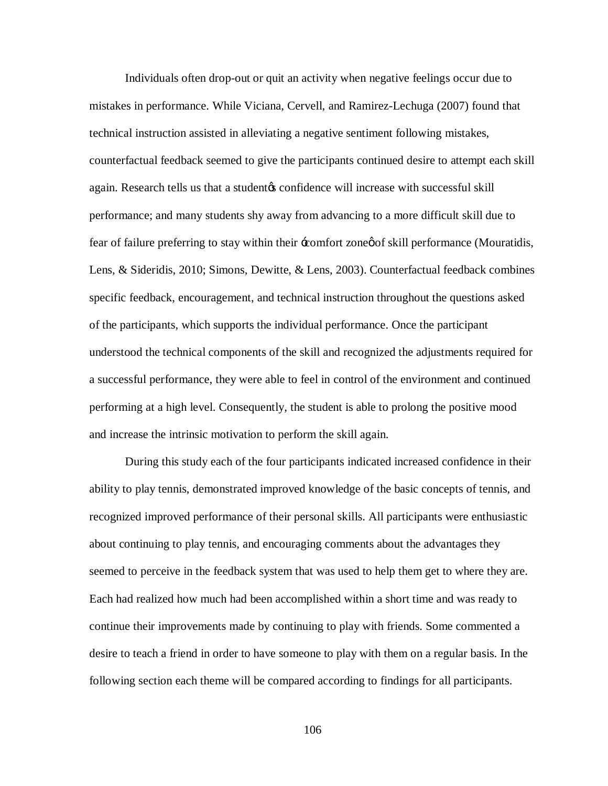Individuals often drop-out or quit an activity when negative feelings occur due to mistakes in performance. While Viciana, Cervell, and Ramirez-Lechuga (2007) found that technical instruction assisted in alleviating a negative sentiment following mistakes, counterfactual feedback seemed to give the participants continued desire to attempt each skill again. Research tells us that a student to confidence will increase with successful skill performance; and many students shy away from advancing to a more difficult skill due to fear of failure preferring to stay within their -comfort zone of skill performance (Mouratidis, Lens, & Sideridis, 2010; Simons, Dewitte, & Lens, 2003). Counterfactual feedback combines specific feedback, encouragement, and technical instruction throughout the questions asked of the participants, which supports the individual performance. Once the participant understood the technical components of the skill and recognized the adjustments required for a successful performance, they were able to feel in control of the environment and continued performing at a high level. Consequently, the student is able to prolong the positive mood and increase the intrinsic motivation to perform the skill again.

During this study each of the four participants indicated increased confidence in their ability to play tennis, demonstrated improved knowledge of the basic concepts of tennis, and recognized improved performance of their personal skills. All participants were enthusiastic about continuing to play tennis, and encouraging comments about the advantages they seemed to perceive in the feedback system that was used to help them get to where they are. Each had realized how much had been accomplished within a short time and was ready to continue their improvements made by continuing to play with friends. Some commented a desire to teach a friend in order to have someone to play with them on a regular basis. In the following section each theme will be compared according to findings for all participants.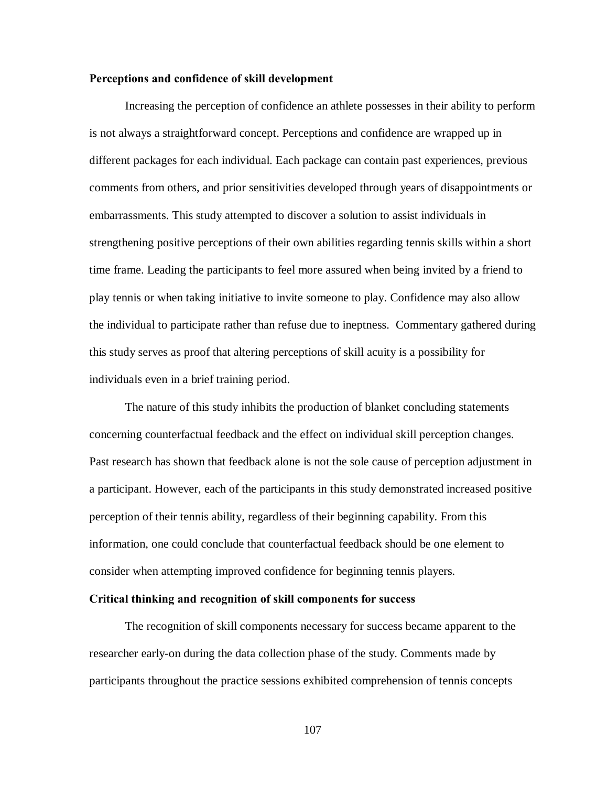## **Perceptions and confidence of skill development**

Increasing the perception of confidence an athlete possesses in their ability to perform is not always a straightforward concept. Perceptions and confidence are wrapped up in different packages for each individual. Each package can contain past experiences, previous comments from others, and prior sensitivities developed through years of disappointments or embarrassments. This study attempted to discover a solution to assist individuals in strengthening positive perceptions of their own abilities regarding tennis skills within a short time frame. Leading the participants to feel more assured when being invited by a friend to play tennis or when taking initiative to invite someone to play. Confidence may also allow the individual to participate rather than refuse due to ineptness. Commentary gathered during this study serves as proof that altering perceptions of skill acuity is a possibility for individuals even in a brief training period.

The nature of this study inhibits the production of blanket concluding statements concerning counterfactual feedback and the effect on individual skill perception changes. Past research has shown that feedback alone is not the sole cause of perception adjustment in a participant. However, each of the participants in this study demonstrated increased positive perception of their tennis ability, regardless of their beginning capability. From this information, one could conclude that counterfactual feedback should be one element to consider when attempting improved confidence for beginning tennis players.

## **Critical thinking and recognition of skill components for success**

The recognition of skill components necessary for success became apparent to the researcher early-on during the data collection phase of the study. Comments made by participants throughout the practice sessions exhibited comprehension of tennis concepts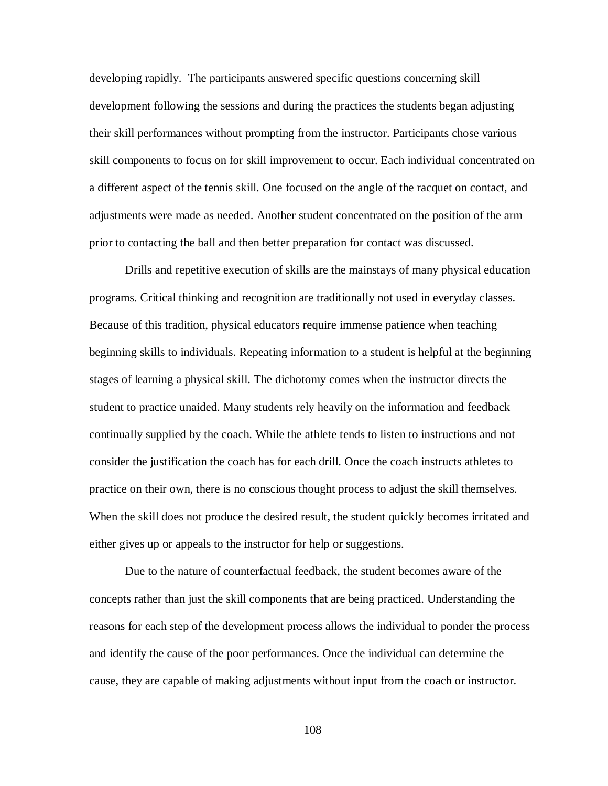developing rapidly. The participants answered specific questions concerning skill development following the sessions and during the practices the students began adjusting their skill performances without prompting from the instructor. Participants chose various skill components to focus on for skill improvement to occur. Each individual concentrated on a different aspect of the tennis skill. One focused on the angle of the racquet on contact, and adjustments were made as needed. Another student concentrated on the position of the arm prior to contacting the ball and then better preparation for contact was discussed.

Drills and repetitive execution of skills are the mainstays of many physical education programs. Critical thinking and recognition are traditionally not used in everyday classes. Because of this tradition, physical educators require immense patience when teaching beginning skills to individuals. Repeating information to a student is helpful at the beginning stages of learning a physical skill. The dichotomy comes when the instructor directs the student to practice unaided. Many students rely heavily on the information and feedback continually supplied by the coach. While the athlete tends to listen to instructions and not consider the justification the coach has for each drill. Once the coach instructs athletes to practice on their own, there is no conscious thought process to adjust the skill themselves. When the skill does not produce the desired result, the student quickly becomes irritated and either gives up or appeals to the instructor for help or suggestions.

Due to the nature of counterfactual feedback, the student becomes aware of the concepts rather than just the skill components that are being practiced. Understanding the reasons for each step of the development process allows the individual to ponder the process and identify the cause of the poor performances. Once the individual can determine the cause, they are capable of making adjustments without input from the coach or instructor.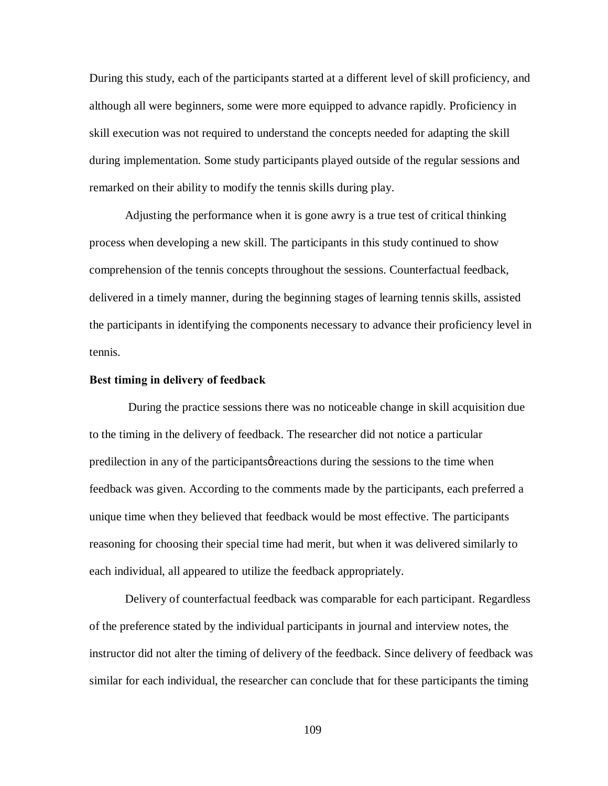During this study, each of the participants started at a different level of skill proficiency, and although all were beginners, some were more equipped to advance rapidly. Proficiency in skill execution was not required to understand the concepts needed for adapting the skill during implementation. Some study participants played outside of the regular sessions and remarked on their ability to modify the tennis skills during play.

Adjusting the performance when it is gone awry is a true test of critical thinking process when developing a new skill. The participants in this study continued to show comprehension of the tennis concepts throughout the sessions. Counterfactual feedback, delivered in a timely manner, during the beginning stages of learning tennis skills, assisted the participants in identifying the components necessary to advance their proficiency level in tennis.

## **Best timing in delivery of feedback**

During the practice sessions there was no noticeable change in skill acquisition due to the timing in the delivery of feedback. The researcher did not notice a particular predilection in any of the participants greations during the sessions to the time when feedback was given. According to the comments made by the participants, each preferred a unique time when they believed that feedback would be most effective. The participants reasoning for choosing their special time had merit, but when it was delivered similarly to each individual, all appeared to utilize the feedback appropriately.

Delivery of counterfactual feedback was comparable for each participant. Regardless of the preference stated by the individual participants in journal and interview notes, the instructor did not alter the timing of delivery of the feedback. Since delivery of feedback was similar for each individual, the researcher can conclude that for these participants the timing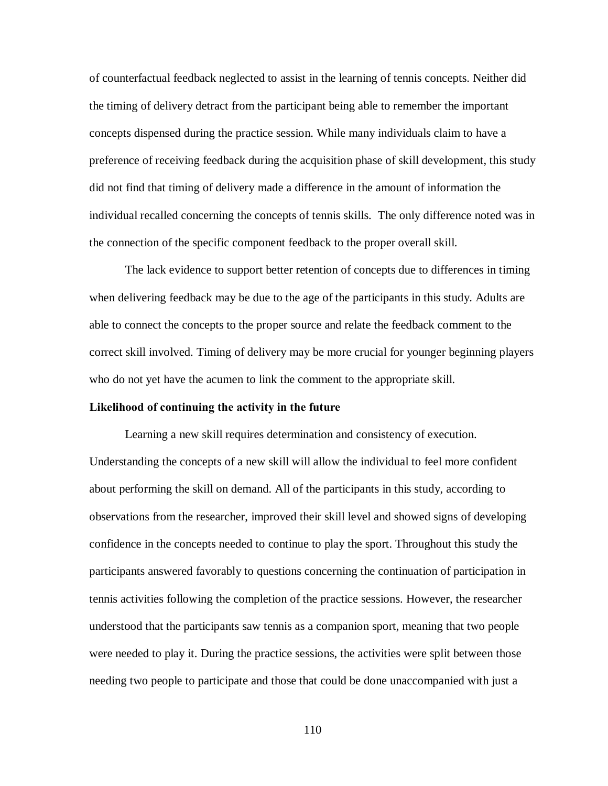of counterfactual feedback neglected to assist in the learning of tennis concepts. Neither did the timing of delivery detract from the participant being able to remember the important concepts dispensed during the practice session. While many individuals claim to have a preference of receiving feedback during the acquisition phase of skill development, this study did not find that timing of delivery made a difference in the amount of information the individual recalled concerning the concepts of tennis skills. The only difference noted was in the connection of the specific component feedback to the proper overall skill.

The lack evidence to support better retention of concepts due to differences in timing when delivering feedback may be due to the age of the participants in this study. Adults are able to connect the concepts to the proper source and relate the feedback comment to the correct skill involved. Timing of delivery may be more crucial for younger beginning players who do not yet have the acumen to link the comment to the appropriate skill.

## **Likelihood of continuing the activity in the future**

Learning a new skill requires determination and consistency of execution. Understanding the concepts of a new skill will allow the individual to feel more confident about performing the skill on demand. All of the participants in this study, according to observations from the researcher, improved their skill level and showed signs of developing confidence in the concepts needed to continue to play the sport. Throughout this study the participants answered favorably to questions concerning the continuation of participation in tennis activities following the completion of the practice sessions. However, the researcher understood that the participants saw tennis as a companion sport, meaning that two people were needed to play it. During the practice sessions, the activities were split between those needing two people to participate and those that could be done unaccompanied with just a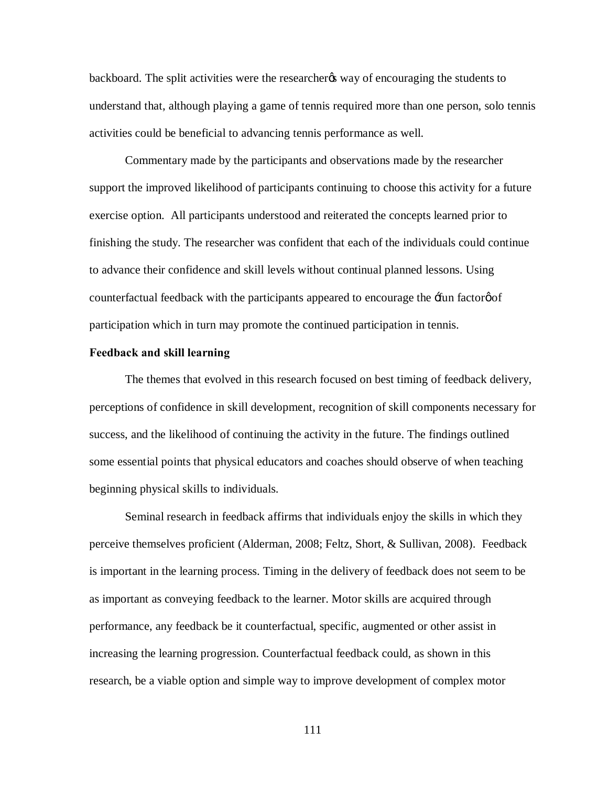backboard. The split activities were the researcheros way of encouraging the students to understand that, although playing a game of tennis required more than one person, solo tennis activities could be beneficial to advancing tennis performance as well.

Commentary made by the participants and observations made by the researcher support the improved likelihood of participants continuing to choose this activity for a future exercise option. All participants understood and reiterated the concepts learned prior to finishing the study. The researcher was confident that each of the individuals could continue to advance their confidence and skill levels without continual planned lessons. Using counterfactual feedback with the participants appeared to encourage the  $\pm$ fun factorøof participation which in turn may promote the continued participation in tennis.

## **Feedback and skill learning**

The themes that evolved in this research focused on best timing of feedback delivery, perceptions of confidence in skill development, recognition of skill components necessary for success, and the likelihood of continuing the activity in the future. The findings outlined some essential points that physical educators and coaches should observe of when teaching beginning physical skills to individuals.

Seminal research in feedback affirms that individuals enjoy the skills in which they perceive themselves proficient (Alderman, 2008; Feltz, Short, & Sullivan, 2008). Feedback is important in the learning process. Timing in the delivery of feedback does not seem to be as important as conveying feedback to the learner. Motor skills are acquired through performance, any feedback be it counterfactual, specific, augmented or other assist in increasing the learning progression. Counterfactual feedback could, as shown in this research, be a viable option and simple way to improve development of complex motor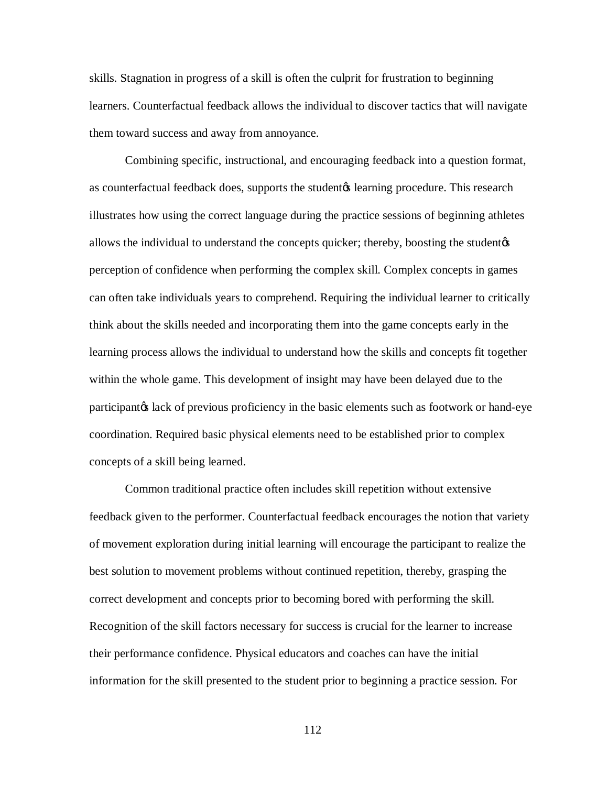skills. Stagnation in progress of a skill is often the culprit for frustration to beginning learners. Counterfactual feedback allows the individual to discover tactics that will navigate them toward success and away from annoyance.

Combining specific, instructional, and encouraging feedback into a question format, as counterfactual feedback does, supports the student<sub>*i*</sub> learning procedure. This research illustrates how using the correct language during the practice sessions of beginning athletes allows the individual to understand the concepts quicker; thereby, boosting the student  $\alpha$ perception of confidence when performing the complex skill. Complex concepts in games can often take individuals years to comprehend. Requiring the individual learner to critically think about the skills needed and incorporating them into the game concepts early in the learning process allows the individual to understand how the skills and concepts fit together within the whole game. This development of insight may have been delayed due to the participant ts lack of previous proficiency in the basic elements such as footwork or hand-eye coordination. Required basic physical elements need to be established prior to complex concepts of a skill being learned.

Common traditional practice often includes skill repetition without extensive feedback given to the performer. Counterfactual feedback encourages the notion that variety of movement exploration during initial learning will encourage the participant to realize the best solution to movement problems without continued repetition, thereby, grasping the correct development and concepts prior to becoming bored with performing the skill. Recognition of the skill factors necessary for success is crucial for the learner to increase their performance confidence. Physical educators and coaches can have the initial information for the skill presented to the student prior to beginning a practice session. For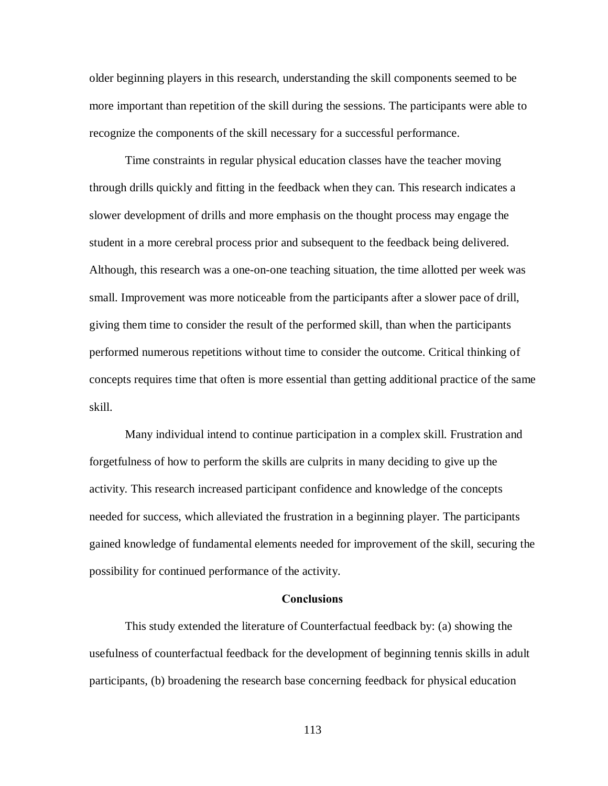older beginning players in this research, understanding the skill components seemed to be more important than repetition of the skill during the sessions. The participants were able to recognize the components of the skill necessary for a successful performance.

Time constraints in regular physical education classes have the teacher moving through drills quickly and fitting in the feedback when they can. This research indicates a slower development of drills and more emphasis on the thought process may engage the student in a more cerebral process prior and subsequent to the feedback being delivered. Although, this research was a one-on-one teaching situation, the time allotted per week was small. Improvement was more noticeable from the participants after a slower pace of drill, giving them time to consider the result of the performed skill, than when the participants performed numerous repetitions without time to consider the outcome. Critical thinking of concepts requires time that often is more essential than getting additional practice of the same skill.

Many individual intend to continue participation in a complex skill. Frustration and forgetfulness of how to perform the skills are culprits in many deciding to give up the activity. This research increased participant confidence and knowledge of the concepts needed for success, which alleviated the frustration in a beginning player. The participants gained knowledge of fundamental elements needed for improvement of the skill, securing the possibility for continued performance of the activity.

## **Conclusions**

This study extended the literature of Counterfactual feedback by: (a) showing the usefulness of counterfactual feedback for the development of beginning tennis skills in adult participants, (b) broadening the research base concerning feedback for physical education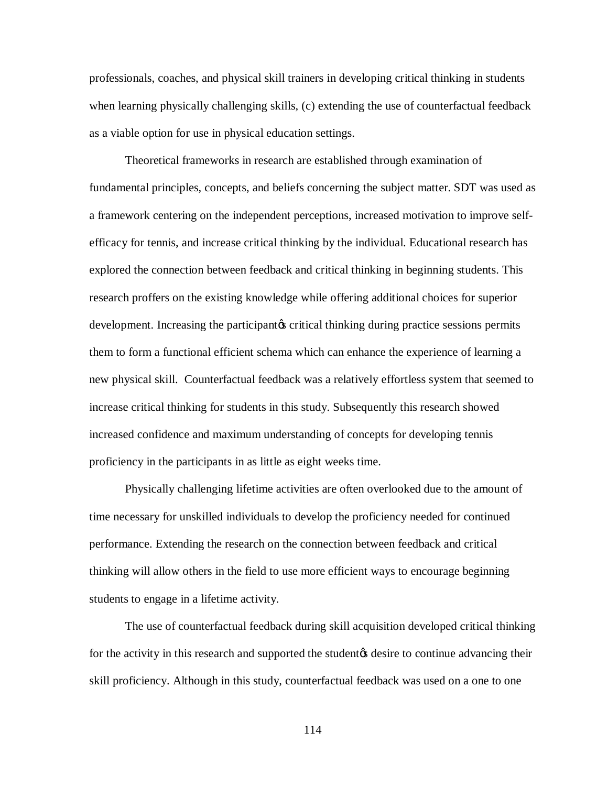professionals, coaches, and physical skill trainers in developing critical thinking in students when learning physically challenging skills, (c) extending the use of counterfactual feedback as a viable option for use in physical education settings.

Theoretical frameworks in research are established through examination of fundamental principles, concepts, and beliefs concerning the subject matter. SDT was used as a framework centering on the independent perceptions, increased motivation to improve selfefficacy for tennis, and increase critical thinking by the individual. Educational research has explored the connection between feedback and critical thinking in beginning students. This research proffers on the existing knowledge while offering additional choices for superior development. Increasing the participant ts critical thinking during practice sessions permits them to form a functional efficient schema which can enhance the experience of learning a new physical skill. Counterfactual feedback was a relatively effortless system that seemed to increase critical thinking for students in this study. Subsequently this research showed increased confidence and maximum understanding of concepts for developing tennis proficiency in the participants in as little as eight weeks time.

Physically challenging lifetime activities are often overlooked due to the amount of time necessary for unskilled individuals to develop the proficiency needed for continued performance. Extending the research on the connection between feedback and critical thinking will allow others in the field to use more efficient ways to encourage beginning students to engage in a lifetime activity.

The use of counterfactual feedback during skill acquisition developed critical thinking for the activity in this research and supported the student  $\phi$  desire to continue advancing their skill proficiency. Although in this study, counterfactual feedback was used on a one to one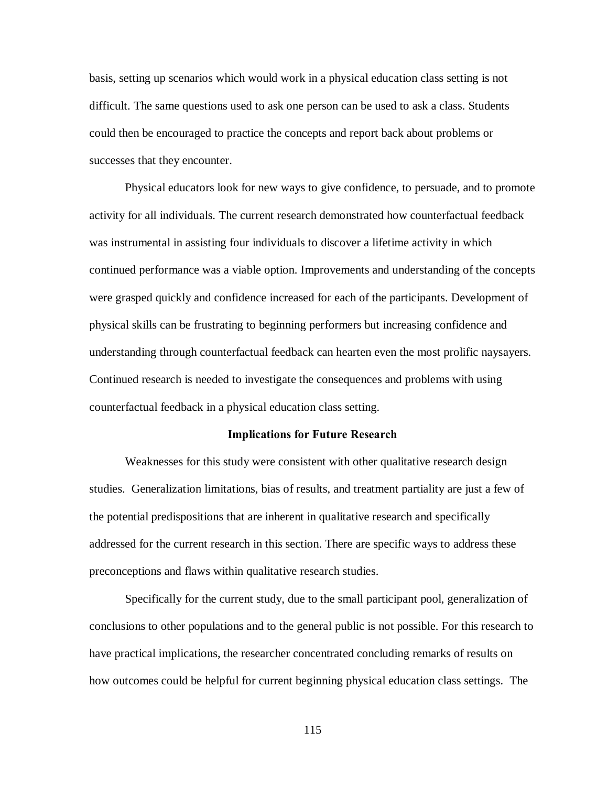basis, setting up scenarios which would work in a physical education class setting is not difficult. The same questions used to ask one person can be used to ask a class. Students could then be encouraged to practice the concepts and report back about problems or successes that they encounter.

Physical educators look for new ways to give confidence, to persuade, and to promote activity for all individuals. The current research demonstrated how counterfactual feedback was instrumental in assisting four individuals to discover a lifetime activity in which continued performance was a viable option. Improvements and understanding of the concepts were grasped quickly and confidence increased for each of the participants. Development of physical skills can be frustrating to beginning performers but increasing confidence and understanding through counterfactual feedback can hearten even the most prolific naysayers. Continued research is needed to investigate the consequences and problems with using counterfactual feedback in a physical education class setting.

### **Implications for Future Research**

Weaknesses for this study were consistent with other qualitative research design studies. Generalization limitations, bias of results, and treatment partiality are just a few of the potential predispositions that are inherent in qualitative research and specifically addressed for the current research in this section. There are specific ways to address these preconceptions and flaws within qualitative research studies.

Specifically for the current study, due to the small participant pool, generalization of conclusions to other populations and to the general public is not possible. For this research to have practical implications, the researcher concentrated concluding remarks of results on how outcomes could be helpful for current beginning physical education class settings. The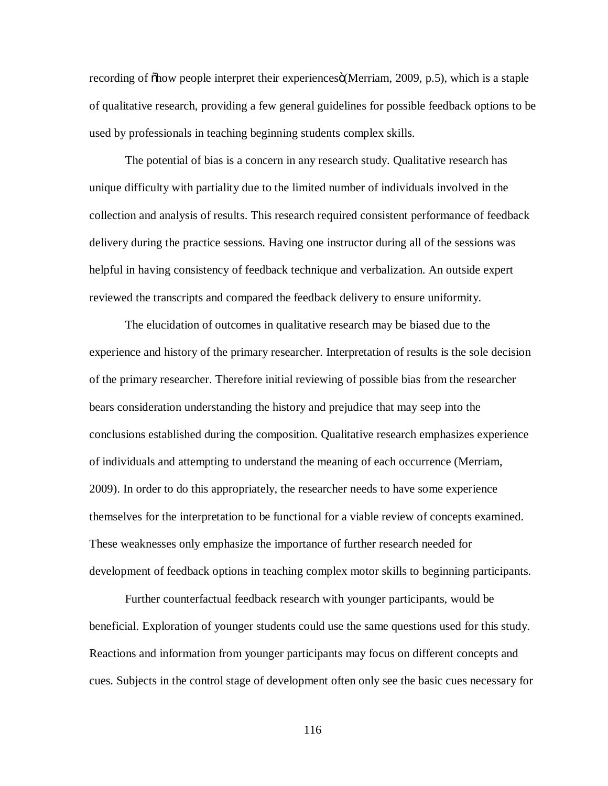recording of  $\delta$ how people interpret their experiences $\delta$ (Merriam, 2009, p.5), which is a staple of qualitative research, providing a few general guidelines for possible feedback options to be used by professionals in teaching beginning students complex skills.

The potential of bias is a concern in any research study. Qualitative research has unique difficulty with partiality due to the limited number of individuals involved in the collection and analysis of results. This research required consistent performance of feedback delivery during the practice sessions. Having one instructor during all of the sessions was helpful in having consistency of feedback technique and verbalization. An outside expert reviewed the transcripts and compared the feedback delivery to ensure uniformity.

The elucidation of outcomes in qualitative research may be biased due to the experience and history of the primary researcher. Interpretation of results is the sole decision of the primary researcher. Therefore initial reviewing of possible bias from the researcher bears consideration understanding the history and prejudice that may seep into the conclusions established during the composition. Qualitative research emphasizes experience of individuals and attempting to understand the meaning of each occurrence (Merriam, 2009). In order to do this appropriately, the researcher needs to have some experience themselves for the interpretation to be functional for a viable review of concepts examined. These weaknesses only emphasize the importance of further research needed for development of feedback options in teaching complex motor skills to beginning participants.

Further counterfactual feedback research with younger participants, would be beneficial. Exploration of younger students could use the same questions used for this study. Reactions and information from younger participants may focus on different concepts and cues. Subjects in the control stage of development often only see the basic cues necessary for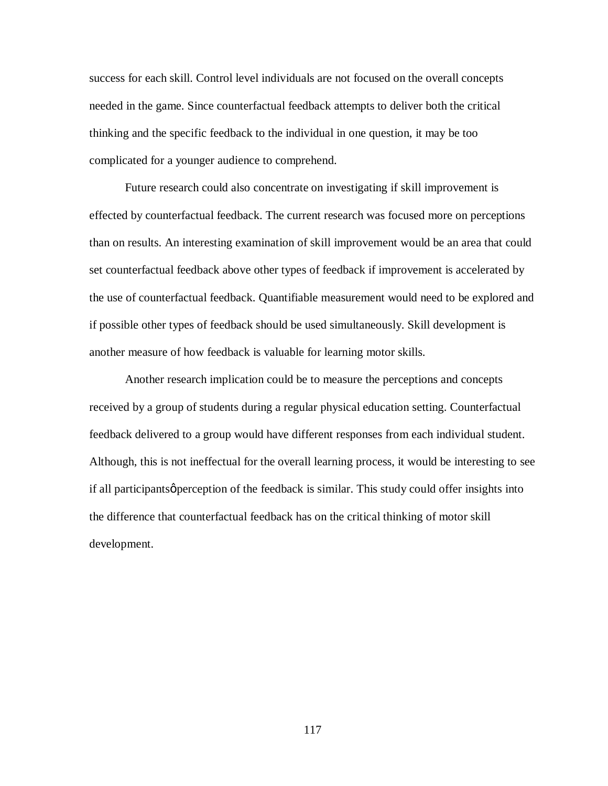success for each skill. Control level individuals are not focused on the overall concepts needed in the game. Since counterfactual feedback attempts to deliver both the critical thinking and the specific feedback to the individual in one question, it may be too complicated for a younger audience to comprehend.

Future research could also concentrate on investigating if skill improvement is effected by counterfactual feedback. The current research was focused more on perceptions than on results. An interesting examination of skill improvement would be an area that could set counterfactual feedback above other types of feedback if improvement is accelerated by the use of counterfactual feedback. Quantifiable measurement would need to be explored and if possible other types of feedback should be used simultaneously. Skill development is another measure of how feedback is valuable for learning motor skills.

Another research implication could be to measure the perceptions and concepts received by a group of students during a regular physical education setting. Counterfactual feedback delivered to a group would have different responses from each individual student. Although, this is not ineffectual for the overall learning process, it would be interesting to see if all participants *perception* of the feedback is similar. This study could offer insights into the difference that counterfactual feedback has on the critical thinking of motor skill development.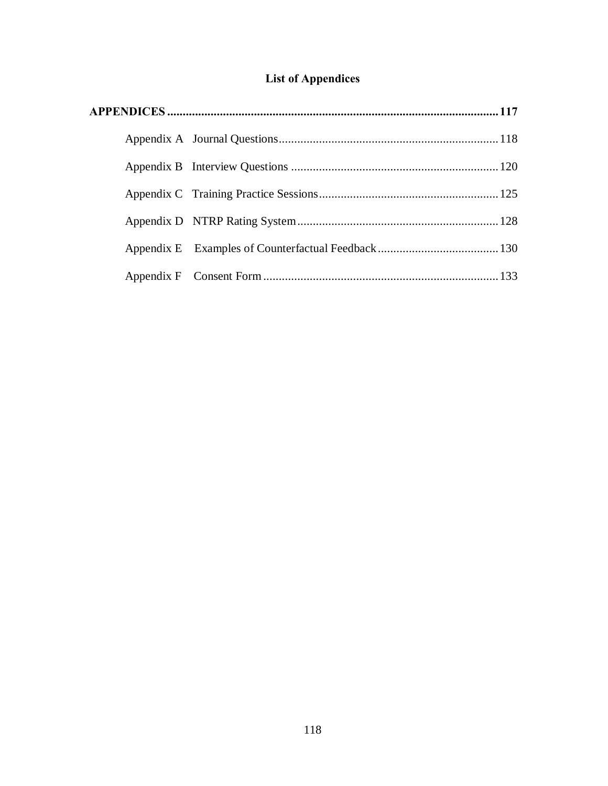# **List of Appendices**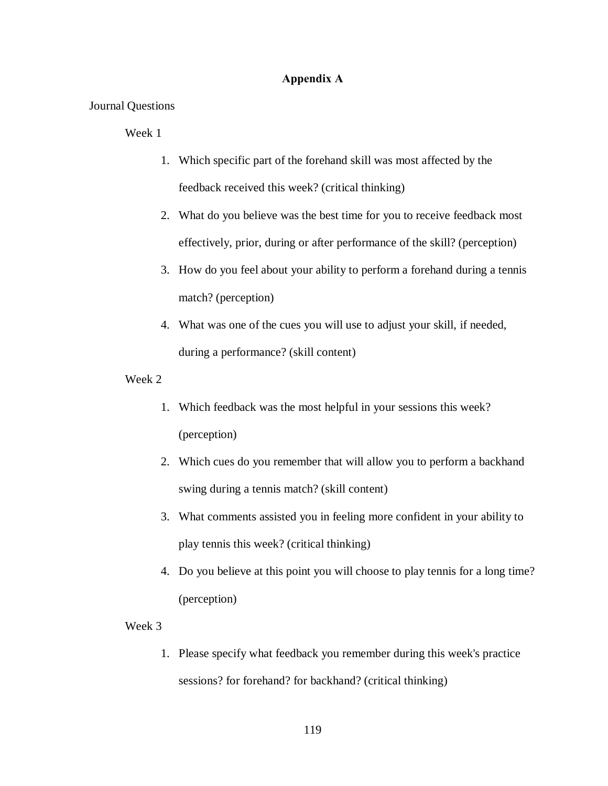# **Appendix A**

# Journal Questions

# Week 1

- 1. Which specific part of the forehand skill was most affected by the feedback received this week? (critical thinking)
- 2. What do you believe was the best time for you to receive feedback most effectively, prior, during or after performance of the skill? (perception)
- 3. How do you feel about your ability to perform a forehand during a tennis match? (perception)
- 4. What was one of the cues you will use to adjust your skill, if needed, during a performance? (skill content)
- Week 2
	- 1. Which feedback was the most helpful in your sessions this week? (perception)
	- 2. Which cues do you remember that will allow you to perform a backhand swing during a tennis match? (skill content)
	- 3. What comments assisted you in feeling more confident in your ability to play tennis this week? (critical thinking)
	- 4. Do you believe at this point you will choose to play tennis for a long time? (perception)

## Week 3

1. Please specify what feedback you remember during this week's practice sessions? for forehand? for backhand? (critical thinking)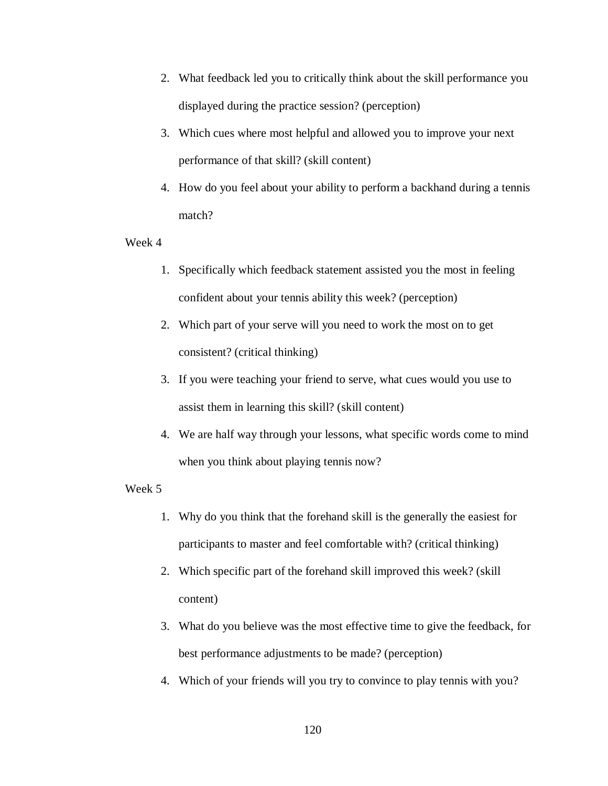- 2. What feedback led you to critically think about the skill performance you displayed during the practice session? (perception)
- 3. Which cues where most helpful and allowed you to improve your next performance of that skill? (skill content)
- 4. How do you feel about your ability to perform a backhand during a tennis match?

- 1. Specifically which feedback statement assisted you the most in feeling confident about your tennis ability this week? (perception)
- 2. Which part of your serve will you need to work the most on to get consistent? (critical thinking)
- 3. If you were teaching your friend to serve, what cues would you use to assist them in learning this skill? (skill content)
- 4. We are half way through your lessons, what specific words come to mind when you think about playing tennis now?

- 1. Why do you think that the forehand skill is the generally the easiest for participants to master and feel comfortable with? (critical thinking)
- 2. Which specific part of the forehand skill improved this week? (skill content)
- 3. What do you believe was the most effective time to give the feedback, for best performance adjustments to be made? (perception)
- 4. Which of your friends will you try to convince to play tennis with you?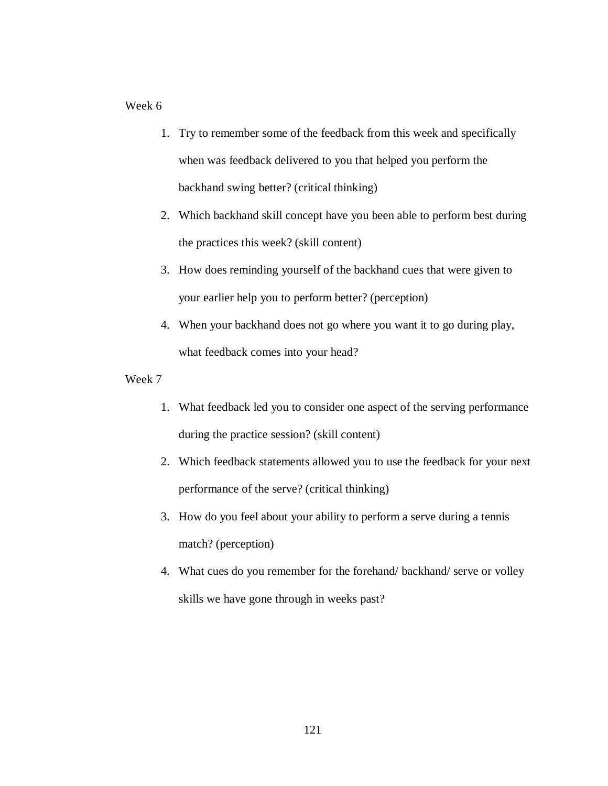- 1. Try to remember some of the feedback from this week and specifically when was feedback delivered to you that helped you perform the backhand swing better? (critical thinking)
- 2. Which backhand skill concept have you been able to perform best during the practices this week? (skill content)
- 3. How does reminding yourself of the backhand cues that were given to your earlier help you to perform better? (perception)
- 4. When your backhand does not go where you want it to go during play, what feedback comes into your head?

- 1. What feedback led you to consider one aspect of the serving performance during the practice session? (skill content)
- 2. Which feedback statements allowed you to use the feedback for your next performance of the serve? (critical thinking)
- 3. How do you feel about your ability to perform a serve during a tennis match? (perception)
- 4. What cues do you remember for the forehand/ backhand/ serve or volley skills we have gone through in weeks past?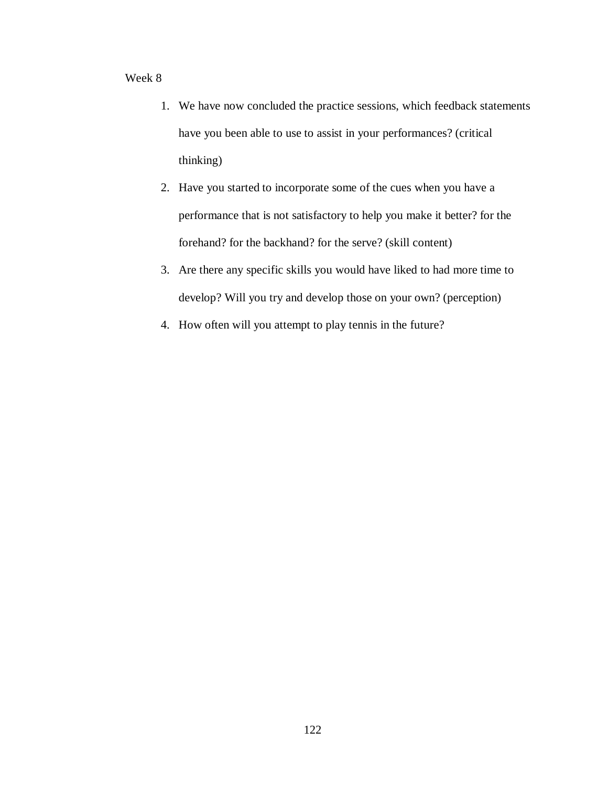- 1. We have now concluded the practice sessions, which feedback statements have you been able to use to assist in your performances? (critical thinking)
- 2. Have you started to incorporate some of the cues when you have a performance that is not satisfactory to help you make it better? for the forehand? for the backhand? for the serve? (skill content)
- 3. Are there any specific skills you would have liked to had more time to develop? Will you try and develop those on your own? (perception)
- 4. How often will you attempt to play tennis in the future?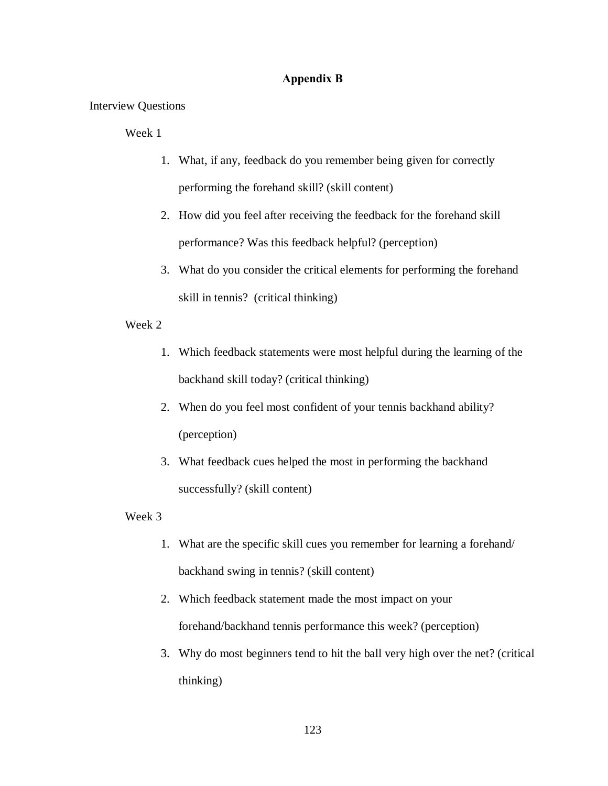# **Appendix B**

Interview Questions

Week 1

- 1. What, if any, feedback do you remember being given for correctly performing the forehand skill? (skill content)
- 2. How did you feel after receiving the feedback for the forehand skill performance? Was this feedback helpful? (perception)
- 3. What do you consider the critical elements for performing the forehand skill in tennis? (critical thinking)

# Week 2

- 1. Which feedback statements were most helpful during the learning of the backhand skill today? (critical thinking)
- 2. When do you feel most confident of your tennis backhand ability? (perception)
- 3. What feedback cues helped the most in performing the backhand successfully? (skill content)

- 1. What are the specific skill cues you remember for learning a forehand/ backhand swing in tennis? (skill content)
- 2. Which feedback statement made the most impact on your forehand/backhand tennis performance this week? (perception)
- 3. Why do most beginners tend to hit the ball very high over the net? (critical thinking)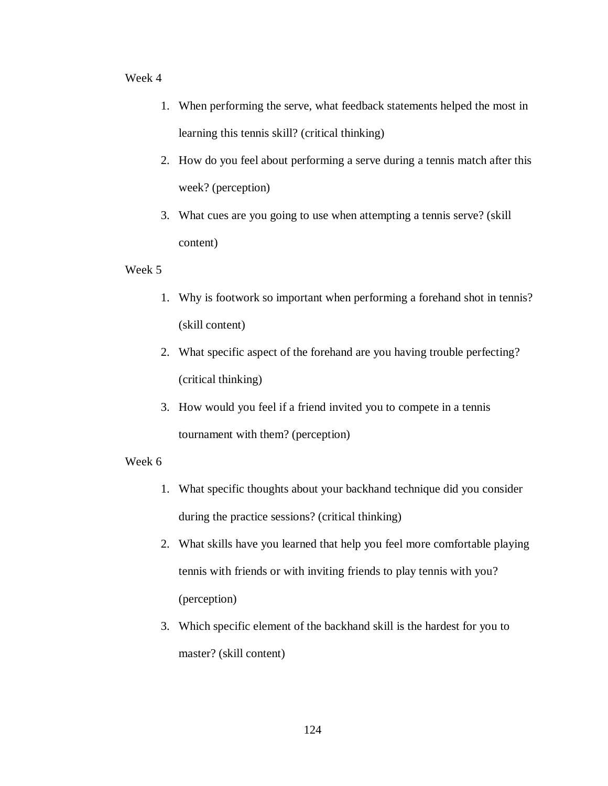- 1. When performing the serve, what feedback statements helped the most in learning this tennis skill? (critical thinking)
- 2. How do you feel about performing a serve during a tennis match after this week? (perception)
- 3. What cues are you going to use when attempting a tennis serve? (skill content)

# Week 5

- 1. Why is footwork so important when performing a forehand shot in tennis? (skill content)
- 2. What specific aspect of the forehand are you having trouble perfecting? (critical thinking)
- 3. How would you feel if a friend invited you to compete in a tennis tournament with them? (perception)

- 1. What specific thoughts about your backhand technique did you consider during the practice sessions? (critical thinking)
- 2. What skills have you learned that help you feel more comfortable playing tennis with friends or with inviting friends to play tennis with you? (perception)
- 3. Which specific element of the backhand skill is the hardest for you to master? (skill content)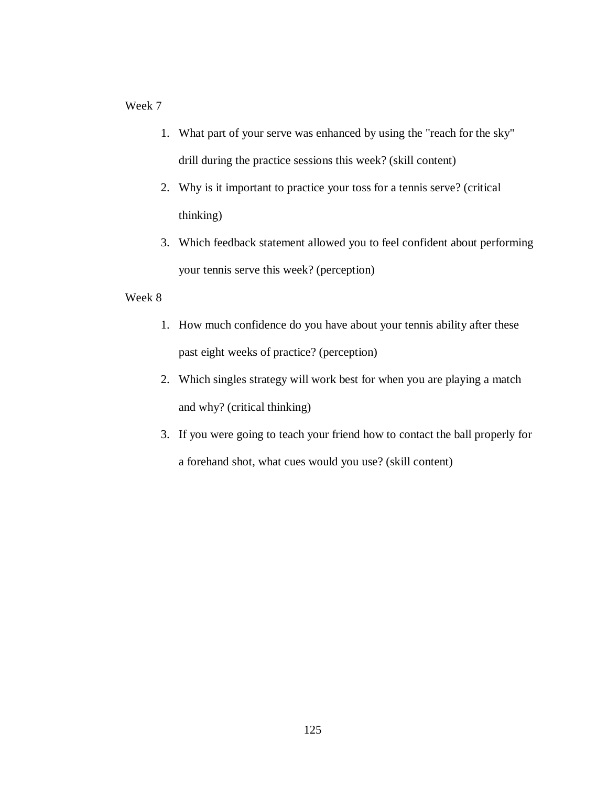- 1. What part of your serve was enhanced by using the "reach for the sky" drill during the practice sessions this week? (skill content)
- 2. Why is it important to practice your toss for a tennis serve? (critical thinking)
- 3. Which feedback statement allowed you to feel confident about performing your tennis serve this week? (perception)

- 1. How much confidence do you have about your tennis ability after these past eight weeks of practice? (perception)
- 2. Which singles strategy will work best for when you are playing a match and why? (critical thinking)
- 3. If you were going to teach your friend how to contact the ball properly for a forehand shot, what cues would you use? (skill content)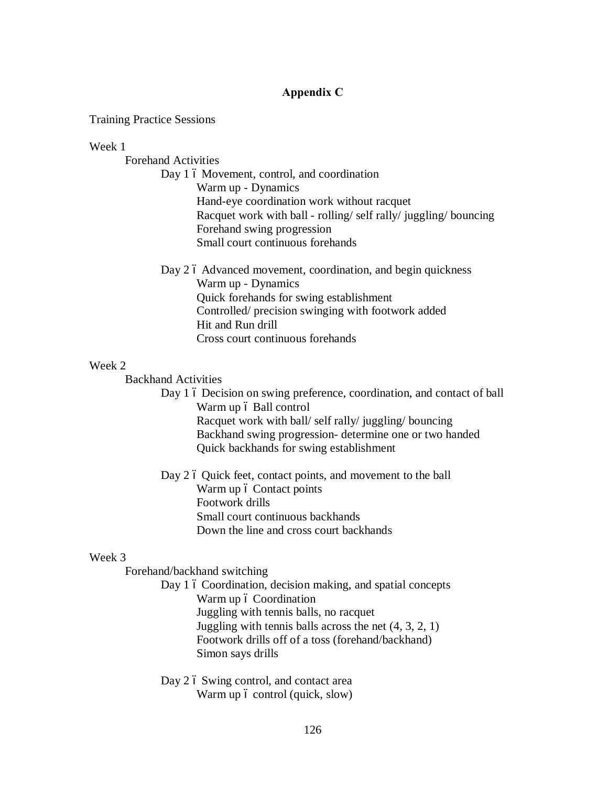# **Appendix C**

Training Practice Sessions

# Week 1

Forehand Activities

Day 1 6 Movement, control, and coordination Warm up - Dynamics Hand-eye coordination work without racquet Racquet work with ball - rolling/ self rally/ juggling/ bouncing Forehand swing progression Small court continuous forehands

Day 2 6 Advanced movement, coordination, and begin quickness Warm up - Dynamics Quick forehands for swing establishment Controlled/ precision swinging with footwork added Hit and Run drill Cross court continuous forehands

# Week 2

Backhand Activities

Day 1 6 Decision on swing preference, coordination, and contact of ball Warm up 6 Ball control Racquet work with ball/ self rally/ juggling/ bouncing Backhand swing progression- determine one or two handed Quick backhands for swing establishment

Day 2 6 Quick feet, contact points, and movement to the ball Warm up ó Contact points Footwork drills Small court continuous backhands Down the line and cross court backhands

# Week 3

Forehand/backhand switching

Day 1 6 Coordination, decision making, and spatial concepts Warm up 6 Coordination Juggling with tennis balls, no racquet Juggling with tennis balls across the net  $(4, 3, 2, 1)$ Footwork drills off of a toss (forehand/backhand) Simon says drills

Day 2 6 Swing control, and contact area Warm up  $\acute{o}$  control (quick, slow)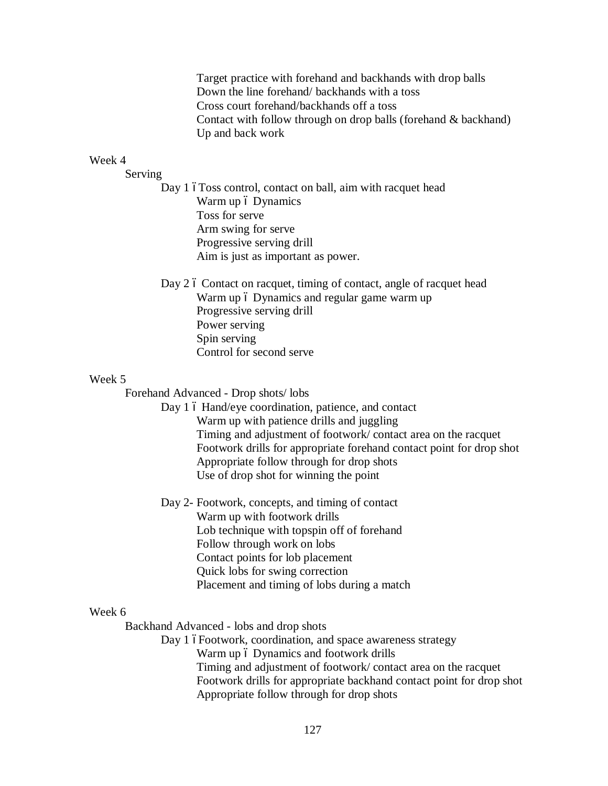Target practice with forehand and backhands with drop balls Down the line forehand/ backhands with a toss Cross court forehand/backhands off a toss Contact with follow through on drop balls (forehand & backhand) Up and back work

## Week 4

Serving

Day 1 6Toss control, contact on ball, aim with racquet head Warm up 6 Dynamics Toss for serve Arm swing for serve Progressive serving drill Aim is just as important as power.

Day 2 6 Contact on racquet, timing of contact, angle of racquet head Warm up 6 Dynamics and regular game warm up Progressive serving drill Power serving Spin serving Control for second serve

## Week 5

Forehand Advanced - Drop shots/ lobs

- Day 1 6 Hand/eye coordination, patience, and contact Warm up with patience drills and juggling Timing and adjustment of footwork/ contact area on the racquet Footwork drills for appropriate forehand contact point for drop shot Appropriate follow through for drop shots Use of drop shot for winning the point
- Day 2- Footwork, concepts, and timing of contact Warm up with footwork drills Lob technique with topspin off of forehand Follow through work on lobs Contact points for lob placement Quick lobs for swing correction Placement and timing of lobs during a match

# Week 6

Backhand Advanced - lobs and drop shots

Day 1 óFootwork, coordination, and space awareness strategy Warm up 6 Dynamics and footwork drills Timing and adjustment of footwork/ contact area on the racquet Footwork drills for appropriate backhand contact point for drop shot Appropriate follow through for drop shots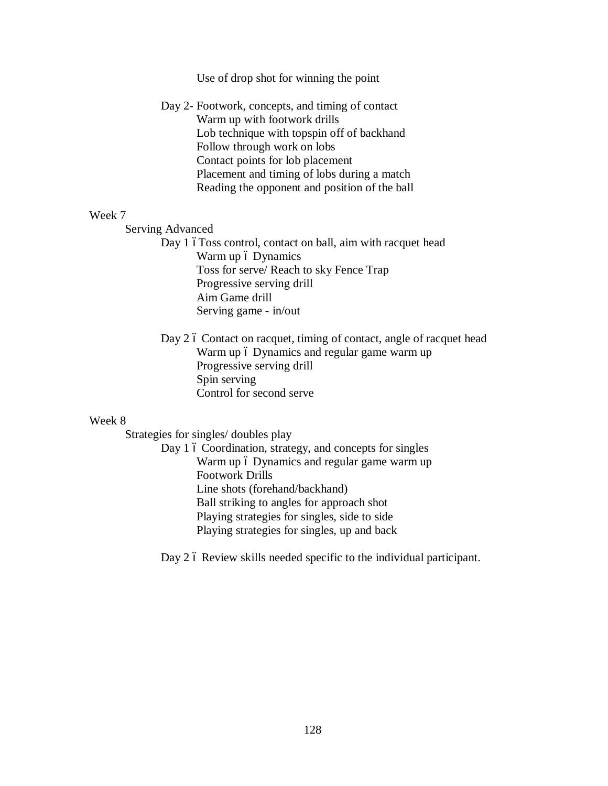Use of drop shot for winning the point

Day 2- Footwork, concepts, and timing of contact Warm up with footwork drills Lob technique with topspin off of backhand Follow through work on lobs Contact points for lob placement Placement and timing of lobs during a match Reading the opponent and position of the ball

## Week 7

Serving Advanced

Day 1 6Toss control, contact on ball, aim with racquet head Warm up 6 Dynamics Toss for serve/ Reach to sky Fence Trap Progressive serving drill Aim Game drill Serving game - in/out

Day 2 6 Contact on racquet, timing of contact, angle of racquet head Warm up 6 Dynamics and regular game warm up Progressive serving drill Spin serving Control for second serve

# Week 8

Strategies for singles/ doubles play

Day 1 6 Coordination, strategy, and concepts for singles Warm up 6 Dynamics and regular game warm up Footwork Drills Line shots (forehand/backhand) Ball striking to angles for approach shot Playing strategies for singles, side to side Playing strategies for singles, up and back

Day 2 6 Review skills needed specific to the individual participant.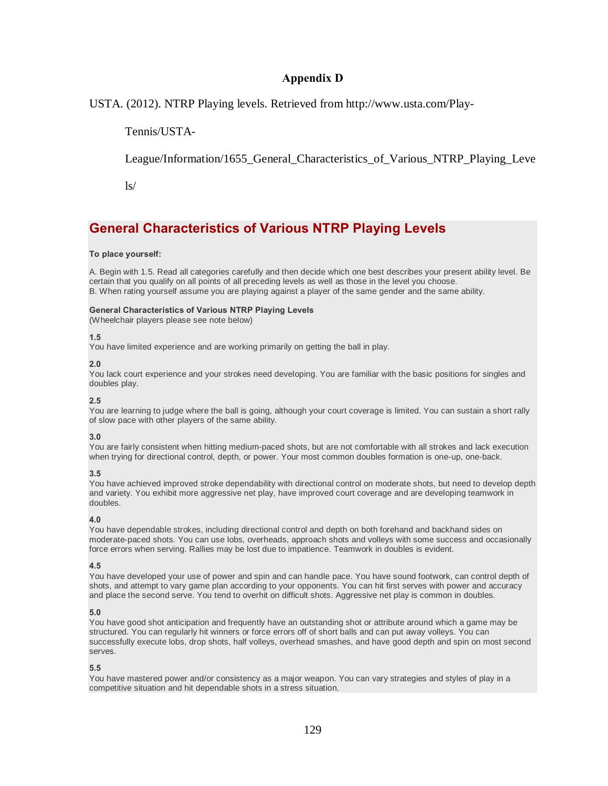# **Appendix D**

USTA. (2012). NTRP Playing levels. Retrieved from http://www.usta.com/Play-

Tennis/USTA-

League/Information/1655\_General\_Characteristics\_of\_Various\_NTRP\_Playing\_Leve

 $\frac{1}{s}$ 

# **General Characteristics of Various NTRP Playing Levels**

### **To place yourself:**

A. Begin with 1.5. Read all categories carefully and then decide which one best describes your present ability level. Be certain that you qualify on all points of all preceding levels as well as those in the level you choose. B. When rating yourself assume you are playing against a player of the same gender and the same ability.

#### **General Characteristics of Various NTRP Playing Levels**

(Wheelchair players please see note below)

#### **1.5**

You have limited experience and are working primarily on getting the ball in play.

#### **2.0**

You lack court experience and your strokes need developing. You are familiar with the basic positions for singles and doubles play.

#### **2.5**

You are learning to judge where the ball is going, although your court coverage is limited. You can sustain a short rally of slow pace with other players of the same ability.

### **3.0**

You are fairly consistent when hitting medium-paced shots, but are not comfortable with all strokes and lack execution when trying for directional control, depth, or power. Your most common doubles formation is one-up, one-back.

### **3.5**

You have achieved improved stroke dependability with directional control on moderate shots, but need to develop depth and variety. You exhibit more aggressive net play, have improved court coverage and are developing teamwork in doubles.

### **4.0**

You have dependable strokes, including directional control and depth on both forehand and backhand sides on moderate-paced shots. You can use lobs, overheads, approach shots and volleys with some success and occasionally force errors when serving. Rallies may be lost due to impatience. Teamwork in doubles is evident.

#### **4.5**

You have developed your use of power and spin and can handle pace. You have sound footwork, can control depth of shots, and attempt to vary game plan according to your opponents. You can hit first serves with power and accuracy and place the second serve. You tend to overhit on difficult shots. Aggressive net play is common in doubles.

#### **5.0**

You have good shot anticipation and frequently have an outstanding shot or attribute around which a game may be structured. You can regularly hit winners or force errors off of short balls and can put away volleys. You can successfully execute lobs, drop shots, half volleys, overhead smashes, and have good depth and spin on most second serves.

### **5.5**

You have mastered power and/or consistency as a major weapon. You can vary strategies and styles of play in a competitive situation and hit dependable shots in a stress situation.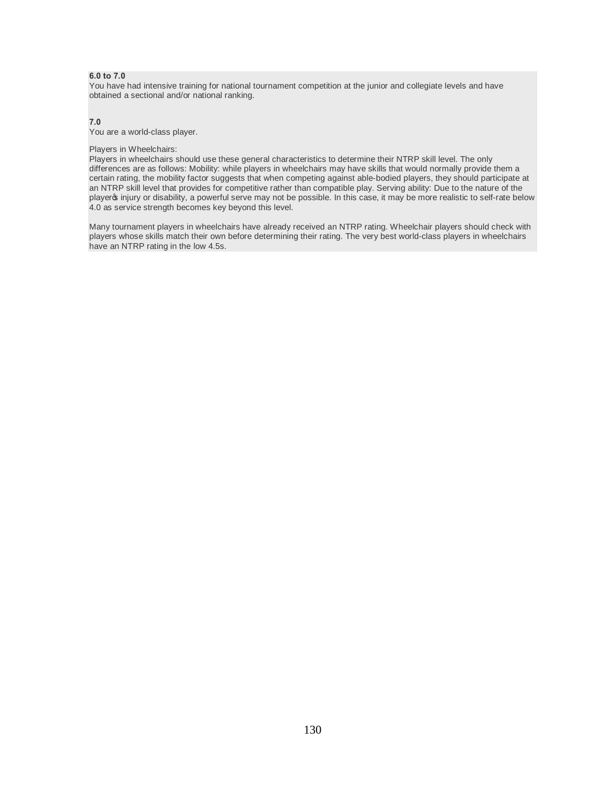#### **6.0 to 7.0**

You have had intensive training for national tournament competition at the junior and collegiate levels and have obtained a sectional and/or national ranking.

#### **7.0**

You are a world-class player.

#### Players in Wheelchairs:

Players in wheelchairs should use these general characteristics to determine their NTRP skill level. The only differences are as follows: Mobility: while players in wheelchairs may have skills that would normally provide them a certain rating, the mobility factor suggests that when competing against able-bodied players, they should participate at an NTRP skill level that provides for competitive rather than compatible play. Serving ability: Due to the nature of the player injury or disability, a powerful serve may not be possible. In this case, it may be more realistic to self-rate below 4.0 as service strength becomes key beyond this level.

Many tournament players in wheelchairs have already received an NTRP rating. Wheelchair players should check with players whose skills match their own before determining their rating. The very best world-class players in wheelchairs have an NTRP rating in the low 4.5s.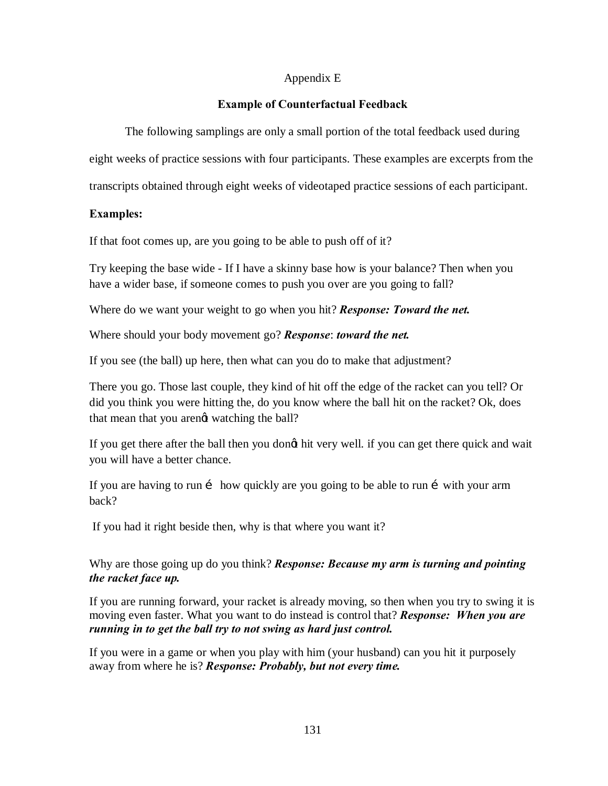# Appendix E

# **Example of Counterfactual Feedback**

The following samplings are only a small portion of the total feedback used during

eight weeks of practice sessions with four participants. These examples are excerpts from the

transcripts obtained through eight weeks of videotaped practice sessions of each participant.

# **Examples:**

If that foot comes up, are you going to be able to push off of it?

Try keeping the base wide - If I have a skinny base how is your balance? Then when you have a wider base, if someone comes to push you over are you going to fall?

Where do we want your weight to go when you hit? *Response: Toward the net.*

Where should your body movement go? *Response*: *toward the net.*

If you see (the ball) up here, then what can you do to make that adjustment?

There you go. Those last couple, they kind of hit off the edge of the racket can you tell? Or did you think you were hitting the, do you know where the ball hit on the racket? Ok, does that mean that you arengt watching the ball?

If you get there after the ball then you dongt hit very well. if you can get there quick and wait you will have a better chance.

If you are having to run  $\mathbf{i}$  how quickly are you going to be able to run  $\mathbf{i}$  with your arm back?

If you had it right beside then, why is that where you want it?

Why are those going up do you think? *Response: Because my arm is turning and pointing the racket face up.*

If you are running forward, your racket is already moving, so then when you try to swing it is moving even faster. What you want to do instead is control that? *Response: When you are running in to get the ball try to not swing as hard just control.*

If you were in a game or when you play with him (your husband) can you hit it purposely away from where he is? *Response: Probably, but not every time.*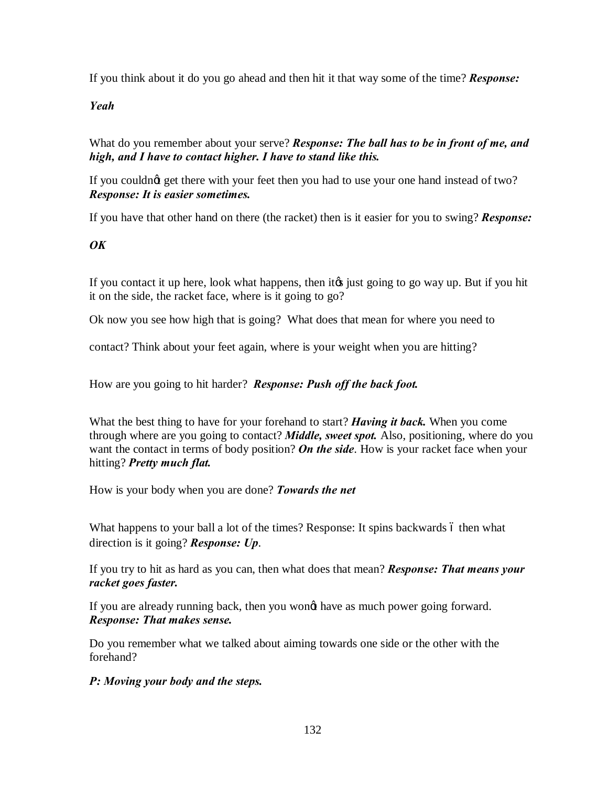If you think about it do you go ahead and then hit it that way some of the time? *Response:* 

*Yeah*

What do you remember about your serve? *Response: The ball has to be in front of me, and high, and I have to contact higher. I have to stand like this.*

If you couldnot get there with your feet then you had to use your one hand instead of two? *Response: It is easier sometimes.*

If you have that other hand on there (the racket) then is it easier for you to swing? *Response:* 

*OK*

If you contact it up here, look what happens, then it is just going to go way up. But if you hit it on the side, the racket face, where is it going to go?

Ok now you see how high that is going? What does that mean for where you need to

contact? Think about your feet again, where is your weight when you are hitting?

How are you going to hit harder? *Response: Push off the back foot.*

What the best thing to have for your forehand to start? *Having it back.* When you come through where are you going to contact? *Middle, sweet spot.* Also, positioning, where do you want the contact in terms of body position? *On the side*. How is your racket face when your hitting? *Pretty much flat.*

How is your body when you are done? *Towards the net*

What happens to your ball a lot of the times? Response: It spins backwards 6 then what direction is it going? *Response: Up*.

If you try to hit as hard as you can, then what does that mean? *Response: That means your racket goes faster.*

If you are already running back, then you wongt have as much power going forward. *Response: That makes sense.* 

Do you remember what we talked about aiming towards one side or the other with the forehand?

*P: Moving your body and the steps.*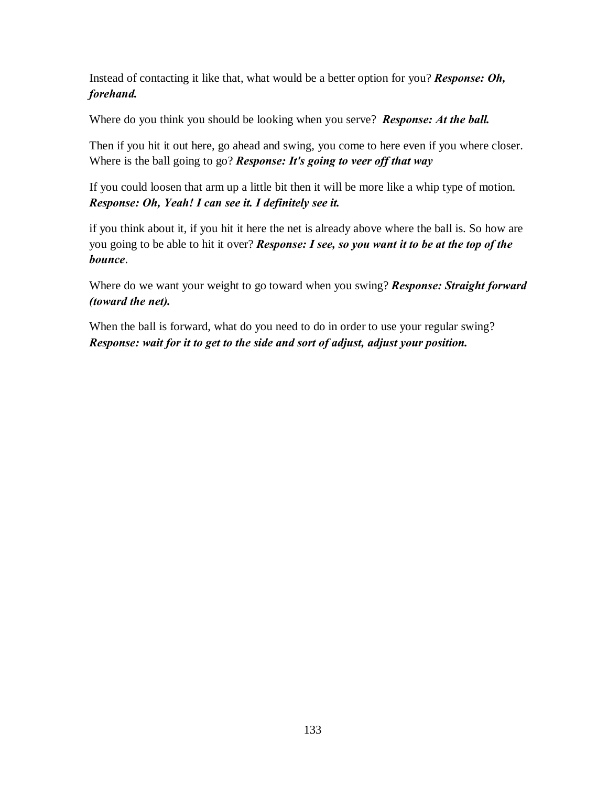Instead of contacting it like that, what would be a better option for you? *Response: Oh, forehand.*

Where do you think you should be looking when you serve? *Response: At the ball.* 

Then if you hit it out here, go ahead and swing, you come to here even if you where closer. Where is the ball going to go? *Response: It's going to veer off that way*

If you could loosen that arm up a little bit then it will be more like a whip type of motion. *Response: Oh, Yeah! I can see it. I definitely see it.* 

if you think about it, if you hit it here the net is already above where the ball is. So how are you going to be able to hit it over? *Response: I see, so you want it to be at the top of the bounce*.

Where do we want your weight to go toward when you swing? *Response: Straight forward (toward the net).*

When the ball is forward, what do you need to do in order to use your regular swing? *Response: wait for it to get to the side and sort of adjust, adjust your position.*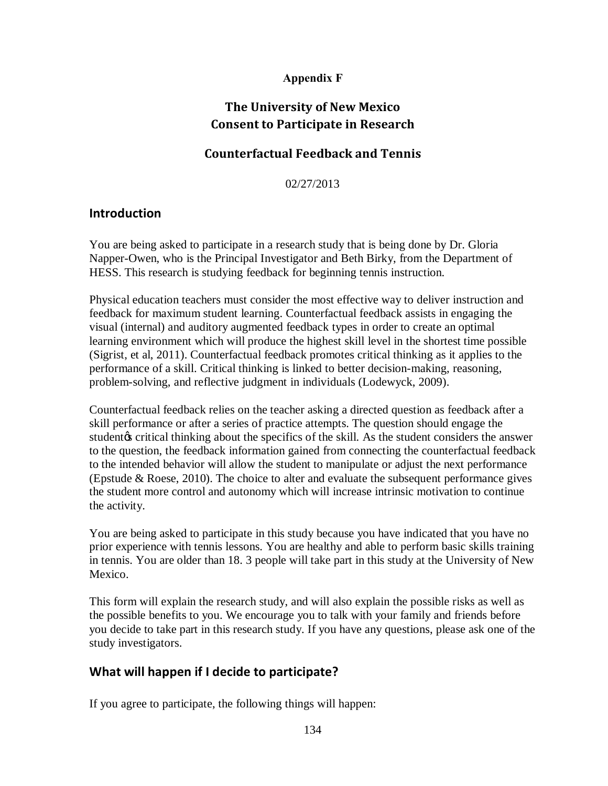#### **Appendix F**

# **The University of New Mexico Consent to Participate in Research**

# **Counterfactual Feedback and Tennis**

02/27/2013

#### **Introduction**

You are being asked to participate in a research study that is being done by Dr. Gloria Napper-Owen, who is the Principal Investigator and Beth Birky, from the Department of HESS. This research is studying feedback for beginning tennis instruction.

Physical education teachers must consider the most effective way to deliver instruction and feedback for maximum student learning. Counterfactual feedback assists in engaging the visual (internal) and auditory augmented feedback types in order to create an optimal learning environment which will produce the highest skill level in the shortest time possible (Sigrist, et al, 2011). Counterfactual feedback promotes critical thinking as it applies to the performance of a skill. Critical thinking is linked to better decision-making, reasoning, problem-solving, and reflective judgment in individuals (Lodewyck, 2009).

Counterfactual feedback relies on the teacher asking a directed question as feedback after a skill performance or after a series of practice attempts. The question should engage the student os critical thinking about the specifics of the skill. As the student considers the answer to the question, the feedback information gained from connecting the counterfactual feedback to the intended behavior will allow the student to manipulate or adjust the next performance (Epstude & Roese, 2010). The choice to alter and evaluate the subsequent performance gives the student more control and autonomy which will increase intrinsic motivation to continue the activity.

You are being asked to participate in this study because you have indicated that you have no prior experience with tennis lessons. You are healthy and able to perform basic skills training in tennis. You are older than 18. 3 people will take part in this study at the University of New Mexico.

This form will explain the research study, and will also explain the possible risks as well as the possible benefits to you. We encourage you to talk with your family and friends before you decide to take part in this research study. If you have any questions, please ask one of the study investigators.

## **What will happen if I decide to participate?**

If you agree to participate, the following things will happen: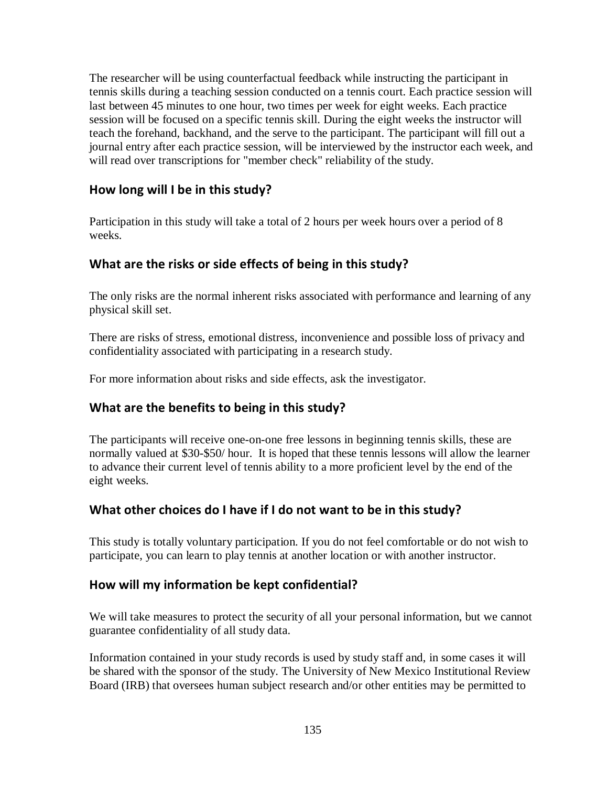The researcher will be using counterfactual feedback while instructing the participant in tennis skills during a teaching session conducted on a tennis court. Each practice session will last between 45 minutes to one hour, two times per week for eight weeks. Each practice session will be focused on a specific tennis skill. During the eight weeks the instructor will teach the forehand, backhand, and the serve to the participant. The participant will fill out a journal entry after each practice session, will be interviewed by the instructor each week, and will read over transcriptions for "member check" reliability of the study.

# **How long will I be in this study?**

Participation in this study will take a total of 2 hours per week hours over a period of 8 weeks.

# **What are the risks or side effects of being in this study?**

The only risks are the normal inherent risks associated with performance and learning of any physical skill set.

There are risks of stress, emotional distress, inconvenience and possible loss of privacy and confidentiality associated with participating in a research study.

For more information about risks and side effects, ask the investigator.

## **What are the benefits to being in this study?**

The participants will receive one-on-one free lessons in beginning tennis skills, these are normally valued at \$30-\$50/ hour. It is hoped that these tennis lessons will allow the learner to advance their current level of tennis ability to a more proficient level by the end of the eight weeks.

## **What other choices do I have if I do not want to be in this study?**

This study is totally voluntary participation. If you do not feel comfortable or do not wish to participate, you can learn to play tennis at another location or with another instructor.

## **How will my information be kept confidential?**

We will take measures to protect the security of all your personal information, but we cannot guarantee confidentiality of all study data.

Information contained in your study records is used by study staff and, in some cases it will be shared with the sponsor of the study. The University of New Mexico Institutional Review Board (IRB) that oversees human subject research and/or other entities may be permitted to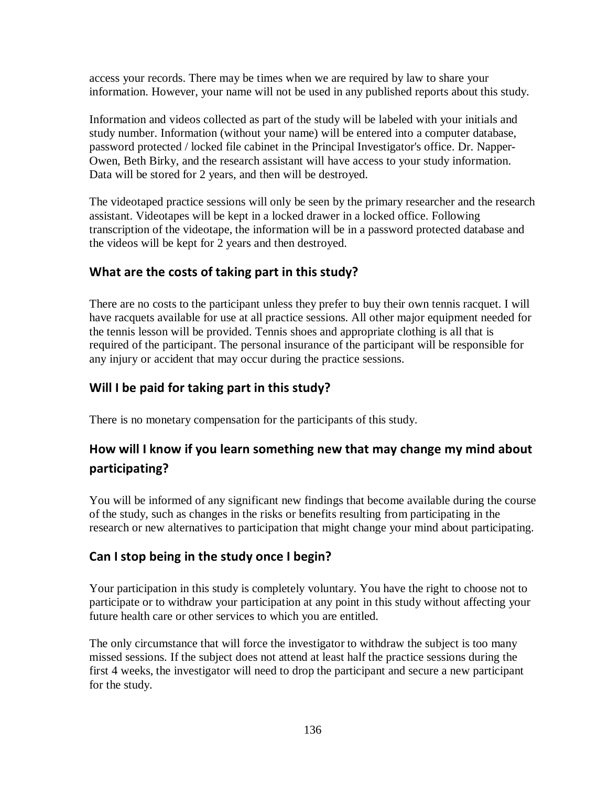access your records. There may be times when we are required by law to share your information. However, your name will not be used in any published reports about this study.

Information and videos collected as part of the study will be labeled with your initials and study number. Information (without your name) will be entered into a computer database, password protected / locked file cabinet in the Principal Investigator's office. Dr. Napper-Owen, Beth Birky, and the research assistant will have access to your study information. Data will be stored for 2 years, and then will be destroyed.

The videotaped practice sessions will only be seen by the primary researcher and the research assistant. Videotapes will be kept in a locked drawer in a locked office. Following transcription of the videotape, the information will be in a password protected database and the videos will be kept for 2 years and then destroyed.

# **What are the costs of taking part in this study?**

There are no costs to the participant unless they prefer to buy their own tennis racquet. I will have racquets available for use at all practice sessions. All other major equipment needed for the tennis lesson will be provided. Tennis shoes and appropriate clothing is all that is required of the participant. The personal insurance of the participant will be responsible for any injury or accident that may occur during the practice sessions.

# **Will I be paid for taking part in this study?**

There is no monetary compensation for the participants of this study.

# **How will I know if you learn something new that may change my mind about participating?**

You will be informed of any significant new findings that become available during the course of the study, such as changes in the risks or benefits resulting from participating in the research or new alternatives to participation that might change your mind about participating.

# **Can I stop being in the study once I begin?**

Your participation in this study is completely voluntary. You have the right to choose not to participate or to withdraw your participation at any point in this study without affecting your future health care or other services to which you are entitled.

The only circumstance that will force the investigator to withdraw the subject is too many missed sessions. If the subject does not attend at least half the practice sessions during the first 4 weeks, the investigator will need to drop the participant and secure a new participant for the study.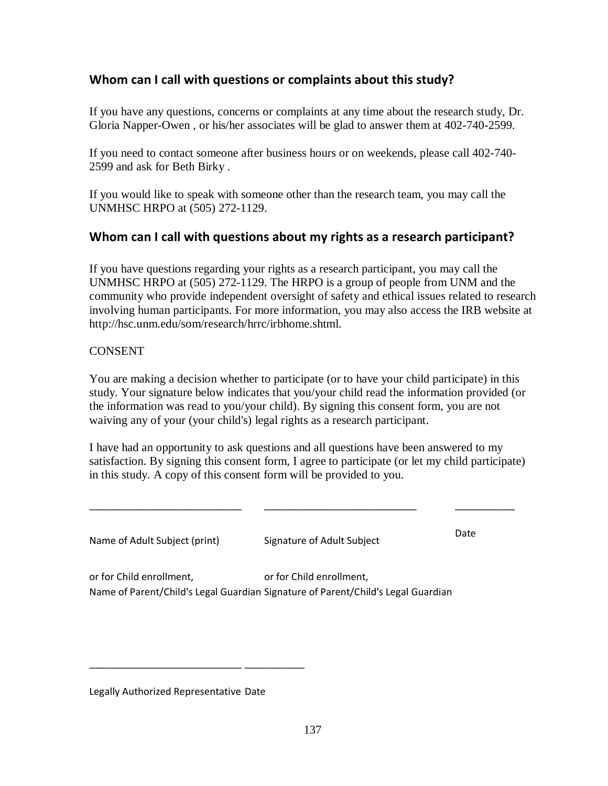# **Whom can I call with questions or complaints about this study?**

If you have any questions, concerns or complaints at any time about the research study, Dr. Gloria Napper-Owen , or his/her associates will be glad to answer them at 402-740-2599.

If you need to contact someone after business hours or on weekends, please call 402-740- 2599 and ask for Beth Birky .

If you would like to speak with someone other than the research team, you may call the UNMHSC HRPO at (505) 272-1129.

## **Whom can I call with questions about my rights as a research participant?**

If you have questions regarding your rights as a research participant, you may call the UNMHSC HRPO at (505) 272-1129. The HRPO is a group of people from UNM and the community who provide independent oversight of safety and ethical issues related to research involving human participants. For more information, you may also access the IRB website at http://hsc.unm.edu/som/research/hrrc/irbhome.shtml.

#### **CONSENT**

You are making a decision whether to participate (or to have your child participate) in this study. Your signature below indicates that you/your child read the information provided (or the information was read to you/your child). By signing this consent form, you are not waiving any of your (your child's) legal rights as a research participant.

I have had an opportunity to ask questions and all questions have been answered to my satisfaction. By signing this consent form, I agree to participate (or let my child participate) in this study. A copy of this consent form will be provided to you.

\_\_\_\_\_\_\_\_\_\_\_\_\_\_\_\_\_\_\_\_\_\_\_\_\_\_\_\_ \_\_\_\_\_\_\_\_\_\_\_\_\_\_\_\_\_\_\_\_\_\_\_\_\_\_\_\_ \_\_\_\_\_\_\_\_\_\_\_

Name of Adult Subject (print) Signature of Adult Subject

Date

or for Child enrollment, Name of Parent/Child's Legal Guardian Signature of Parent/Child's Legal Guardian or for Child enrollment,

Legally Authorized Representative Date

\_\_\_\_\_\_\_\_\_\_\_\_\_\_\_\_\_\_\_\_\_\_\_\_\_\_\_\_ \_\_\_\_\_\_\_\_\_\_\_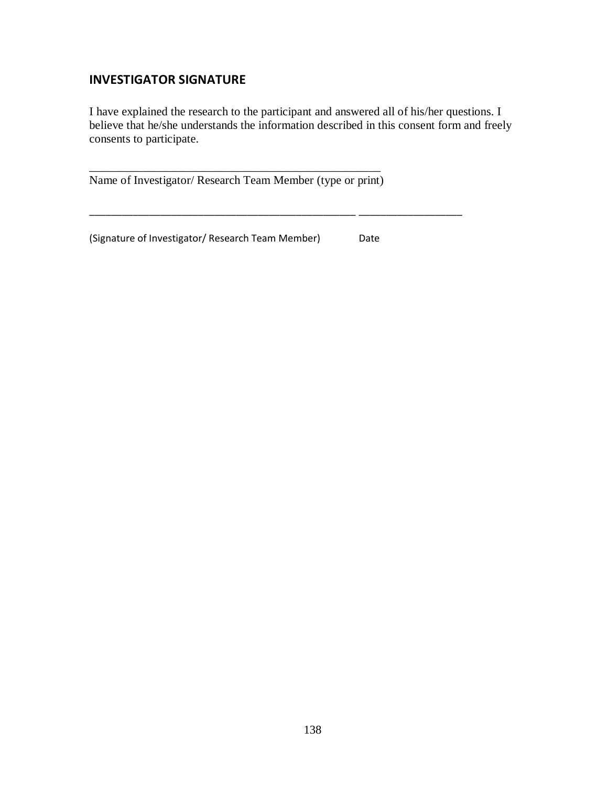#### **INVESTIGATOR SIGNATURE**

I have explained the research to the participant and answered all of his/her questions. I believe that he/she understands the information described in this consent form and freely consents to participate.

\_\_\_\_\_\_\_\_\_\_\_\_\_\_\_\_\_\_\_\_\_\_\_\_\_\_\_\_\_\_\_\_\_\_\_\_\_\_\_\_\_\_\_\_\_\_\_\_\_ \_\_\_\_\_\_\_\_\_\_\_\_\_\_\_\_\_\_\_

\_\_\_\_\_\_\_\_\_\_\_\_\_\_\_\_\_\_\_\_\_\_\_\_\_\_\_\_\_\_\_\_\_\_\_\_\_\_\_\_\_\_\_\_\_\_\_\_\_ Name of Investigator/ Research Team Member (type or print)

(Signature of Investigator/ Research Team Member) Date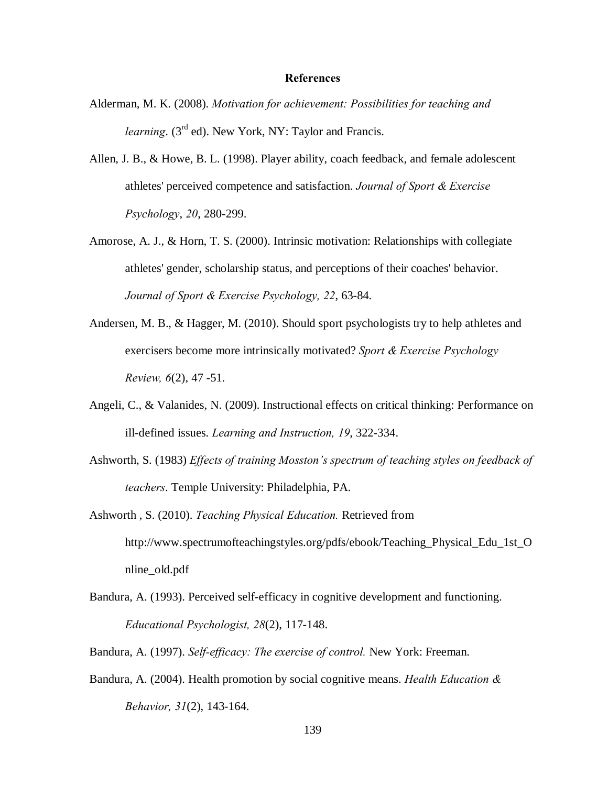#### **References**

- Alderman, M. K. (2008). *Motivation for achievement: Possibilities for teaching and learning.* (3<sup>rd</sup> ed). New York, NY: Taylor and Francis.
- Allen, J. B., & Howe, B. L. (1998). Player ability, coach feedback, and female adolescent athletes' perceived competence and satisfaction. *Journal of Sport & Exercise Psychology*, *20*, 280-299.
- Amorose, A. J., & Horn, T. S. (2000). Intrinsic motivation: Relationships with collegiate athletes' gender, scholarship status, and perceptions of their coaches' behavior. *Journal of Sport & Exercise Psychology, 22*, 63-84.
- Andersen, M. B., & Hagger, M. (2010). Should sport psychologists try to help athletes and exercisers become more intrinsically motivated? *Sport & Exercise Psychology Review, 6*(2), 47 -51.
- Angeli, C., & Valanides, N. (2009). Instructional effects on critical thinking: Performance on ill-defined issues. *Learning and Instruction, 19*, 322-334.
- Ashworth, S. (1983) *Effects of training Mosston's spectrum of teaching styles on feedback of teachers*. Temple University: Philadelphia, PA.
- Ashworth , S. (2010). *Teaching Physical Education.* Retrieved from http://www.spectrumofteachingstyles.org/pdfs/ebook/Teaching\_Physical\_Edu\_1st\_O nline\_old.pdf
- Bandura, A. (1993). Perceived self-efficacy in cognitive development and functioning. *Educational Psychologist, 28*(2), 117-148.
- Bandura, A. (1997). *Self-efficacy: The exercise of control.* New York: Freeman.
- Bandura, A. (2004). Health promotion by social cognitive means. *Health Education & Behavior, 31*(2), 143-164.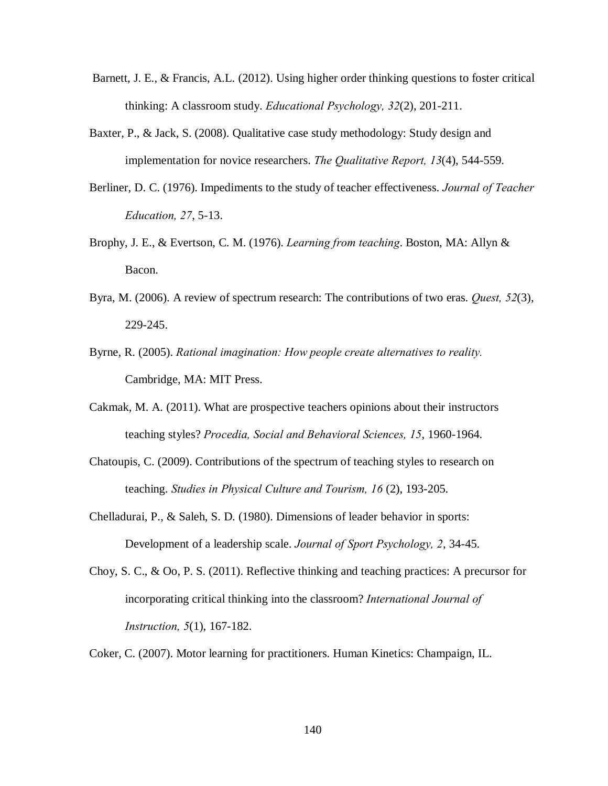- Barnett, J. E., & Francis, A.L. (2012). Using higher order thinking questions to foster critical thinking: A classroom study. *Educational Psychology, 32*(2), 201-211.
- Baxter, P., & Jack, S. (2008). Qualitative case study methodology: Study design and implementation for novice researchers. *The Qualitative Report, 13*(4), 544-559.
- Berliner, D. C. (1976). Impediments to the study of teacher effectiveness. *Journal of Teacher Education, 27*, 5-13.
- Brophy, J. E., & Evertson, C. M. (1976). *Learning from teaching*. Boston, MA: Allyn & Bacon.
- Byra, M. (2006). A review of spectrum research: The contributions of two eras. *Quest, 52*(3), 229-245.
- Byrne, R. (2005). *Rational imagination: How people create alternatives to reality.*  Cambridge, MA: MIT Press.
- Cakmak, M. A. (2011). What are prospective teachers opinions about their instructors teaching styles? *Procedia, Social and Behavioral Sciences, 15*, 1960-1964.
- Chatoupis, C. (2009). Contributions of the spectrum of teaching styles to research on teaching. *Studies in Physical Culture and Tourism, 16* (2), 193-205.
- Chelladurai, P., & Saleh, S. D. (1980). Dimensions of leader behavior in sports: Development of a leadership scale. *Journal of Sport Psychology, 2*, 34-45.
- Choy, S. C., & Oo, P. S. (2011). Reflective thinking and teaching practices: A precursor for incorporating critical thinking into the classroom? *International Journal of Instruction, 5*(1), 167-182.
- Coker, C. (2007). Motor learning for practitioners. Human Kinetics: Champaign, IL.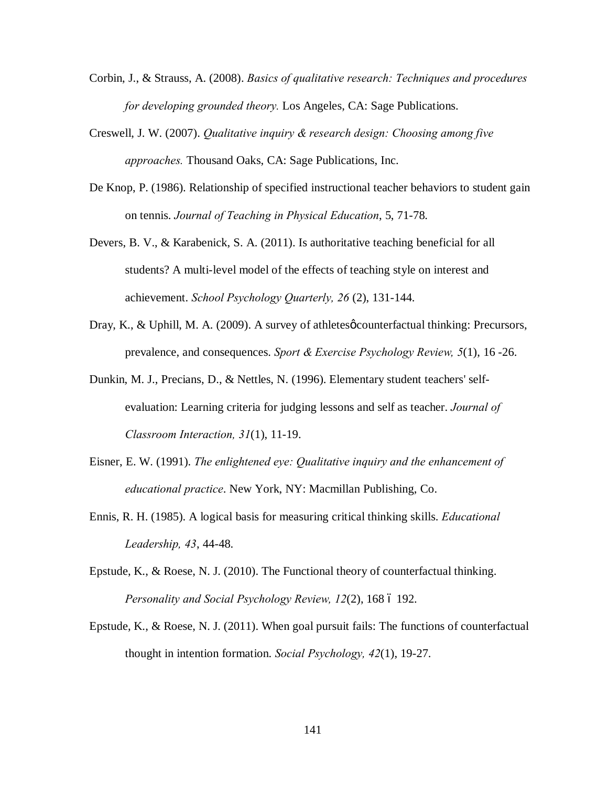- Corbin, J., & Strauss, A. (2008). *Basics of qualitative research: Techniques and procedures for developing grounded theory.* Los Angeles, CA: Sage Publications.
- Creswell, J. W. (2007). *Qualitative inquiry & research design: Choosing among five approaches.* Thousand Oaks, CA: Sage Publications, Inc.
- De Knop, P. (1986). Relationship of specified instructional teacher behaviors to student gain on tennis. *Journal of Teaching in Physical Education*, 5, 71-78.
- Devers, B. V., & Karabenick, S. A. (2011). Is authoritative teaching beneficial for all students? A multi-level model of the effects of teaching style on interest and achievement. *School Psychology Quarterly, 26* (2), 131-144.
- Dray, K., & Uphill, M. A. (2009). A survey of athletes *o* counterfactual thinking: Precursors, prevalence, and consequences. *Sport & Exercise Psychology Review, 5*(1), 16 -26.
- Dunkin, M. J., Precians, D., & Nettles, N. (1996). Elementary student teachers' selfevaluation: Learning criteria for judging lessons and self as teacher. *Journal of Classroom Interaction, 31*(1), 11-19.
- Eisner, E. W. (1991). *The enlightened eye: Qualitative inquiry and the enhancement of educational practice*. New York, NY: Macmillan Publishing, Co.
- Ennis, R. H. (1985). A logical basis for measuring critical thinking skills. *Educational Leadership, 43*, 44-48.
- Epstude, K., & Roese, N. J. (2010). The Functional theory of counterfactual thinking. *Personality and Social Psychology Review, 12(2), 168 6 192.*
- Epstude, K., & Roese, N. J. (2011). When goal pursuit fails: The functions of counterfactual thought in intention formation. *Social Psychology, 42*(1), 19-27.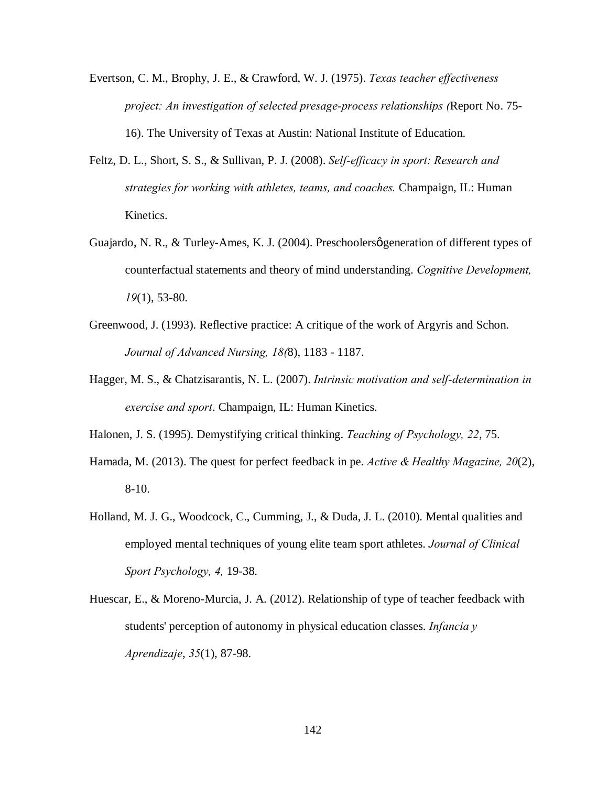- Evertson, C. M., Brophy, J. E., & Crawford, W. J. (1975). *Texas teacher effectiveness project: An investigation of selected presage-process relationships (*Report No. 75- 16). The University of Texas at Austin: National Institute of Education.
- Feltz, D. L., Short, S. S., & Sullivan, P. J. (2008). *Self-efficacy in sport: Research and strategies for working with athletes, teams, and coaches.* Champaign, IL: Human Kinetics.
- Guajardo, N. R., & Turley-Ames, K. J. (2004). Preschoolers generation of different types of counterfactual statements and theory of mind understanding. *Cognitive Development, 19*(1), 53-80.
- Greenwood, J. (1993). Reflective practice: A critique of the work of Argyris and Schon. *Journal of Advanced Nursing, 18(*8), 1183 - 1187.
- Hagger, M. S., & Chatzisarantis, N. L. (2007). *Intrinsic motivation and self-determination in exercise and sport*. Champaign, IL: Human Kinetics.

Halonen, J. S. (1995). Demystifying critical thinking. *Teaching of Psychology, 22*, 75.

- Hamada, M. (2013). The quest for perfect feedback in pe. *Active & Healthy Magazine, 20*(2), 8-10.
- Holland, M. J. G., Woodcock, C., Cumming, J., & Duda, J. L. (2010). Mental qualities and employed mental techniques of young elite team sport athletes. *Journal of Clinical Sport Psychology, 4,* 19-38.
- Huescar, E., & Moreno-Murcia, J. A. (2012). Relationship of type of teacher feedback with students' perception of autonomy in physical education classes. *Infancia y Aprendizaje*, *35*(1), 87-98.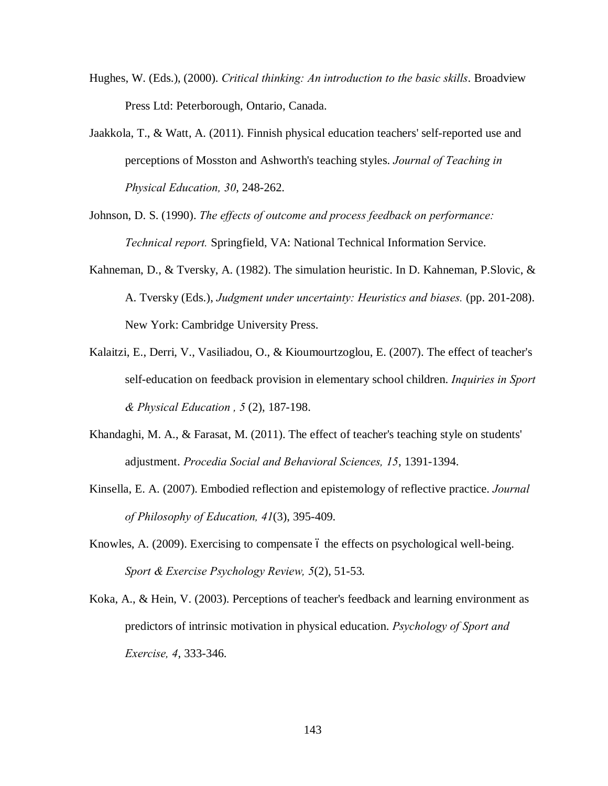- Hughes, W. (Eds.), (2000). *Critical thinking: An introduction to the basic skills*. Broadview Press Ltd: Peterborough, Ontario, Canada.
- Jaakkola, T., & Watt, A. (2011). Finnish physical education teachers' self-reported use and perceptions of Mosston and Ashworth's teaching styles. *Journal of Teaching in Physical Education, 30*, 248-262.
- Johnson, D. S. (1990). *The effects of outcome and process feedback on performance: Technical report.* Springfield, VA: National Technical Information Service.
- Kahneman, D., & Tversky, A. (1982). The simulation heuristic. In D. Kahneman, P.Slovic, & A. Tversky (Eds.), *Judgment under uncertainty: Heuristics and biases.* (pp. 201-208). New York: Cambridge University Press.
- Kalaitzi, E., Derri, V., Vasiliadou, O., & Kioumourtzoglou, E. (2007). The effect of teacher's self-education on feedback provision in elementary school children. *Inquiries in Sport & Physical Education , 5* (2), 187-198.
- Khandaghi, M. A., & Farasat, M. (2011). The effect of teacher's teaching style on students' adjustment. *Procedia Social and Behavioral Sciences, 15*, 1391-1394.
- Kinsella, E. A. (2007). Embodied reflection and epistemology of reflective practice. *Journal of Philosophy of Education, 41*(3), 395-409.
- Knowles, A. (2009). Exercising to compensate 6 the effects on psychological well-being. *Sport & Exercise Psychology Review, 5*(2), 51-53.
- Koka, A., & Hein, V. (2003). Perceptions of teacher's feedback and learning environment as predictors of intrinsic motivation in physical education. *Psychology of Sport and Exercise, 4*, 333-346.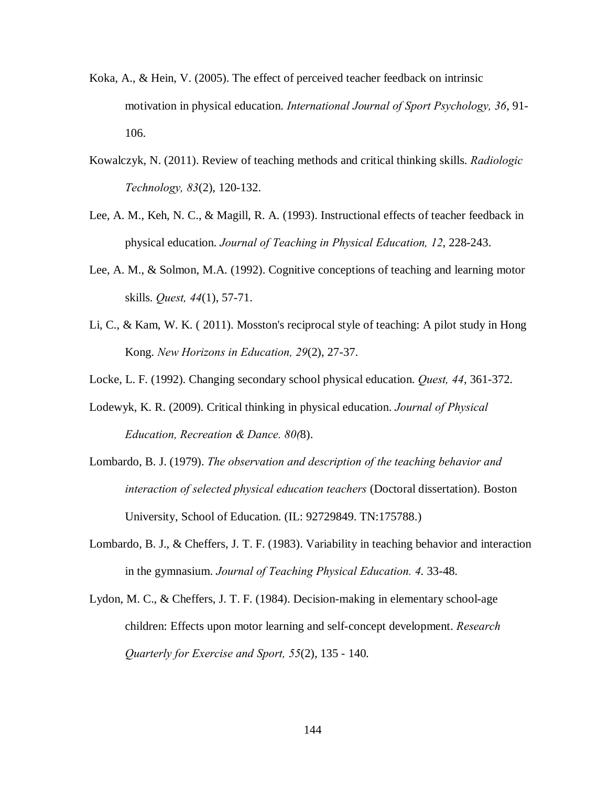- Koka, A., & Hein, V. (2005). The effect of perceived teacher feedback on intrinsic motivation in physical education. *International Journal of Sport Psychology, 36*, 91- 106.
- Kowalczyk, N. (2011). Review of teaching methods and critical thinking skills. *Radiologic Technology, 83*(2), 120-132.
- Lee, A. M., Keh, N. C., & Magill, R. A. (1993). Instructional effects of teacher feedback in physical education. *Journal of Teaching in Physical Education, 12*, 228-243.
- Lee, A. M., & Solmon, M.A. (1992). Cognitive conceptions of teaching and learning motor skills. *Quest, 44*(1), 57-71.
- Li, C., & Kam, W. K. ( 2011). Mosston's reciprocal style of teaching: A pilot study in Hong Kong. *New Horizons in Education, 29*(2), 27-37.
- Locke, L. F. (1992). Changing secondary school physical education. *Quest, 44*, 361-372.
- Lodewyk, K. R. (2009). Critical thinking in physical education. *Journal of Physical Education, Recreation & Dance. 80(*8).
- Lombardo, B. J. (1979). *The observation and description of the teaching behavior and interaction of selected physical education teachers* (Doctoral dissertation). Boston University, School of Education. (IL: 92729849. TN:175788.)
- Lombardo, B. J., & Cheffers, J. T. F. (1983). Variability in teaching behavior and interaction in the gymnasium. *Journal of Teaching Physical Education. 4*. 33-48.
- Lydon, M. C., & Cheffers, J. T. F. (1984). Decision-making in elementary school-age children: Effects upon motor learning and self-concept development. *Research Quarterly for Exercise and Sport, 55*(2), 135 - 140.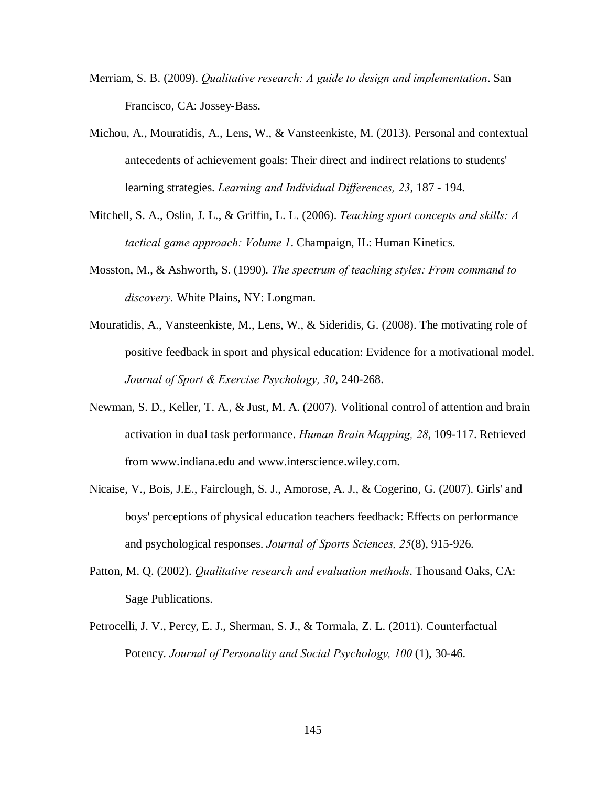- Merriam, S. B. (2009). *Qualitative research: A guide to design and implementation*. San Francisco, CA: Jossey-Bass.
- Michou, A., Mouratidis, A., Lens, W., & Vansteenkiste, M. (2013). Personal and contextual antecedents of achievement goals: Their direct and indirect relations to students' learning strategies. *Learning and Individual Differences, 23*, 187 - 194.
- Mitchell, S. A., Oslin, J. L., & Griffin, L. L. (2006). *Teaching sport concepts and skills: A tactical game approach: Volume 1*. Champaign, IL: Human Kinetics.
- Mosston, M., & Ashworth, S. (1990). *The spectrum of teaching styles: From command to discovery.* White Plains, NY: Longman.
- Mouratidis, A., Vansteenkiste, M., Lens, W., & Sideridis, G. (2008). The motivating role of positive feedback in sport and physical education: Evidence for a motivational model. *Journal of Sport & Exercise Psychology, 30*, 240-268.
- Newman, S. D., Keller, T. A., & Just, M. A. (2007). Volitional control of attention and brain activation in dual task performance. *Human Brain Mapping, 28*, 109-117. Retrieved from www.indiana.edu and www.interscience.wiley.com.
- Nicaise, V., Bois, J.E., Fairclough, S. J., Amorose, A. J., & Cogerino, G. (2007). Girls' and boys' perceptions of physical education teachers feedback: Effects on performance and psychological responses. *Journal of Sports Sciences, 25*(8), 915-926.
- Patton, M. Q. (2002). *Qualitative research and evaluation methods*. Thousand Oaks, CA: Sage Publications.
- Petrocelli, J. V., Percy, E. J., Sherman, S. J., & Tormala, Z. L. (2011). Counterfactual Potency. *Journal of Personality and Social Psychology, 100* (1), 30-46.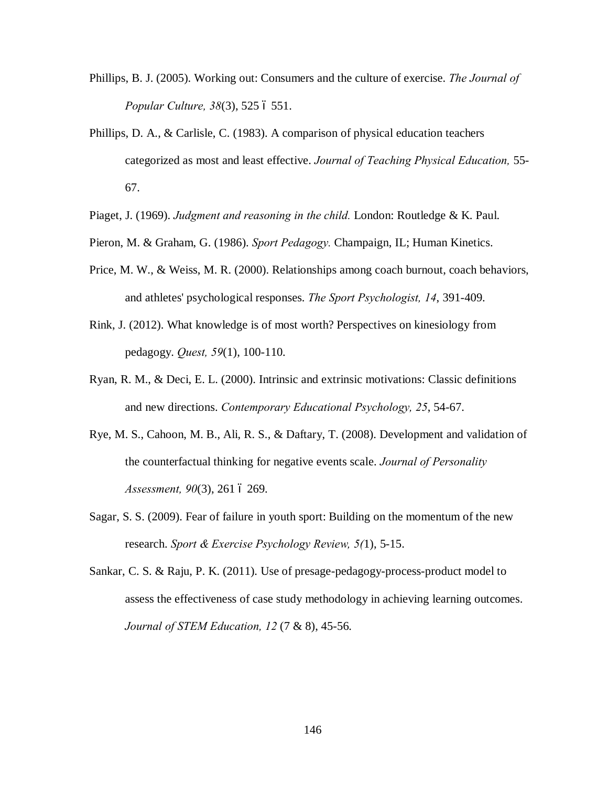- Phillips, B. J. (2005). Working out: Consumers and the culture of exercise. *The Journal of Popular Culture, 38(3), 525 6 551.*
- Phillips, D. A., & Carlisle, C. (1983). A comparison of physical education teachers categorized as most and least effective. *Journal of Teaching Physical Education,* 55- 67.
- Piaget, J. (1969). *Judgment and reasoning in the child.* London: Routledge & K. Paul.
- Pieron, M. & Graham, G. (1986). *Sport Pedagogy.* Champaign, IL; Human Kinetics.
- Price, M. W., & Weiss, M. R. (2000). Relationships among coach burnout, coach behaviors, and athletes' psychological responses. *The Sport Psychologist, 14*, 391-409.
- Rink, J. (2012). What knowledge is of most worth? Perspectives on kinesiology from pedagogy. *Quest, 59*(1), 100-110.
- Ryan, R. M., & Deci, E. L. (2000). Intrinsic and extrinsic motivations: Classic definitions and new directions. *Contemporary Educational Psychology, 25*, 54-67.
- Rye, M. S., Cahoon, M. B., Ali, R. S., & Daftary, T. (2008). Development and validation of the counterfactual thinking for negative events scale. *Journal of Personality Assessment, 90(3), 261 6 269.*
- Sagar, S. S. (2009). Fear of failure in youth sport: Building on the momentum of the new research. *Sport & Exercise Psychology Review, 5(*1), 5-15.
- Sankar, C. S. & Raju, P. K. (2011). Use of presage-pedagogy-process-product model to assess the effectiveness of case study methodology in achieving learning outcomes. *Journal of STEM Education, 12* (7 & 8), 45-56.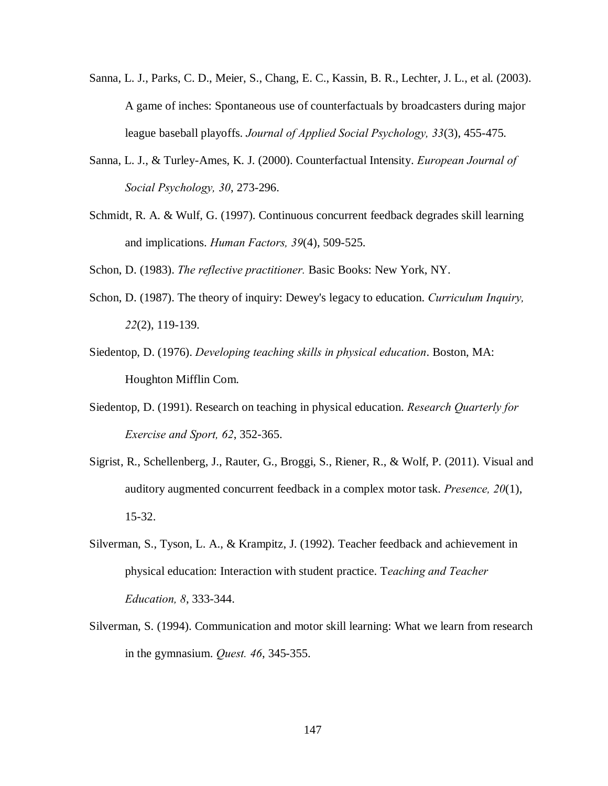- Sanna, L. J., Parks, C. D., Meier, S., Chang, E. C., Kassin, B. R., Lechter, J. L., et al. (2003). A game of inches: Spontaneous use of counterfactuals by broadcasters during major league baseball playoffs. *Journal of Applied Social Psychology, 33*(3), 455-475.
- Sanna, L. J., & Turley-Ames, K. J. (2000). Counterfactual Intensity. *European Journal of Social Psychology, 30*, 273-296.
- Schmidt, R. A. & Wulf, G. (1997). Continuous concurrent feedback degrades skill learning and implications. *Human Factors, 39*(4), 509-525.

Schon, D. (1983). *The reflective practitioner.* Basic Books: New York, NY.

- Schon, D. (1987). The theory of inquiry: Dewey's legacy to education. *Curriculum Inquiry, 22*(2), 119-139.
- Siedentop, D. (1976). *Developing teaching skills in physical education*. Boston, MA: Houghton Mifflin Com.
- Siedentop, D. (1991). Research on teaching in physical education. *Research Quarterly for Exercise and Sport, 62*, 352-365.
- Sigrist, R., Schellenberg, J., Rauter, G., Broggi, S., Riener, R., & Wolf, P. (2011). Visual and auditory augmented concurrent feedback in a complex motor task. *Presence, 20*(1), 15-32.
- Silverman, S., Tyson, L. A., & Krampitz, J. (1992). Teacher feedback and achievement in physical education: Interaction with student practice. T*eaching and Teacher Education, 8*, 333-344.
- Silverman, S. (1994). Communication and motor skill learning: What we learn from research in the gymnasium. *Quest. 46*, 345-355.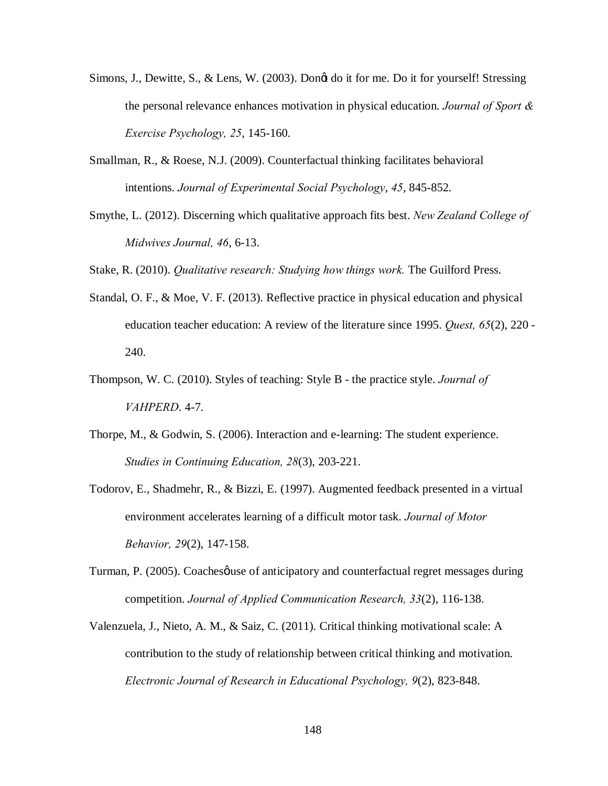- Simons, J., Dewitte, S., & Lens, W. (2003). Dongt do it for me. Do it for yourself! Stressing the personal relevance enhances motivation in physical education. *Journal of Sport & Exercise Psychology, 25*, 145-160.
- Smallman, R., & Roese, N.J. (2009). Counterfactual thinking facilitates behavioral intentions. *Journal of Experimental Social Psychology*, *45*, 845-852.
- Smythe, L. (2012). Discerning which qualitative approach fits best. *New Zealand College of Midwives Journal, 46*, 6-13.

Stake, R. (2010). *Qualitative research: Studying how things work.* The Guilford Press.

- Standal, O. F., & Moe, V. F. (2013). Reflective practice in physical education and physical education teacher education: A review of the literature since 1995. *Quest, 65*(2), 220 - 240.
- Thompson, W. C. (2010). Styles of teaching: Style B the practice style. *Journal of VAHPERD*. 4-7.
- Thorpe, M., & Godwin, S. (2006). Interaction and e-learning: The student experience. *Studies in Continuing Education, 28*(3), 203-221.
- Todorov, E., Shadmehr, R., & Bizzi, E. (1997). Augmented feedback presented in a virtual environment accelerates learning of a difficult motor task. *Journal of Motor Behavior, 29*(2), 147-158.
- Turman, P. (2005). Coaches quive of anticipatory and counterfactual regret messages during competition. *Journal of Applied Communication Research, 33*(2), 116-138.
- Valenzuela, J., Nieto, A. M., & Saiz, C. (2011). Critical thinking motivational scale: A contribution to the study of relationship between critical thinking and motivation. *Electronic Journal of Research in Educational Psychology, 9*(2), 823-848.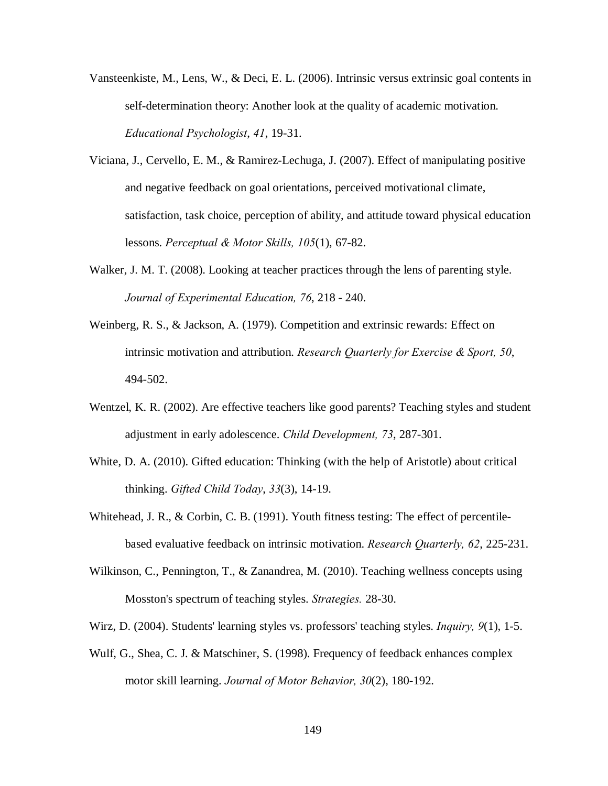- Vansteenkiste, M., Lens, W., & Deci, E. L. (2006). Intrinsic versus extrinsic goal contents in self-determination theory: Another look at the quality of academic motivation. *Educational Psychologist*, *41*, 19-31.
- Viciana, J., Cervello, E. M., & Ramirez-Lechuga, J. (2007). Effect of manipulating positive and negative feedback on goal orientations, perceived motivational climate, satisfaction, task choice, perception of ability, and attitude toward physical education lessons. *Perceptual & Motor Skills, 105*(1), 67-82.
- Walker, J. M. T. (2008). Looking at teacher practices through the lens of parenting style. *Journal of Experimental Education, 76*, 218 - 240.
- Weinberg, R. S., & Jackson, A. (1979). Competition and extrinsic rewards: Effect on intrinsic motivation and attribution. *Research Quarterly for Exercise & Sport, 50*, 494-502.
- Wentzel, K. R. (2002). Are effective teachers like good parents? Teaching styles and student adjustment in early adolescence. *Child Development, 73*, 287-301.
- White, D. A. (2010). Gifted education: Thinking (with the help of Aristotle) about critical thinking. *Gifted Child Today*, *33*(3), 14-19.
- Whitehead, J. R., & Corbin, C. B. (1991). Youth fitness testing: The effect of percentilebased evaluative feedback on intrinsic motivation. *Research Quarterly, 62*, 225-231.
- Wilkinson, C., Pennington, T., & Zanandrea, M. (2010). Teaching wellness concepts using Mosston's spectrum of teaching styles. *Strategies.* 28-30.
- Wirz, D. (2004). Students' learning styles vs. professors' teaching styles. *Inquiry, 9*(1), 1-5.
- Wulf, G., Shea, C. J. & Matschiner, S. (1998). Frequency of feedback enhances complex motor skill learning. *Journal of Motor Behavior, 30*(2), 180-192.